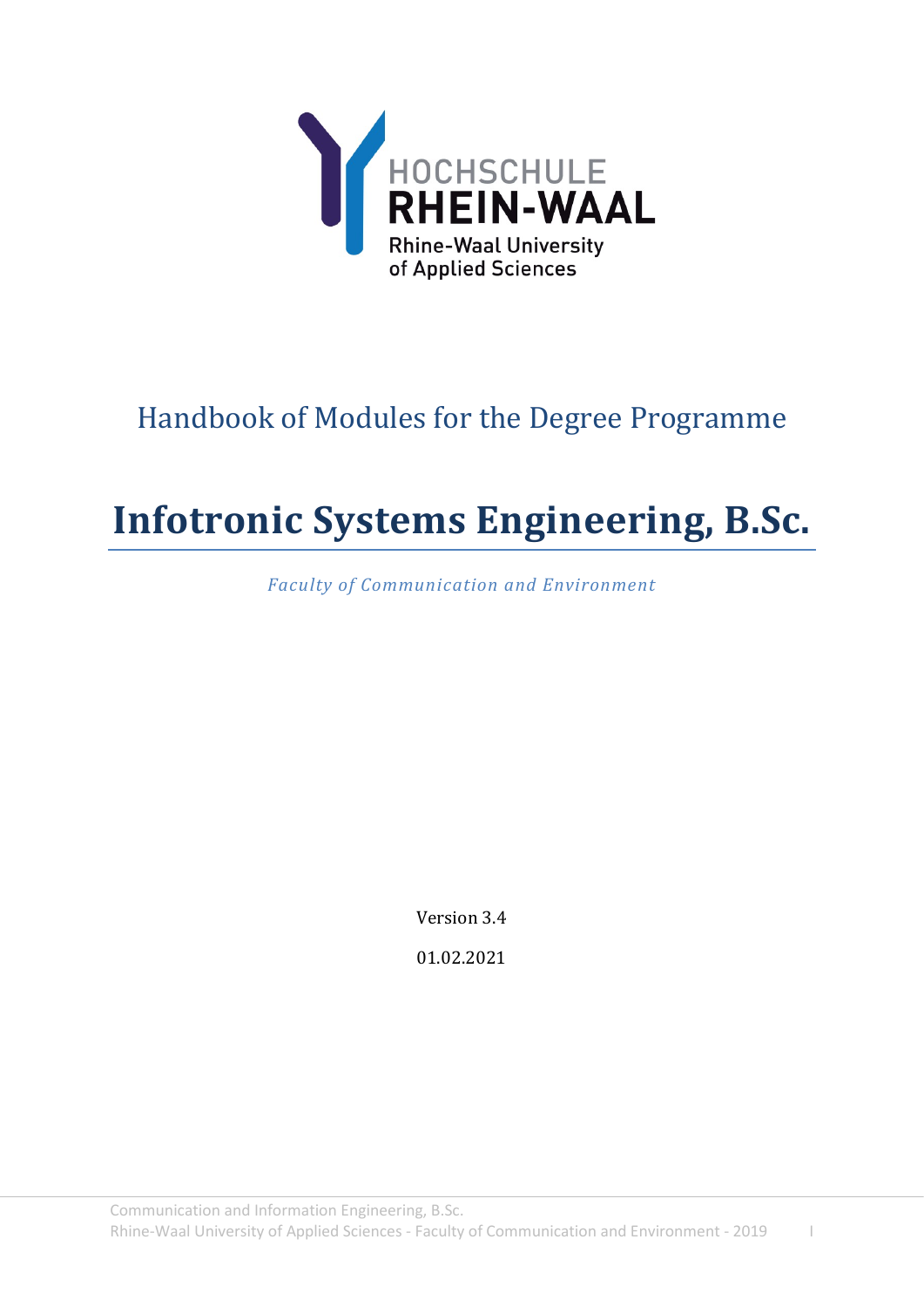

# Handbook of Modules for the Degree Programme

# **Infotronic Systems Engineering, B.Sc.**

*Faculty of Communication and Environment*

Version 3.4

01.02.2021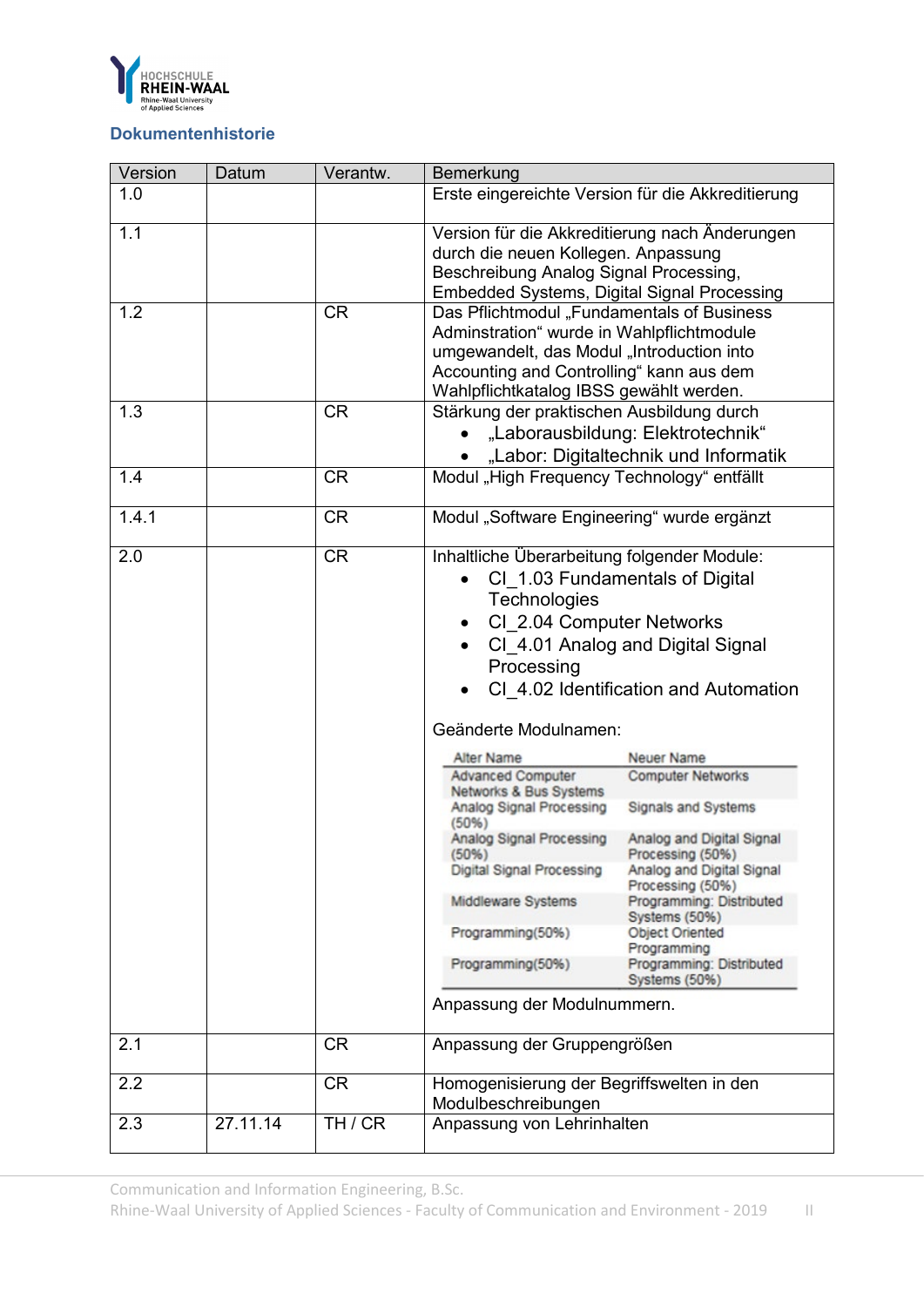

# **Dokumentenhistorie**

| Version | Datum    | Verantw.  | Bemerkung                                                                                                                                                                                                                   |                                                                                                               |  |  |  |  |  |  |  |
|---------|----------|-----------|-----------------------------------------------------------------------------------------------------------------------------------------------------------------------------------------------------------------------------|---------------------------------------------------------------------------------------------------------------|--|--|--|--|--|--|--|
| 1.0     |          |           |                                                                                                                                                                                                                             | Erste eingereichte Version für die Akkreditierung                                                             |  |  |  |  |  |  |  |
| 1.1     |          |           | Version für die Akkreditierung nach Änderungen<br>durch die neuen Kollegen. Anpassung<br>Beschreibung Analog Signal Processing,<br><b>Embedded Systems, Digital Signal Processing</b>                                       |                                                                                                               |  |  |  |  |  |  |  |
| 1.2     |          | <b>CR</b> | Das Pflichtmodul "Fundamentals of Business<br>Adminstration" wurde in Wahlpflichtmodule<br>umgewandelt, das Modul "Introduction into<br>Accounting and Controlling" kann aus dem<br>Wahlpflichtkatalog IBSS gewählt werden. |                                                                                                               |  |  |  |  |  |  |  |
| 1.3     |          | <b>CR</b> | Stärkung der praktischen Ausbildung durch                                                                                                                                                                                   | "Laborausbildung: Elektrotechnik"<br>"Labor: Digitaltechnik und Informatik                                    |  |  |  |  |  |  |  |
| 1.4     |          | <b>CR</b> | Modul "High Frequency Technology" entfällt                                                                                                                                                                                  |                                                                                                               |  |  |  |  |  |  |  |
| 1.4.1   |          | <b>CR</b> | Modul "Software Engineering" wurde ergänzt                                                                                                                                                                                  |                                                                                                               |  |  |  |  |  |  |  |
| 2.0     |          | <b>CR</b> | Inhaltliche Überarbeitung folgender Module:<br>Technologies<br>CI 2.04 Computer Networks<br>Processing<br>Geänderte Modulnamen:                                                                                             | CI 1.03 Fundamentals of Digital<br>CI 4.01 Analog and Digital Signal<br>CI_4.02 Identification and Automation |  |  |  |  |  |  |  |
|         |          |           | Alter Name                                                                                                                                                                                                                  | Neuer Name                                                                                                    |  |  |  |  |  |  |  |
|         |          |           | <b>Advanced Computer</b><br>Networks & Bus Systems<br>Analog Signal Processing<br>(50%)                                                                                                                                     | <b>Computer Networks</b><br>Signals and Systems                                                               |  |  |  |  |  |  |  |
|         |          |           | Analog Signal Processing<br>(50%)                                                                                                                                                                                           | Analog and Digital Signal<br>Processing (50%)                                                                 |  |  |  |  |  |  |  |
|         |          |           | <b>Digital Signal Processing</b>                                                                                                                                                                                            | Analog and Digital Signal<br>Processing (50%)                                                                 |  |  |  |  |  |  |  |
|         |          |           | Middleware Systems<br>Programming(50%)                                                                                                                                                                                      | Programming: Distributed<br>Systems (50%)<br>Object Oriented                                                  |  |  |  |  |  |  |  |
|         |          |           | Programming(50%)                                                                                                                                                                                                            | Programming<br>Programming: Distributed<br>Systems (50%)                                                      |  |  |  |  |  |  |  |
|         |          |           | Anpassung der Modulnummern.                                                                                                                                                                                                 |                                                                                                               |  |  |  |  |  |  |  |
| 2.1     |          | <b>CR</b> | Anpassung der Gruppengrößen                                                                                                                                                                                                 |                                                                                                               |  |  |  |  |  |  |  |
| 2.2     |          | <b>CR</b> | Homogenisierung der Begriffswelten in den<br>Modulbeschreibungen                                                                                                                                                            |                                                                                                               |  |  |  |  |  |  |  |
| 2.3     | 27.11.14 | TH/CR     | Anpassung von Lehrinhalten                                                                                                                                                                                                  |                                                                                                               |  |  |  |  |  |  |  |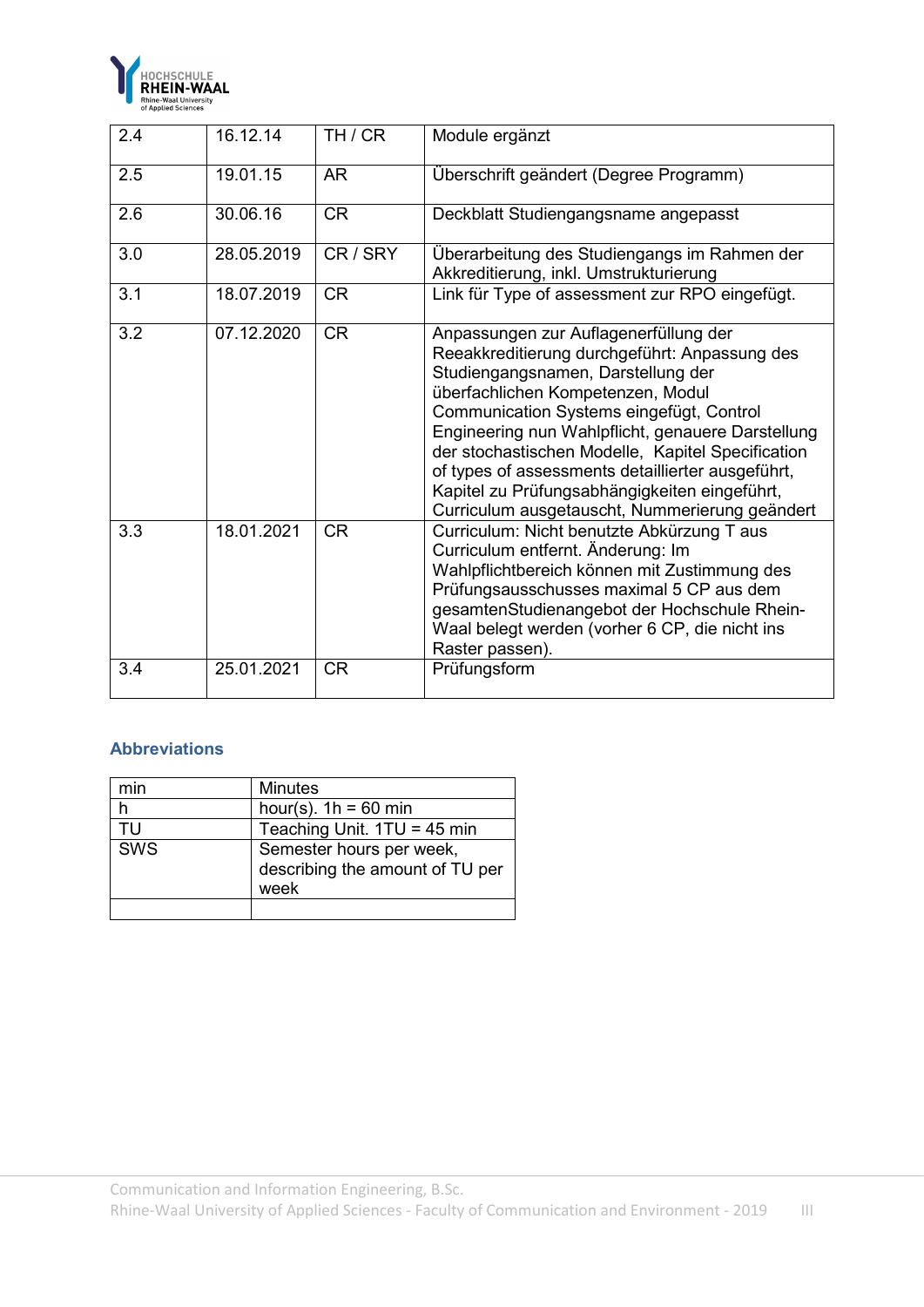

| 2.4 | 16.12.14   | TH/CR     | Module ergänzt                                                                                                                                                                                                                                                                                                                                                                                                                                                                  |
|-----|------------|-----------|---------------------------------------------------------------------------------------------------------------------------------------------------------------------------------------------------------------------------------------------------------------------------------------------------------------------------------------------------------------------------------------------------------------------------------------------------------------------------------|
| 2.5 | 19.01.15   | <b>AR</b> | Überschrift geändert (Degree Programm)                                                                                                                                                                                                                                                                                                                                                                                                                                          |
| 2.6 | 30.06.16   | <b>CR</b> | Deckblatt Studiengangsname angepasst                                                                                                                                                                                                                                                                                                                                                                                                                                            |
| 3.0 | 28.05.2019 | CR / SRY  | Überarbeitung des Studiengangs im Rahmen der<br>Akkreditierung, inkl. Umstrukturierung                                                                                                                                                                                                                                                                                                                                                                                          |
| 3.1 | 18.07.2019 | <b>CR</b> | Link für Type of assessment zur RPO eingefügt.                                                                                                                                                                                                                                                                                                                                                                                                                                  |
| 3.2 | 07.12.2020 | <b>CR</b> | Anpassungen zur Auflagenerfüllung der<br>Reeakkreditierung durchgeführt: Anpassung des<br>Studiengangsnamen, Darstellung der<br>überfachlichen Kompetenzen, Modul<br>Communication Systems eingefügt, Control<br>Engineering nun Wahlpflicht, genauere Darstellung<br>der stochastischen Modelle, Kapitel Specification<br>of types of assessments detaillierter ausgeführt,<br>Kapitel zu Prüfungsabhängigkeiten eingeführt,<br>Curriculum ausgetauscht, Nummerierung geändert |
| 3.3 | 18.01.2021 | <b>CR</b> | Curriculum: Nicht benutzte Abkürzung T aus<br>Curriculum entfernt. Änderung: Im<br>Wahlpflichtbereich können mit Zustimmung des<br>Prüfungsausschusses maximal 5 CP aus dem<br>gesamtenStudienangebot der Hochschule Rhein-<br>Waal belegt werden (vorher 6 CP, die nicht ins<br>Raster passen).                                                                                                                                                                                |
| 3.4 | 25.01.2021 | <b>CR</b> | Prüfungsform                                                                                                                                                                                                                                                                                                                                                                                                                                                                    |

# **Abbreviations**

| mın        | <b>Minutes</b>                                                      |
|------------|---------------------------------------------------------------------|
|            | hour(s). $1h = 60$ min                                              |
| ΤU         | Teaching Unit. 1TU = 45 min                                         |
| <b>SWS</b> | Semester hours per week,<br>describing the amount of TU per<br>week |
|            |                                                                     |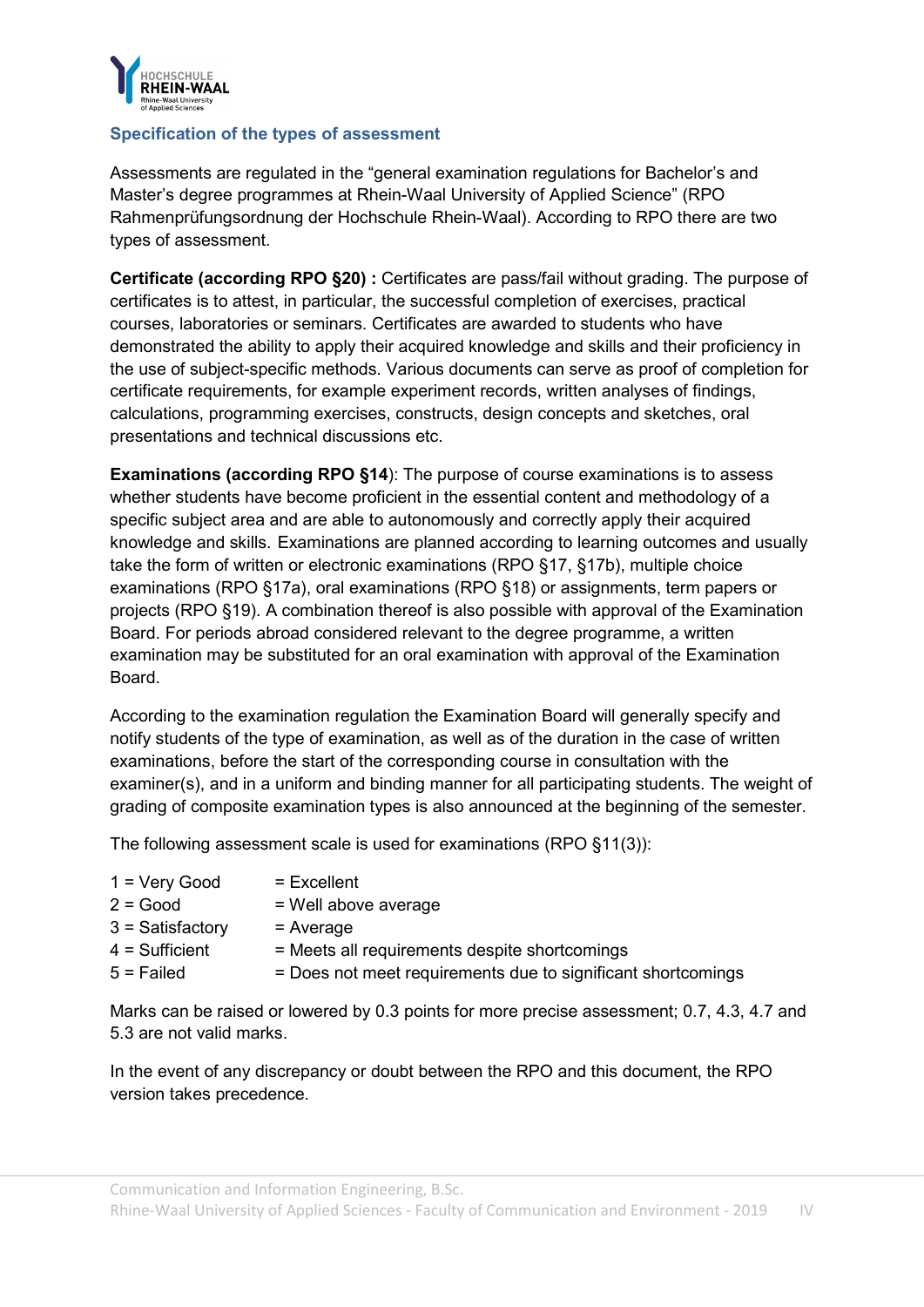

#### **Specification of the types of assessment**

Assessments are regulated in the "general examination regulations for Bachelor's and Master's degree programmes at Rhein-Waal University of Applied Science" (RPO Rahmenprüfungsordnung der Hochschule Rhein-Waal). According to RPO there are two types of assessment.

**Certificate (according RPO §20) :** Certificates are pass/fail without grading. The purpose of certificates is to attest, in particular, the successful completion of exercises, practical courses, laboratories or seminars. Certificates are awarded to students who have demonstrated the ability to apply their acquired knowledge and skills and their proficiency in the use of subject-specific methods. Various documents can serve as proof of completion for certificate requirements, for example experiment records, written analyses of findings, calculations, programming exercises, constructs, design concepts and sketches, oral presentations and technical discussions etc.

**Examinations (according RPO §14**): The purpose of course examinations is to assess whether students have become proficient in the essential content and methodology of a specific subject area and are able to autonomously and correctly apply their acquired knowledge and skills. Examinations are planned according to learning outcomes and usually take the form of written or electronic examinations (RPO §17, §17b), multiple choice examinations (RPO §17a), oral examinations (RPO §18) or assignments, term papers or projects (RPO §19). A combination thereof is also possible with approval of the Examination Board. For periods abroad considered relevant to the degree programme, a written examination may be substituted for an oral examination with approval of the Examination Board.

According to the examination regulation the Examination Board will generally specify and notify students of the type of examination, as well as of the duration in the case of written examinations, before the start of the corresponding course in consultation with the examiner(s), and in a uniform and binding manner for all participating students. The weight of grading of composite examination types is also announced at the beginning of the semester.

The following assessment scale is used for examinations (RPO §11(3)):

| $1 = Very Good$ | $=$ Excellent |
|-----------------|---------------|
|-----------------|---------------|

| $2 = Good$ | = Well above average |
|------------|----------------------|
|------------|----------------------|

 $3 =$  Satisfactory  $=$  Average

 $4 = Sufficient$  = Meets all requirements despite shortcomings

 $5$  = Failed  $=$  Does not meet requirements due to significant shortcomings

Marks can be raised or lowered by 0.3 points for more precise assessment; 0.7, 4.3, 4.7 and 5.3 are not valid marks.

In the event of any discrepancy or doubt between the RPO and this document, the RPO version takes precedence.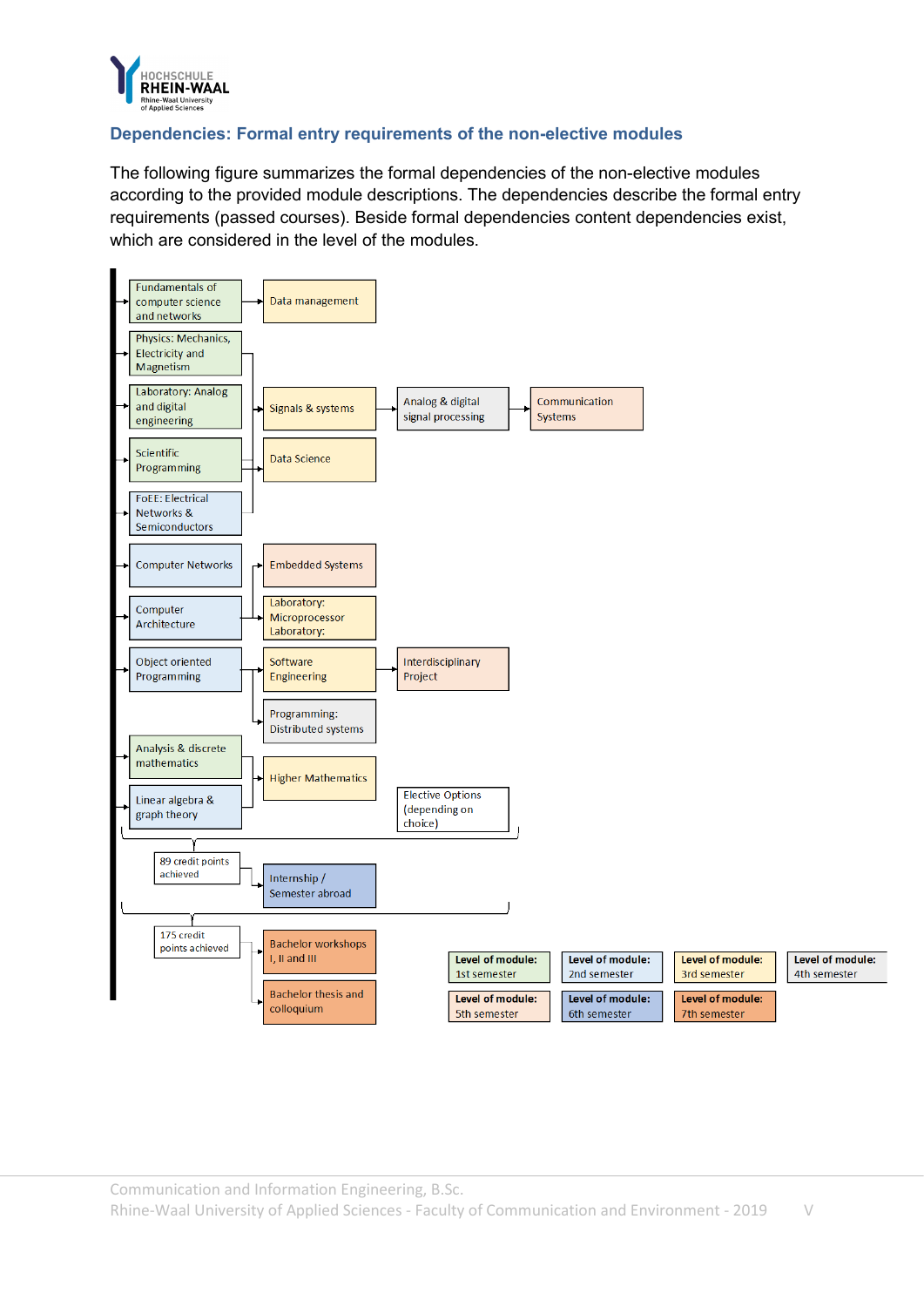

# **Dependencies: Formal entry requirements of the non-elective modules**

The following figure summarizes the formal dependencies of the non-elective modules according to the provided module descriptions. The dependencies describe the formal entry requirements (passed courses). Beside formal dependencies content dependencies exist, which are considered in the level of the modules.

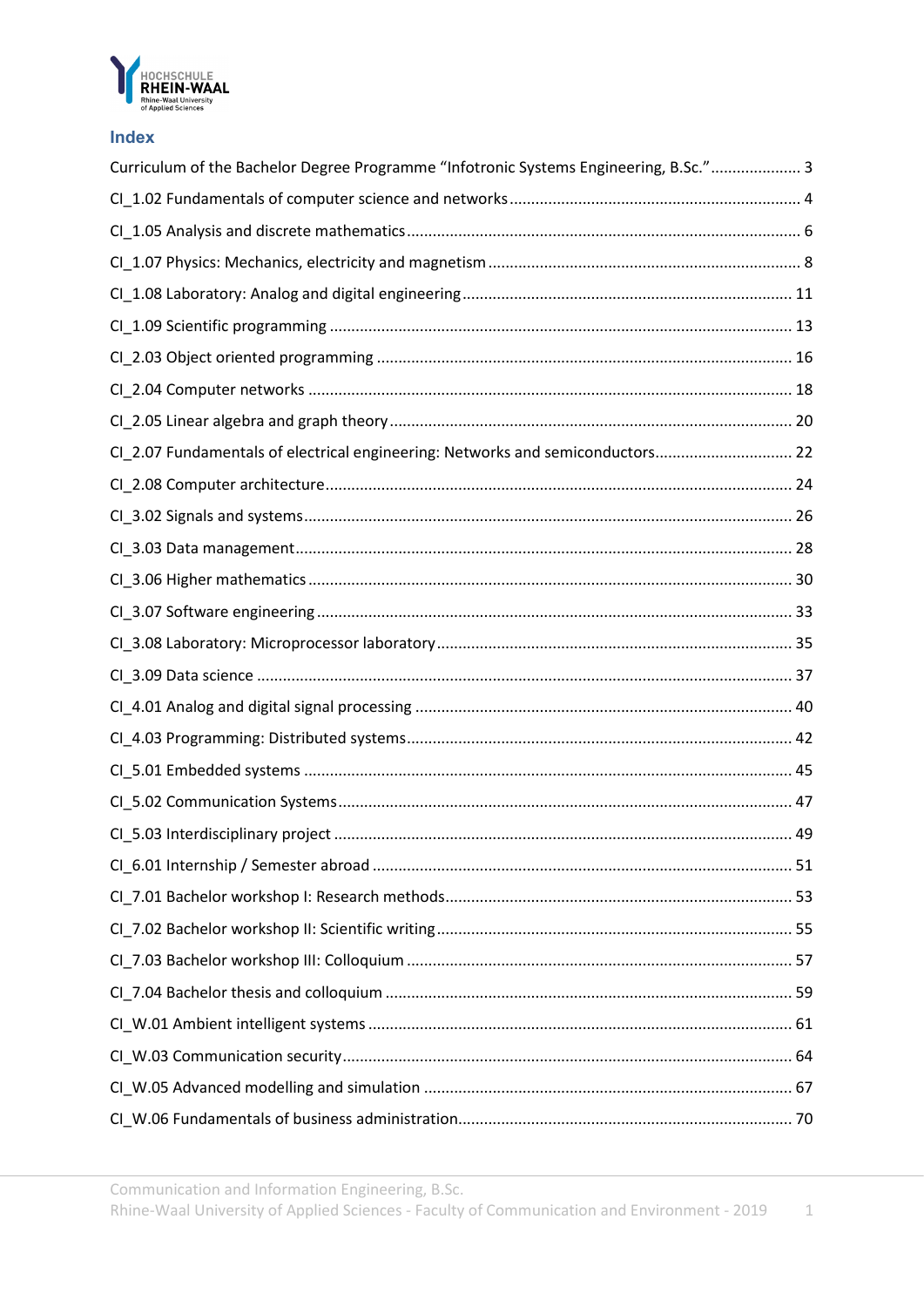

| . .<br>u, |  |
|-----------|--|

| Curriculum of the Bachelor Degree Programme "Infotronic Systems Engineering, B.Sc." 3 |  |
|---------------------------------------------------------------------------------------|--|
|                                                                                       |  |
|                                                                                       |  |
|                                                                                       |  |
|                                                                                       |  |
|                                                                                       |  |
|                                                                                       |  |
|                                                                                       |  |
|                                                                                       |  |
| CI_2.07 Fundamentals of electrical engineering: Networks and semiconductors 22        |  |
|                                                                                       |  |
|                                                                                       |  |
|                                                                                       |  |
|                                                                                       |  |
|                                                                                       |  |
|                                                                                       |  |
|                                                                                       |  |
|                                                                                       |  |
|                                                                                       |  |
|                                                                                       |  |
|                                                                                       |  |
|                                                                                       |  |
|                                                                                       |  |
|                                                                                       |  |
|                                                                                       |  |
|                                                                                       |  |
|                                                                                       |  |
|                                                                                       |  |
|                                                                                       |  |
|                                                                                       |  |
|                                                                                       |  |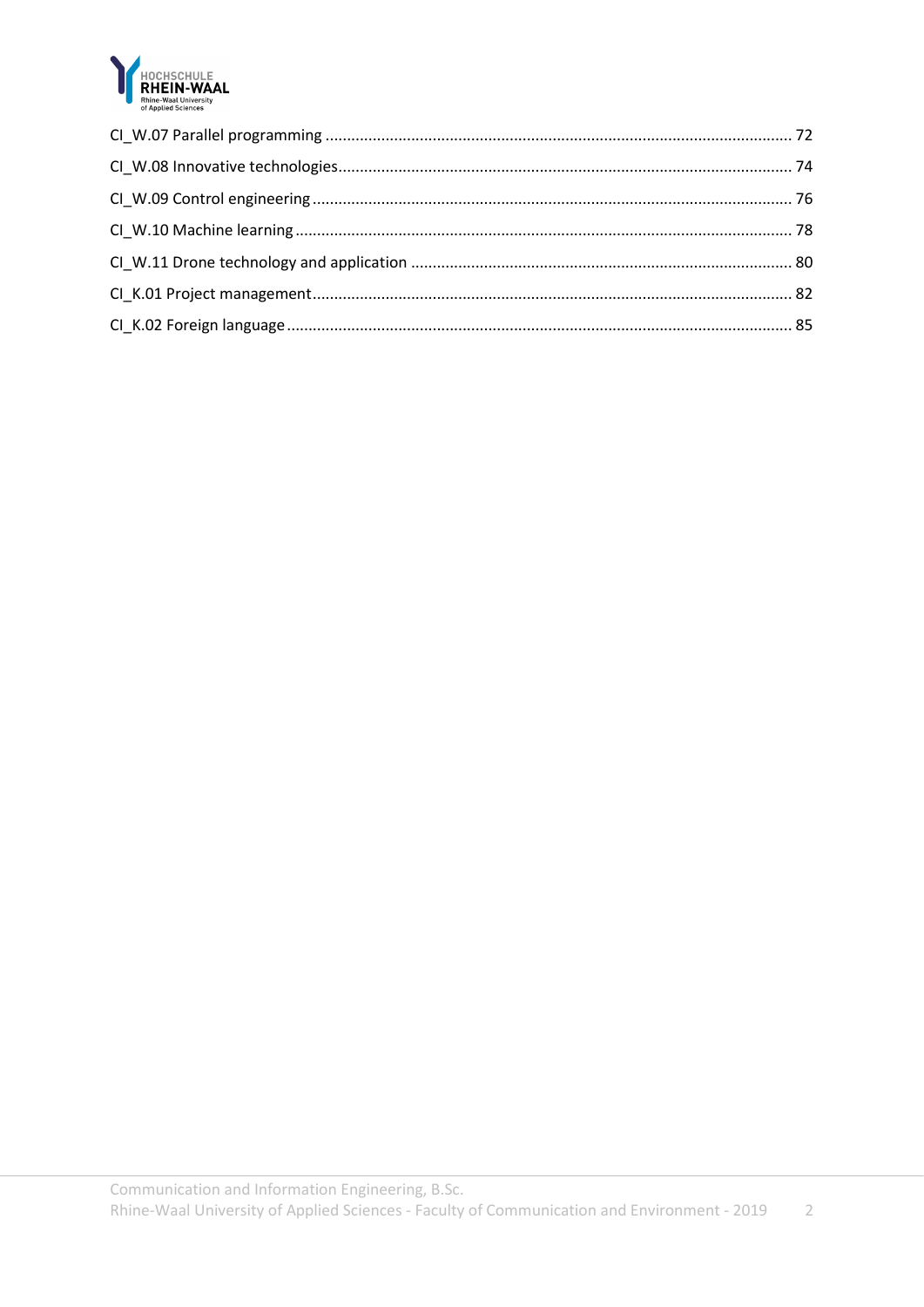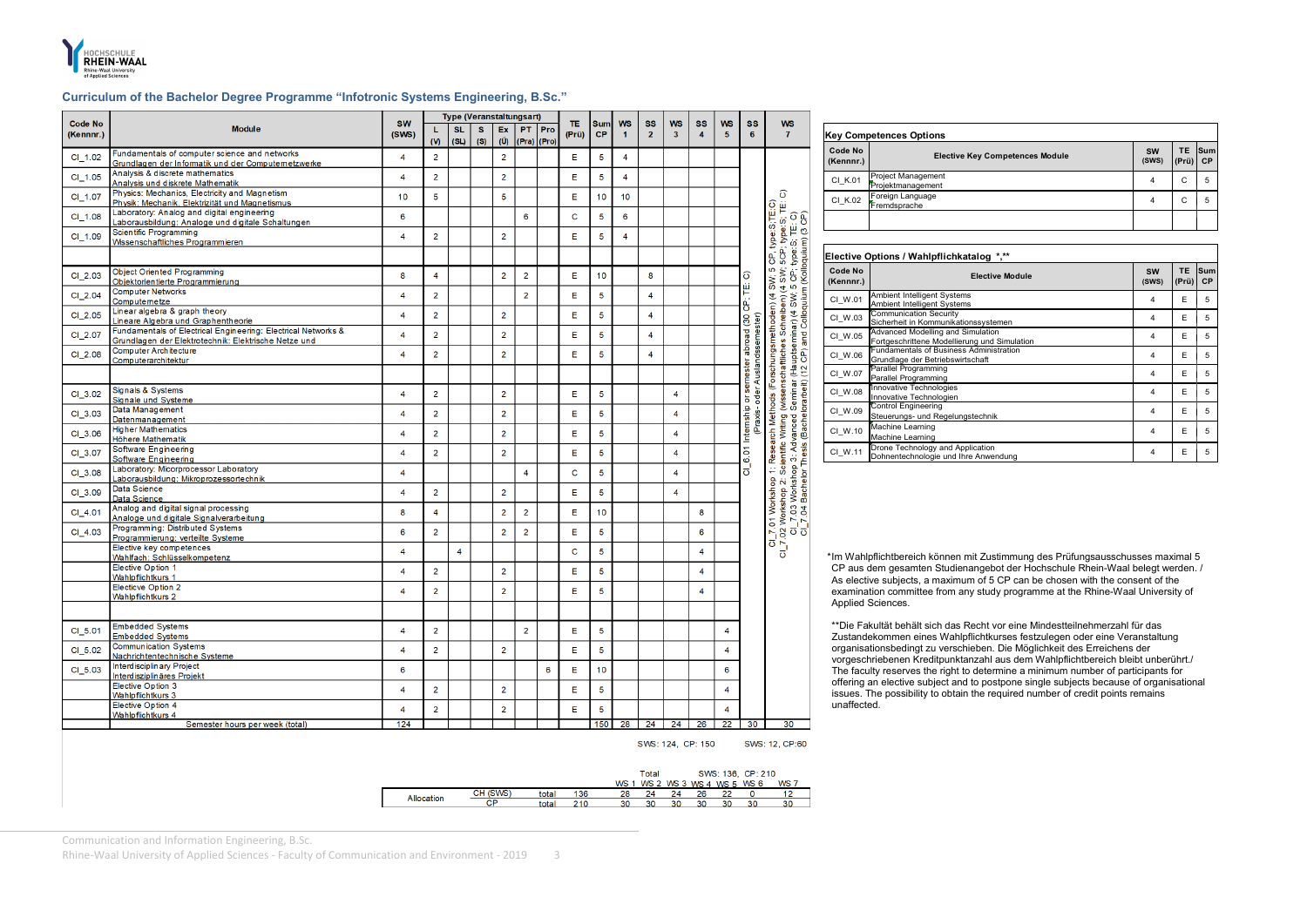Communication and Information Engineering, B.Sc.

Rhine-Waal University of Applied Sciences - Faculty of Communication and Environment - 2019 3



#### <span id="page-7-0"></span>**Curriculum of the Bachelor Degree Programme "Infotronic Systems Engineering, B.Sc."**

| Code No   | <b>Module</b>                                                                                                         |                |                |                   |          | <b>Type (Veranstaltungsart)</b> |                            |         | TE.         | <b>Sum</b>     | <b>WS</b>            | <b>SS</b>      | <b>WS</b>               | SS                      | WS                      | <b>SS</b>                | <b>WS</b>                                                                                                                                                                                                                               |                             |                                                                                |
|-----------|-----------------------------------------------------------------------------------------------------------------------|----------------|----------------|-------------------|----------|---------------------------------|----------------------------|---------|-------------|----------------|----------------------|----------------|-------------------------|-------------------------|-------------------------|--------------------------|-----------------------------------------------------------------------------------------------------------------------------------------------------------------------------------------------------------------------------------------|-----------------------------|--------------------------------------------------------------------------------|
| (Kennnr.) |                                                                                                                       |                | L<br>(V)       | <b>SL</b><br>(SL) | s<br>(S) | Ex<br>$\ddot{\mathbf{U}}$       | PT.<br>$ $ (Pra) $ $ (Pro) | $ $ Pro | (Prü)       | <b>CP</b>      | $\blacktriangleleft$ | $\overline{2}$ | $\overline{\mathbf{3}}$ | $\overline{\mathbf{4}}$ | $\overline{\mathbf{5}}$ | 6 <sup>1</sup>           | $\mathbf{7}$                                                                                                                                                                                                                            |                             | <b>Key Competences Options</b>                                                 |
| $CI_1.02$ | Fundamentals of computer science and networks<br>Grundlagen der Informatik und der Computernetzwerke                  | $\overline{4}$ | $\overline{2}$ |                   |          | $\overline{2}$                  |                            |         | Ε           | 5              | $\overline{4}$       |                |                         |                         |                         |                          |                                                                                                                                                                                                                                         | Code No<br>(Kennnr.)        | <b>Elective Key C</b>                                                          |
| $Cl_1.05$ | Analysis & discrete mathematics<br>Analysis und diskrete Mathematik                                                   | $\overline{4}$ | $\overline{2}$ |                   |          | $\overline{2}$                  |                            |         | E           | 5              | $\overline{\bf 4}$   |                |                         |                         |                         |                          |                                                                                                                                                                                                                                         | CI_K.01                     | <b>Project Management</b>                                                      |
| $Cl_1.07$ | Physics: Mechanics, Electricity and Magnetism<br>Physik: Mechanik, Elektrizität und Magnetismus                       | 10             | $\overline{5}$ |                   |          | 5                               |                            |         | E           | 10             | 10                   |                |                         |                         |                         |                          | $\widehat{\mathbf{o}}$                                                                                                                                                                                                                  | CI K.02                     | Projektmanagement<br>Foreign Language                                          |
| $Cl_1.08$ | Laboratory: Analog and digital engineering<br>Laborausbildung: Analoge und digitale Schaltungen                       | 6              |                |                   |          |                                 | 6                          |         | $\mathbf C$ | 5              | 6                    |                |                         |                         |                         |                          | d Collophony (Kollophony) (Sop)<br>har) (A SW; 5 CP; type:S; TE: C<br>harp (A SW; 5 CP; type:S; TE: C)<br>harp (A SW; 5 CP; type:S; TE: C)<br>a Colloquium (Kolloquium) (S CP)                                                          |                             | Fremdsprache                                                                   |
| $Cl_1.09$ | Scientific Programming<br>Wissenschaftliches Programmieren                                                            | 4              | $\overline{2}$ |                   |          | $\overline{2}$                  |                            |         | Е           | 5              | $\overline{4}$       |                |                         |                         |                         |                          |                                                                                                                                                                                                                                         |                             |                                                                                |
|           |                                                                                                                       |                |                |                   |          |                                 |                            |         |             |                |                      |                |                         |                         |                         |                          |                                                                                                                                                                                                                                         |                             | Elective Options / Wahlpflichkatalog                                           |
| $Cl_2.03$ | Object Oriented Programming<br>Objektorientierte Programmierung                                                       | 8              | 4              |                   |          | $\overline{2}$                  | $\overline{2}$             |         | Е           | 10             |                      | 8              |                         |                         |                         | $\widehat{\mathbf{o}}$   | CI_7.01 Workshop 1: Research Methods (Forschungsmethoden) (4 SW; 5<br>CI_7.02 Workshop 2: Scientific Writing (wissenschaftliches Schreiben) (4 SW;<br>CI_7.03 Workshop 3: Advanced Seminar (Hauptseminar) (4 SW; 5 CP;<br>CI_7.04 Bache | <b>Code No</b><br>(Kennnr.) | Elec                                                                           |
| $Cl_2.04$ | Computer Networks<br>Computemetze                                                                                     | $\overline{4}$ | $\overline{2}$ |                   |          |                                 | $\overline{2}$             |         | E           | 5              |                      | $\overline{4}$ |                         |                         |                         | 芒<br>$\ddot{\mathbf{g}}$ |                                                                                                                                                                                                                                         | CI_W.01                     | Ambient Intelligent Systems<br>Ambient Intelligent Systems                     |
| $Cl_2.05$ | Linear algebra & graph theory<br>Lineare Algebra und Graphentheorie                                                   | 4              | $\overline{2}$ |                   |          | $\overline{2}$                  |                            |         | Е           | 5              |                      | $\overline{4}$ |                         |                         |                         |                          |                                                                                                                                                                                                                                         | CI_W.03                     | Communication Security<br>Sicherheit in Kommunikationssys                      |
| $Cl_2.07$ | Fundamentals of Electrical Engineering: Electrical Networks &<br>Grundlagen der Elektrotechnik: Elektrische Netze und | $\overline{A}$ | $\overline{2}$ |                   |          | $\overline{2}$                  |                            |         | E           | 5              |                      | $\overline{4}$ |                         |                         |                         | semester abroad (30      |                                                                                                                                                                                                                                         | CI_W.05                     | Advanced Modelling and Simulat<br>Fortgeschrittene Modellierung ur             |
| $Cl_2.08$ | Computer Architecture<br>Computerarchitektur                                                                          | $\overline{A}$ | $\overline{2}$ |                   |          | $\overline{2}$                  |                            |         | Е           | 5              |                      | $\overline{4}$ |                         |                         |                         | Auslandsse               |                                                                                                                                                                                                                                         | CI_W.06                     | Fundamentals of Business Admi<br>Grundlage der Betriebswirtschaft              |
|           |                                                                                                                       |                |                |                   |          |                                 |                            |         |             |                |                      |                |                         |                         |                         |                          |                                                                                                                                                                                                                                         | CI W.07                     | Parallel Programming<br>Parallel Programming                                   |
| $CI_3.02$ | Signals & Systems<br>Signale und Systeme                                                                              | $\overline{4}$ | $\overline{a}$ |                   |          | $\overline{2}$                  |                            |         | Е           | 5              |                      |                | $\overline{4}$          |                         |                         | è                        |                                                                                                                                                                                                                                         | CI_W.08                     | Innovative Technologies<br>Innovative Technologien                             |
| $CI_3.03$ | Data Management<br>Datenmanagement                                                                                    | 4              | $\overline{2}$ |                   |          | $\overline{2}$                  |                            |         | Е           | 5              |                      |                | $\overline{4}$          |                         |                         | Intemship or             |                                                                                                                                                                                                                                         | CI_W.09                     | Control Engineering<br>Steuerungs- und Regelungstech                           |
| $CI_3.06$ | <b>Higher Mathematics</b><br>Höhere Mathematik                                                                        | 4              | $\overline{2}$ |                   |          | $\overline{2}$                  |                            |         | Е           | 5              |                      |                | $\overline{4}$          |                         |                         |                          |                                                                                                                                                                                                                                         | CI_W.10                     | Machine Learning<br>Machine Learning                                           |
| $Cl_3.07$ | Software Engineering<br>Software Engineering                                                                          | $\overline{4}$ | $\overline{2}$ |                   |          | $\overline{2}$                  |                            |         | Е           | 5              |                      |                | $\overline{4}$          |                         |                         | 6.01                     |                                                                                                                                                                                                                                         | CI W.11                     | Drone Technology and Applicatio<br>Dohnentechnologie und Ihre Anv              |
| $Cl_3.08$ | Laboratory: Micorprocessor Laboratory<br>Laborausbildung: Mikroprozessortechnik                                       | $\overline{4}$ |                |                   |          |                                 | 4                          |         | C           | 5              |                      |                | $\overline{4}$          |                         |                         | $\overline{\sigma}$      |                                                                                                                                                                                                                                         |                             |                                                                                |
| $Cl_3.09$ | Data Science<br>Data Science                                                                                          | $\overline{4}$ | $\overline{2}$ |                   |          | $\overline{2}$                  |                            |         | Е           | 5              |                      |                | $\overline{4}$          |                         |                         |                          |                                                                                                                                                                                                                                         |                             |                                                                                |
| $CI_4.01$ | Analog and digital signal processing<br>Analoge und digitale Signalverarbeitung                                       | 8              | 4              |                   |          | $\overline{2}$                  | $\overline{2}$             |         | Е           | 10             |                      |                |                         | 8                       |                         |                          |                                                                                                                                                                                                                                         |                             |                                                                                |
| $Cl_4.03$ | Programming: Distributed Systems<br>Programmierung: verteilte Systeme                                                 | 6              | $\overline{2}$ |                   |          | $\overline{2}$                  | $\overline{2}$             |         | Е           | 5              |                      |                |                         | 6                       |                         |                          |                                                                                                                                                                                                                                         |                             |                                                                                |
|           | Elective key competences<br>Wahlfach: Schlüsselkompetenz                                                              | $\overline{4}$ |                | $\overline{4}$    |          |                                 |                            |         | C           | 5              |                      |                |                         | 4                       |                         |                          |                                                                                                                                                                                                                                         |                             | *Im Wahlpflichtbereich können mit Zu                                           |
|           | <b>Elective Option 1</b><br>Wahlpflichtkurs 1                                                                         | $\overline{4}$ | $\overline{2}$ |                   |          | $\overline{2}$                  |                            |         | Е           | 5              |                      |                |                         | 4                       |                         |                          |                                                                                                                                                                                                                                         |                             | CP aus dem gesamten Studienange<br>As elective subjects, a maximum of          |
|           | <b>Electicve Option 2</b><br><b>Wahlpflichtkurs 2</b>                                                                 | 4              | $\overline{2}$ |                   |          | $\overline{2}$                  |                            |         | Е           | 5              |                      |                |                         | 4                       |                         |                          |                                                                                                                                                                                                                                         |                             | examination committee from any stu<br>Applied Sciences.                        |
|           |                                                                                                                       |                |                |                   |          |                                 |                            |         |             |                |                      |                |                         |                         |                         |                          |                                                                                                                                                                                                                                         |                             |                                                                                |
| $Cl_5.01$ | <b>Embedded Systems</b><br><b>Embedded Systems</b>                                                                    | $\overline{4}$ | $\overline{2}$ |                   |          |                                 | $\overline{2}$             |         | Е           | $\sqrt{5}$     |                      |                |                         |                         | 4                       |                          |                                                                                                                                                                                                                                         |                             | **Die Fakultät behält sich das Recht<br>Zustandekommen eines Wahlpflicht       |
| $CI_5.02$ | <b>Communication Systems</b><br>Nachrichtentechnische Systeme                                                         | $\overline{4}$ | $\overline{2}$ |                   |          | $\overline{2}$                  |                            |         | Е           | $\sqrt{5}$     |                      |                |                         |                         | 4                       |                          |                                                                                                                                                                                                                                         |                             | organisationsbedingt zu verschieber<br>vorgeschriebenen Kreditpunktanzal       |
| $CI_5.03$ | Interdisciplinary Project<br>Interdisziplinäres Projekt                                                               | 6              |                |                   |          |                                 |                            | 6       | Е           | 10             |                      |                |                         |                         | 6                       |                          |                                                                                                                                                                                                                                         |                             | The faculty reserves the right to det<br>offering an elective subject and to p |
|           | Elective Option 3<br>Wahlpflichtkurs 3                                                                                | $\overline{4}$ | $\overline{2}$ |                   |          | $\overline{2}$                  |                            |         | Е           | $\overline{5}$ |                      |                |                         |                         | $\overline{\bf 4}$      |                          |                                                                                                                                                                                                                                         |                             | issues. The possibility to obtain the                                          |
|           | <b>Elective Option 4</b><br>Wahlpflichtkurs 4<br>Semester hours per week (total)                                      | $\overline{4}$ | $\overline{2}$ |                   |          | $\overline{2}$                  |                            |         | E           | $\overline{5}$ |                      |                |                         |                         | $\boldsymbol{\Delta}$   |                          |                                                                                                                                                                                                                                         | unaffected.                 |                                                                                |
|           |                                                                                                                       | 124            |                |                   |          |                                 |                            |         |             | 150            | 28                   | 24             | 24                      | 26                      | 22                      | 30                       | 30                                                                                                                                                                                                                                      |                             |                                                                                |

| <b>Key Competences Options</b> |                                                |                    |             |                  |  |  |  |  |  |  |
|--------------------------------|------------------------------------------------|--------------------|-------------|------------------|--|--|--|--|--|--|
| <b>Code No</b><br>(Kennnr.)    | <b>Elective Key Competences Module</b>         | <b>SW</b><br>(SWS) | ТE<br>(Prü) | <b>Sum</b><br>СP |  |  |  |  |  |  |
| CI K.01                        | <b>Project Management</b><br>Projektmanagement | 4                  | С           | 5                |  |  |  |  |  |  |
| CI K.02                        | Foreign Language<br>Fremdsprache               | 4                  | С           | 5                |  |  |  |  |  |  |
|                                |                                                |                    |             |                  |  |  |  |  |  |  |

| $***$<br>Elective Options / Wahlpflichkatalog |                                                                                   |                    |                    |                  |  |  |  |  |  |  |
|-----------------------------------------------|-----------------------------------------------------------------------------------|--------------------|--------------------|------------------|--|--|--|--|--|--|
| Code No<br>(Kennnr.)                          | <b>Elective Module</b>                                                            | <b>SW</b><br>(SWS) | <b>TE</b><br>(Prü) | Sum<br><b>CP</b> |  |  |  |  |  |  |
| CI W.01                                       | <b>Ambient Intelligent Systems</b><br><b>Ambient Intelligent Systems</b>          | 4                  | F                  | 5                |  |  |  |  |  |  |
| CI W.03                                       | <b>Communication Security</b><br>Sicherheit in Kommunikationssystemen             | 4                  | F                  | 5                |  |  |  |  |  |  |
| CI W.05                                       | Advanced Modelling and Simulation<br>Fortgeschrittene Modellierung und Simulation | 4                  | Е                  | 5                |  |  |  |  |  |  |
| CI W.06                                       | Fundamentals of Business Administration<br>Grundlage der Betriebswirtschaft       | 4                  | F                  | 5                |  |  |  |  |  |  |
| CI W.07                                       | Parallel Programming<br>Parallel Programming                                      | 4                  | F                  | 5                |  |  |  |  |  |  |
| CI W.08                                       | Innovative Technologies<br>Innovative Technologien                                | 4                  | F                  | 5                |  |  |  |  |  |  |
| CI W.09                                       | Control Engineering<br>Steuerungs- und Regelungstechnik                           | 4                  | F                  | 5                |  |  |  |  |  |  |
| CI W.10                                       | Machine Learning<br><b>Machine Learning</b>                                       | 4                  | Е                  | 5                |  |  |  |  |  |  |
| CI W.11                                       | Drone Technology and Application<br>Dohnentechnologie und Ihre Anwendung          | 4                  | Е                  | 5                |  |  |  |  |  |  |

ichtbereich können mit Zustimmung des Prüfungsausschusses maximal 5 m gesamten Studienangebot der Hochschule Rhein-Waal belegt werden. /  $\sin$  subjects, a maximum of 5 CP can be chosen with the consent of the In committee from any study programme at the Rhine-Waal University of

Ität behält sich das Recht vor eine Mindestteilnehmerzahl für das ommen eines Wahlpflichtkurses festzulegen oder eine Veranstaltung organisationsbedingt zu verschieben. Die Möglichkeit des Erreichens der ebenen Kreditpunktanzahl aus dem Wahlpflichtbereich bleibt unberührt./ reserves the right to determine a minimum number of participants for elective subject and to postpone single subjects because of organisational possibility to obtain the required number of credit points remains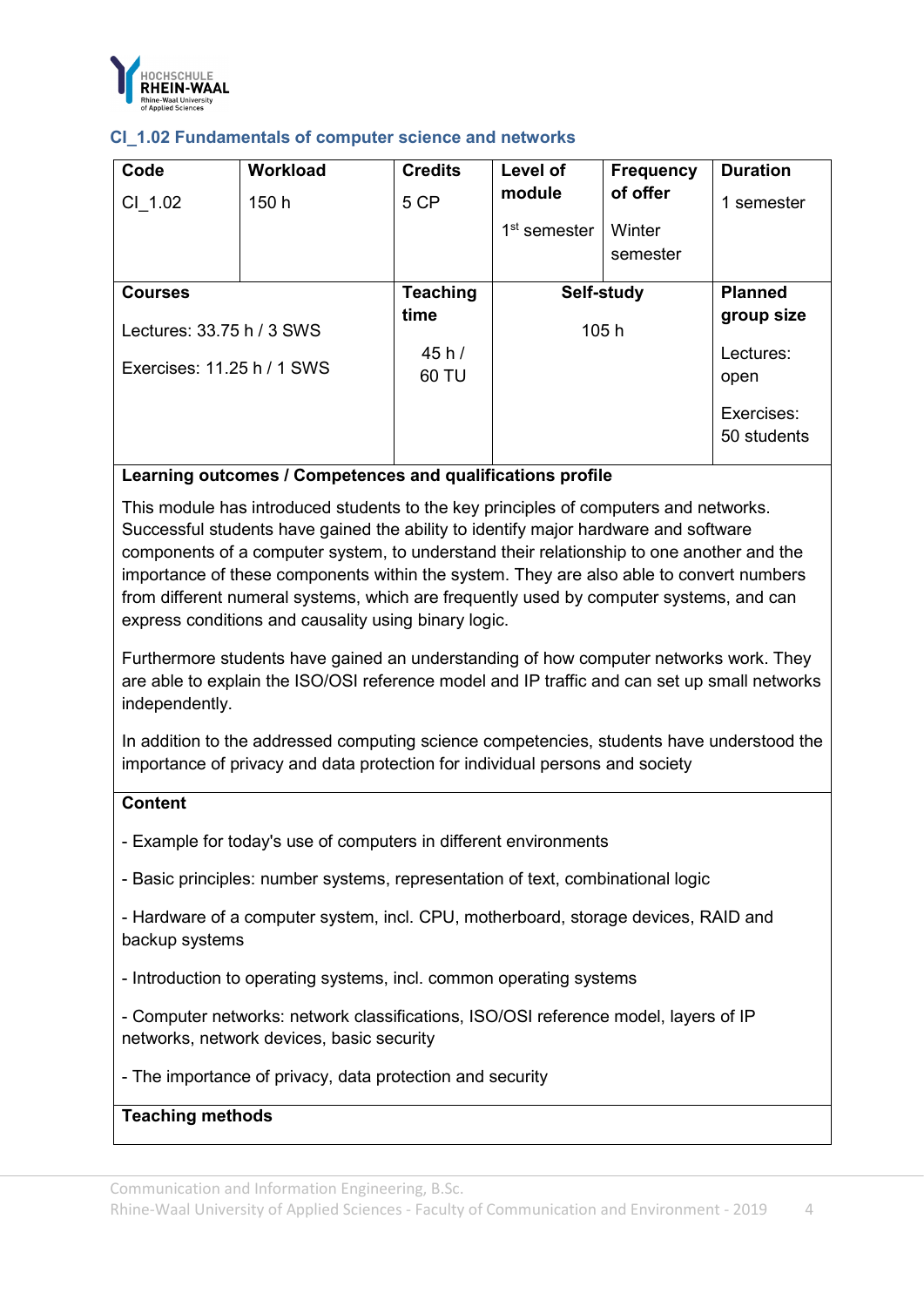

<span id="page-8-0"></span>

|  |  | CI_1.02 Fundamentals of computer science and networks |  |  |  |  |  |
|--|--|-------------------------------------------------------|--|--|--|--|--|
|--|--|-------------------------------------------------------|--|--|--|--|--|

| Code                       | <b>Workload</b> | <b>Credits</b>  | Level of       | <b>Frequency</b> | <b>Duration</b>           |
|----------------------------|-----------------|-----------------|----------------|------------------|---------------------------|
| CI 1.02                    | 150 h           | 5 CP            | module         | of offer         | 1 semester                |
|                            |                 |                 | $1st$ semester | Winter           |                           |
|                            |                 |                 |                | semester         |                           |
| <b>Courses</b>             |                 | <b>Teaching</b> |                | Self-study       | <b>Planned</b>            |
| Lectures: 33.75 h / 3 SWS  |                 | time            |                | 105h             | group size                |
| Exercises: 11.25 h / 1 SWS |                 | 45h/            |                |                  | Lectures:                 |
|                            |                 | 60 TU           |                |                  | open                      |
|                            |                 |                 |                |                  | Exercises:<br>50 students |

# **Learning outcomes / Competences and qualifications profile**

This module has introduced students to the key principles of computers and networks. Successful students have gained the ability to identify major hardware and software components of a computer system, to understand their relationship to one another and the importance of these components within the system. They are also able to convert numbers from different numeral systems, which are frequently used by computer systems, and can express conditions and causality using binary logic.

Furthermore students have gained an understanding of how computer networks work. They are able to explain the ISO/OSI reference model and IP traffic and can set up small networks independently.

In addition to the addressed computing science competencies, students have understood the importance of privacy and data protection for individual persons and society

#### **Content**

- Example for today's use of computers in different environments
- Basic principles: number systems, representation of text, combinational logic
- Hardware of a computer system, incl. CPU, motherboard, storage devices, RAID and backup systems
- Introduction to operating systems, incl. common operating systems
- Computer networks: network classifications, ISO/OSI reference model, layers of IP networks, network devices, basic security
- The importance of privacy, data protection and security

#### **Teaching methods**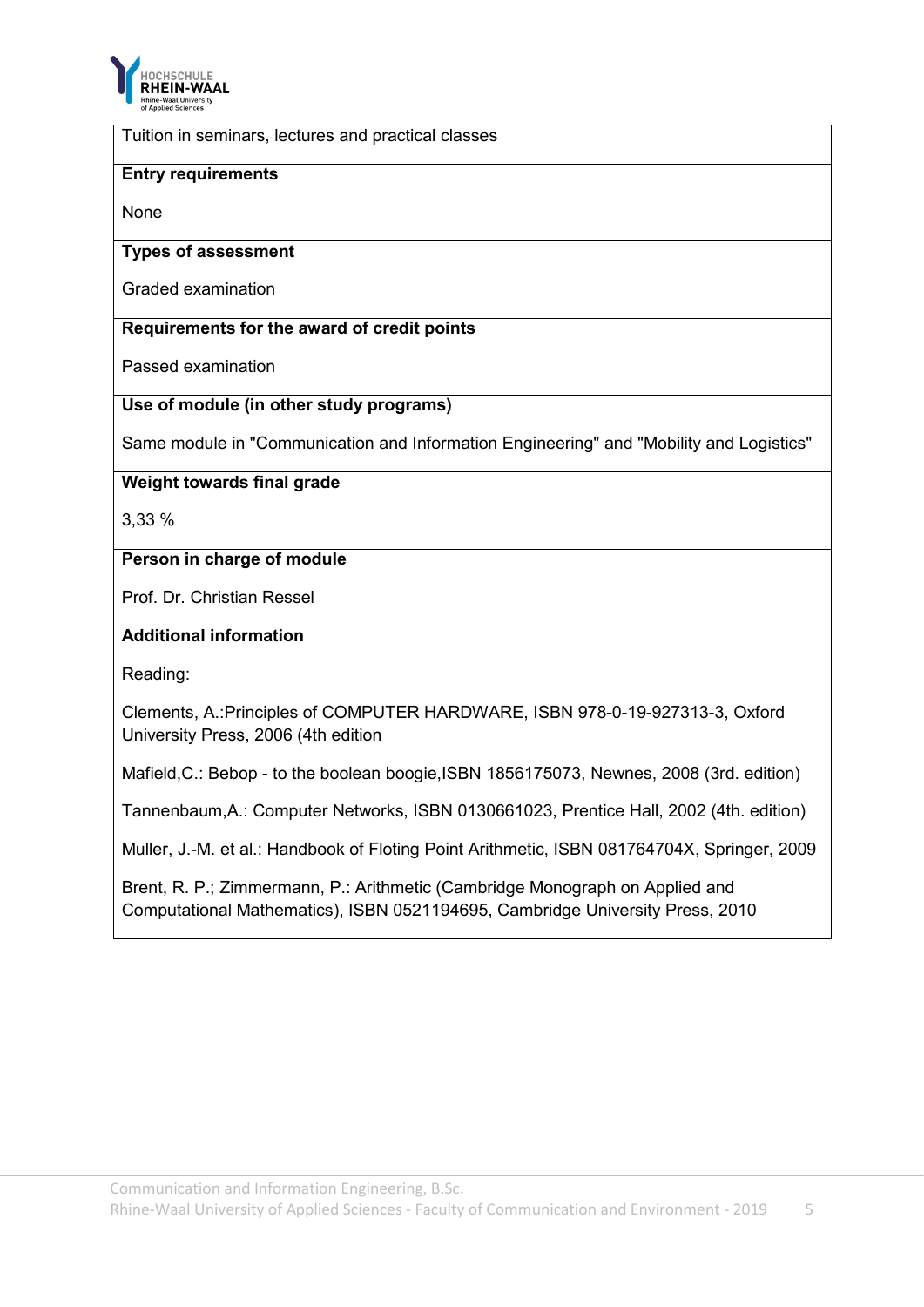

Tuition in seminars, lectures and practical classes

#### **Entry requirements**

None

#### **Types of assessment**

Graded examination

#### **Requirements for the award of credit points**

Passed examination

#### **Use of module (in other study programs)**

Same module in "Communication and Information Engineering" and "Mobility and Logistics"

#### **Weight towards final grade**

3,33 %

#### **Person in charge of module**

Prof. Dr. Christian Ressel

# **Additional information**

Reading:

Clements, A.:Principles of COMPUTER HARDWARE, ISBN 978-0-19-927313-3, Oxford University Press, 2006 (4th edition

Mafield,C.: Bebop - to the boolean boogie,ISBN 1856175073, Newnes, 2008 (3rd. edition)

Tannenbaum,A.: Computer Networks, ISBN 0130661023, Prentice Hall, 2002 (4th. edition)

Muller, J.-M. et al.: Handbook of Floting Point Arithmetic, ISBN 081764704X, Springer, 2009

Brent, R. P.; Zimmermann, P.: Arithmetic (Cambridge Monograph on Applied and Computational Mathematics), ISBN 0521194695, Cambridge University Press, 2010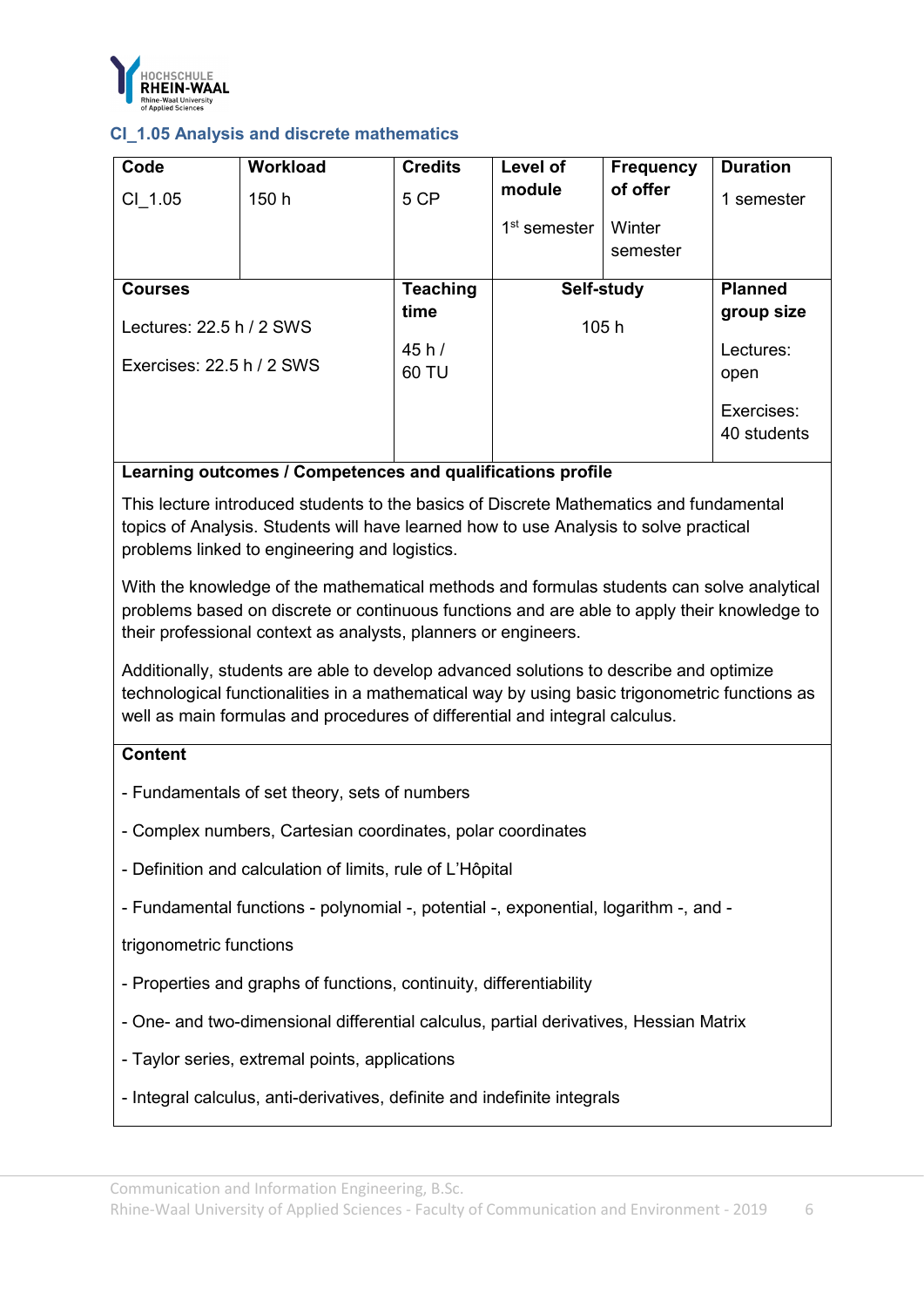

# <span id="page-10-0"></span>**CI\_1.05 Analysis and discrete mathematics**

| Code                        | <b>Workload</b>          | <b>Credits</b>  | Level of       | <b>Frequency</b> | <b>Duration</b>           |
|-----------------------------|--------------------------|-----------------|----------------|------------------|---------------------------|
| CI 1.05                     | 150 h                    | 5 CP            | module         | of offer         | 1 semester                |
|                             |                          |                 | $1st$ semester | Winter           |                           |
|                             |                          |                 |                | semester         |                           |
| <b>Courses</b>              |                          | <b>Teaching</b> |                | Self-study       | <b>Planned</b>            |
|                             | Lectures: 22.5 h / 2 SWS |                 | 105h           |                  | group size                |
| Exercises: $22.5 h / 2$ SWS |                          | 45h/            |                |                  | Lectures:                 |
|                             |                          | 60 TU           |                |                  | open                      |
|                             |                          |                 |                |                  | Exercises:<br>40 students |

# **Learning outcomes / Competences and qualifications profile**

This lecture introduced students to the basics of Discrete Mathematics and fundamental topics of Analysis. Students will have learned how to use Analysis to solve practical problems linked to engineering and logistics.

With the knowledge of the mathematical methods and formulas students can solve analytical problems based on discrete or continuous functions and are able to apply their knowledge to their professional context as analysts, planners or engineers.

Additionally, students are able to develop advanced solutions to describe and optimize technological functionalities in a mathematical way by using basic trigonometric functions as well as main formulas and procedures of differential and integral calculus.

#### **Content**

- Fundamentals of set theory, sets of numbers
- Complex numbers, Cartesian coordinates, polar coordinates
- Definition and calculation of limits, rule of L'Hôpital
- Fundamental functions polynomial -, potential -, exponential, logarithm -, and -

#### trigonometric functions

- Properties and graphs of functions, continuity, differentiability
- One- and two-dimensional differential calculus, partial derivatives, Hessian Matrix
- Taylor series, extremal points, applications
- Integral calculus, anti-derivatives, definite and indefinite integrals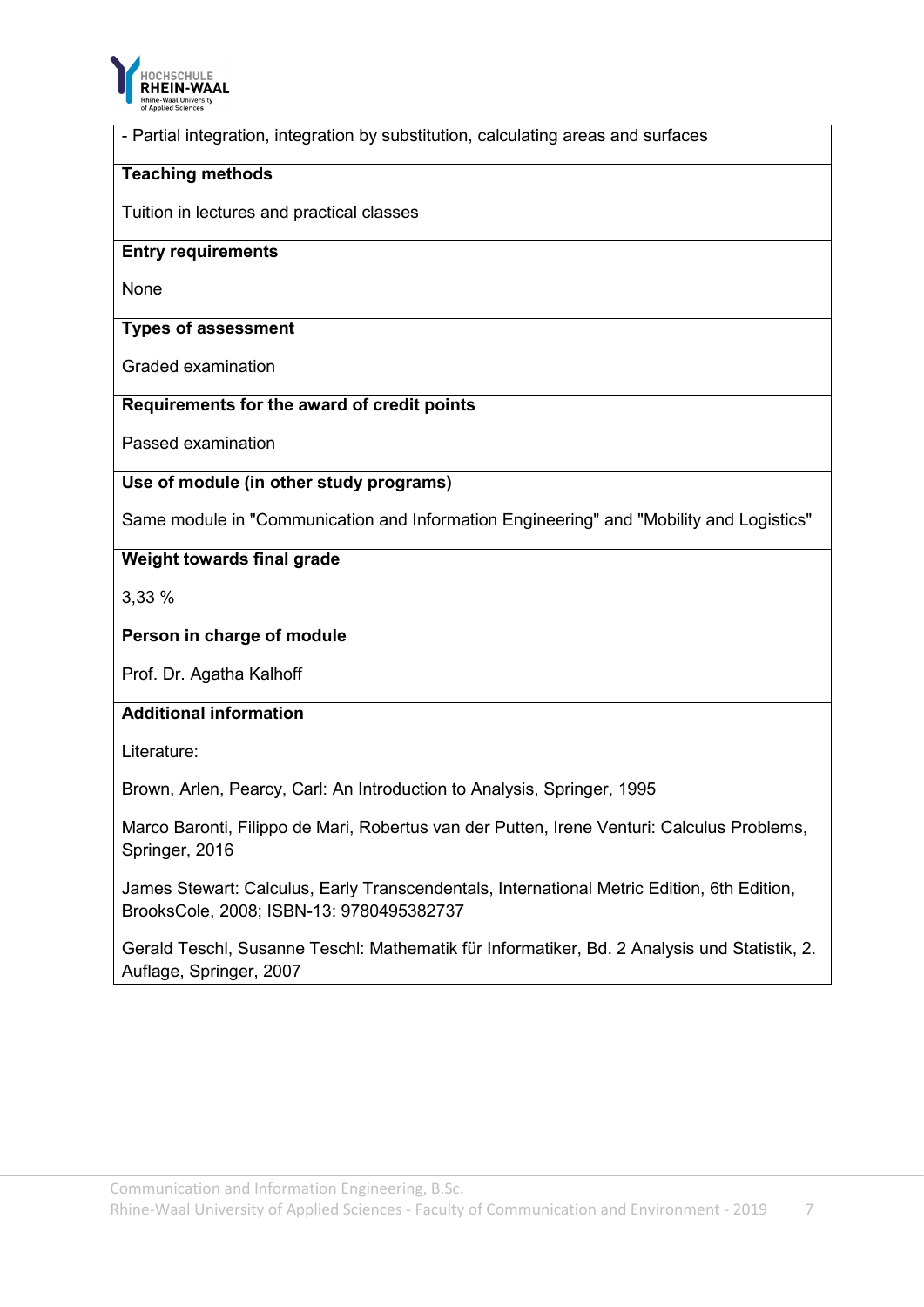

- Partial integration, integration by substitution, calculating areas and surfaces

#### **Teaching methods**

Tuition in lectures and practical classes

# **Entry requirements**

None

#### **Types of assessment**

Graded examination

# **Requirements for the award of credit points**

Passed examination

#### **Use of module (in other study programs)**

Same module in "Communication and Information Engineering" and "Mobility and Logistics"

#### **Weight towards final grade**

3,33 %

# **Person in charge of module**

Prof. Dr. Agatha Kalhoff

# **Additional information**

Literature:

Brown, Arlen, Pearcy, Carl: An Introduction to Analysis, Springer, 1995

Marco Baronti, Filippo de Mari, Robertus van der Putten, Irene Venturi: Calculus Problems, Springer, 2016

James Stewart: Calculus, Early Transcendentals, International Metric Edition, 6th Edition, BrooksCole, 2008; ISBN-13: 9780495382737

Gerald Teschl, Susanne Teschl: Mathematik für Informatiker, Bd. 2 Analysis und Statistik, 2. Auflage, Springer, 2007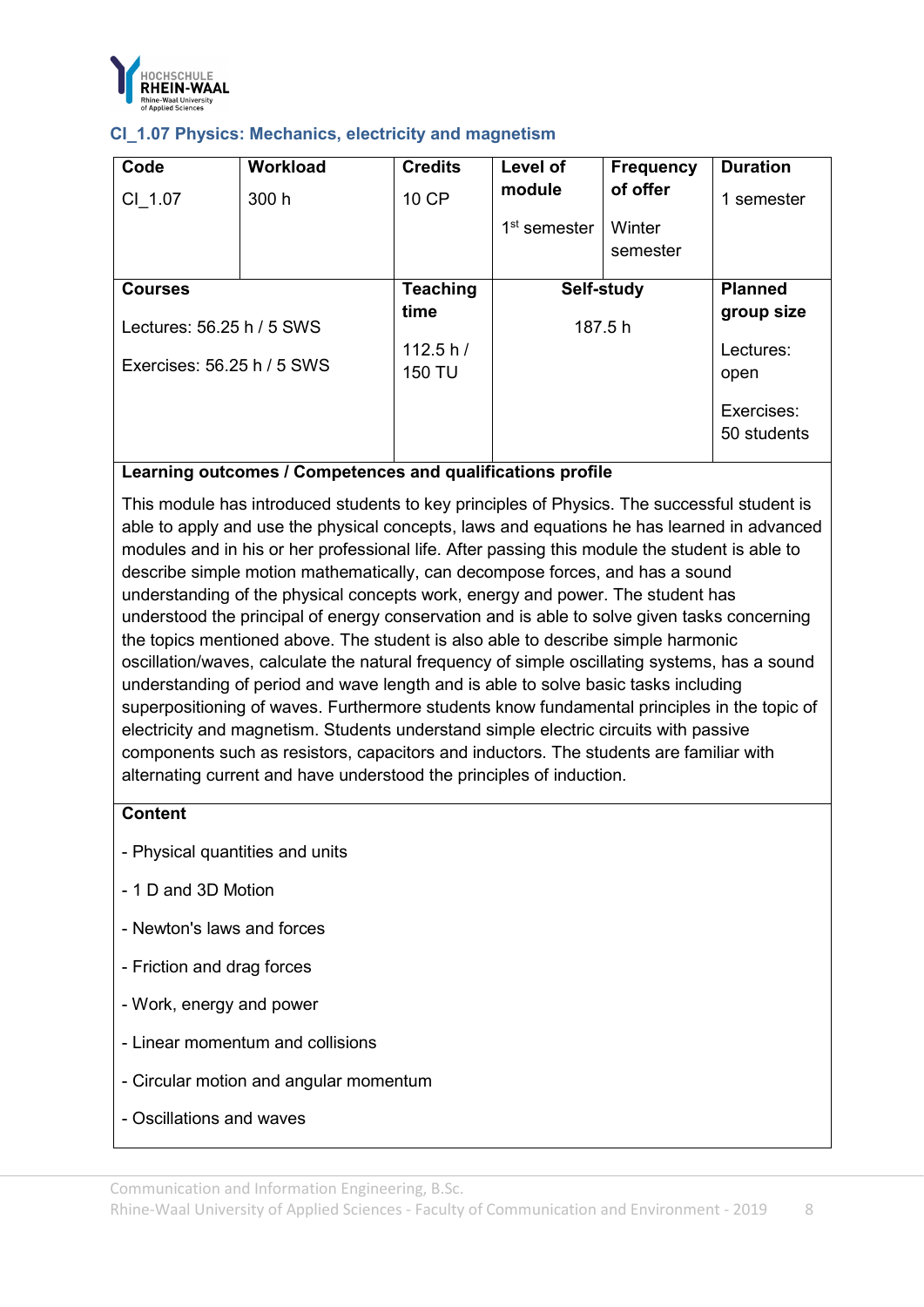

<span id="page-12-0"></span>

|  |  |  |  |  | CI_1.07 Physics: Mechanics, electricity and magnetism |
|--|--|--|--|--|-------------------------------------------------------|
|--|--|--|--|--|-------------------------------------------------------|

| Code                       | <b>Workload</b> | <b>Credits</b>  | Level of       | <b>Frequency</b> | <b>Duration</b>           |
|----------------------------|-----------------|-----------------|----------------|------------------|---------------------------|
| CI 1.07                    | 300 h           | 10 CP           | module         | of offer         | 1 semester                |
|                            |                 |                 | $1st$ semester | Winter           |                           |
|                            |                 |                 |                | semester         |                           |
|                            |                 |                 |                |                  |                           |
| <b>Courses</b>             |                 | <b>Teaching</b> |                | Self-study       | <b>Planned</b>            |
|                            |                 | time            |                |                  |                           |
| Lectures: 56.25 h / 5 SWS  |                 |                 | 187.5 h        |                  |                           |
|                            |                 | 112.5 h/        |                |                  | Lectures:                 |
| Exercises: 56.25 h / 5 SWS |                 | <b>150 TU</b>   |                |                  | open                      |
|                            |                 |                 |                |                  | Exercises:<br>50 students |

# **Learning outcomes / Competences and qualifications profile**

This module has introduced students to key principles of Physics. The successful student is able to apply and use the physical concepts, laws and equations he has learned in advanced modules and in his or her professional life. After passing this module the student is able to describe simple motion mathematically, can decompose forces, and has a sound understanding of the physical concepts work, energy and power. The student has understood the principal of energy conservation and is able to solve given tasks concerning the topics mentioned above. The student is also able to describe simple harmonic oscillation/waves, calculate the natural frequency of simple oscillating systems, has a sound understanding of period and wave length and is able to solve basic tasks including superpositioning of waves. Furthermore students know fundamental principles in the topic of electricity and magnetism. Students understand simple electric circuits with passive components such as resistors, capacitors and inductors. The students are familiar with alternating current and have understood the principles of induction.

#### **Content**

- Physical quantities and units
- 1 D and 3D Motion
- Newton's laws and forces
- Friction and drag forces
- Work, energy and power
- Linear momentum and collisions
- Circular motion and angular momentum
- Oscillations and waves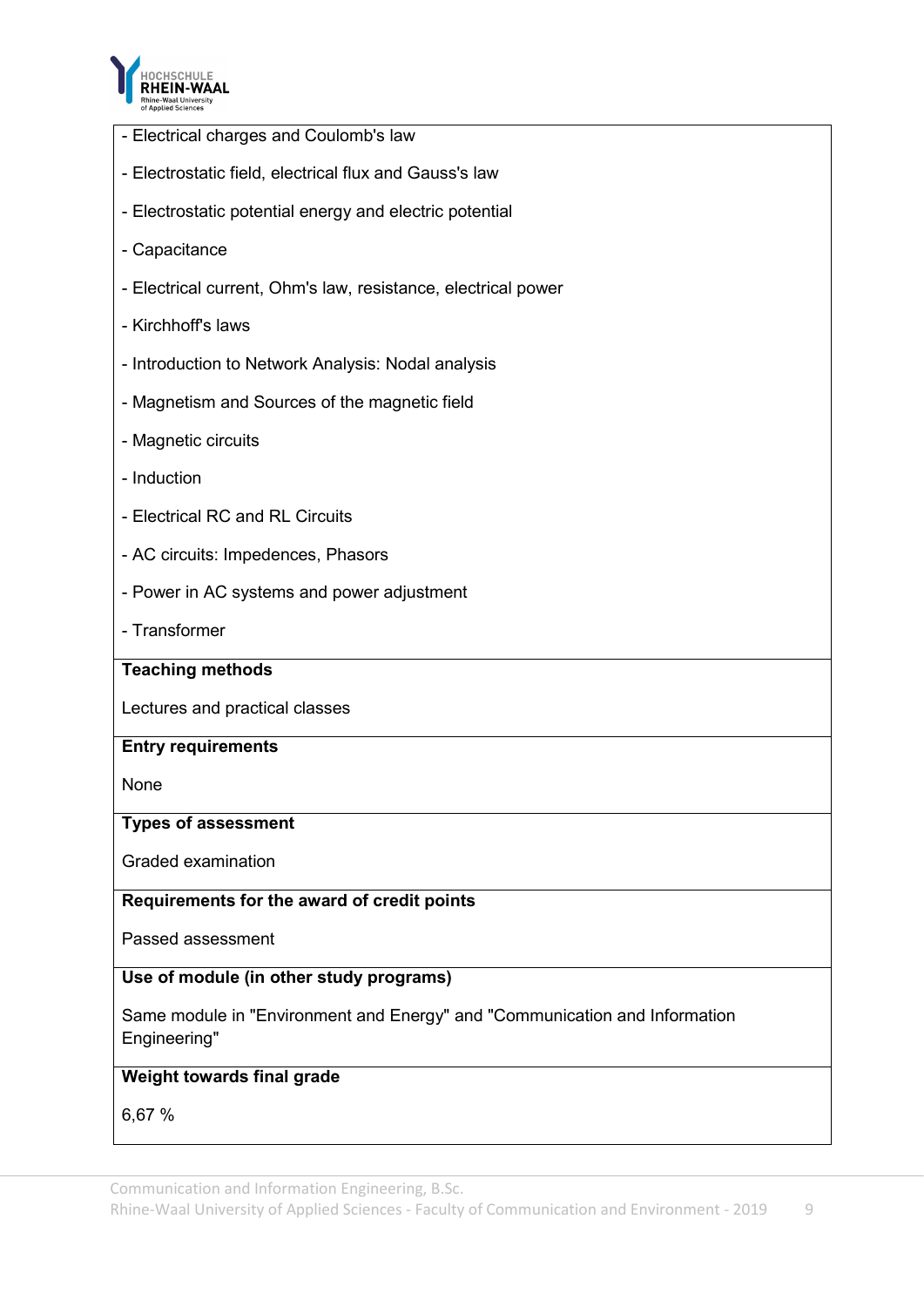

- Electrical charges and Coulomb's law
- Electrostatic field, electrical flux and Gauss's law
- Electrostatic potential energy and electric potential
- Capacitance
- Electrical current, Ohm's law, resistance, electrical power
- Kirchhoff's laws
- Introduction to Network Analysis: Nodal analysis
- Magnetism and Sources of the magnetic field
- Magnetic circuits
- Induction
- Electrical RC and RL Circuits
- AC circuits: Impedences, Phasors
- Power in AC systems and power adjustment
- Transformer

#### **Teaching methods**

Lectures and practical classes

#### **Entry requirements**

None

#### **Types of assessment**

Graded examination

#### **Requirements for the award of credit points**

Passed assessment

# **Use of module (in other study programs)**

Same module in "Environment and Energy" and "Communication and Information Engineering"

# **Weight towards final grade**

6,67 %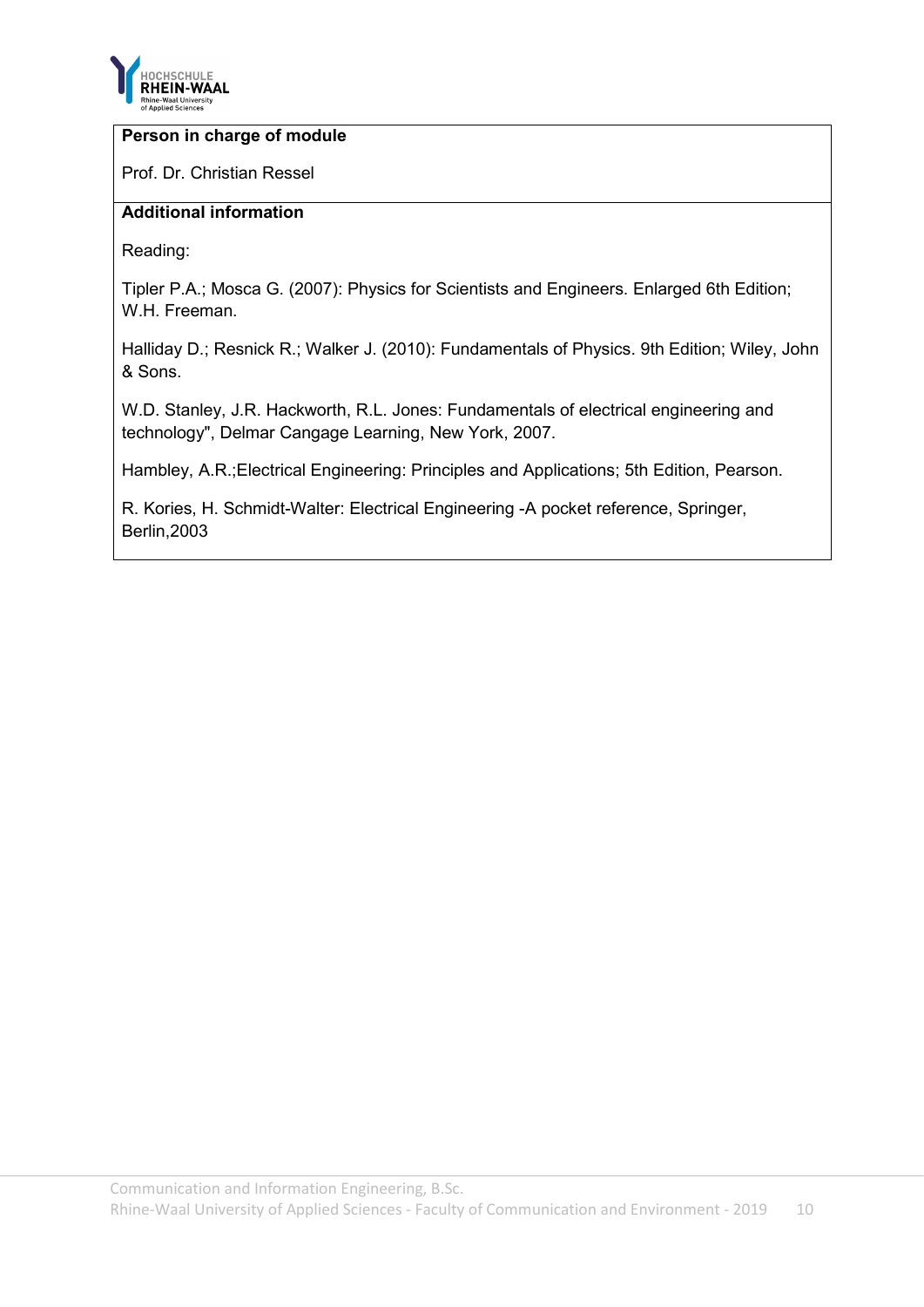

#### **Person in charge of module**

Prof. Dr. Christian Ressel

# **Additional information**

Reading:

Tipler P.A.; Mosca G. (2007): Physics for Scientists and Engineers. Enlarged 6th Edition; W.H. Freeman.

Halliday D.; Resnick R.; Walker J. (2010): Fundamentals of Physics. 9th Edition; Wiley, John & Sons.

W.D. Stanley, J.R. Hackworth, R.L. Jones: Fundamentals of electrical engineering and technology", Delmar Cangage Learning, New York, 2007.

Hambley, A.R.;Electrical Engineering: Principles and Applications; 5th Edition, Pearson.

R. Kories, H. Schmidt-Walter: Electrical Engineering -A pocket reference, Springer, Berlin,2003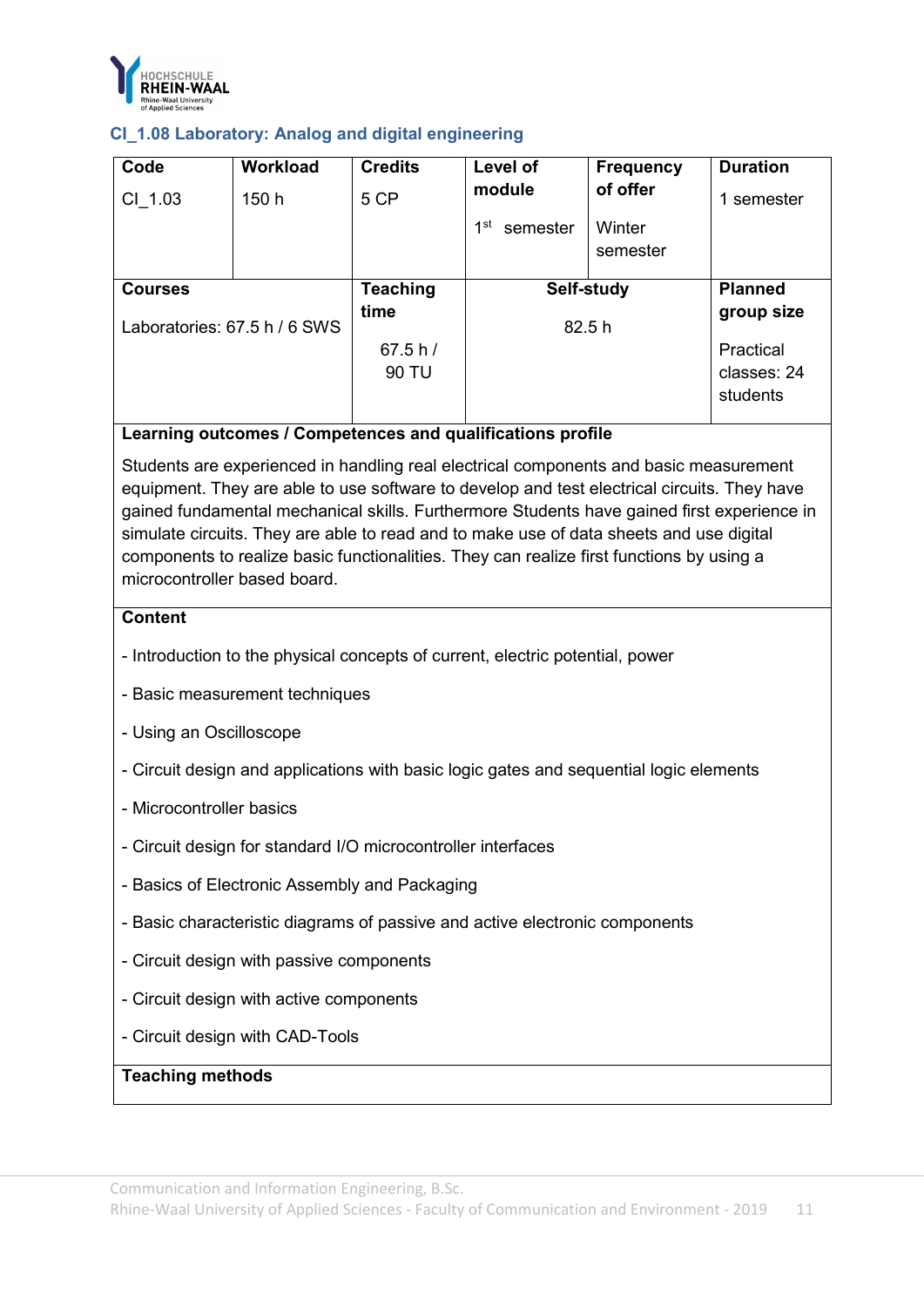

# <span id="page-15-0"></span>**CI\_1.08 Laboratory: Analog and digital engineering**

| Code                         | <b>Workload</b> | <b>Credits</b>  | Level of                    | <b>Frequency</b> | <b>Duration</b> |
|------------------------------|-----------------|-----------------|-----------------------------|------------------|-----------------|
| CI 1.03                      | 150 h           | 5 CP            | module                      | of offer         | semester<br>1   |
|                              |                 |                 | 1 <sup>st</sup><br>semester | Winter           |                 |
|                              |                 |                 |                             | semester         |                 |
| <b>Courses</b>               |                 | <b>Teaching</b> | Self-study                  |                  | <b>Planned</b>  |
| Laboratories: 67.5 h / 6 SWS |                 | time            | 82.5h                       |                  | group size      |
|                              |                 | 67.5 h/         |                             |                  | Practical       |
|                              |                 | 90 TU           |                             |                  | classes: 24     |
|                              |                 |                 |                             |                  | students        |

# **Learning outcomes / Competences and qualifications profile**

Students are experienced in handling real electrical components and basic measurement equipment. They are able to use software to develop and test electrical circuits. They have gained fundamental mechanical skills. Furthermore Students have gained first experience in simulate circuits. They are able to read and to make use of data sheets and use digital components to realize basic functionalities. They can realize first functions by using a microcontroller based board.

#### **Content**

- Introduction to the physical concepts of current, electric potential, power
- Basic measurement techniques
- Using an Oscilloscope
- Circuit design and applications with basic logic gates and sequential logic elements
- Microcontroller basics
- Circuit design for standard I/O microcontroller interfaces
- Basics of Electronic Assembly and Packaging
- Basic characteristic diagrams of passive and active electronic components
- Circuit design with passive components
- Circuit design with active components
- Circuit design with CAD-Tools

#### **Teaching methods**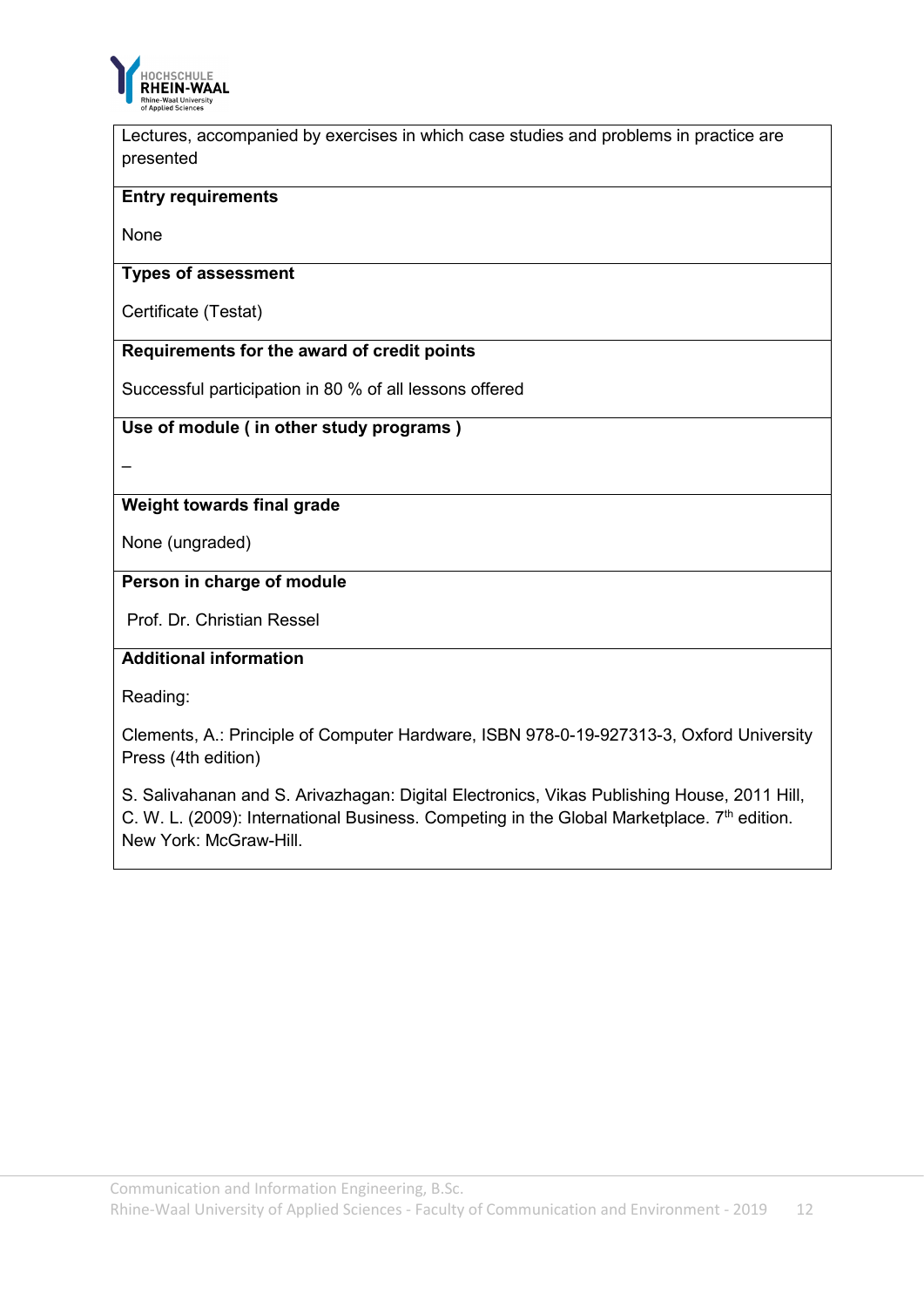

Lectures, accompanied by exercises in which case studies and problems in practice are presented

#### **Entry requirements**

None

#### **Types of assessment**

Certificate (Testat)

#### **Requirements for the award of credit points**

Successful participation in 80 % of all lessons offered

#### **Use of module ( in other study programs )**

 $\equiv$ 

# **Weight towards final grade**

None (ungraded)

# **Person in charge of module**

Prof. Dr. Christian Ressel

# **Additional information**

Reading:

Clements, A.: Principle of Computer Hardware, ISBN 978-0-19-927313-3, Oxford University Press (4th edition)

S. Salivahanan and S. Arivazhagan: Digital Electronics, Vikas Publishing House, 2011 Hill, C. W. L. (2009): International Business. Competing in the Global Marketplace.  $7<sup>th</sup>$  edition. New York: McGraw-Hill.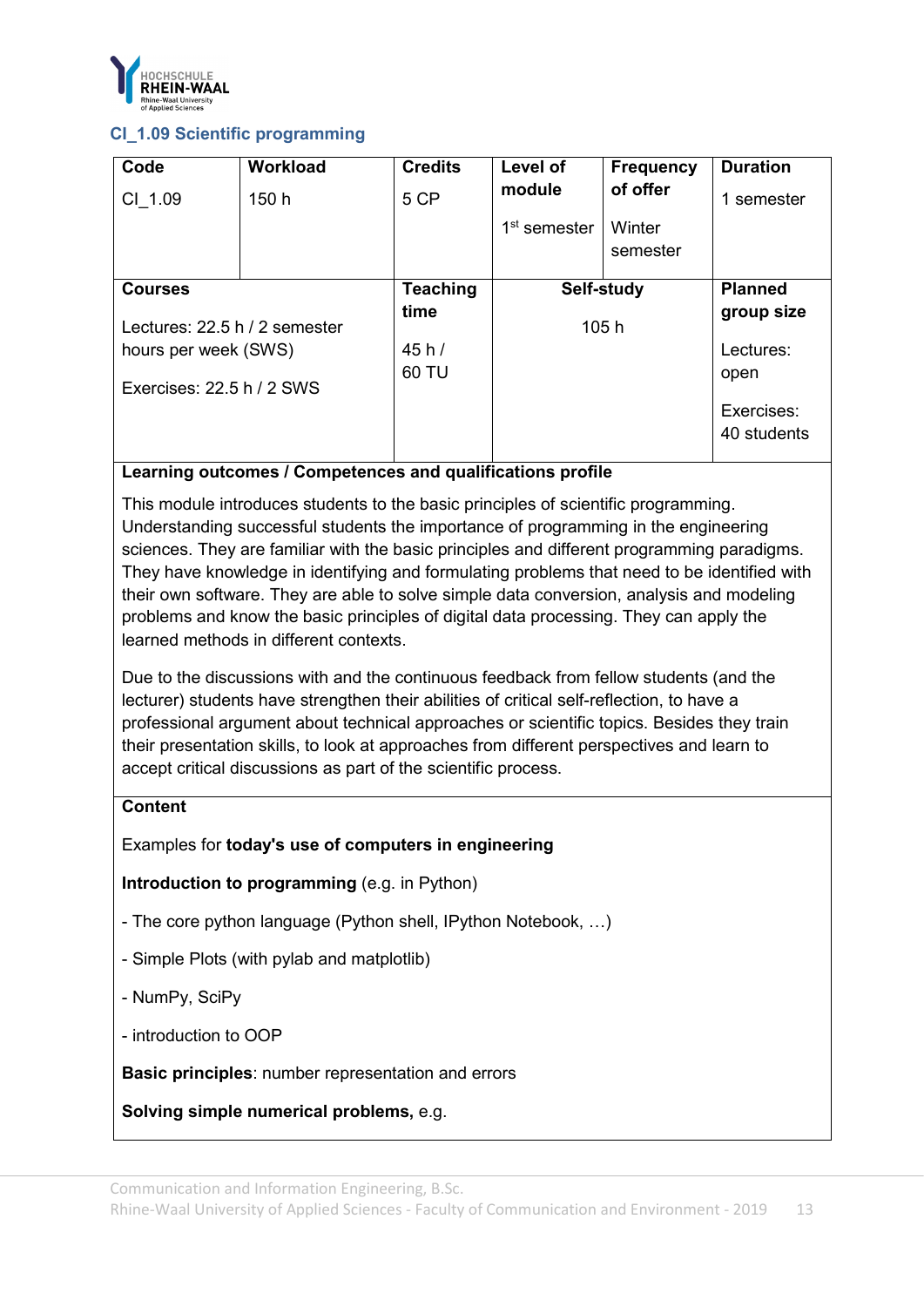

# <span id="page-17-0"></span>**CI\_1.09 Scientific programming**

| Code                          | <b>Workload</b> | <b>Credits</b>  | Level of       | <b>Frequency</b> | <b>Duration</b>           |
|-------------------------------|-----------------|-----------------|----------------|------------------|---------------------------|
| CI 1.09                       | 150 h           | 5 CP            | module         | of offer         | 1 semester                |
|                               |                 |                 | $1st$ semester | Winter           |                           |
|                               |                 |                 |                | semester         |                           |
| <b>Courses</b>                |                 | <b>Teaching</b> |                | Self-study       | <b>Planned</b>            |
| Lectures: 22.5 h / 2 semester |                 | time            | 105h           |                  | group size                |
| hours per week (SWS)          |                 | 45 h $/$        |                |                  | Lectures:                 |
| Exercises: $22.5 h / 2$ SWS   |                 | 60 TU           |                |                  | open                      |
|                               |                 |                 |                |                  | Exercises:<br>40 students |

# **Learning outcomes / Competences and qualifications profile**

This module introduces students to the basic principles of scientific programming. Understanding successful students the importance of programming in the engineering sciences. They are familiar with the basic principles and different programming paradigms. They have knowledge in identifying and formulating problems that need to be identified with their own software. They are able to solve simple data conversion, analysis and modeling problems and know the basic principles of digital data processing. They can apply the learned methods in different contexts.

Due to the discussions with and the continuous feedback from fellow students (and the lecturer) students have strengthen their abilities of critical self-reflection, to have a professional argument about technical approaches or scientific topics. Besides they train their presentation skills, to look at approaches from different perspectives and learn to accept critical discussions as part of the scientific process.

#### **Content**

# Examples for **today's use of computers in engineering**

**Introduction to programming** (e.g. in Python)

- The core python language (Python shell, IPython Notebook, …)

- Simple Plots (with pylab and matplotlib)
- NumPy, SciPy

- introduction to OOP

**Basic principles**: number representation and errors

**Solving simple numerical problems,** e.g.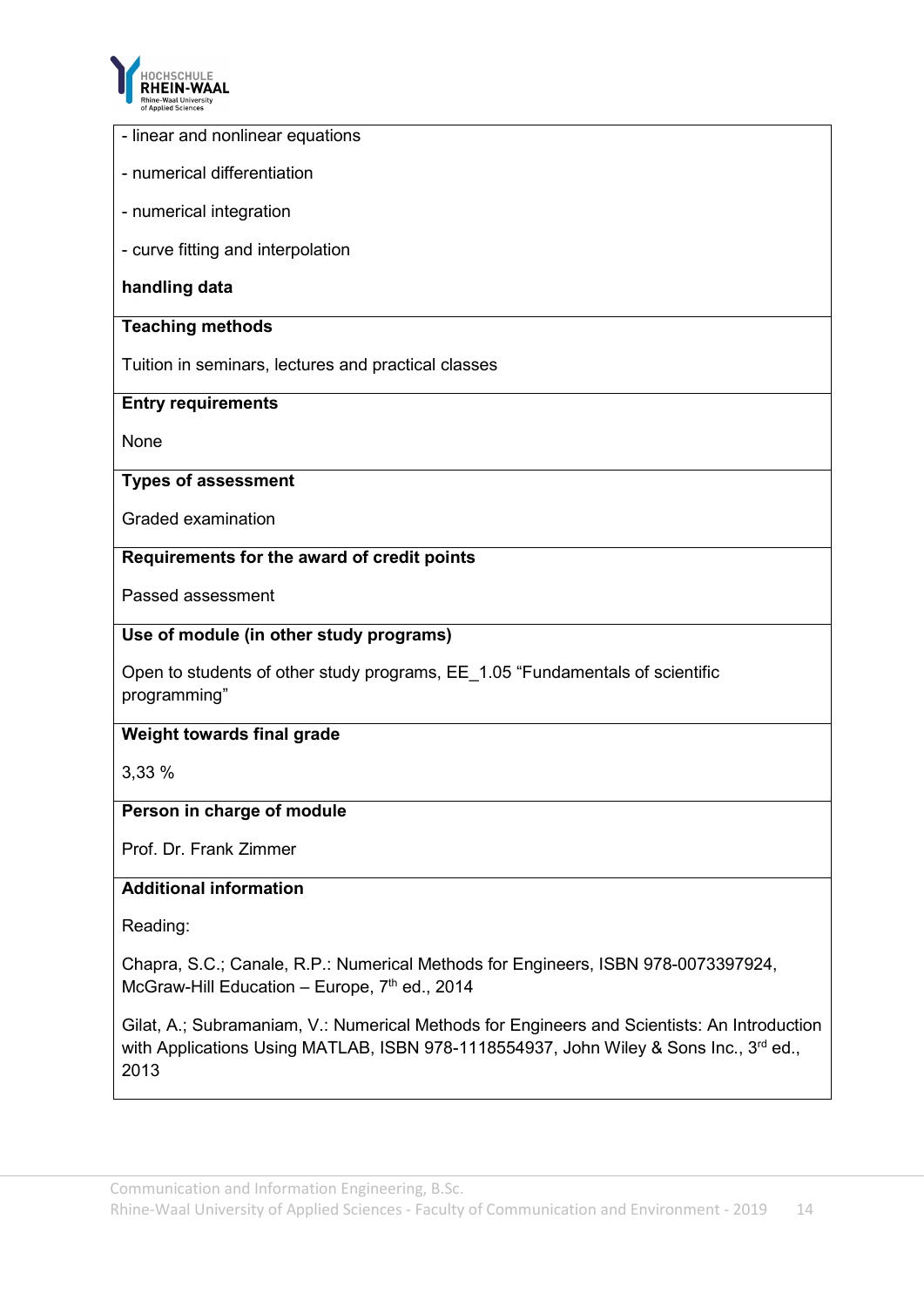

- linear and nonlinear equations
- numerical differentiation
- numerical integration
- curve fitting and interpolation

#### **handling data**

#### **Teaching methods**

Tuition in seminars, lectures and practical classes

#### **Entry requirements**

None

#### **Types of assessment**

Graded examination

# **Requirements for the award of credit points**

Passed assessment

# **Use of module (in other study programs)**

Open to students of other study programs, EE\_1.05 "Fundamentals of scientific programming"

#### **Weight towards final grade**

3,33 %

#### **Person in charge of module**

Prof. Dr. Frank Zimmer

# **Additional information**

Reading:

Chapra, S.C.; Canale, R.P.: Numerical Methods for Engineers, ISBN 978-0073397924, McGraw-Hill Education – Europe,  $7<sup>th</sup>$  ed., 2014

Gilat, A.; Subramaniam, V.: Numerical Methods for Engineers and Scientists: An Introduction with Applications Using MATLAB, ISBN 978-1118554937, John Wiley & Sons Inc., 3<sup>rd</sup> ed., 2013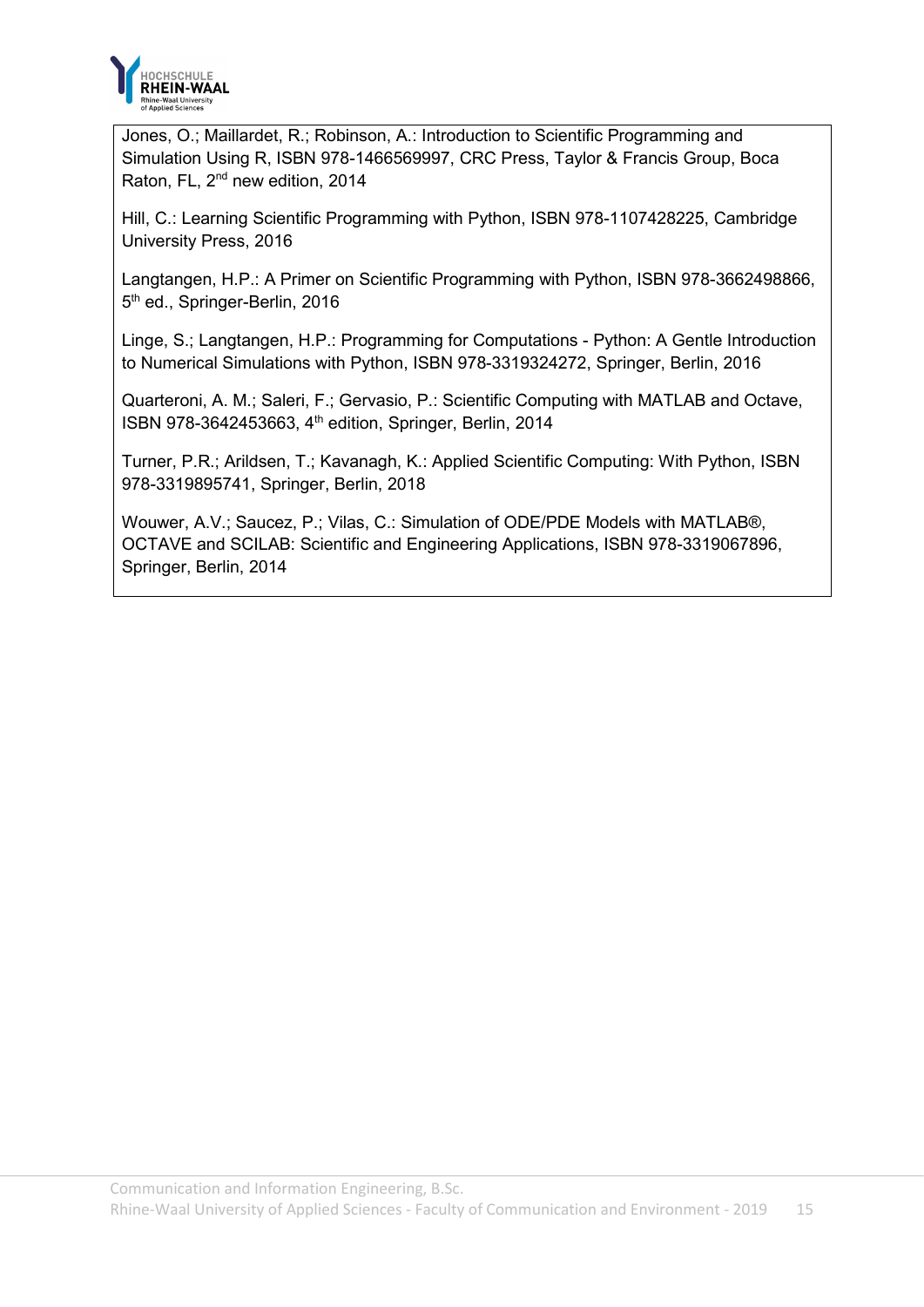

Jones, O.; Maillardet, R.; Robinson, A.: Introduction to Scientific Programming and Simulation Using R, ISBN 978-1466569997, CRC Press, Taylor & Francis Group, Boca Raton, FL, 2nd new edition, 2014

Hill, C.: Learning Scientific Programming with Python, ISBN 978-1107428225, Cambridge University Press, 2016

Langtangen, H.P.: A Primer on Scientific Programming with Python, ISBN 978-3662498866, 5<sup>th</sup> ed., Springer-Berlin, 2016

Linge, S.; Langtangen, H.P.: Programming for Computations - Python: A Gentle Introduction to Numerical Simulations with Python, ISBN 978-3319324272, Springer, Berlin, 2016

Quarteroni, A. M.; Saleri, F.; Gervasio, P.: Scientific Computing with MATLAB and Octave, ISBN 978-3642453663, 4th edition, Springer, Berlin, 2014

Turner, P.R.; Arildsen, T.; Kavanagh, K.: Applied Scientific Computing: With Python, ISBN 978-3319895741, Springer, Berlin, 2018

Wouwer, A.V.; Saucez, P.; Vilas, C.: Simulation of ODE/PDE Models with MATLAB®, OCTAVE and SCILAB: Scientific and Engineering Applications, ISBN 978-3319067896, Springer, Berlin, 2014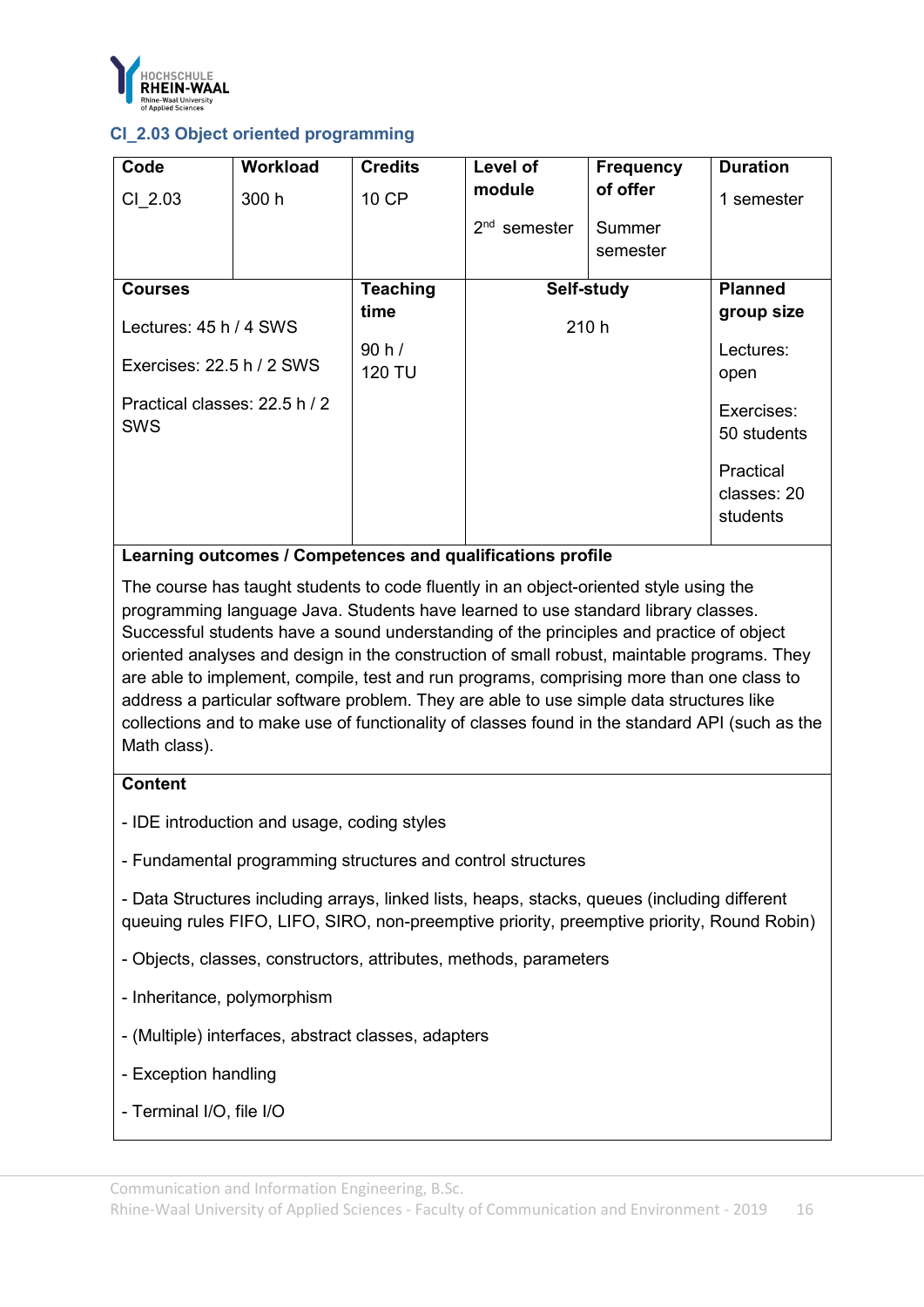

# <span id="page-20-0"></span>**CI\_2.03 Object oriented programming**

| Code                                        | <b>Workload</b> | <b>Credits</b>         | Level of       | <b>Frequency</b>   | <b>Duration</b>                      |
|---------------------------------------------|-----------------|------------------------|----------------|--------------------|--------------------------------------|
| CI 2.03                                     | 300 h           | 10 CP                  | module         | of offer           | 1 semester                           |
|                                             |                 |                        | $2nd$ semester | Summer<br>semester |                                      |
| <b>Courses</b>                              |                 | <b>Teaching</b>        |                | Self-study         | <b>Planned</b>                       |
| Lectures: $45 h/4$ SWS                      |                 | time                   | 210 h          | group size         |                                      |
| Exercises: 22.5 h / 2 SWS                   |                 | 90 h/<br><b>120 TU</b> |                | Lectures:<br>open  |                                      |
| Practical classes: 22.5 h / 2<br><b>SWS</b> |                 |                        |                |                    | Exercises:<br>50 students            |
|                                             |                 |                        |                |                    | Practical<br>classes: 20<br>students |

#### **Learning outcomes / Competences and qualifications profile**

The course has taught students to code fluently in an object-oriented style using the programming language Java. Students have learned to use standard library classes. Successful students have a sound understanding of the principles and practice of object oriented analyses and design in the construction of small robust, maintable programs. They are able to implement, compile, test and run programs, comprising more than one class to address a particular software problem. They are able to use simple data structures like collections and to make use of functionality of classes found in the standard API (such as the Math class).

# **Content**

- IDE introduction and usage, coding styles
- Fundamental programming structures and control structures
- Data Structures including arrays, linked lists, heaps, stacks, queues (including different queuing rules FIFO, LIFO, SIRO, non-preemptive priority, preemptive priority, Round Robin)
- Objects, classes, constructors, attributes, methods, parameters
- Inheritance, polymorphism
- (Multiple) interfaces, abstract classes, adapters
- Exception handling
- Terminal I/O, file I/O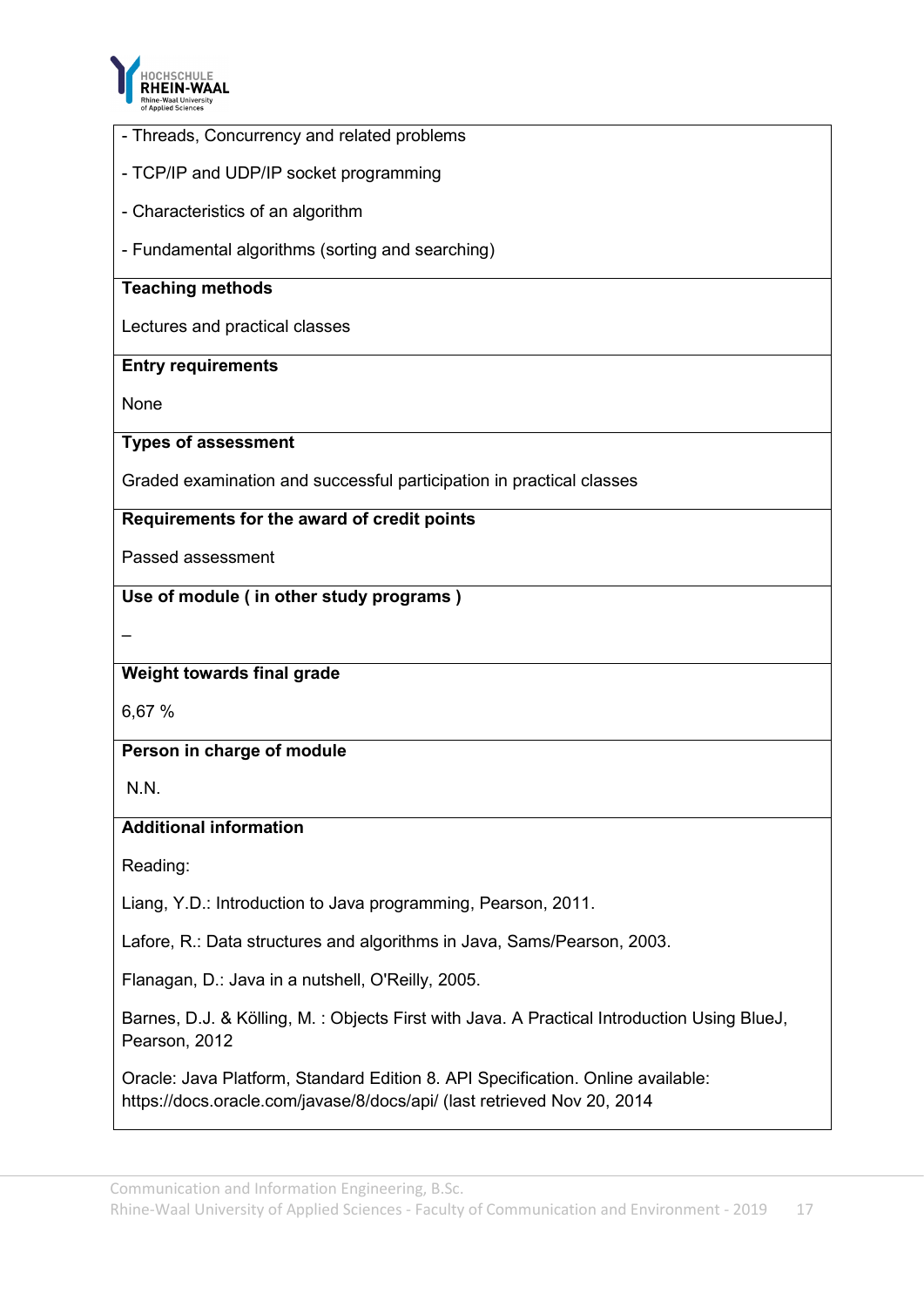

| - Threads, Concurrency and related problems                                                                                                                |
|------------------------------------------------------------------------------------------------------------------------------------------------------------|
| - TCP/IP and UDP/IP socket programming                                                                                                                     |
| - Characteristics of an algorithm                                                                                                                          |
| - Fundamental algorithms (sorting and searching)                                                                                                           |
| <b>Teaching methods</b>                                                                                                                                    |
| Lectures and practical classes                                                                                                                             |
| <b>Entry requirements</b>                                                                                                                                  |
| None                                                                                                                                                       |
| <b>Types of assessment</b>                                                                                                                                 |
| Graded examination and successful participation in practical classes                                                                                       |
| Requirements for the award of credit points                                                                                                                |
| Passed assessment                                                                                                                                          |
| Use of module (in other study programs)                                                                                                                    |
|                                                                                                                                                            |
| Weight towards final grade                                                                                                                                 |
| 6,67 %                                                                                                                                                     |
| Person in charge of module                                                                                                                                 |
| N.N.                                                                                                                                                       |
| <b>Additional information</b>                                                                                                                              |
| Reading:                                                                                                                                                   |
| Liang, Y.D.: Introduction to Java programming, Pearson, 2011.                                                                                              |
| Lafore, R.: Data structures and algorithms in Java, Sams/Pearson, 2003.                                                                                    |
| Flanagan, D.: Java in a nutshell, O'Reilly, 2005.                                                                                                          |
| Barnes, D.J. & Kölling, M.: Objects First with Java. A Practical Introduction Using BlueJ,<br>Pearson, 2012                                                |
| Oracle: Java Platform, Standard Edition 8. API Specification. Online available:<br>https://docs.oracle.com/javase/8/docs/api/ (last retrieved Nov 20, 2014 |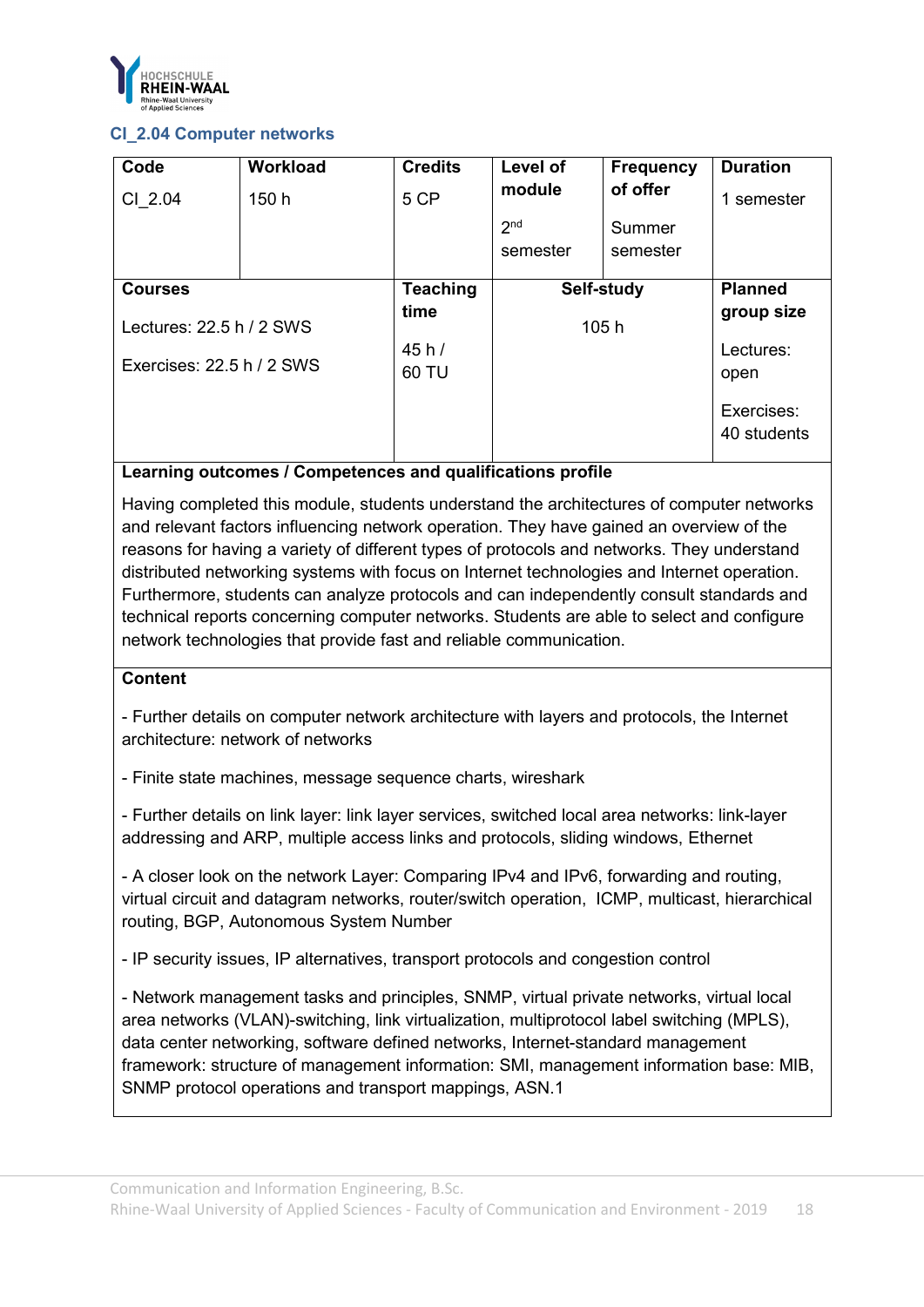

#### <span id="page-22-0"></span>**CI\_2.04 Computer networks**

| Code                      | <b>Workload</b>            | <b>Credits</b>  | Level of        | <b>Frequency</b> | <b>Duration</b>           |
|---------------------------|----------------------------|-----------------|-----------------|------------------|---------------------------|
| CI 2.04                   | 150 h                      | 5 CP            | module          | of offer         | 1 semester                |
|                           |                            |                 | 2 <sub>nd</sub> | Summer           |                           |
|                           |                            |                 | semester        | semester         |                           |
| <b>Courses</b>            |                            | <b>Teaching</b> |                 | Self-study       | <b>Planned</b>            |
|                           | Lectures: $22.5 h / 2$ SWS |                 | 105h            |                  | group size                |
| Exercises: 22.5 h / 2 SWS |                            | 45h/            |                 |                  | Lectures:                 |
|                           |                            | 60 TU           |                 |                  | open                      |
|                           |                            |                 |                 |                  | Exercises:<br>40 students |

# **Learning outcomes / Competences and qualifications profile**

Having completed this module, students understand the architectures of computer networks and relevant factors influencing network operation. They have gained an overview of the reasons for having a variety of different types of protocols and networks. They understand distributed networking systems with focus on Internet technologies and Internet operation. Furthermore, students can analyze protocols and can independently consult standards and technical reports concerning computer networks. Students are able to select and configure network technologies that provide fast and reliable communication.

#### **Content**

- Further details on computer network architecture with layers and protocols, the Internet architecture: network of networks

- Finite state machines, message sequence charts, wireshark

- Further details on link layer: link layer services, switched local area networks: link-layer addressing and ARP, multiple access links and protocols, sliding windows, Ethernet

- A closer look on the network Layer: Comparing IPv4 and IPv6, forwarding and routing, virtual circuit and datagram networks, router/switch operation, ICMP, multicast, hierarchical routing, BGP, Autonomous System Number

- IP security issues, IP alternatives, transport protocols and congestion control

- Network management tasks and principles, SNMP, virtual private networks, virtual local area networks (VLAN)-switching, link virtualization, multiprotocol label switching (MPLS), data center networking, software defined networks, Internet-standard management framework: structure of management information: SMI, management information base: MIB, SNMP protocol operations and transport mappings, ASN.1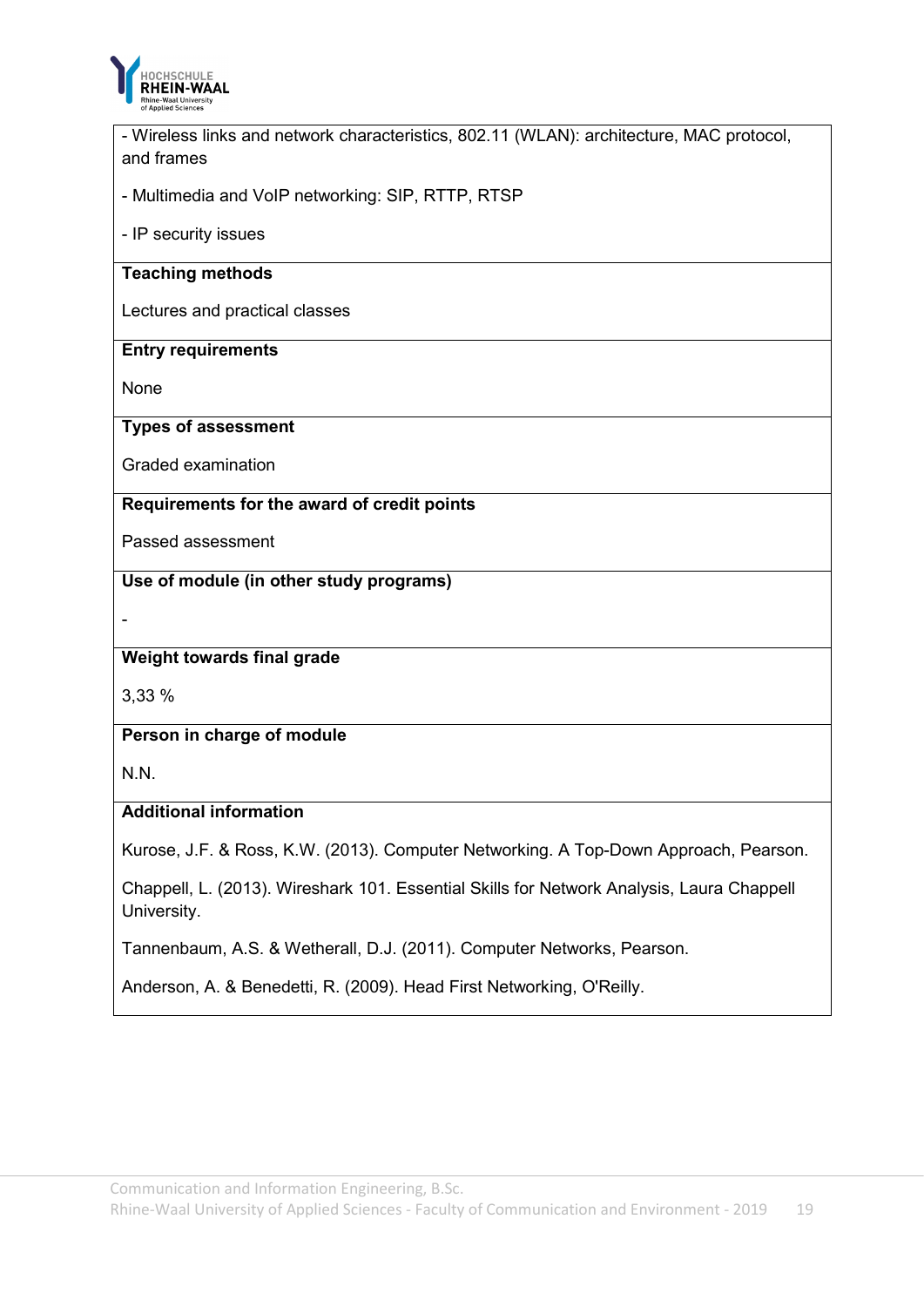

| of Applied Sciences                                                                                      |
|----------------------------------------------------------------------------------------------------------|
| - Wireless links and network characteristics, 802.11 (WLAN): architecture, MAC protocol,                 |
| and frames                                                                                               |
| - Multimedia and VoIP networking: SIP, RTTP, RTSP                                                        |
| - IP security issues                                                                                     |
| <b>Teaching methods</b>                                                                                  |
| Lectures and practical classes                                                                           |
| <b>Entry requirements</b>                                                                                |
| None                                                                                                     |
| <b>Types of assessment</b>                                                                               |
| Graded examination                                                                                       |
| Requirements for the award of credit points                                                              |
| Passed assessment                                                                                        |
| Use of module (in other study programs)                                                                  |
|                                                                                                          |
| Weight towards final grade                                                                               |
| 3,33 %                                                                                                   |
| Person in charge of module                                                                               |
| N.N.                                                                                                     |
| <b>Additional information</b>                                                                            |
| Kurose, J.F. & Ross, K.W. (2013). Computer Networking. A Top-Down Approach, Pearson.                     |
| Chappell, L. (2013). Wireshark 101. Essential Skills for Network Analysis, Laura Chappell<br>University. |
| Tannenbaum, A.S. & Wetherall, D.J. (2011). Computer Networks, Pearson.                                   |

Anderson, A. & Benedetti, R. (2009). Head First Networking, O'Reilly.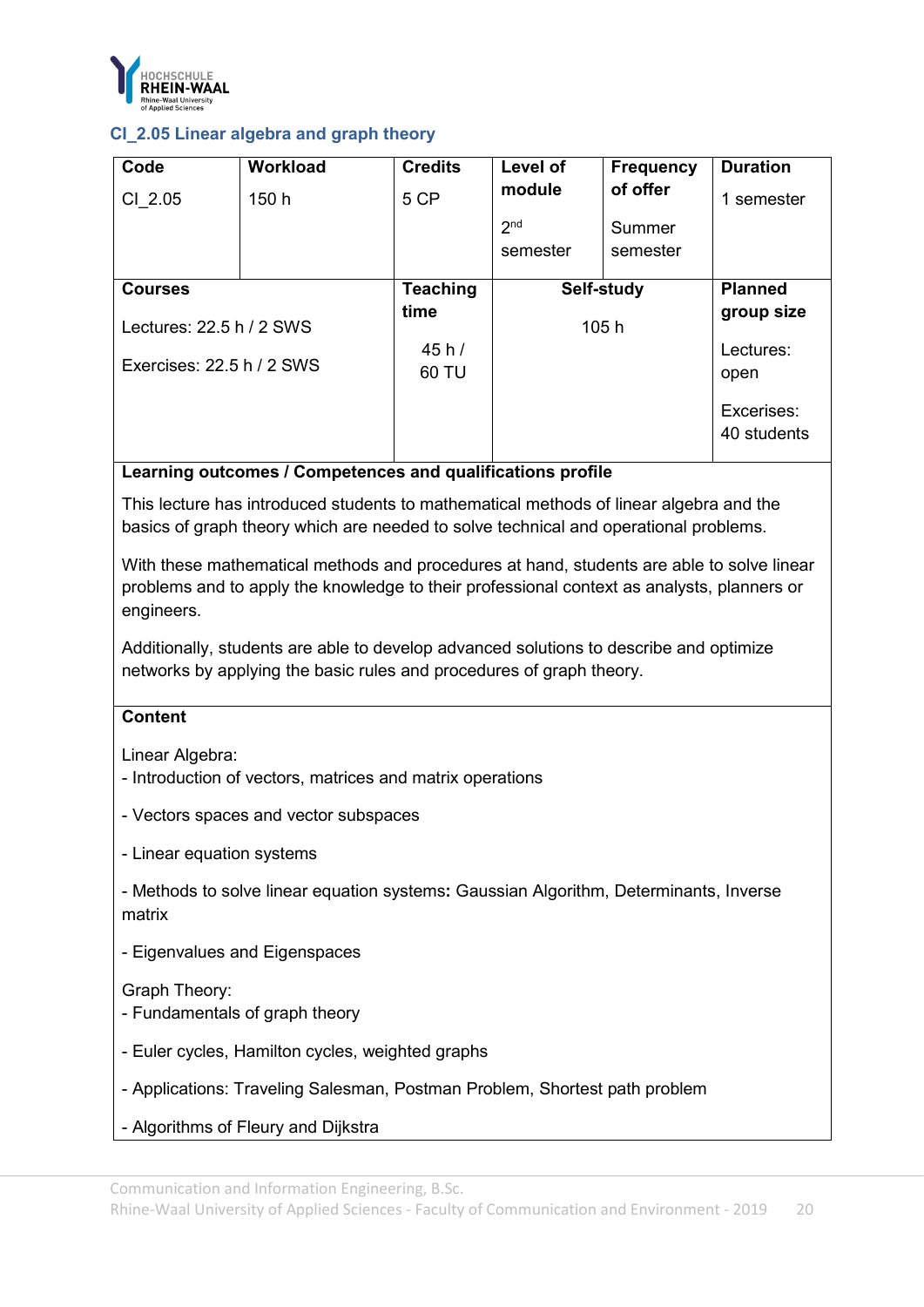

# <span id="page-24-0"></span>**CI\_2.05 Linear algebra and graph theory**

| Code                        | <b>Workload</b> | <b>Credits</b>  | Level of        | <b>Frequency</b> | <b>Duration</b>           |
|-----------------------------|-----------------|-----------------|-----------------|------------------|---------------------------|
| CI 2.05                     | 150 h           | 5 CP            | module          | of offer         | 1 semester                |
|                             |                 |                 | 2 <sub>nd</sub> | Summer           |                           |
|                             |                 |                 | semester        | semester         |                           |
| <b>Courses</b>              |                 | <b>Teaching</b> |                 | Self-study       | <b>Planned</b>            |
| Lectures: $22.5 h / 2$ SWS  |                 | time            | 105h            |                  | group size                |
| Exercises: $22.5 h / 2$ SWS |                 | 45h/            |                 |                  | Lectures:                 |
|                             |                 | 60 TU           |                 |                  | open                      |
|                             |                 |                 |                 |                  | Excerises:<br>40 students |

# **Learning outcomes / Competences and qualifications profile**

This lecture has introduced students to mathematical methods of linear algebra and the basics of graph theory which are needed to solve technical and operational problems.

With these mathematical methods and procedures at hand, students are able to solve linear problems and to apply the knowledge to their professional context as analysts, planners or engineers.

Additionally, students are able to develop advanced solutions to describe and optimize networks by applying the basic rules and procedures of graph theory.

#### **Content**

Linear Algebra:

- Introduction of vectors, matrices and matrix operations
- Vectors spaces and vector subspaces
- Linear equation systems

- Methods to solve linear equation systems**:** Gaussian Algorithm, Determinants, Inverse matrix

- Eigenvalues and Eigenspaces

Graph Theory:

- Fundamentals of graph theory
- Euler cycles, Hamilton cycles, weighted graphs
- Applications: Traveling Salesman, Postman Problem, Shortest path problem
- Algorithms of Fleury and Dijkstra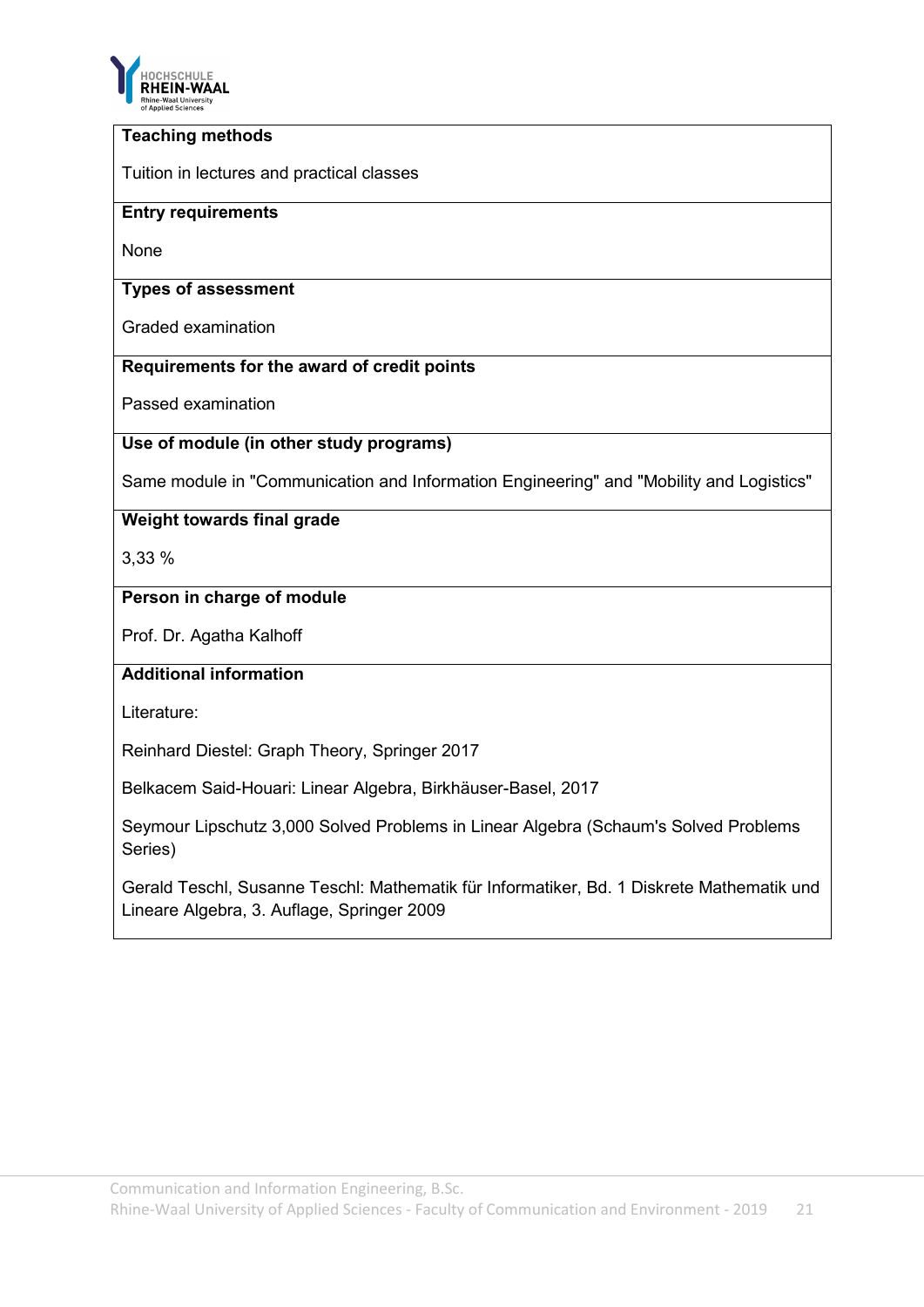

#### **Teaching methods**

Tuition in lectures and practical classes

#### **Entry requirements**

None

#### **Types of assessment**

Graded examination

#### **Requirements for the award of credit points**

Passed examination

#### **Use of module (in other study programs)**

Same module in "Communication and Information Engineering" and "Mobility and Logistics"

# **Weight towards final grade**

3,33 %

#### **Person in charge of module**

Prof. Dr. Agatha Kalhoff

# **Additional information**

Literature:

Reinhard Diestel: Graph Theory, Springer 2017

Belkacem Said-Houari: Linear Algebra, Birkhäuser-Basel, 2017

Seymour Lipschutz 3,000 Solved Problems in Linear Algebra (Schaum's Solved Problems Series)

Gerald Teschl, Susanne Teschl: Mathematik für Informatiker, Bd. 1 Diskrete Mathematik und Lineare Algebra, 3. Auflage, Springer 2009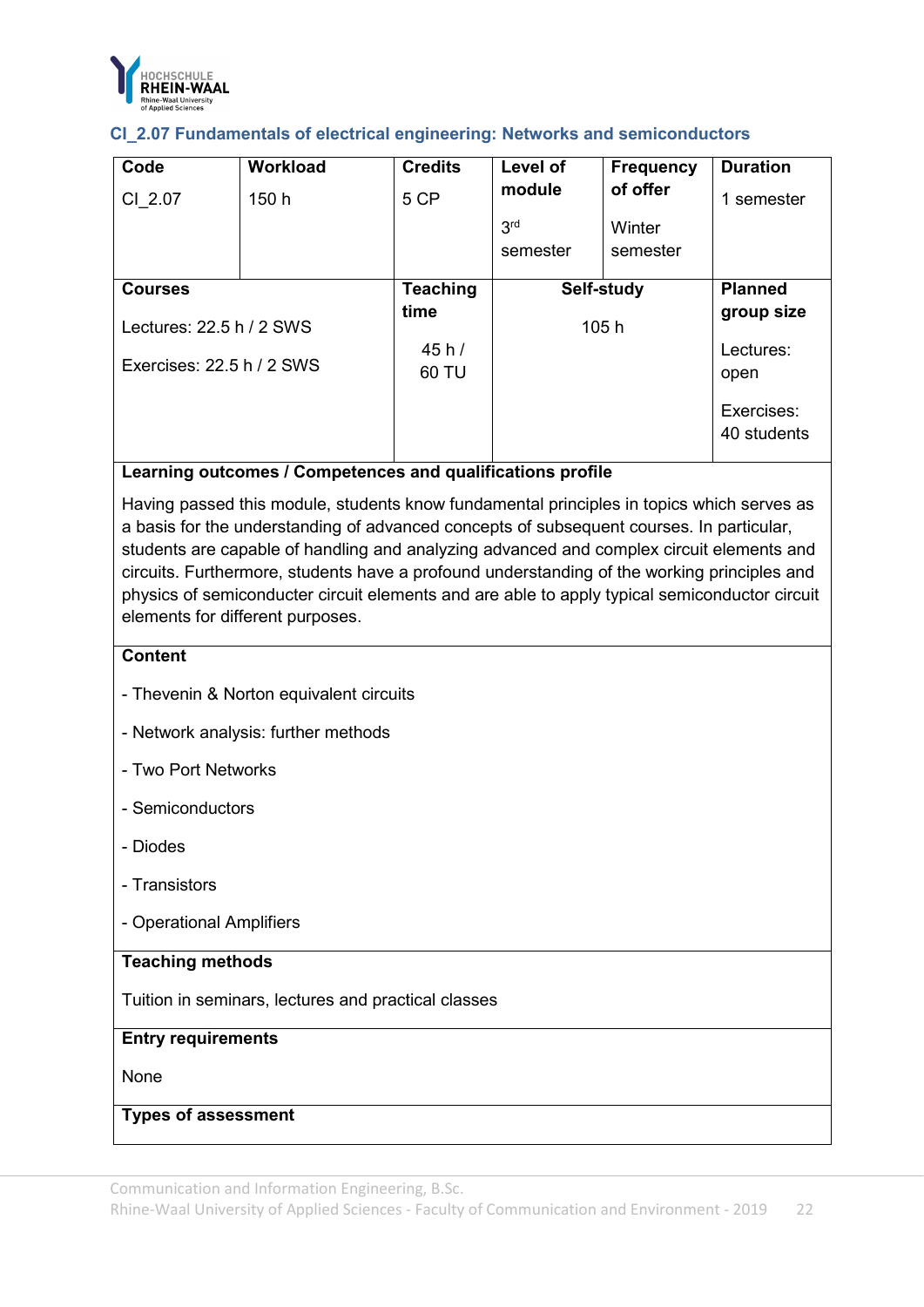

<span id="page-26-0"></span>

|  |  |  |  |  |  |  | CI_2.07 Fundamentals of electrical engineering: Networks and semiconductors |
|--|--|--|--|--|--|--|-----------------------------------------------------------------------------|
|--|--|--|--|--|--|--|-----------------------------------------------------------------------------|

| Code                        | <b>Workload</b> | <b>Credits</b>  | Level of        | <b>Frequency</b> | <b>Duration</b>           |
|-----------------------------|-----------------|-----------------|-----------------|------------------|---------------------------|
| CI 2.07                     | 150 h           | 5 CP            | module          | of offer         | 1 semester                |
|                             |                 |                 | 3 <sup>rd</sup> | Winter           |                           |
|                             |                 |                 | semester        | semester         |                           |
| <b>Courses</b>              |                 | <b>Teaching</b> | Self-study      |                  | <b>Planned</b>            |
| Lectures: $22.5 h / 2$ SWS  |                 | time            | 105h            |                  | group size                |
| Exercises: $22.5 h / 2$ SWS |                 | 45h/            |                 |                  | Lectures:                 |
|                             |                 | 60 TU           |                 |                  | open                      |
|                             |                 |                 |                 |                  | Exercises:<br>40 students |

# **Learning outcomes / Competences and qualifications profile**

Having passed this module, students know fundamental principles in topics which serves as a basis for the understanding of advanced concepts of subsequent courses. In particular, students are capable of handling and analyzing advanced and complex circuit elements and circuits. Furthermore, students have a profound understanding of the working principles and physics of semiconducter circuit elements and are able to apply typical semiconductor circuit elements for different purposes.

#### **Content**

- Thevenin & Norton equivalent circuits
- Network analysis: further methods
- Two Port Networks
- Semiconductors
- Diodes
- Transistors
- Operational Amplifiers

#### **Teaching methods**

Tuition in seminars, lectures and practical classes

#### **Entry requirements**

None

#### **Types of assessment**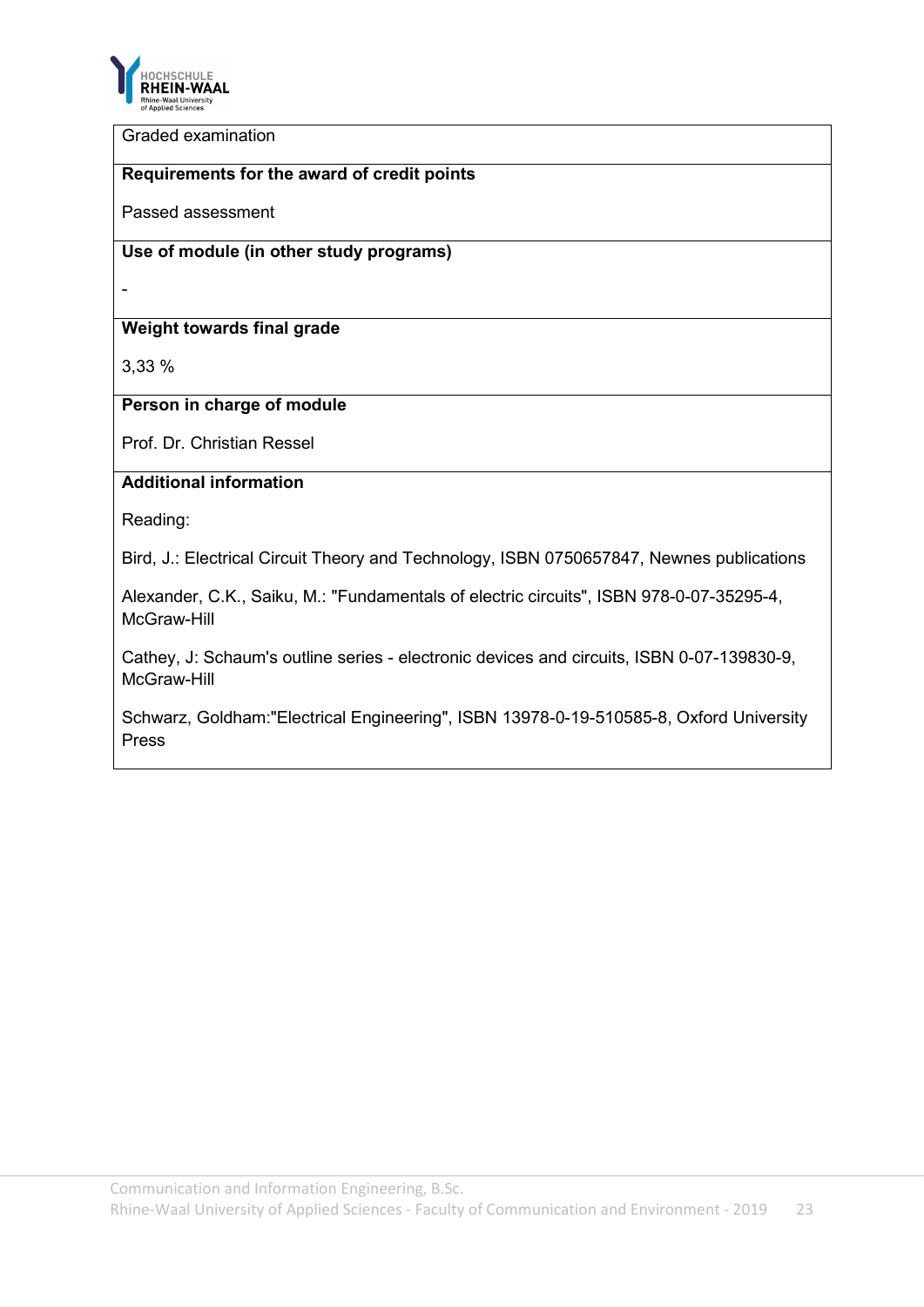

Graded examination

#### **Requirements for the award of credit points**

Passed assessment

# **Use of module (in other study programs)**

-

#### **Weight towards final grade**

3,33 %

# **Person in charge of module**

Prof. Dr. Christian Ressel

#### **Additional information**

Reading:

Bird, J.: Electrical Circuit Theory and Technology, ISBN 0750657847, Newnes publications

Alexander, C.K., Saiku, M.: "Fundamentals of electric circuits", ISBN 978-0-07-35295-4, McGraw-Hill

Cathey, J: Schaum's outline series - electronic devices and circuits, ISBN 0-07-139830-9, McGraw-Hill

Schwarz, Goldham:"Electrical Engineering", ISBN 13978-0-19-510585-8, Oxford University Press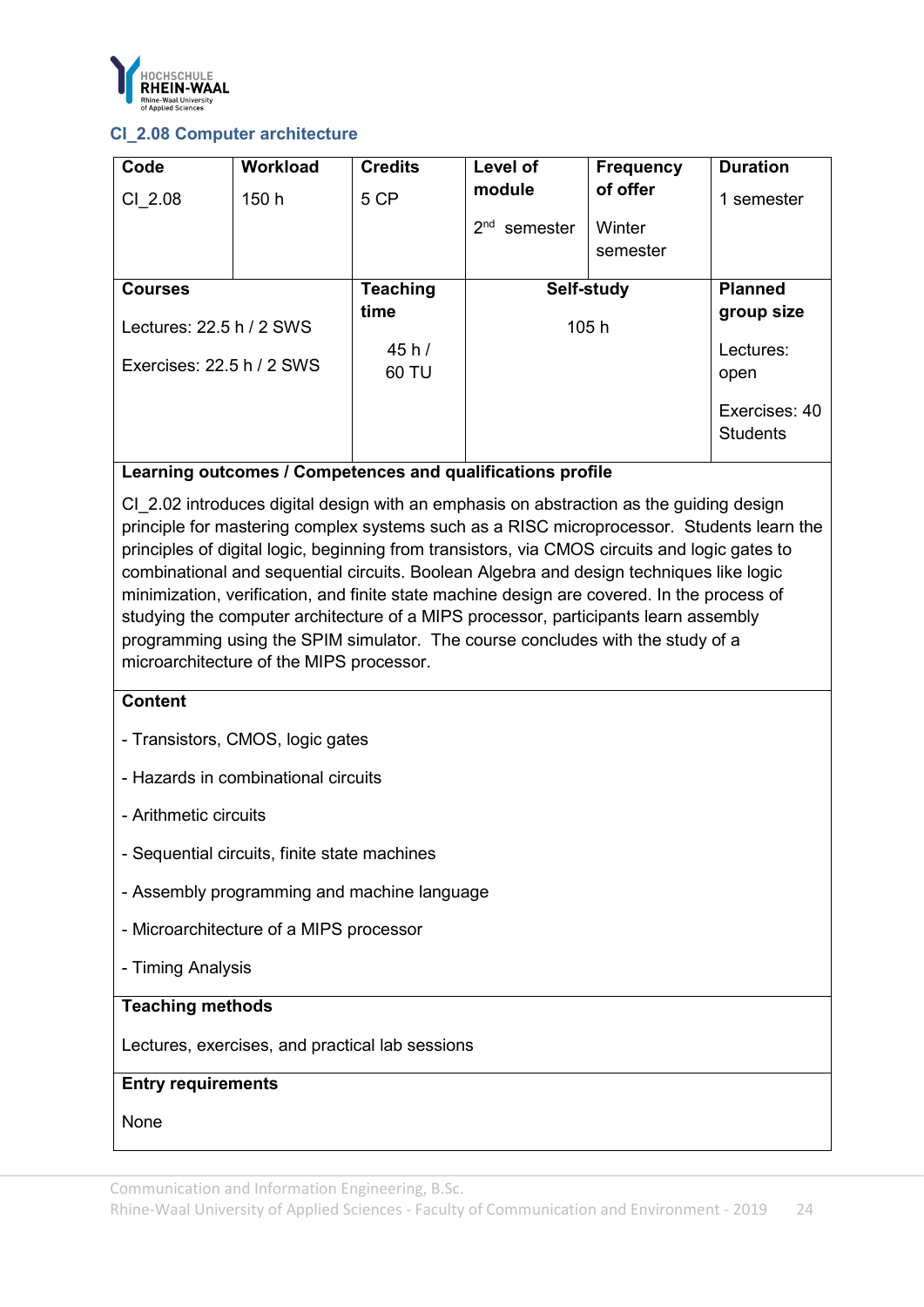

#### <span id="page-28-0"></span>**CI\_2.08 Computer architecture**

| Code                       | <b>Workload</b> | <b>Credits</b>  | Level of                    | <b>Frequency</b> | <b>Duration</b>                  |
|----------------------------|-----------------|-----------------|-----------------------------|------------------|----------------------------------|
| CI 2.08                    | 150 h           | 5 CP            | module                      | of offer         | semester                         |
|                            |                 |                 | 2 <sub>nd</sub><br>semester | Winter           |                                  |
|                            |                 |                 |                             | semester         |                                  |
|                            |                 |                 |                             |                  | <b>Planned</b>                   |
| <b>Courses</b>             |                 | <b>Teaching</b> | Self-study                  |                  |                                  |
| Lectures: $22.5 h / 2$ SWS |                 | time            | 105h                        |                  | group size                       |
| Exercises: 22.5 h / 2 SWS  |                 | 45h/            |                             |                  | Lectures:                        |
|                            |                 | 60 TU           |                             | open             |                                  |
|                            |                 |                 |                             |                  | Exercises: 40<br><b>Students</b> |

# **Learning outcomes / Competences and qualifications profile**

CI\_2.02 introduces digital design with an emphasis on abstraction as the guiding design principle for mastering complex systems such as a RISC microprocessor. Students learn the principles of digital logic, beginning from transistors, via CMOS circuits and logic gates to combinational and sequential circuits. Boolean Algebra and design techniques like logic minimization, verification, and finite state machine design are covered. In the process of studying the computer architecture of a MIPS processor, participants learn assembly programming using the SPIM simulator. The course concludes with the study of a microarchitecture of the MIPS processor.

#### **Content**

- Transistors, CMOS, logic gates
- Hazards in combinational circuits
- Arithmetic circuits
- Sequential circuits, finite state machines
- Assembly programming and machine language
- Microarchitecture of a MIPS processor
- Timing Analysis

# **Teaching methods**

Lectures, exercises, and practical lab sessions

#### **Entry requirements**

None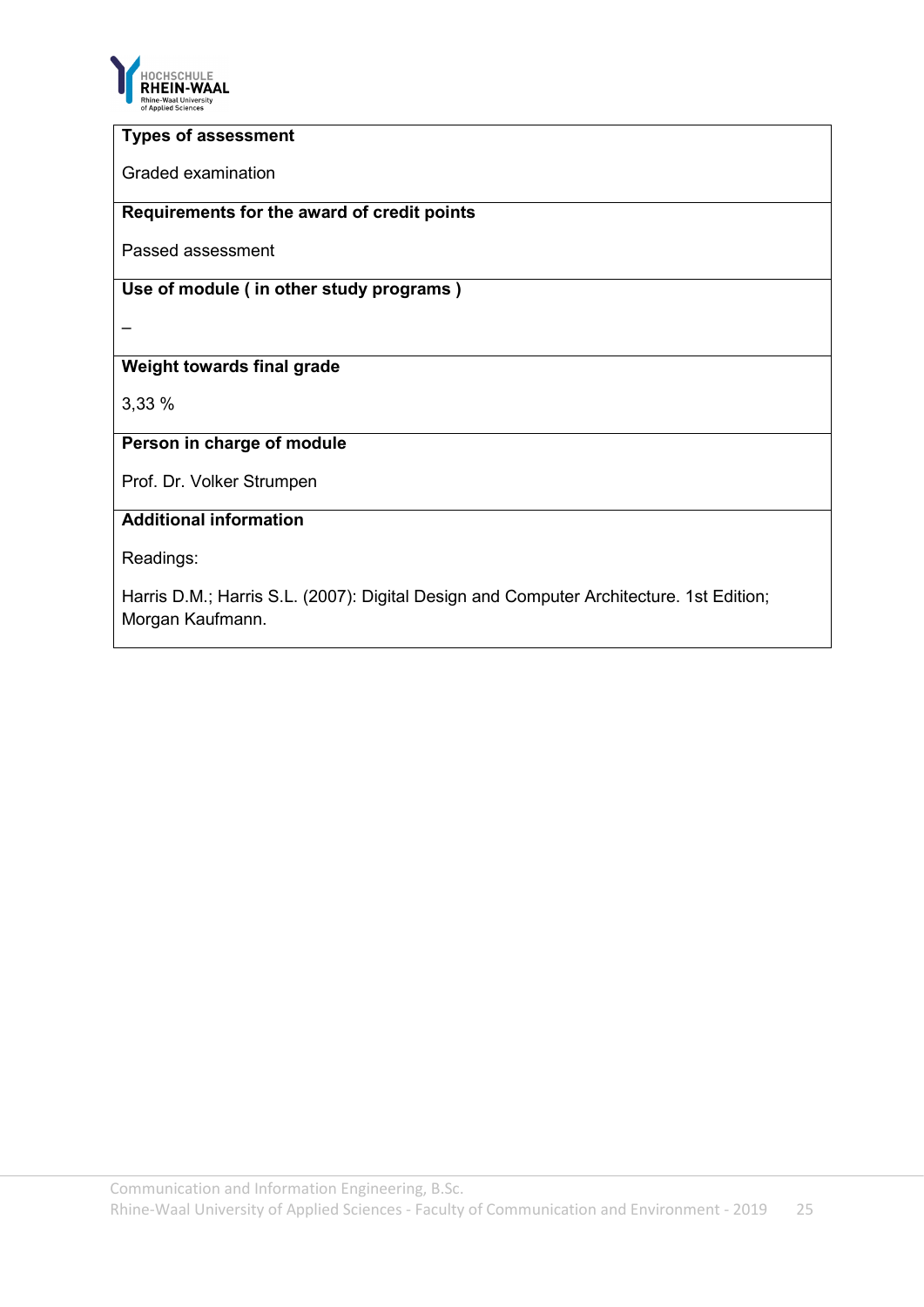

#### **Types of assessment**

Graded examination

#### **Requirements for the award of credit points**

Passed assessment

# **Use of module ( in other study programs )**

–

# **Weight towards final grade**

3,33 %

# **Person in charge of module**

Prof. Dr. Volker Strumpen

# **Additional information**

Readings:

Harris D.M.; Harris S.L. (2007): Digital Design and Computer Architecture. 1st Edition; Morgan Kaufmann.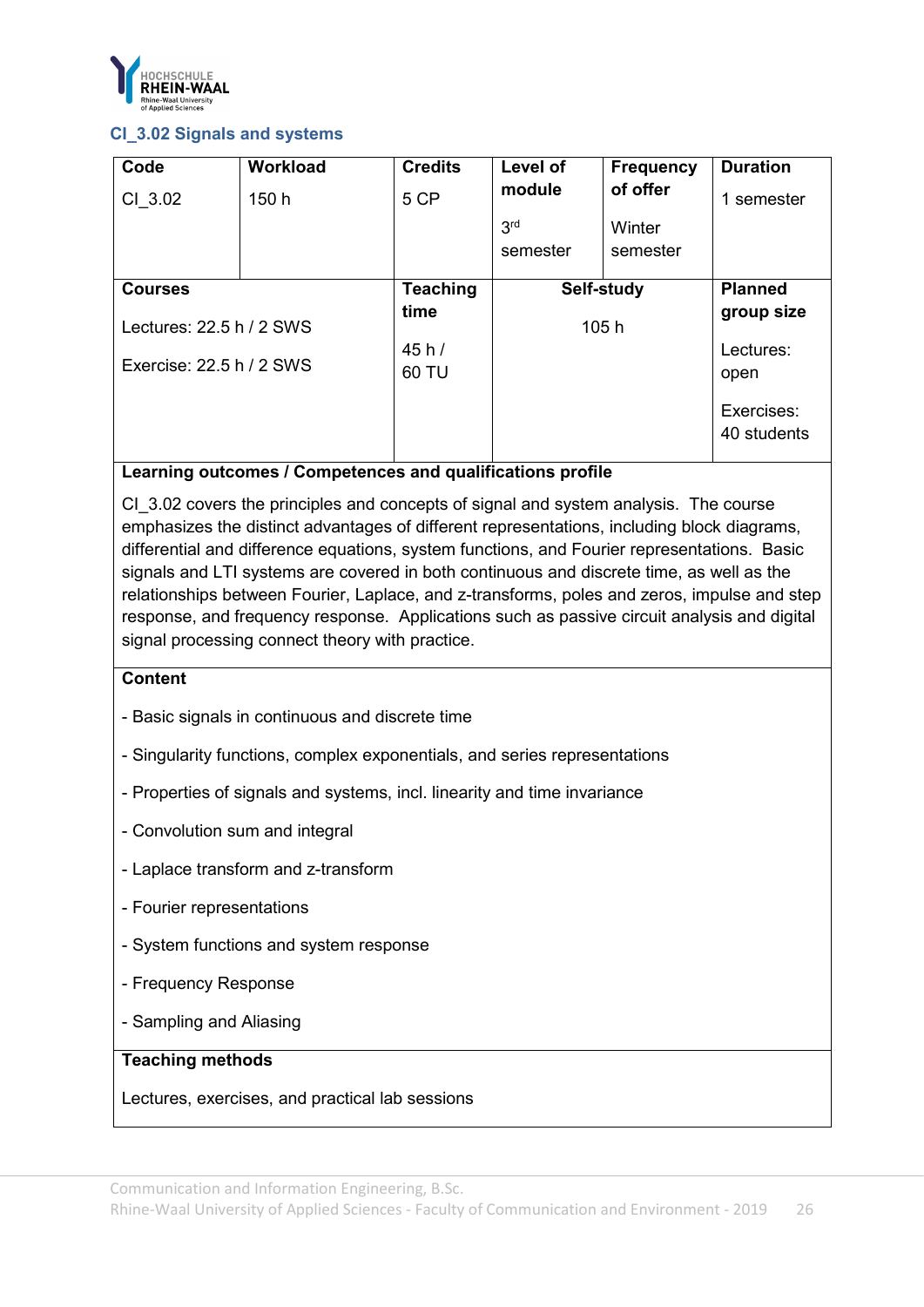

#### <span id="page-30-0"></span>**CI\_3.02 Signals and systems**

| Code                       | <b>Workload</b> | <b>Credits</b>  | Level of        | <b>Frequency</b> | <b>Duration</b>           |
|----------------------------|-----------------|-----------------|-----------------|------------------|---------------------------|
| CI 3.02                    | 150 h           | 5 CP            | module          | of offer         | 1 semester                |
|                            |                 |                 | 3 <sup>rd</sup> | Winter           |                           |
|                            |                 |                 | semester        | semester         |                           |
| <b>Courses</b>             |                 | <b>Teaching</b> |                 | Self-study       |                           |
|                            |                 | time            |                 |                  | <b>Planned</b>            |
| Lectures: $22.5 h / 2$ SWS |                 |                 | 105h            |                  | group size                |
| Exercise: 22.5 h / 2 SWS   |                 | 45h/            |                 |                  | Lectures:                 |
|                            |                 | 60 TU           |                 |                  | open                      |
|                            |                 |                 |                 |                  | Exercises:<br>40 students |

# **Learning outcomes / Competences and qualifications profile**

CI\_3.02 covers the principles and concepts of signal and system analysis. The course emphasizes the distinct advantages of different representations, including block diagrams, differential and difference equations, system functions, and Fourier representations. Basic signals and LTI systems are covered in both continuous and discrete time, as well as the relationships between Fourier, Laplace, and z-transforms, poles and zeros, impulse and step response, and frequency response. Applications such as passive circuit analysis and digital signal processing connect theory with practice.

# **Content**

- Basic signals in continuous and discrete time
- Singularity functions, complex exponentials, and series representations
- Properties of signals and systems, incl. linearity and time invariance
- Convolution sum and integral
- Laplace transform and z-transform
- Fourier representations
- System functions and system response
- Frequency Response
- Sampling and Aliasing

#### **Teaching methods**

Lectures, exercises, and practical lab sessions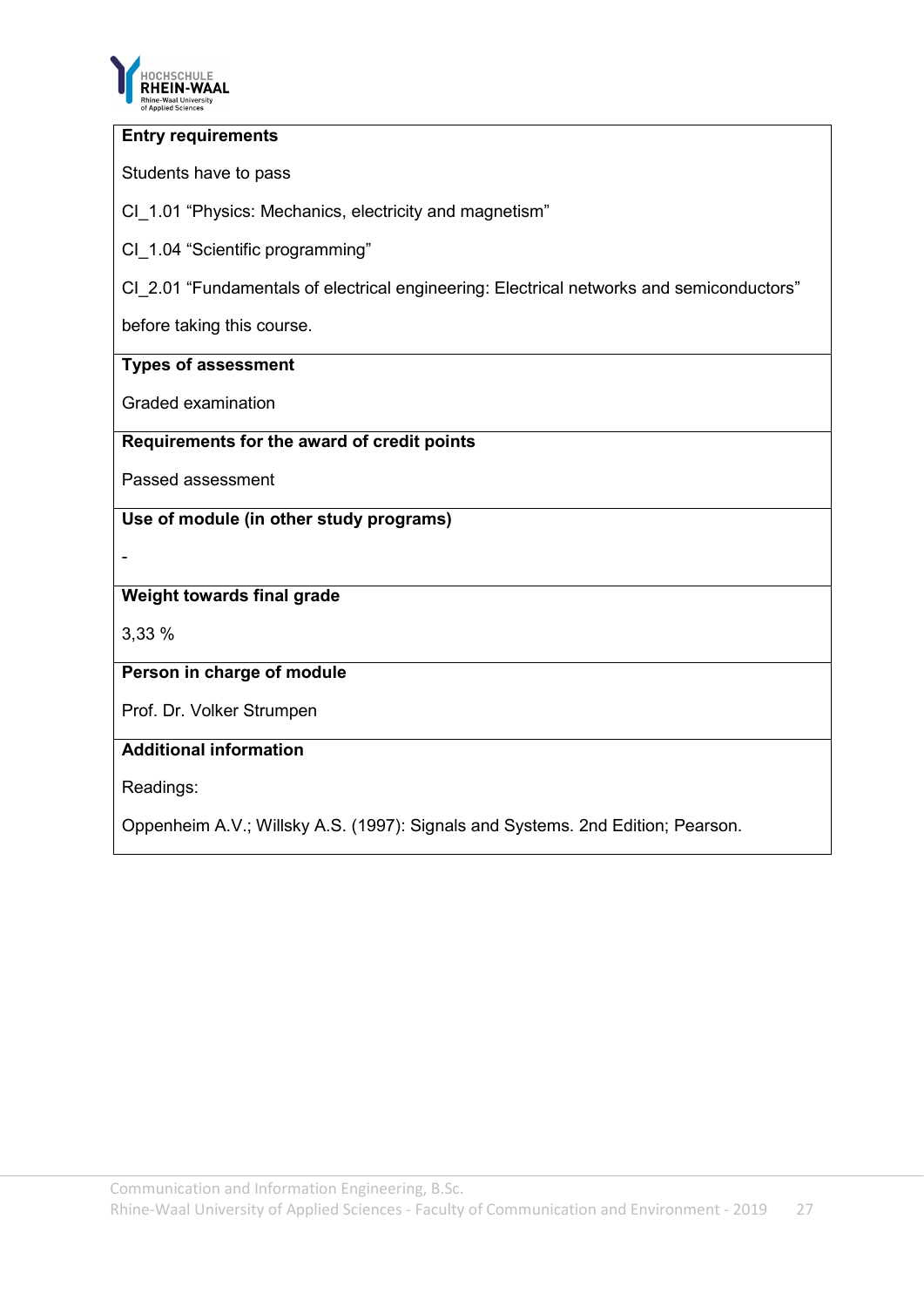

#### **Entry requirements**

Students have to pass

CI\_1.01 "Physics: Mechanics, electricity and magnetism"

CI 1.04 "Scientific programming"

CI\_2.01 "Fundamentals of electrical engineering: Electrical networks and semiconductors"

before taking this course.

# **Types of assessment**

Graded examination

#### **Requirements for the award of credit points**

Passed assessment

**Use of module (in other study programs)**

-

# **Weight towards final grade**

3,33 %

#### **Person in charge of module**

Prof. Dr. Volker Strumpen

# **Additional information**

Readings:

Oppenheim A.V.; Willsky A.S. (1997): Signals and Systems. 2nd Edition; Pearson.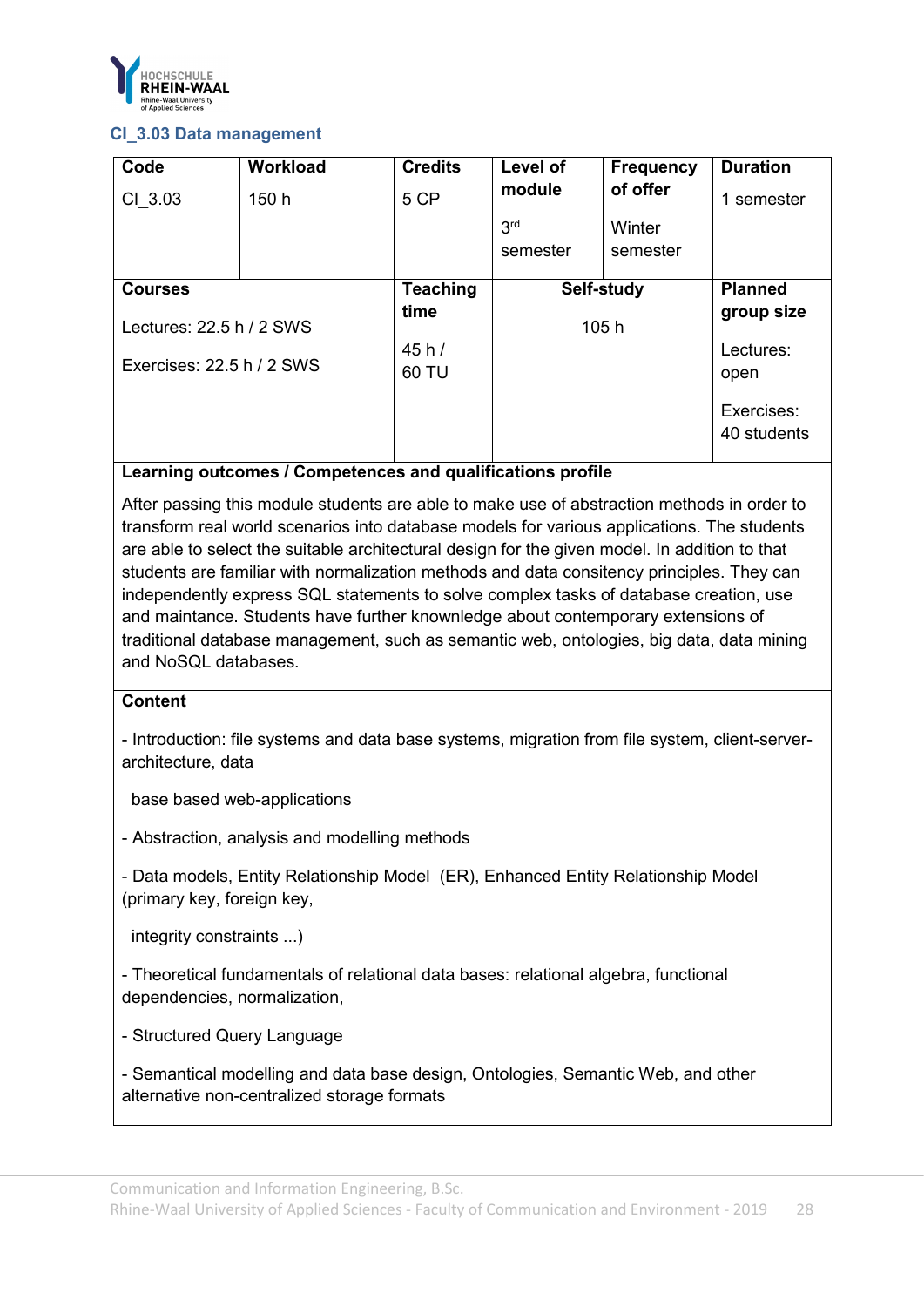

#### <span id="page-32-0"></span>**CI\_3.03 Data management**

| Code                       | <b>Workload</b> | <b>Credits</b>  | Level of        | <b>Frequency</b> | <b>Duration</b>           |
|----------------------------|-----------------|-----------------|-----------------|------------------|---------------------------|
| CI 3.03                    | 150 h           | 5 CP            | module          | of offer         | 1 semester                |
|                            |                 |                 | 3 <sup>rd</sup> | Winter           |                           |
|                            |                 |                 | semester        | semester         |                           |
| <b>Courses</b>             |                 | <b>Teaching</b> |                 | Self-study       |                           |
| Lectures: $22.5 h / 2$ SWS |                 | time            | 105h            |                  | group size                |
| Exercises: 22.5 h / 2 SWS  |                 | 45h/<br>60 TU   |                 |                  | Lectures:<br>open         |
|                            |                 |                 |                 |                  | Exercises:<br>40 students |

# **Learning outcomes / Competences and qualifications profile**

After passing this module students are able to make use of abstraction methods in order to transform real world scenarios into database models for various applications. The students are able to select the suitable architectural design for the given model. In addition to that students are familiar with normalization methods and data consitency principles. They can independently express SQL statements to solve complex tasks of database creation, use and maintance. Students have further knownledge about contemporary extensions of traditional database management, such as semantic web, ontologies, big data, data mining and NoSQL databases.

#### **Content**

- Introduction: file systems and data base systems, migration from file system, client-serverarchitecture, data

base based web-applications

- Abstraction, analysis and modelling methods

- Data models, Entity Relationship Model (ER), Enhanced Entity Relationship Model (primary key, foreign key,

integrity constraints ...)

- Theoretical fundamentals of relational data bases: relational algebra, functional dependencies, normalization,

- Structured Query Language

- Semantical modelling and data base design, Ontologies, Semantic Web, and other alternative non-centralized storage formats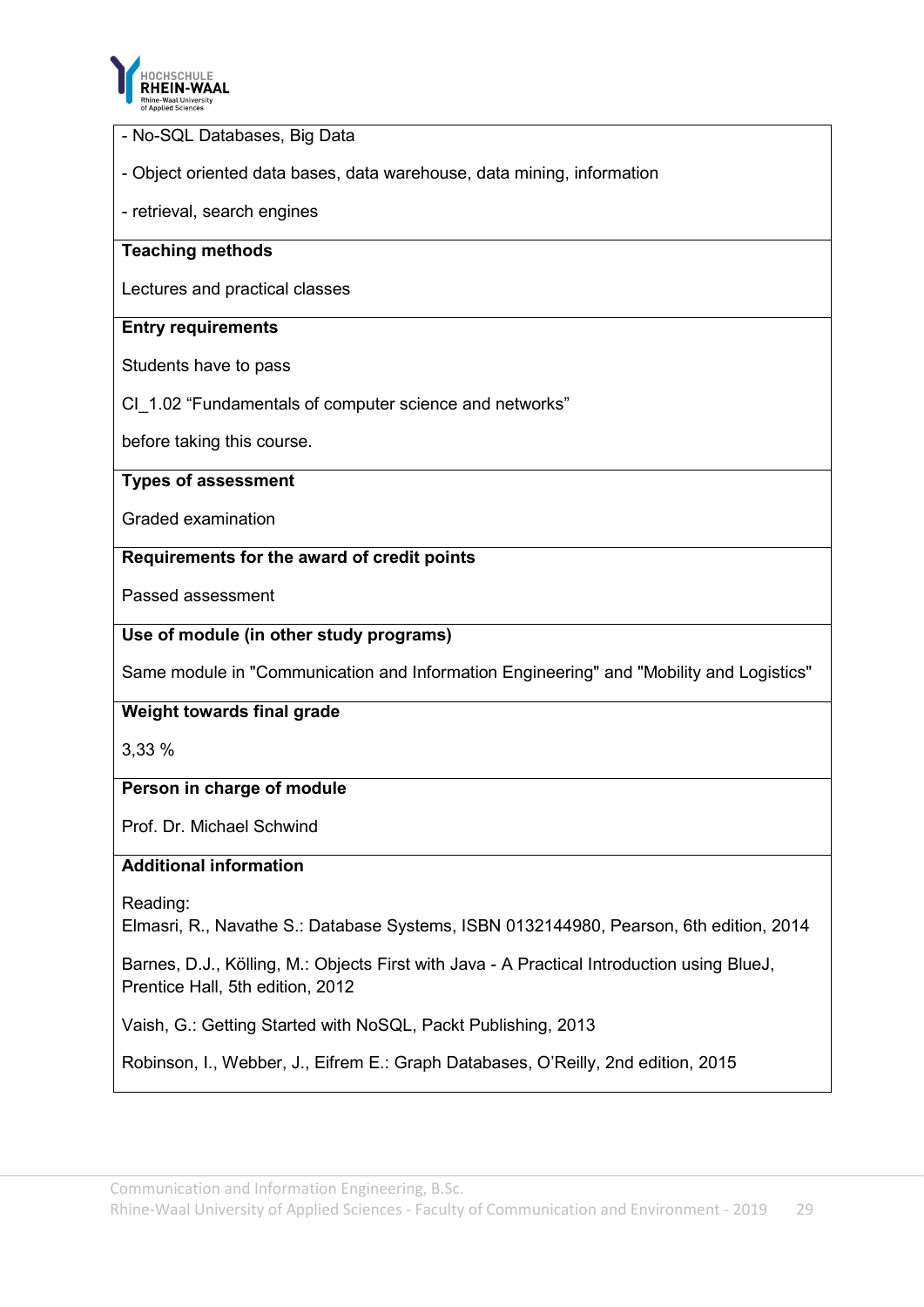

#### - No-SQL Databases, Big Data

- Object oriented data bases, data warehouse, data mining, information

- retrieval, search engines

#### **Teaching methods**

Lectures and practical classes

#### **Entry requirements**

Students have to pass

CI\_1.02 "Fundamentals of computer science and networks"

before taking this course.

#### **Types of assessment**

Graded examination

#### **Requirements for the award of credit points**

Passed assessment

# **Use of module (in other study programs)**

Same module in "Communication and Information Engineering" and "Mobility and Logistics"

#### **Weight towards final grade**

3,33 %

#### **Person in charge of module**

Prof. Dr. Michael Schwind

#### **Additional information**

Reading:

Elmasri, R., Navathe S.: Database Systems, ISBN 0132144980, Pearson, 6th edition, 2014

Barnes, D.J., Kölling, M.: Objects First with Java - A Practical Introduction using BlueJ, Prentice Hall, 5th edition, 2012

Vaish, G.: Getting Started with NoSQL, Packt Publishing, 2013

Robinson, I., Webber, J., Eifrem E.: Graph Databases, O'Reilly, 2nd edition, 2015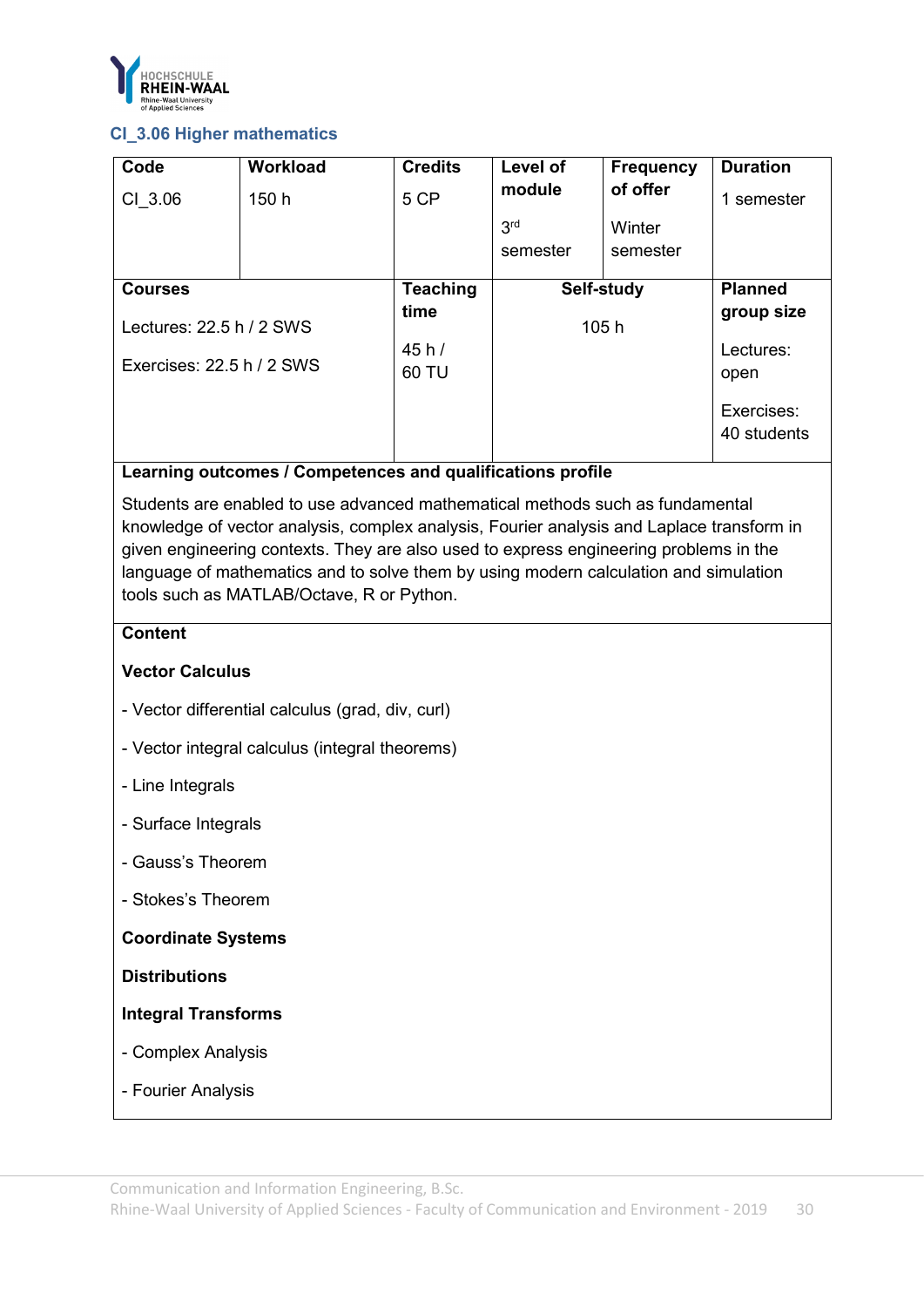

# <span id="page-34-0"></span>**CI\_3.06 Higher mathematics**

| Code                       | <b>Workload</b> | <b>Credits</b>  | Level of        | <b>Frequency</b> | <b>Duration</b>           |
|----------------------------|-----------------|-----------------|-----------------|------------------|---------------------------|
| CI 3.06                    | 150 h           | 5 CP            | module          | of offer         | 1 semester                |
|                            |                 |                 | 3 <sup>rd</sup> | Winter           |                           |
|                            |                 |                 | semester        | semester         |                           |
| <b>Courses</b>             |                 | <b>Teaching</b> |                 | Self-study       | <b>Planned</b>            |
| Lectures: $22.5 h / 2$ SWS |                 | time            | 105h            |                  | group size                |
| Exercises: 22.5 h / 2 SWS  |                 | 45h/            |                 |                  | Lectures:                 |
|                            |                 | 60 TU           |                 |                  | open                      |
|                            |                 |                 |                 |                  | Exercises:<br>40 students |

# **Learning outcomes / Competences and qualifications profile**

Students are enabled to use advanced mathematical methods such as fundamental knowledge of vector analysis, complex analysis, Fourier analysis and Laplace transform in given engineering contexts. They are also used to express engineering problems in the language of mathematics and to solve them by using modern calculation and simulation tools such as MATLAB/Octave, R or Python.

#### **Content**

#### **Vector Calculus**

- Vector differential calculus (grad, div, curl)
- Vector integral calculus (integral theorems)
- Line Integrals
- Surface Integrals
- Gauss's Theorem
- Stokes's Theorem

#### **Coordinate Systems**

**Distributions**

- **Integral Transforms**
- Complex Analysis
- Fourier Analysis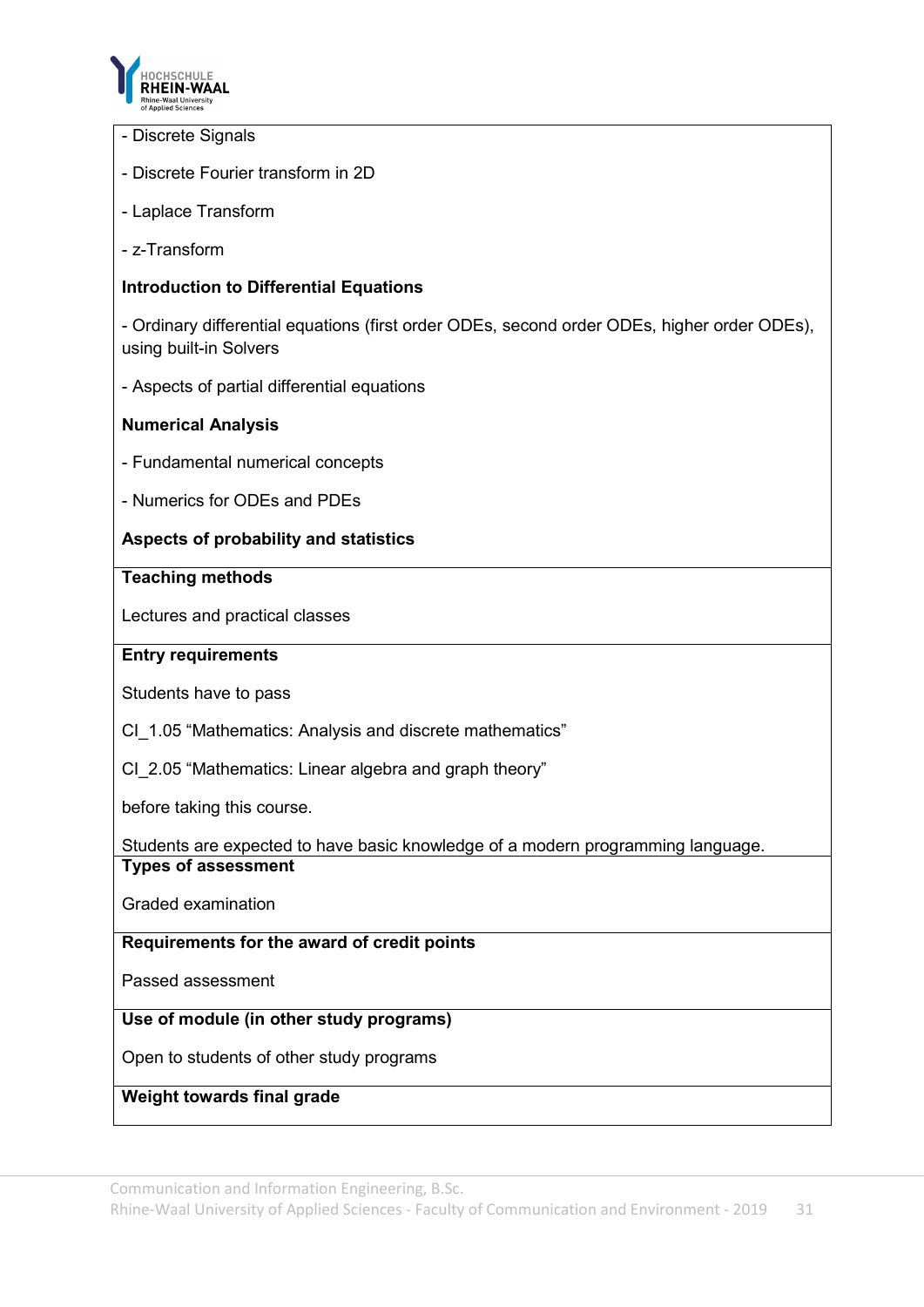

- Discrete Signals
- Discrete Fourier transform in 2D
- Laplace Transform
- z-Transform

# **Introduction to Differential Equations**

- Ordinary differential equations (first order ODEs, second order ODEs, higher order ODEs), using built-in Solvers

- Aspects of partial differential equations

#### **Numerical Analysis**

- Fundamental numerical concepts
- Numerics for ODEs and PDEs

# **Aspects of probability and statistics**

#### **Teaching methods**

Lectures and practical classes

#### **Entry requirements**

Students have to pass

CI\_1.05 "Mathematics: Analysis and discrete mathematics"

CI\_2.05 "Mathematics: Linear algebra and graph theory"

before taking this course.

Students are expected to have basic knowledge of a modern programming language. **Types of assessment**

Graded examination

#### **Requirements for the award of credit points**

Passed assessment

#### **Use of module (in other study programs)**

Open to students of other study programs

# **Weight towards final grade**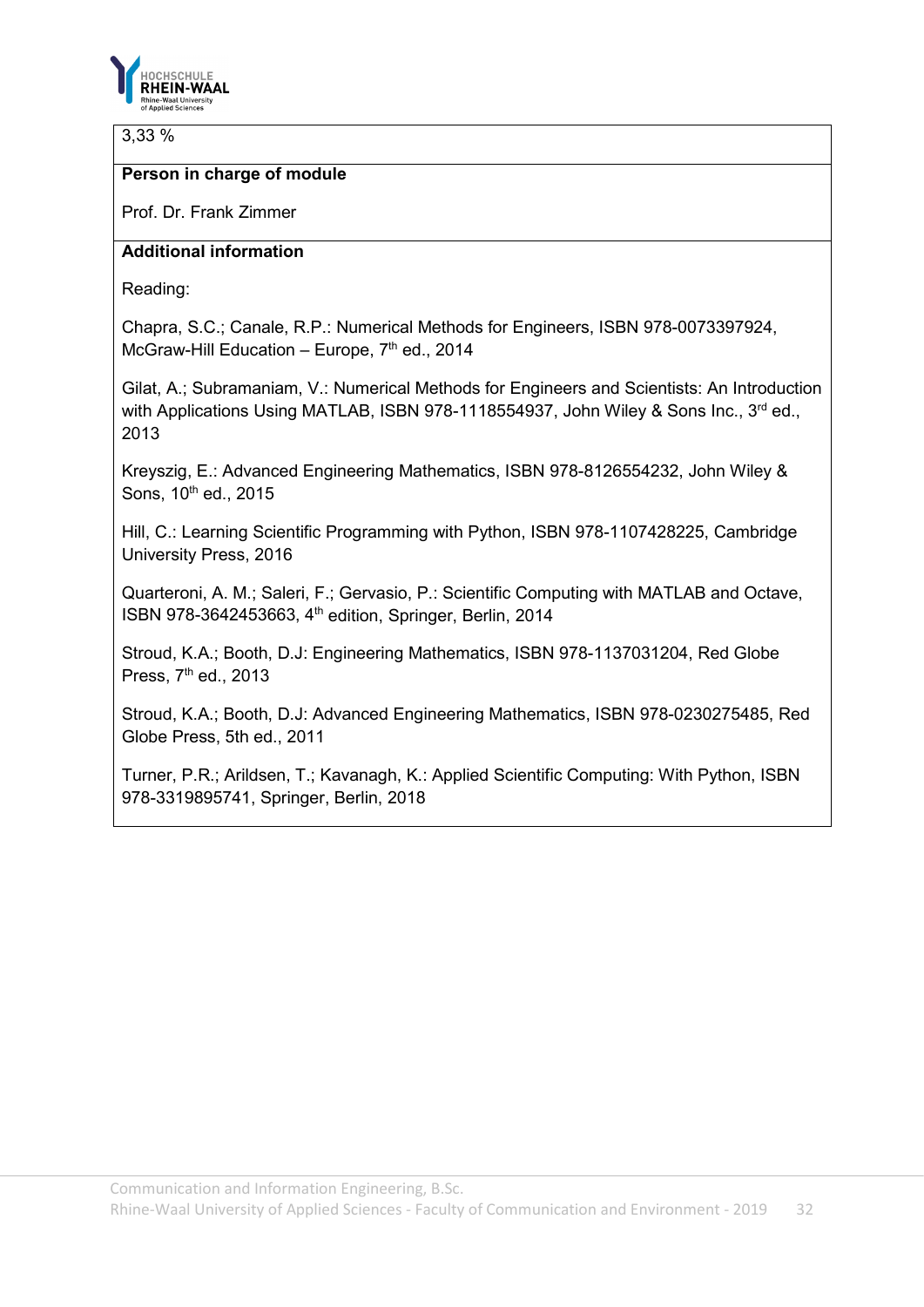

3,33 %

## **Person in charge of module**

Prof. Dr. Frank Zimmer

## **Additional information**

Reading:

Chapra, S.C.; Canale, R.P.: Numerical Methods for Engineers, ISBN 978-0073397924, McGraw-Hill Education – Europe,  $7<sup>th</sup>$  ed., 2014

Gilat, A.; Subramaniam, V.: Numerical Methods for Engineers and Scientists: An Introduction with Applications Using MATLAB, ISBN 978-1118554937, John Wiley & Sons Inc., 3<sup>rd</sup> ed., 2013

Kreyszig, E.: Advanced Engineering Mathematics, ISBN 978-8126554232, John Wiley & Sons, 10<sup>th</sup> ed., 2015

Hill, C.: Learning Scientific Programming with Python, ISBN 978-1107428225, Cambridge University Press, 2016

Quarteroni, A. M.; Saleri, F.; Gervasio, P.: Scientific Computing with MATLAB and Octave, ISBN 978-3642453663, 4th edition, Springer, Berlin, 2014

Stroud, K.A.; Booth, D.J: Engineering Mathematics, ISBN 978-1137031204, Red Globe Press,  $7<sup>th</sup>$  ed., 2013

Stroud, K.A.; Booth, D.J: Advanced Engineering Mathematics, ISBN 978-0230275485, Red Globe Press, 5th ed., 2011

Turner, P.R.; Arildsen, T.; Kavanagh, K.: Applied Scientific Computing: With Python, ISBN 978-3319895741, Springer, Berlin, 2018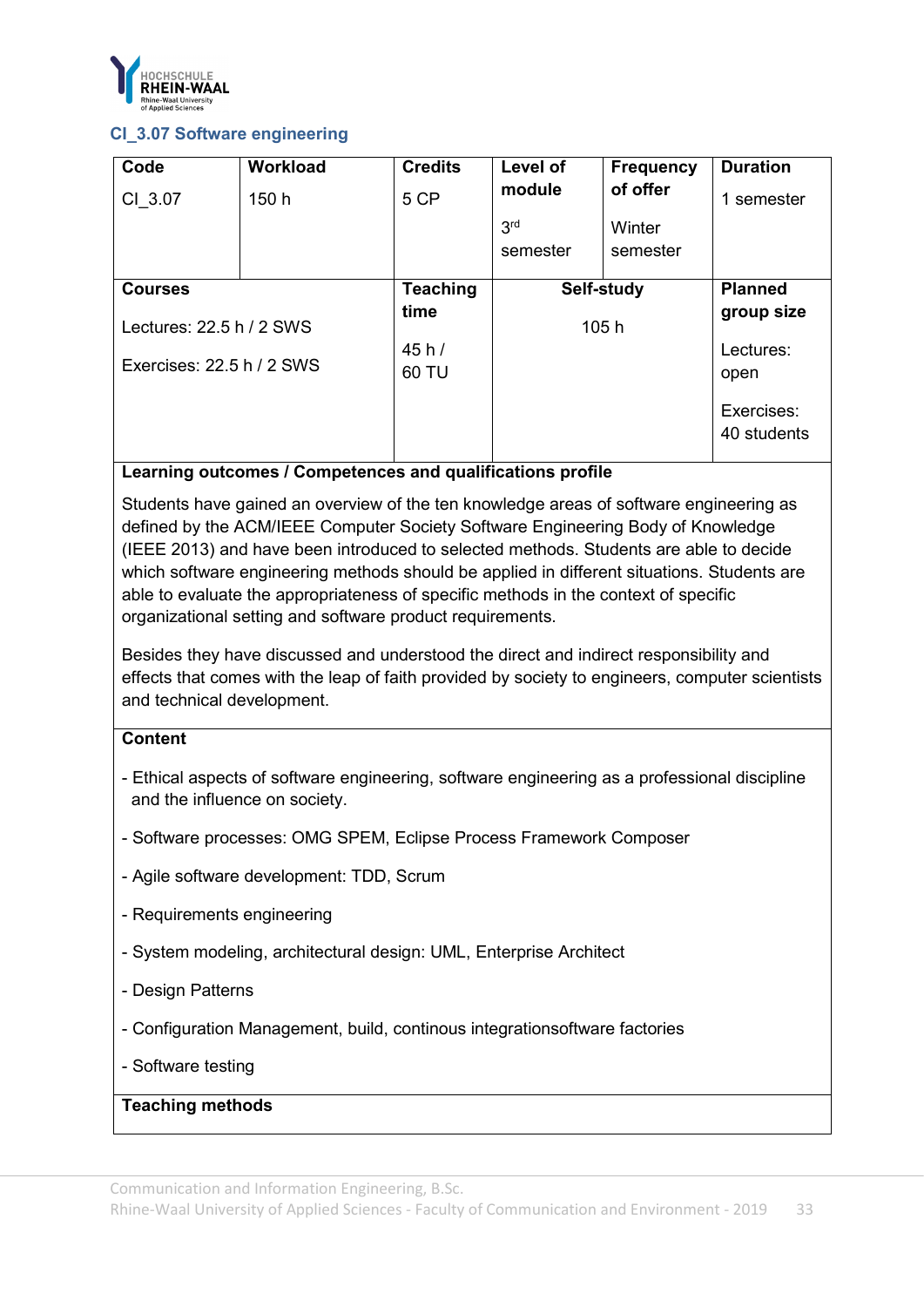

## **CI\_3.07 Software engineering**

| Code                       | <b>Workload</b> | <b>Credits</b>  | Level of        | <b>Frequency</b> | <b>Duration</b>           |
|----------------------------|-----------------|-----------------|-----------------|------------------|---------------------------|
| CI 3.07                    | 150 h           | 5 CP            | module          | of offer         | 1 semester                |
|                            |                 |                 | 3 <sup>rd</sup> | Winter           |                           |
|                            |                 |                 | semester        | semester         |                           |
| <b>Courses</b>             |                 | <b>Teaching</b> |                 | Self-study       | <b>Planned</b>            |
| Lectures: $22.5 h / 2$ SWS |                 | time            | 105h            |                  | group size                |
| Exercises: 22.5 h / 2 SWS  |                 | 45h/<br>60 TU   |                 |                  | Lectures:<br>open         |
|                            |                 |                 |                 |                  | Exercises:<br>40 students |

## **Learning outcomes / Competences and qualifications profile**

Students have gained an overview of the ten knowledge areas of software engineering as defined by the ACM/IEEE Computer Society Software Engineering Body of Knowledge (IEEE 2013) and have been introduced to selected methods. Students are able to decide which software engineering methods should be applied in different situations. Students are able to evaluate the appropriateness of specific methods in the context of specific organizational setting and software product requirements.

Besides they have discussed and understood the direct and indirect responsibility and effects that comes with the leap of faith provided by society to engineers, computer scientists and technical development.

## **Content**

- Ethical aspects of software engineering, software engineering as a professional discipline and the influence on society.
- Software processes: OMG SPEM, Eclipse Process Framework Composer
- Agile software development: TDD, Scrum
- Requirements engineering
- System modeling, architectural design: UML, Enterprise Architect
- Design Patterns
- Configuration Management, build, continous integrationsoftware factories
- Software testing

#### **Teaching methods**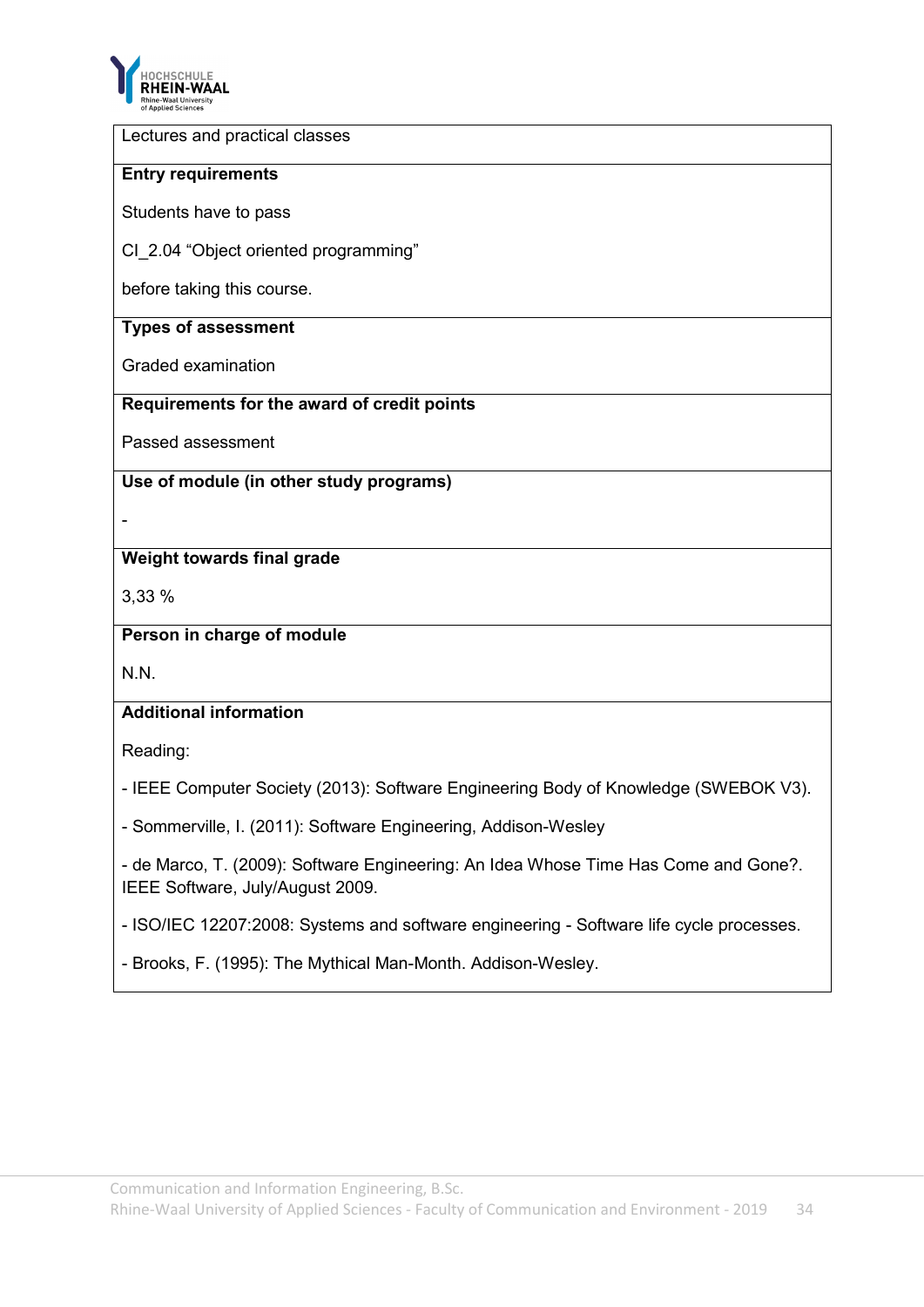

Lectures and practical classes

#### **Entry requirements**

Students have to pass

CI\_2.04 "Object oriented programming"

before taking this course.

## **Types of assessment**

Graded examination

## **Requirements for the award of credit points**

Passed assessment

#### **Use of module (in other study programs)**

-

## **Weight towards final grade**

3,33 %

## **Person in charge of module**

N.N.

## **Additional information**

Reading:

- IEEE Computer Society (2013): Software Engineering Body of Knowledge (SWEBOK V3).

- Sommerville, I. (2011): Software Engineering, Addison-Wesley

- de Marco, T. (2009): Software Engineering: An Idea Whose Time Has Come and Gone?. IEEE Software, July/August 2009.

- ISO/IEC 12207:2008: Systems and software engineering - Software life cycle processes.

- Brooks, F. (1995): The Mythical Man-Month. Addison-Wesley.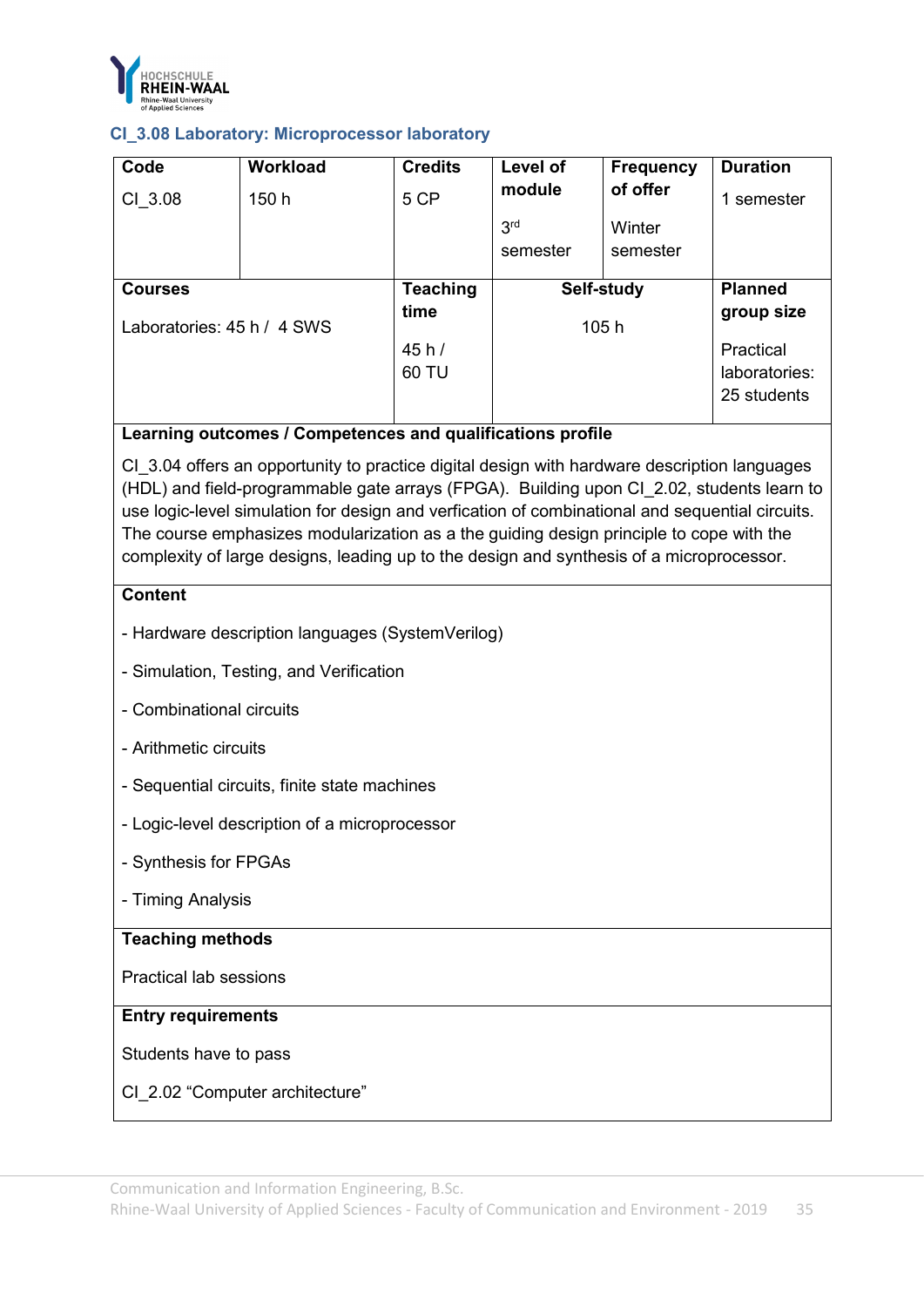

# **CI\_3.08 Laboratory: Microprocessor laboratory**

| Code                                         | Workload                                                                                                                                                                                                                                                                               | <b>Credits</b>  | <b>Level of</b> | <b>Frequency</b> | <b>Duration</b> |  |  |
|----------------------------------------------|----------------------------------------------------------------------------------------------------------------------------------------------------------------------------------------------------------------------------------------------------------------------------------------|-----------------|-----------------|------------------|-----------------|--|--|
| CI 3.08                                      | 150 h                                                                                                                                                                                                                                                                                  | 5 CP            | module          | of offer         | 1 semester      |  |  |
|                                              |                                                                                                                                                                                                                                                                                        |                 | 3 <sup>rd</sup> | Winter           |                 |  |  |
|                                              |                                                                                                                                                                                                                                                                                        |                 | semester        | semester         |                 |  |  |
| <b>Courses</b>                               |                                                                                                                                                                                                                                                                                        | <b>Teaching</b> |                 | Self-study       | <b>Planned</b>  |  |  |
| Laboratories: 45 h / 4 SWS                   |                                                                                                                                                                                                                                                                                        | time            |                 | 105 h            | group size      |  |  |
|                                              |                                                                                                                                                                                                                                                                                        | 45h/            |                 |                  | Practical       |  |  |
|                                              |                                                                                                                                                                                                                                                                                        | 60 TU           |                 |                  | laboratories:   |  |  |
|                                              |                                                                                                                                                                                                                                                                                        |                 |                 |                  | 25 students     |  |  |
|                                              | Learning outcomes / Competences and qualifications profile                                                                                                                                                                                                                             |                 |                 |                  |                 |  |  |
|                                              | use logic-level simulation for design and verfication of combinational and sequential circuits.<br>The course emphasizes modularization as a the guiding design principle to cope with the<br>complexity of large designs, leading up to the design and synthesis of a microprocessor. |                 |                 |                  |                 |  |  |
| <b>Content</b>                               |                                                                                                                                                                                                                                                                                        |                 |                 |                  |                 |  |  |
|                                              | - Hardware description languages (SystemVerilog)                                                                                                                                                                                                                                       |                 |                 |                  |                 |  |  |
|                                              | - Simulation, Testing, and Verification                                                                                                                                                                                                                                                |                 |                 |                  |                 |  |  |
| - Combinational circuits                     |                                                                                                                                                                                                                                                                                        |                 |                 |                  |                 |  |  |
|                                              | - Arithmetic circuits                                                                                                                                                                                                                                                                  |                 |                 |                  |                 |  |  |
| - Sequential circuits, finite state machines |                                                                                                                                                                                                                                                                                        |                 |                 |                  |                 |  |  |
|                                              | - Logic-level description of a microprocessor                                                                                                                                                                                                                                          |                 |                 |                  |                 |  |  |
|                                              | - Synthesis for FPGAs                                                                                                                                                                                                                                                                  |                 |                 |                  |                 |  |  |

- Timing Analysis

# **Teaching methods**

Practical lab sessions

# **Entry requirements**

Students have to pass

CI\_2.02 "Computer architecture"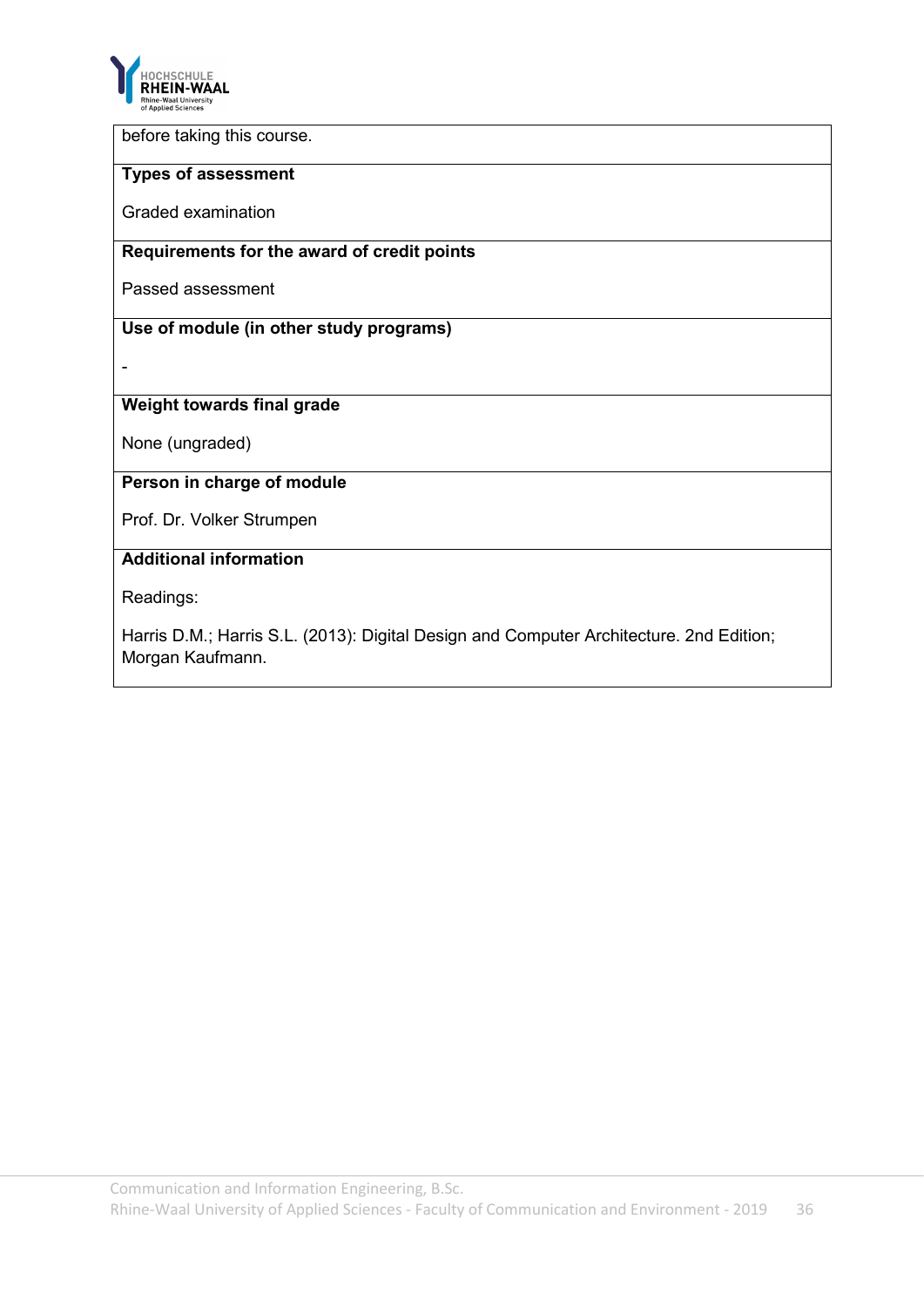

before taking this course.

#### **Types of assessment**

Graded examination

# **Requirements for the award of credit points**

Passed assessment

## **Use of module (in other study programs)**

-

# **Weight towards final grade**

None (ungraded)

## **Person in charge of module**

Prof. Dr. Volker Strumpen

# **Additional information**

Readings:

Harris D.M.; Harris S.L. (2013): Digital Design and Computer Architecture. 2nd Edition; Morgan Kaufmann.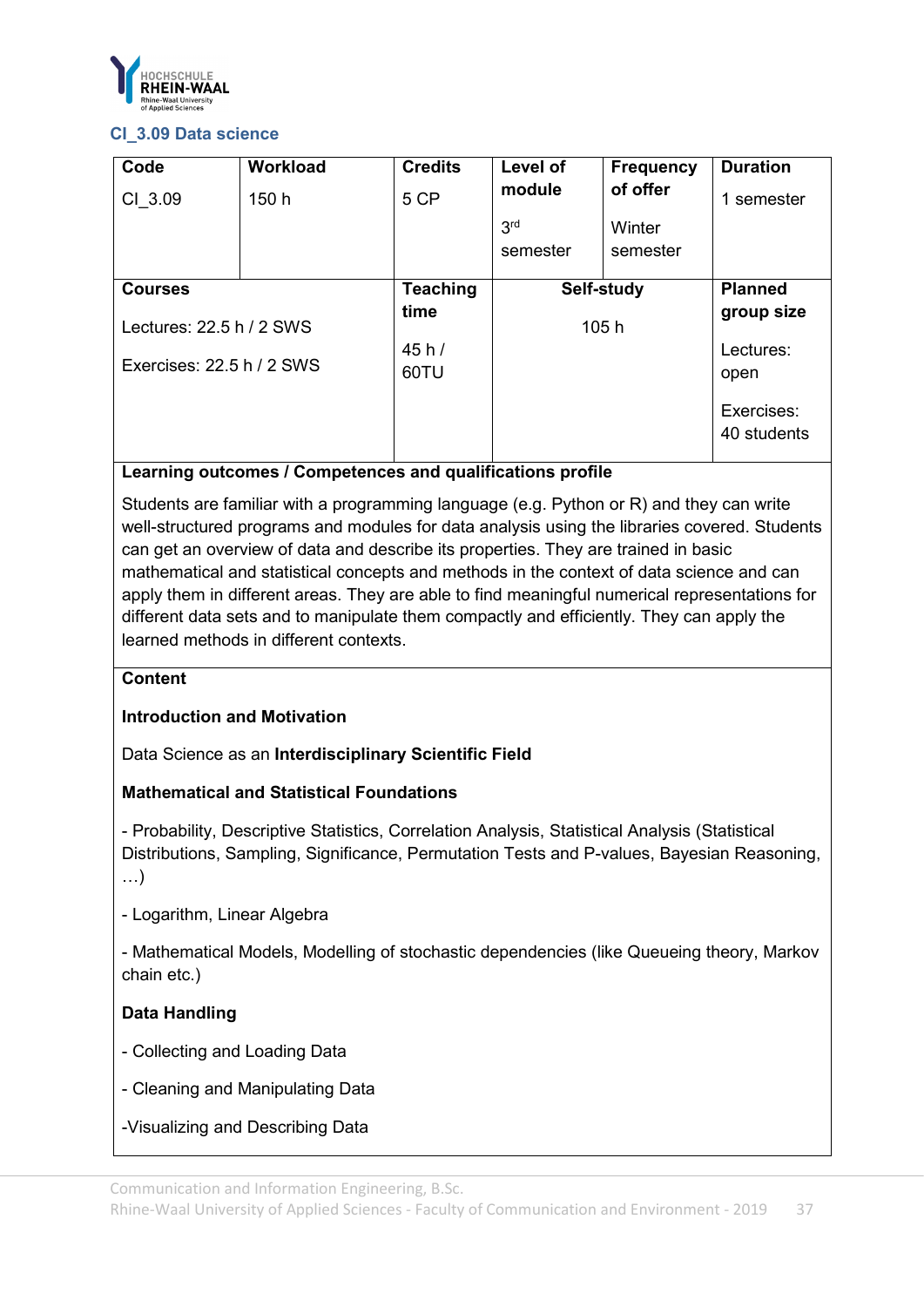

## **CI\_3.09 Data science**

| Code                       | <b>Workload</b> | <b>Credits</b>  | Level of        | <b>Frequency</b> | <b>Duration</b> |
|----------------------------|-----------------|-----------------|-----------------|------------------|-----------------|
| CI 3.09                    | 150 h           | 5 CP            | module          | of offer         | 1 semester      |
|                            |                 |                 | 3 <sup>rd</sup> | Winter           |                 |
|                            |                 |                 | semester        | semester         |                 |
| <b>Courses</b>             |                 | <b>Teaching</b> |                 | Self-study       | <b>Planned</b>  |
| Lectures: $22.5 h / 2$ SWS |                 | time            | 105h            |                  | group size      |
|                            |                 | 45h/            |                 |                  | Lectures:       |
| Exercises: 22.5 h / 2 SWS  |                 | 60TU            |                 |                  | open            |
|                            |                 |                 |                 |                  | Exercises:      |
|                            |                 |                 |                 |                  | 40 students     |

## **Learning outcomes / Competences and qualifications profile**

Students are familiar with a programming language (e.g. Python or R) and they can write well-structured programs and modules for data analysis using the libraries covered. Students can get an overview of data and describe its properties. They are trained in basic mathematical and statistical concepts and methods in the context of data science and can apply them in different areas. They are able to find meaningful numerical representations for different data sets and to manipulate them compactly and efficiently. They can apply the learned methods in different contexts.

## **Content**

#### **Introduction and Motivation**

Data Science as an **Interdisciplinary Scientific Field**

#### **Mathematical and Statistical Foundations**

- Probability, Descriptive Statistics, Correlation Analysis, Statistical Analysis (Statistical Distributions, Sampling, Significance, Permutation Tests and P-values, Bayesian Reasoning, …)

- Logarithm, Linear Algebra

- Mathematical Models, Modelling of stochastic dependencies (like Queueing theory, Markov chain etc.)

#### **Data Handling**

- Collecting and Loading Data
- Cleaning and Manipulating Data
- -Visualizing and Describing Data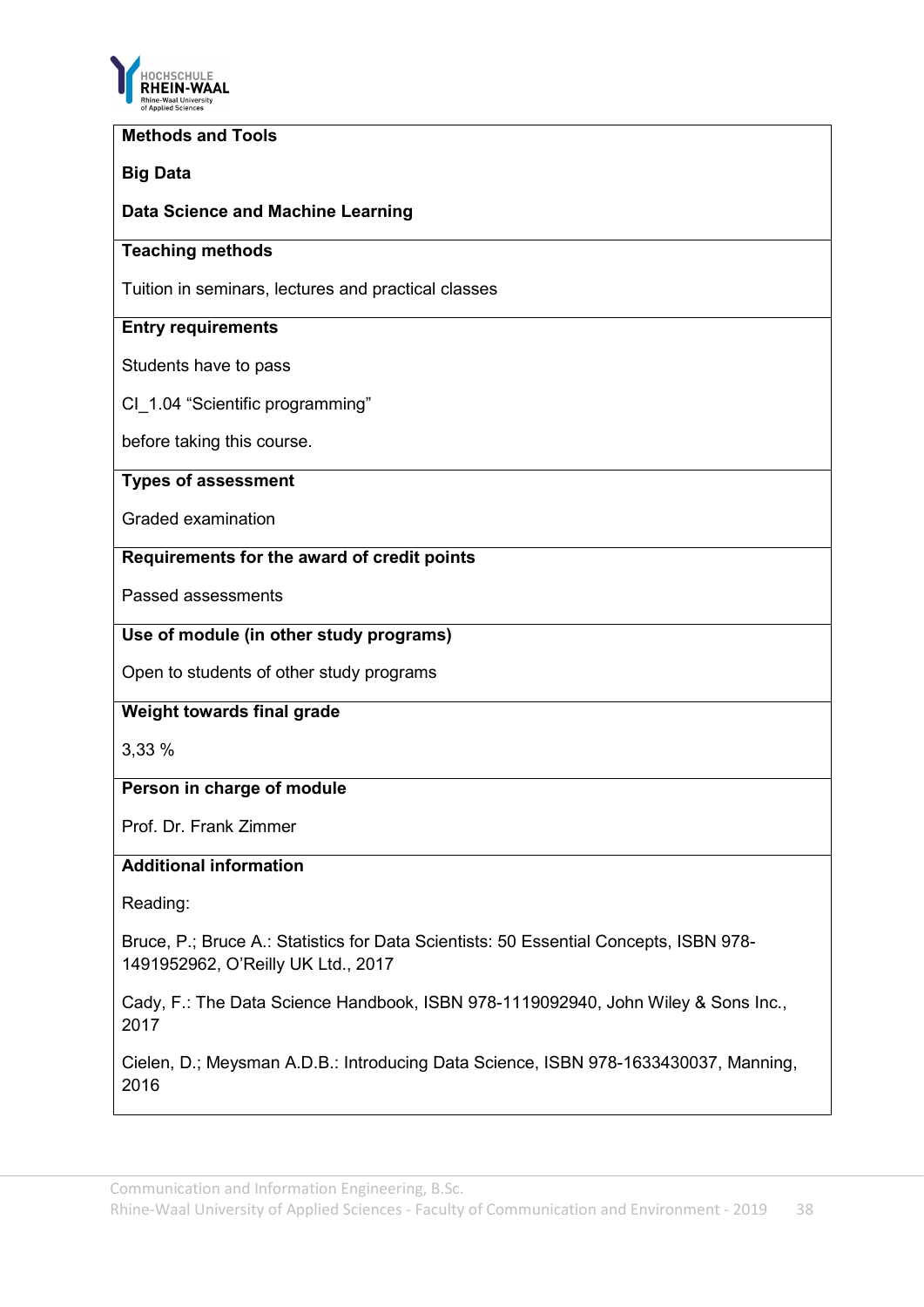

# **Methods and Tools Big Data Data Science and Machine Learning Teaching methods** Tuition in seminars, lectures and practical classes **Entry requirements** Students have to pass CI\_1.04 "Scientific programming" before taking this course. **Types of assessment** Graded examination **Requirements for the award of credit points** Passed assessments **Use of module (in other study programs)** Open to students of other study programs

## **Weight towards final grade**

3,33 %

## **Person in charge of module**

Prof. Dr. Frank Zimmer

## **Additional information**

Reading:

Bruce, P.; Bruce A.: Statistics for Data Scientists: 50 Essential Concepts, ISBN 978- 1491952962, O'Reilly UK Ltd., 2017

Cady, F.: The Data Science Handbook, ISBN 978-1119092940, John Wiley & Sons Inc., 2017

Cielen, D.; Meysman A.D.B.: Introducing Data Science, ISBN 978-1633430037, Manning, 2016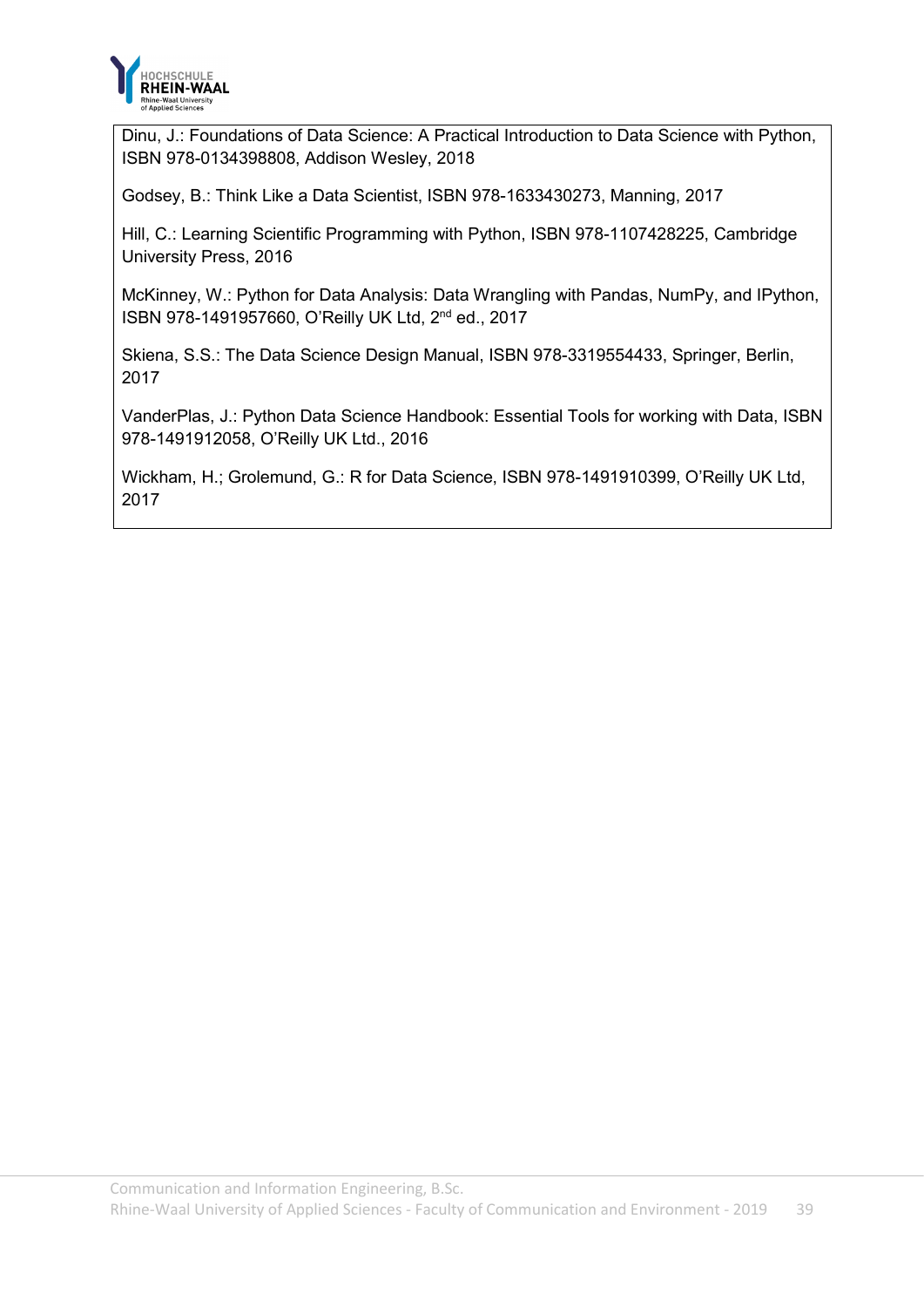

Dinu, J.: Foundations of Data Science: A Practical Introduction to Data Science with Python, ISBN 978-0134398808, Addison Wesley, 2018

Godsey, B.: Think Like a Data Scientist, ISBN 978-1633430273, Manning, 2017

Hill, C.: Learning Scientific Programming with Python, ISBN 978-1107428225, Cambridge University Press, 2016

McKinney, W.: Python for Data Analysis: Data Wrangling with Pandas, NumPy, and IPython, ISBN 978-1491957660, O'Reilly UK Ltd, 2nd ed., 2017

Skiena, S.S.: The Data Science Design Manual, ISBN 978-3319554433, Springer, Berlin, 2017

VanderPlas, J.: Python Data Science Handbook: Essential Tools for working with Data, ISBN 978-1491912058, O'Reilly UK Ltd., 2016

Wickham, H.; Grolemund, G.: R for Data Science, ISBN 978-1491910399, O'Reilly UK Ltd, 2017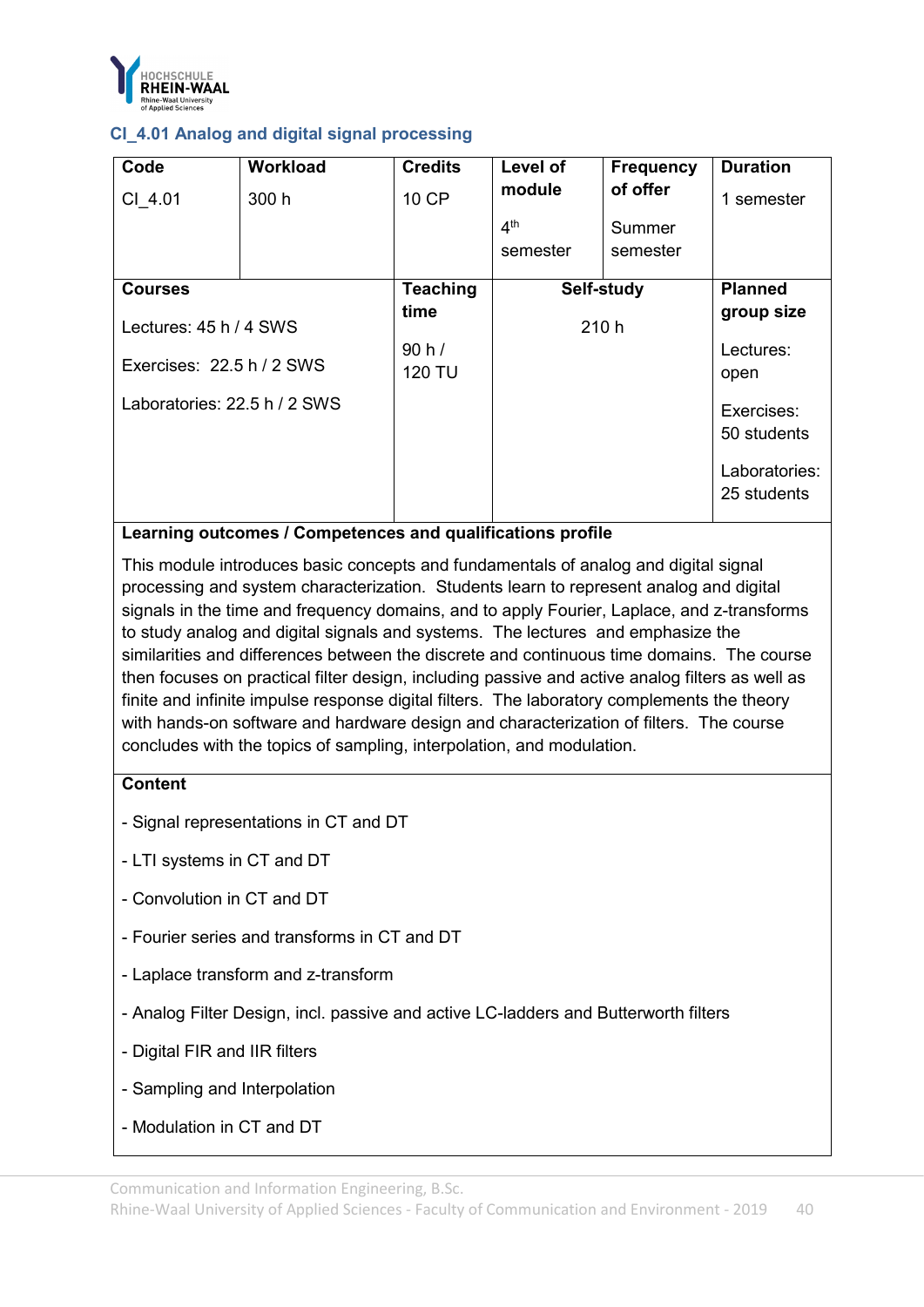

## **CI\_4.01 Analog and digital signal processing**

| Code                         | Workload | <b>Credits</b>  | Level of        | <b>Frequency</b> | <b>Duration</b> |
|------------------------------|----------|-----------------|-----------------|------------------|-----------------|
| CI 4.01                      | 300h     | 10 CP           | module          | of offer         | 1 semester      |
|                              |          |                 | 4 <sup>th</sup> | Summer           |                 |
|                              |          |                 | semester        | semester         |                 |
| <b>Courses</b>               |          | <b>Teaching</b> |                 | Self-study       | <b>Planned</b>  |
| Lectures: $45 h/4$ SWS       |          | time            | 210h            |                  | group size      |
| Exercises: $22.5 h/2$ SWS    |          | 90 h/           |                 |                  | Lectures:       |
|                              |          | <b>120 TU</b>   |                 |                  | open            |
| Laboratories: 22.5 h / 2 SWS |          |                 |                 |                  | Exercises:      |
|                              |          |                 |                 |                  | 50 students     |
|                              |          |                 |                 |                  | Laboratories:   |
|                              |          |                 |                 |                  | 25 students     |

#### **Learning outcomes / Competences and qualifications profile**

This module introduces basic concepts and fundamentals of analog and digital signal processing and system characterization. Students learn to represent analog and digital signals in the time and frequency domains, and to apply Fourier, Laplace, and z-transforms to study analog and digital signals and systems. The lectures and emphasize the similarities and differences between the discrete and continuous time domains. The course then focuses on practical filter design, including passive and active analog filters as well as finite and infinite impulse response digital filters. The laboratory complements the theory with hands-on software and hardware design and characterization of filters. The course concludes with the topics of sampling, interpolation, and modulation.

#### **Content**

- Signal representations in CT and DT
- LTI systems in CT and DT
- Convolution in CT and DT
- Fourier series and transforms in CT and DT
- Laplace transform and z-transform
- Analog Filter Design, incl. passive and active LC-ladders and Butterworth filters
- Digital FIR and IIR filters
- Sampling and Interpolation
- Modulation in CT and DT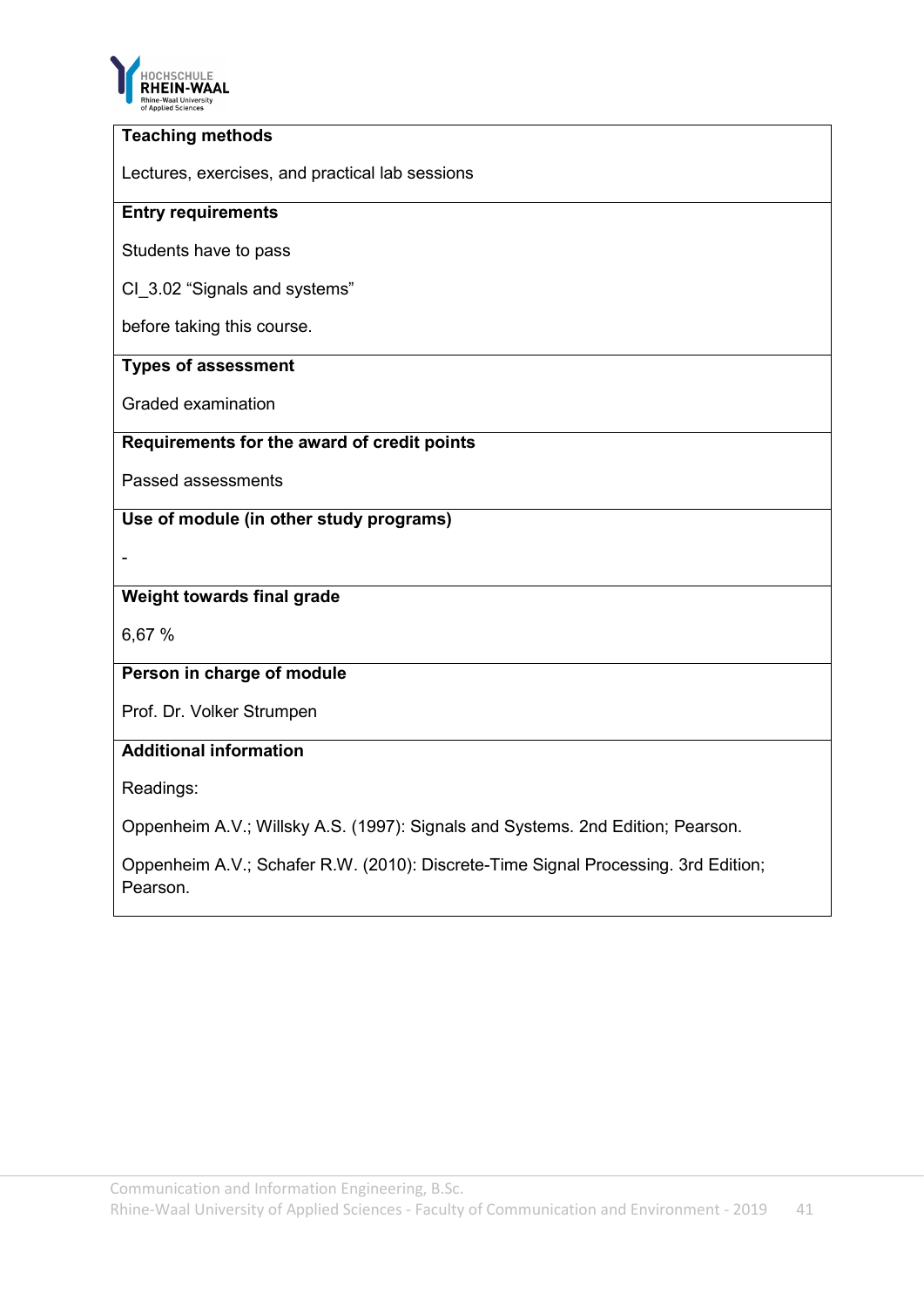

## **Teaching methods**

Lectures, exercises, and practical lab sessions

#### **Entry requirements**

Students have to pass

CI\_3.02 "Signals and systems"

before taking this course.

## **Types of assessment**

Graded examination

#### **Requirements for the award of credit points**

Passed assessments

**Use of module (in other study programs)**

-

## **Weight towards final grade**

6,67 %

#### **Person in charge of module**

Prof. Dr. Volker Strumpen

## **Additional information**

Readings:

Oppenheim A.V.; Willsky A.S. (1997): Signals and Systems. 2nd Edition; Pearson.

Oppenheim A.V.; Schafer R.W. (2010): Discrete-Time Signal Processing. 3rd Edition; Pearson.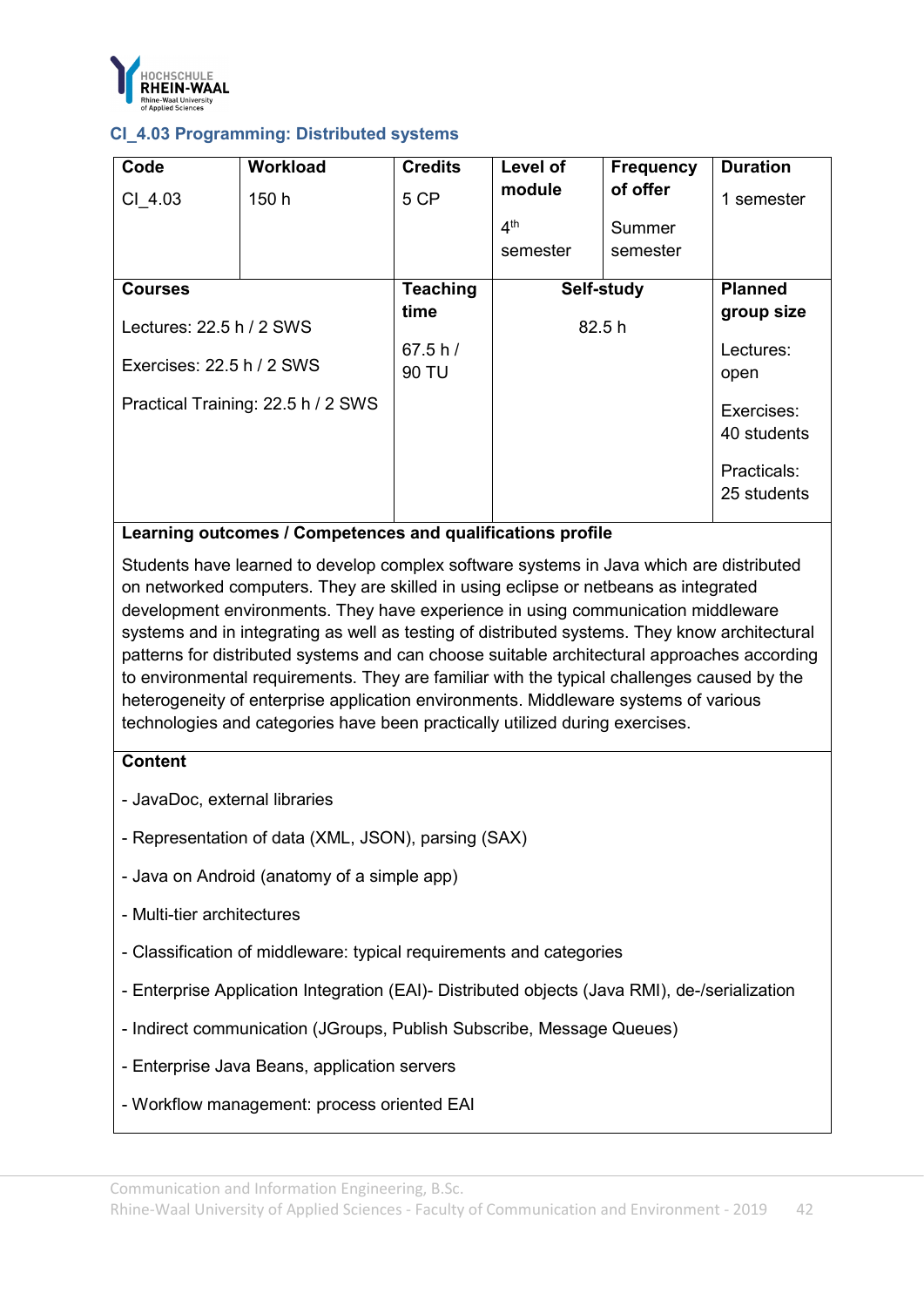

## **CI\_4.03 Programming: Distributed systems**

| Code                               | Workload | <b>Credits</b>   | Level of                    | <b>Frequency</b>   | <b>Duration</b>            |
|------------------------------------|----------|------------------|-----------------------------|--------------------|----------------------------|
| CI 4.03                            | 150 h    | 5 CP             | module                      | of offer           | 1 semester                 |
|                                    |          |                  | 4 <sup>th</sup><br>semester | Summer<br>semester |                            |
| <b>Courses</b>                     |          | <b>Teaching</b>  |                             | Self-study         | <b>Planned</b>             |
| Lectures: 22.5 h / 2 SWS           |          | time             | 82.5h                       |                    | group size                 |
| Exercises: 22.5 h / 2 SWS          |          | 67.5 h/<br>90 TU |                             |                    | Lectures:<br>open          |
| Practical Training: 22.5 h / 2 SWS |          |                  |                             |                    | Exercises:<br>40 students  |
|                                    |          |                  |                             |                    | Practicals:<br>25 students |

#### **Learning outcomes / Competences and qualifications profile**

Students have learned to develop complex software systems in Java which are distributed on networked computers. They are skilled in using eclipse or netbeans as integrated development environments. They have experience in using communication middleware systems and in integrating as well as testing of distributed systems. They know architectural patterns for distributed systems and can choose suitable architectural approaches according to environmental requirements. They are familiar with the typical challenges caused by the heterogeneity of enterprise application environments. Middleware systems of various technologies and categories have been practically utilized during exercises.

## **Content**

- JavaDoc, external libraries
- Representation of data (XML, JSON), parsing (SAX)
- Java on Android (anatomy of a simple app)
- Multi-tier architectures
- Classification of middleware: typical requirements and categories
- Enterprise Application Integration (EAI)- Distributed objects (Java RMI), de-/serialization
- Indirect communication (JGroups, Publish Subscribe, Message Queues)
- Enterprise Java Beans, application servers
- Workflow management: process oriented EAI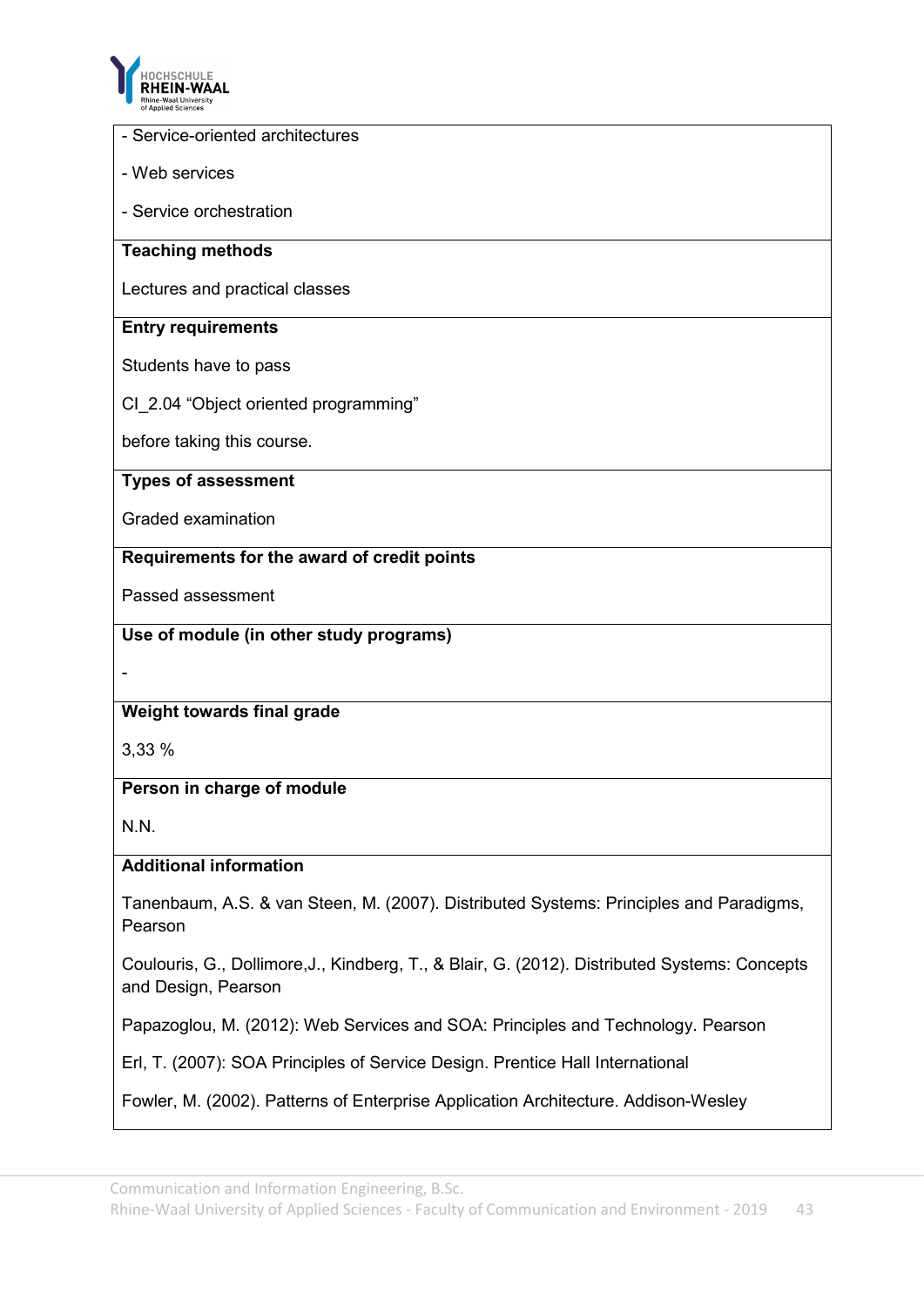

# - Service-oriented architectures - Web services - Service orchestration **Teaching methods** Lectures and practical classes **Entry requirements** Students have to pass CI 2.04 "Object oriented programming" before taking this course. **Types of assessment** Graded examination **Requirements for the award of credit points** Passed assessment **Use of module (in other study programs)**

-

## **Weight towards final grade**

3,33 %

#### **Person in charge of module**

N.N.

#### **Additional information**

Tanenbaum, A.S. & van Steen, M. (2007). Distributed Systems: Principles and Paradigms, Pearson

Coulouris, G., Dollimore,J., Kindberg, T., & Blair, G. (2012). Distributed Systems: Concepts and Design, Pearson

Papazoglou, M. (2012): Web Services and SOA: Principles and Technology. Pearson

Erl, T. (2007): SOA Principles of Service Design. Prentice Hall International

Fowler, M. (2002). Patterns of Enterprise Application Architecture. Addison-Wesley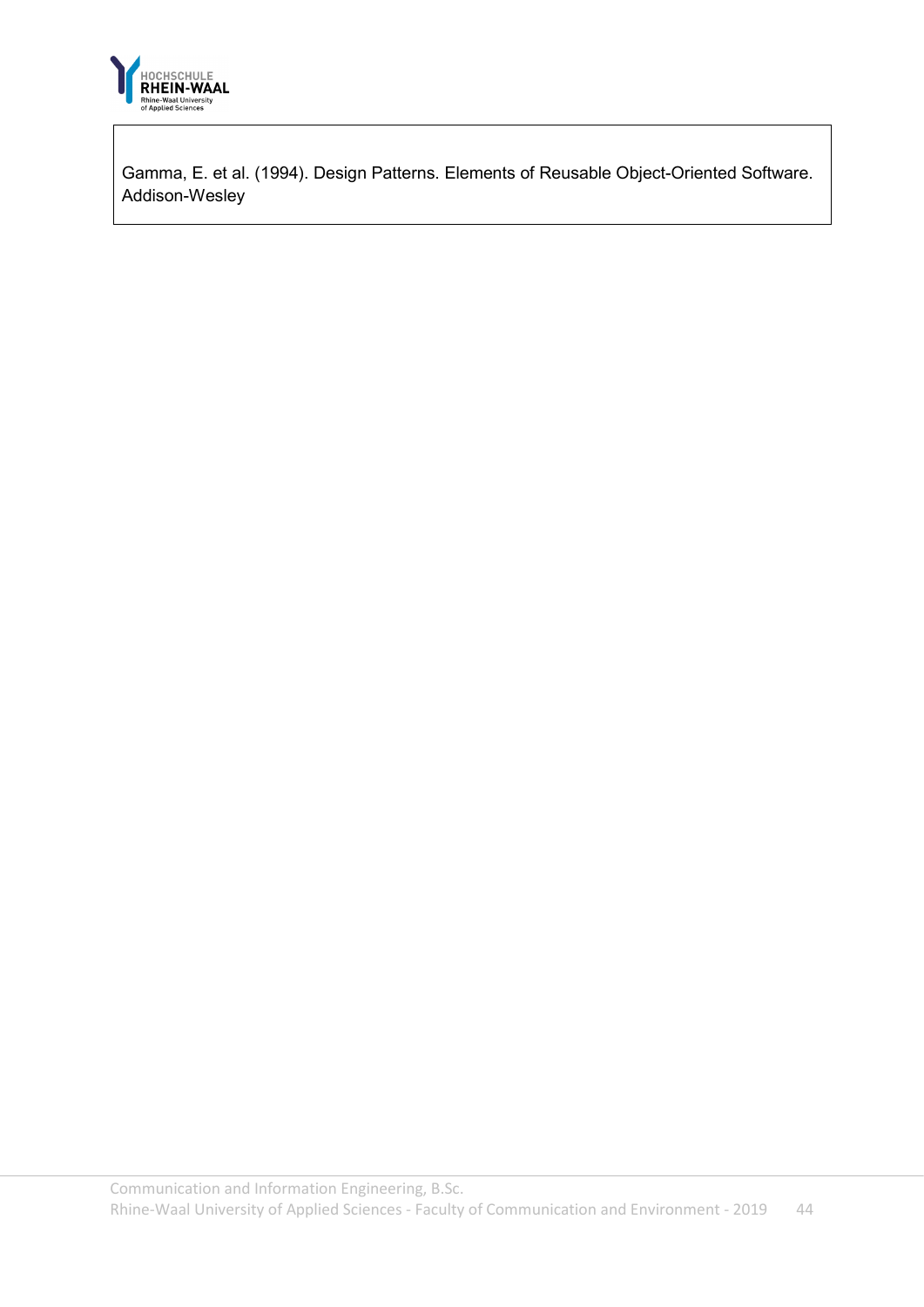

Gamma, E. et al. (1994). Design Patterns. Elements of Reusable Object-Oriented Software. Addison-Wesley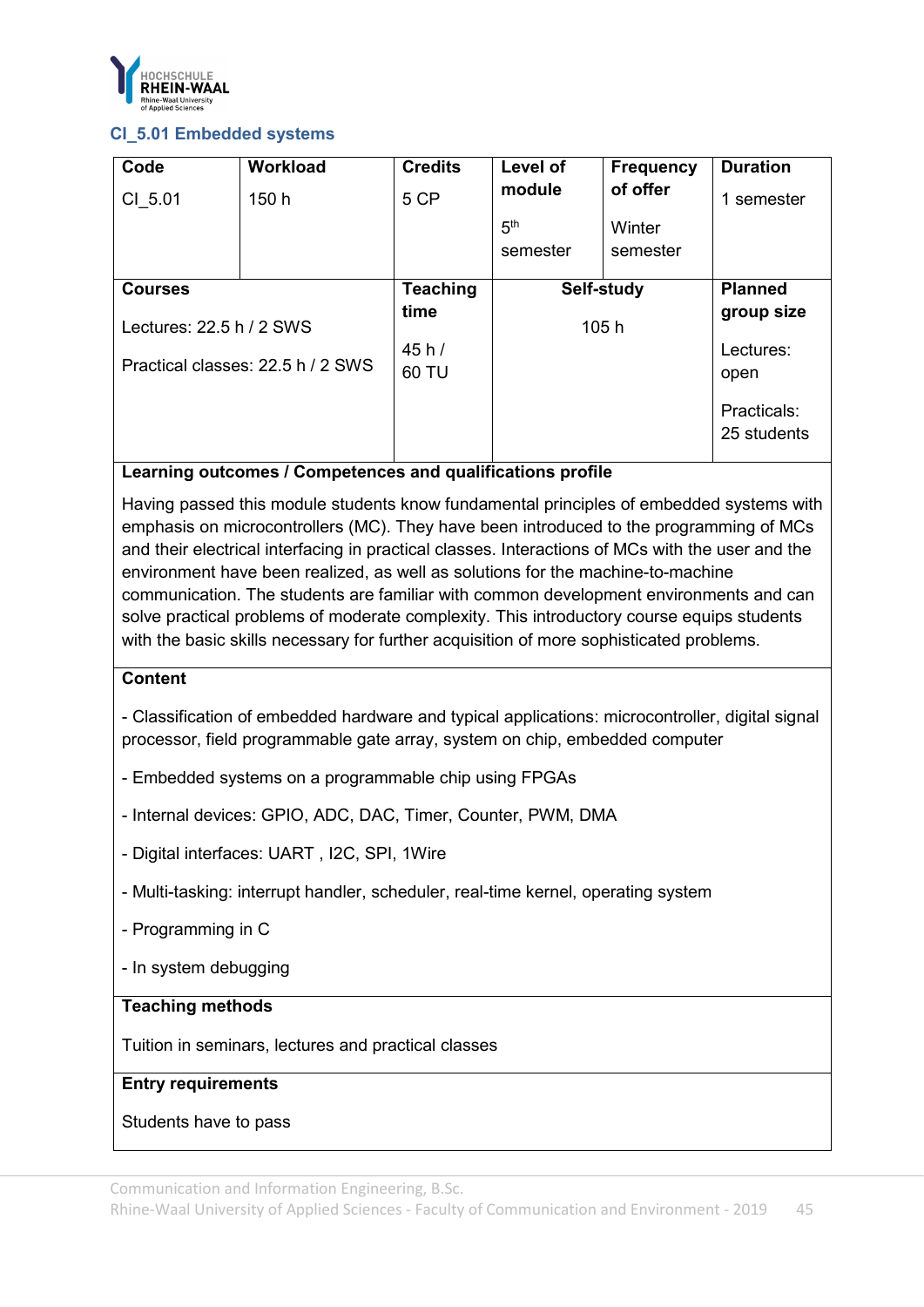

## **CI\_5.01 Embedded systems**

| Code                              | <b>Workload</b>            | <b>Credits</b>  | Level of        | <b>Frequency</b> | <b>Duration</b>            |
|-----------------------------------|----------------------------|-----------------|-----------------|------------------|----------------------------|
| CI 5.01                           | 150 h                      | 5 CP            | module          | of offer         | 1 semester                 |
|                                   |                            |                 | 5 <sup>th</sup> | Winter           |                            |
|                                   |                            |                 | semester        | semester         |                            |
| <b>Courses</b>                    |                            | <b>Teaching</b> |                 | Self-study       | <b>Planned</b>             |
|                                   | Lectures: $22.5 h / 2$ SWS |                 | 105h            |                  | group size                 |
|                                   |                            | 45h/            |                 |                  | Lectures:                  |
| Practical classes: 22.5 h / 2 SWS |                            | 60 TU           |                 |                  | open                       |
|                                   |                            |                 |                 |                  | Practicals:<br>25 students |

## **Learning outcomes / Competences and qualifications profile**

Having passed this module students know fundamental principles of embedded systems with emphasis on microcontrollers (MC). They have been introduced to the programming of MCs and their electrical interfacing in practical classes. Interactions of MCs with the user and the environment have been realized, as well as solutions for the machine-to-machine communication. The students are familiar with common development environments and can solve practical problems of moderate complexity. This introductory course equips students with the basic skills necessary for further acquisition of more sophisticated problems.

## **Content**

- Classification of embedded hardware and typical applications: microcontroller, digital signal processor, field programmable gate array, system on chip, embedded computer

- Embedded systems on a programmable chip using FPGAs
- Internal devices: GPIO, ADC, DAC, Timer, Counter, PWM, DMA
- Digital interfaces: UART , I2C, SPI, 1Wire
- Multi-tasking: interrupt handler, scheduler, real-time kernel, operating system
- Programming in C
- In system debugging

#### **Teaching methods**

Tuition in seminars, lectures and practical classes

#### **Entry requirements**

Students have to pass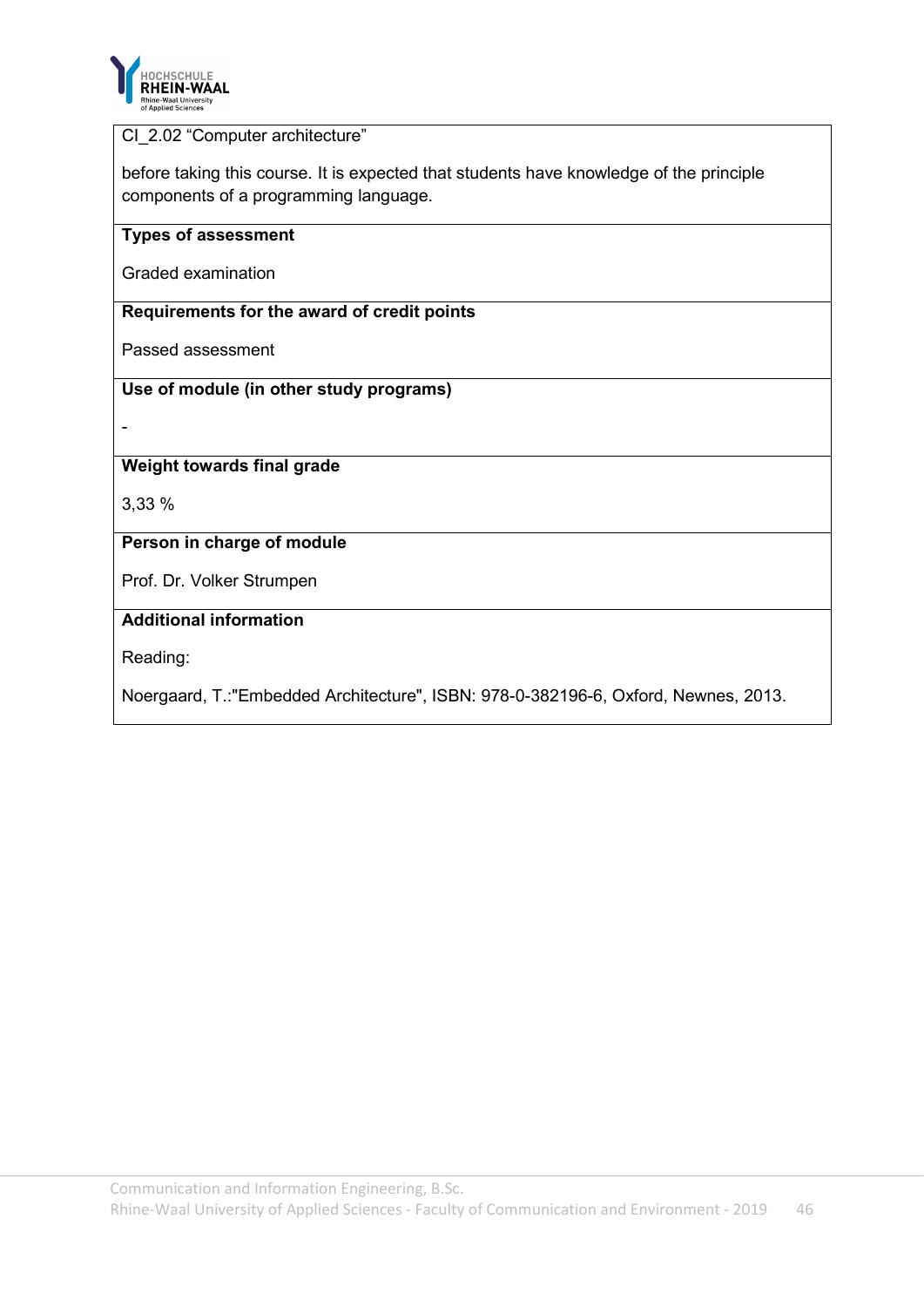

## CI 2.02 "Computer architecture"

before taking this course. It is expected that students have knowledge of the principle components of a programming language.

## **Types of assessment**

Graded examination

#### **Requirements for the award of credit points**

Passed assessment

#### **Use of module (in other study programs)**

-

## **Weight towards final grade**

3,33 %

## **Person in charge of module**

Prof. Dr. Volker Strumpen

## **Additional information**

Reading:

Noergaard, T.:"Embedded Architecture", ISBN: 978-0-382196-6, Oxford, Newnes, 2013.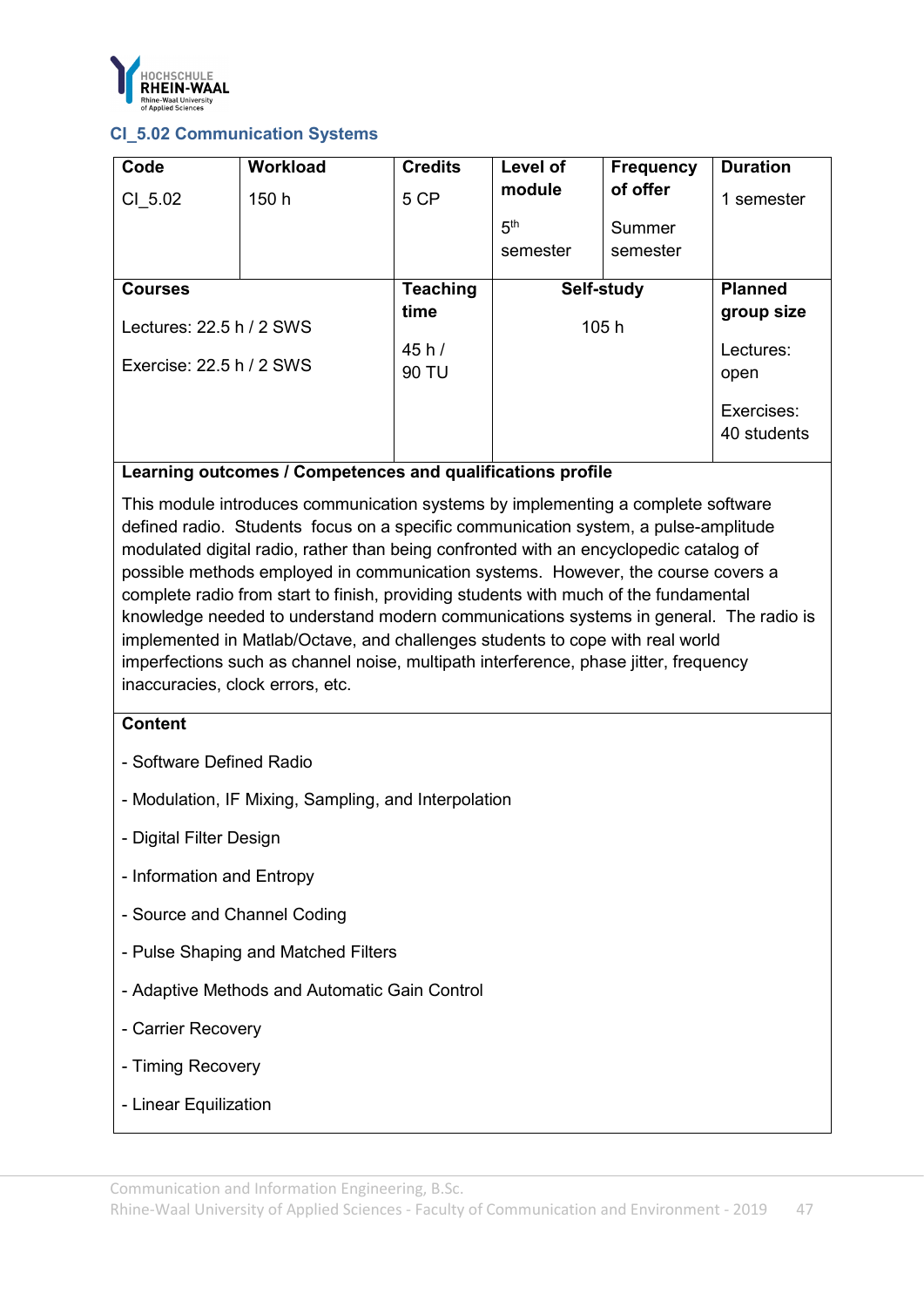

## **CI\_5.02 Communication Systems**

| Code                     | <b>Workload</b>            | <b>Credits</b>  | Level of        | <b>Frequency</b> | <b>Duration</b>           |
|--------------------------|----------------------------|-----------------|-----------------|------------------|---------------------------|
| CI 5.02                  | 150 h                      | 5 CP            | module          | of offer         | 1 semester                |
|                          |                            |                 | 5 <sup>th</sup> | Summer           |                           |
|                          |                            |                 | semester        | semester         |                           |
| <b>Courses</b>           |                            | <b>Teaching</b> | Self-study      |                  | <b>Planned</b>            |
|                          | Lectures: $22.5 h / 2$ SWS |                 | 105h            |                  | group size                |
|                          |                            | 45h/            |                 |                  | Lectures:                 |
| Exercise: 22.5 h / 2 SWS |                            | 90 TU           |                 |                  | open                      |
|                          |                            |                 |                 |                  | Exercises:<br>40 students |

## **Learning outcomes / Competences and qualifications profile**

This module introduces communication systems by implementing a complete software defined radio. Students focus on a specific communication system, a pulse-amplitude modulated digital radio, rather than being confronted with an encyclopedic catalog of possible methods employed in communication systems. However, the course covers a complete radio from start to finish, providing students with much of the fundamental knowledge needed to understand modern communications systems in general. The radio is implemented in Matlab/Octave, and challenges students to cope with real world imperfections such as channel noise, multipath interference, phase jitter, frequency inaccuracies, clock errors, etc.

#### **Content**

- Software Defined Radio
- Modulation, IF Mixing, Sampling, and Interpolation
- Digital Filter Design
- Information and Entropy
- Source and Channel Coding
- Pulse Shaping and Matched Filters
- Adaptive Methods and Automatic Gain Control
- Carrier Recovery
- Timing Recovery
- Linear Equilization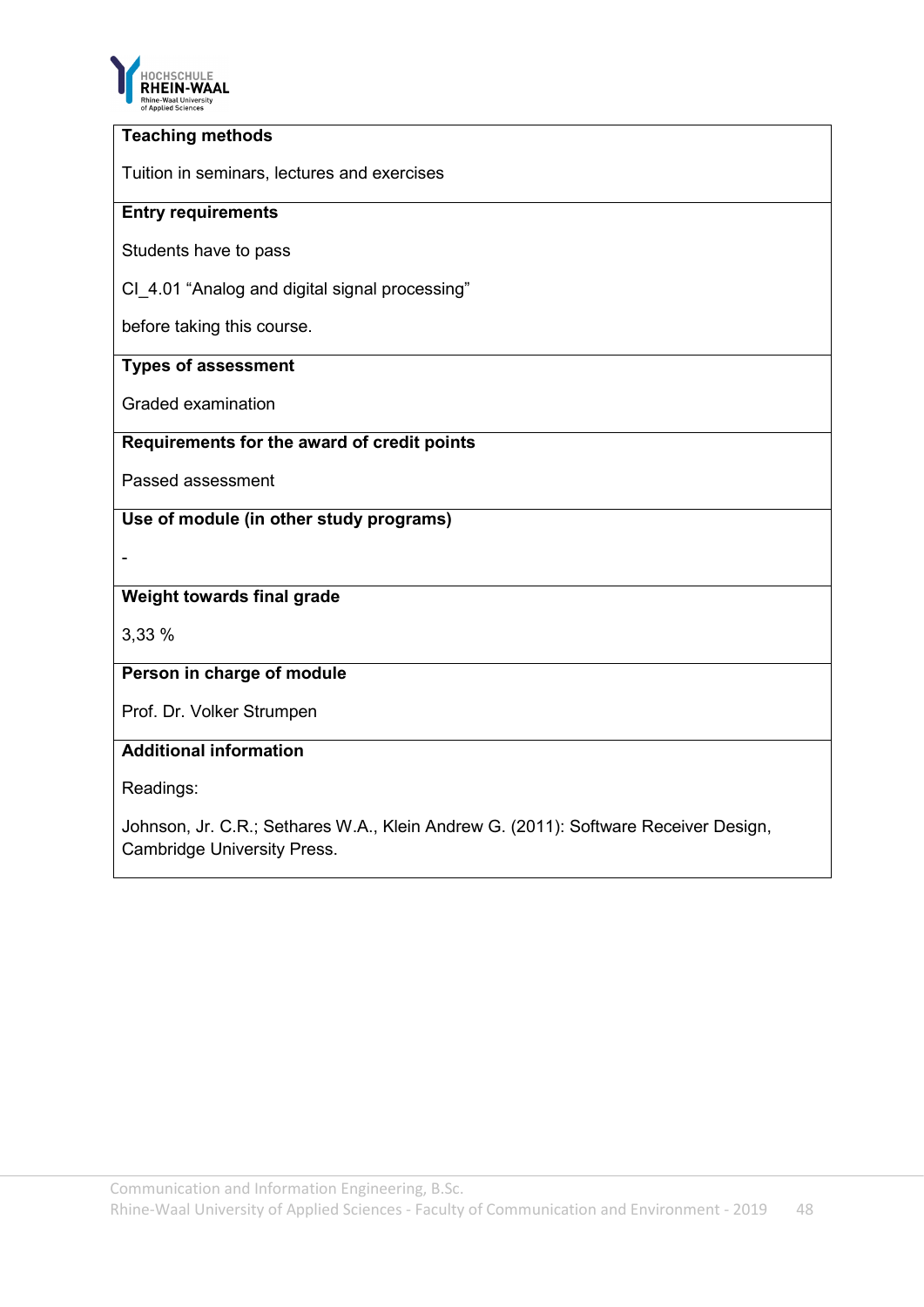

## **Teaching methods**

Tuition in seminars, lectures and exercises

#### **Entry requirements**

Students have to pass

CI\_4.01 "Analog and digital signal processing"

before taking this course.

## **Types of assessment**

Graded examination

#### **Requirements for the award of credit points**

Passed assessment

**Use of module (in other study programs)**

-

#### **Weight towards final grade**

3,33 %

#### **Person in charge of module**

Prof. Dr. Volker Strumpen

#### **Additional information**

Readings:

Johnson, Jr. C.R.; Sethares W.A., Klein Andrew G. (2011): Software Receiver Design, Cambridge University Press.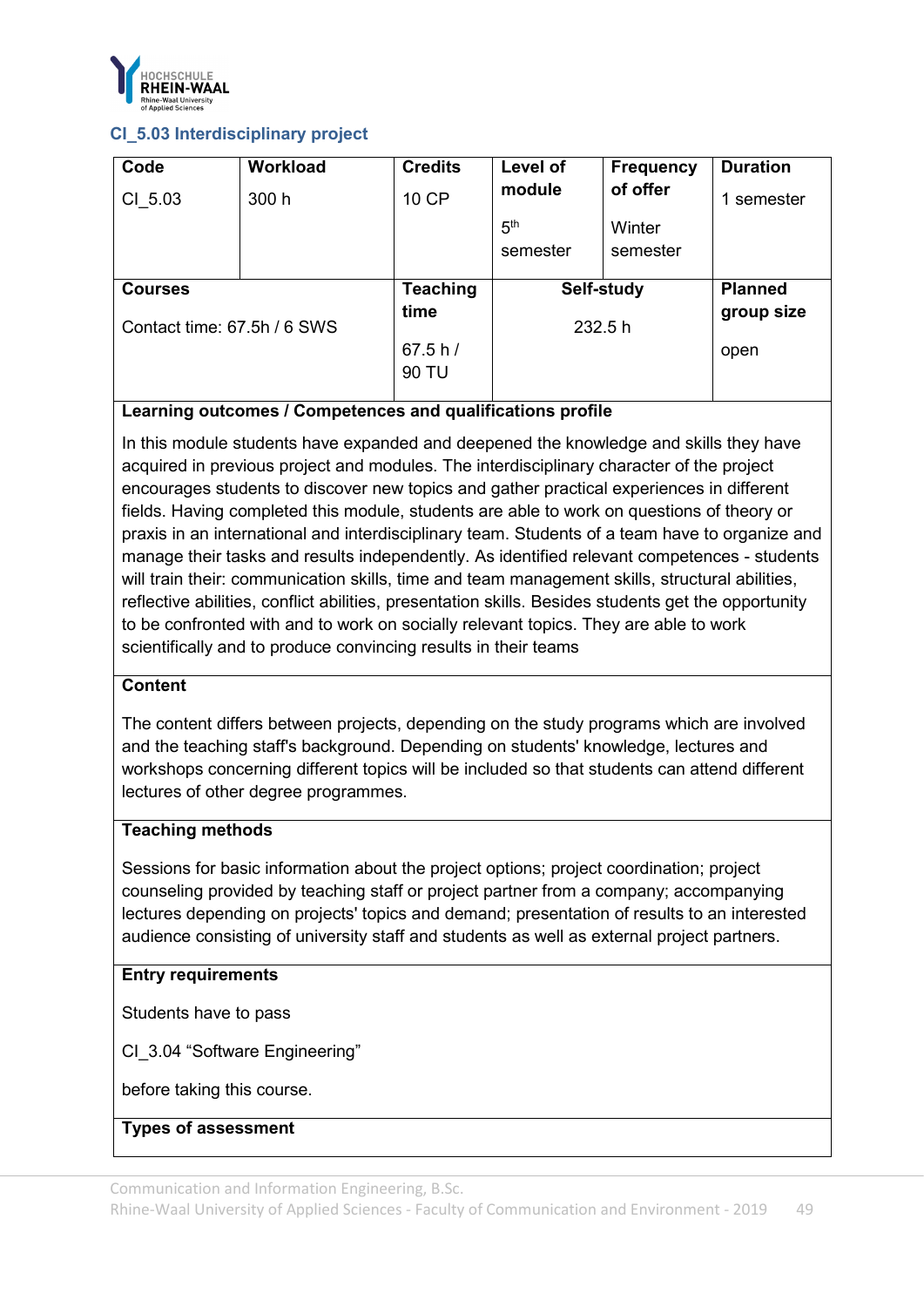

## **CI\_5.03 Interdisciplinary project**

| Code                        | Workload | <b>Credits</b>   | Level of        | <b>Frequency</b> | <b>Duration</b> |
|-----------------------------|----------|------------------|-----------------|------------------|-----------------|
| CI 5.03                     | 300 h    | 10 CP            | module          | of offer         | semester        |
|                             |          |                  | 5 <sup>th</sup> | Winter           |                 |
|                             |          |                  | semester        | semester         |                 |
| <b>Courses</b>              |          | <b>Teaching</b>  | Self-study      |                  | <b>Planned</b>  |
| Contact time: 67.5h / 6 SWS |          | time             |                 | 232.5 h          | group size      |
|                             |          | 67.5 h/<br>90 TU |                 |                  | open            |
|                             |          |                  |                 |                  |                 |

## **Learning outcomes / Competences and qualifications profile**

In this module students have expanded and deepened the knowledge and skills they have acquired in previous project and modules. The interdisciplinary character of the project encourages students to discover new topics and gather practical experiences in different fields. Having completed this module, students are able to work on questions of theory or praxis in an international and interdisciplinary team. Students of a team have to organize and manage their tasks and results independently. As identified relevant competences - students will train their: communication skills, time and team management skills, structural abilities, reflective abilities, conflict abilities, presentation skills. Besides students get the opportunity to be confronted with and to work on socially relevant topics. They are able to work scientifically and to produce convincing results in their teams

#### **Content**

The content differs between projects, depending on the study programs which are involved and the teaching staff's background. Depending on students' knowledge, lectures and workshops concerning different topics will be included so that students can attend different lectures of other degree programmes.

#### **Teaching methods**

Sessions for basic information about the project options; project coordination; project counseling provided by teaching staff or project partner from a company; accompanying lectures depending on projects' topics and demand; presentation of results to an interested audience consisting of university staff and students as well as external project partners.

#### **Entry requirements**

Students have to pass

CI\_3.04 "Software Engineering"

before taking this course.

#### **Types of assessment**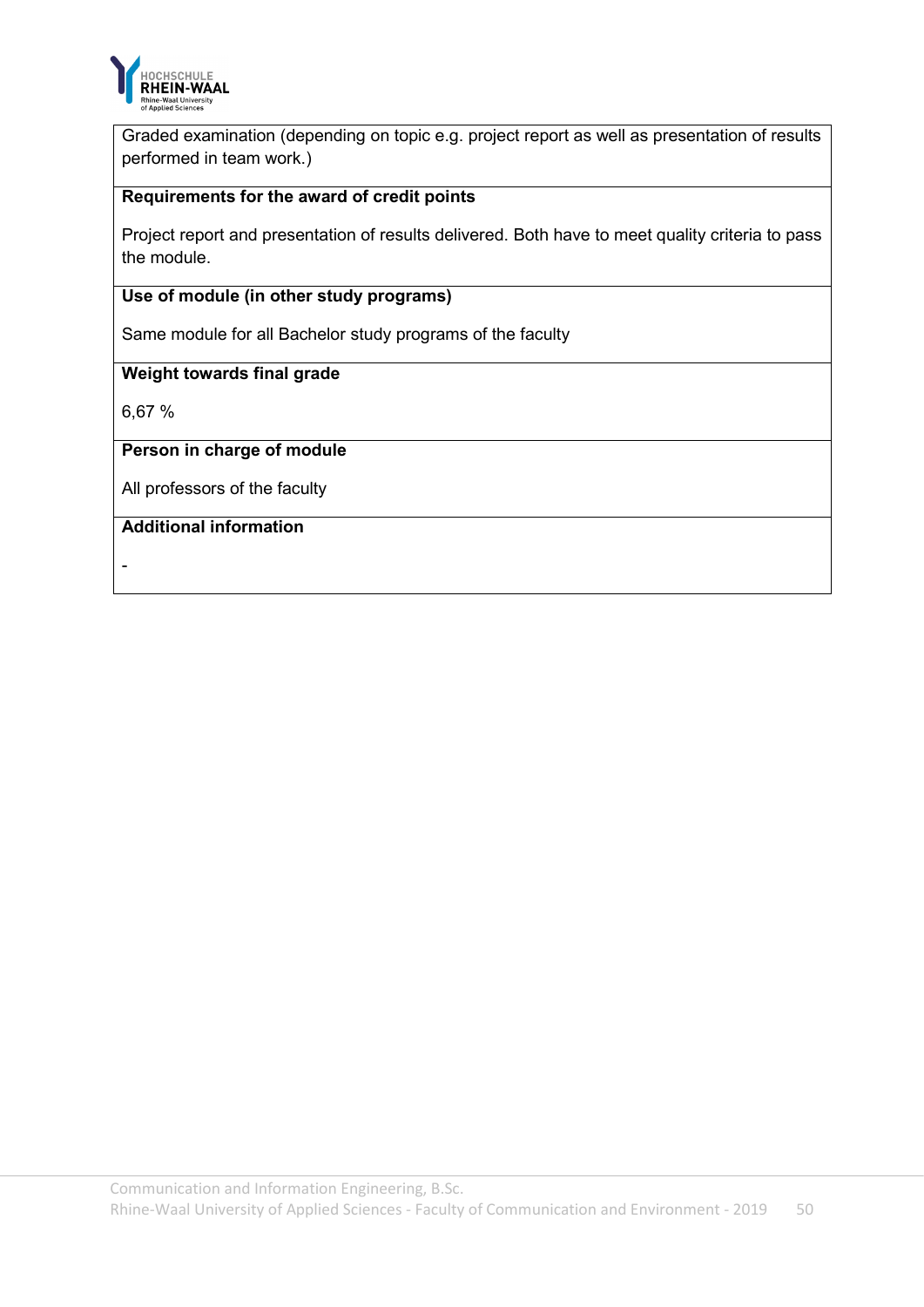

Graded examination (depending on topic e.g. project report as well as presentation of results performed in team work.)

# **Requirements for the award of credit points**

Project report and presentation of results delivered. Both have to meet quality criteria to pass the module.

## **Use of module (in other study programs)**

Same module for all Bachelor study programs of the faculty

## **Weight towards final grade**

6,67 %

#### **Person in charge of module**

All professors of the faculty

# **Additional information**

-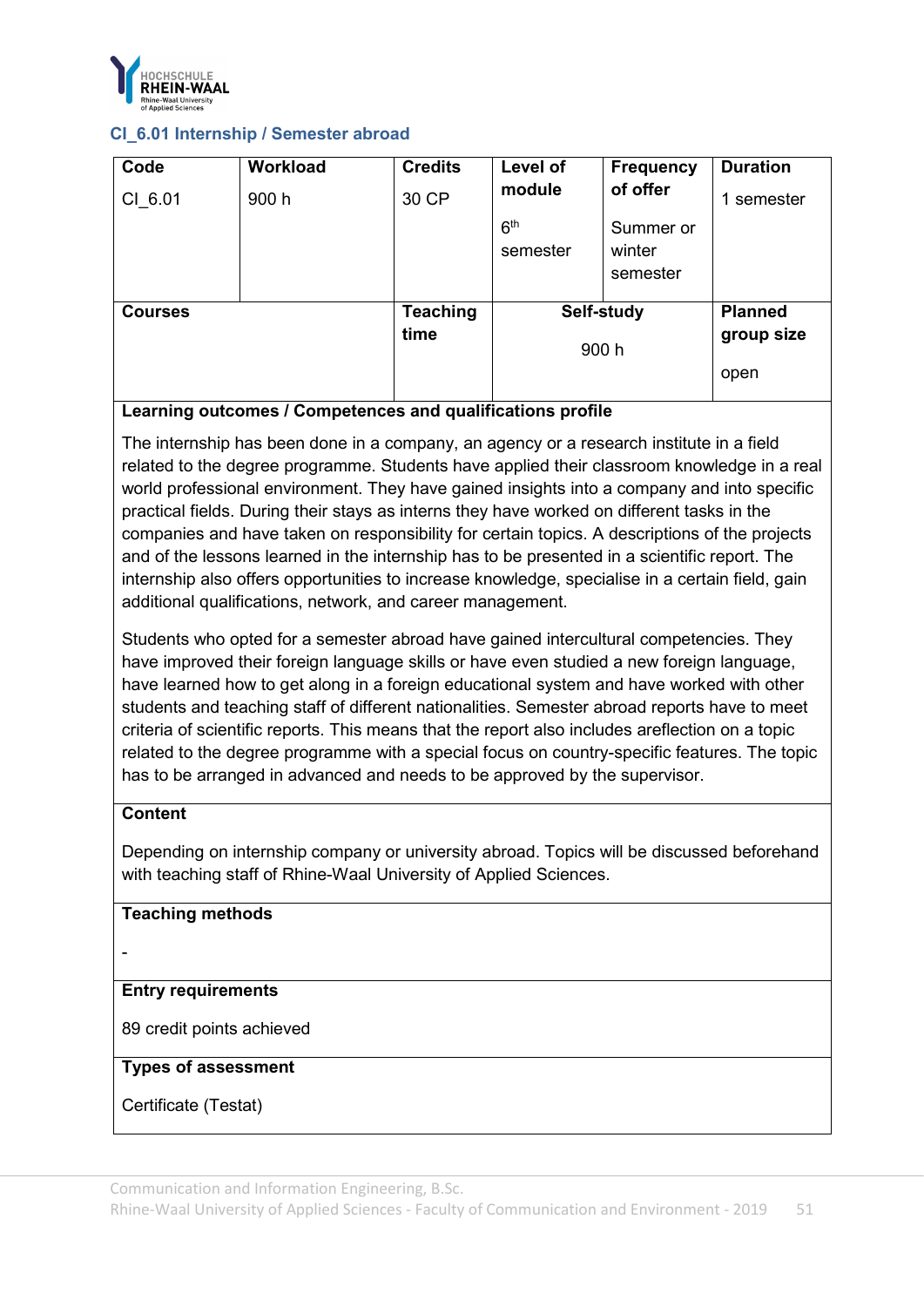

## **CI\_6.01 Internship / Semester abroad**

| Code           | Workload | <b>Credits</b>  | Level of                    | <b>Frequency</b>                | <b>Duration</b> |
|----------------|----------|-----------------|-----------------------------|---------------------------------|-----------------|
| CI 6.01        | 900 h    | 30 CP           | module                      | of offer                        | 1 semester      |
|                |          |                 | 6 <sup>th</sup><br>semester | Summer or<br>winter<br>semester |                 |
| <b>Courses</b> |          | <b>Teaching</b> |                             | Self-study                      | <b>Planned</b>  |
|                |          | time            |                             | 900 h                           | group size      |
|                |          |                 |                             |                                 | open            |

## **Learning outcomes / Competences and qualifications profile**

The internship has been done in a company, an agency or a research institute in a field related to the degree programme. Students have applied their classroom knowledge in a real world professional environment. They have gained insights into a company and into specific practical fields. During their stays as interns they have worked on different tasks in the companies and have taken on responsibility for certain topics. A descriptions of the projects and of the lessons learned in the internship has to be presented in a scientific report. The internship also offers opportunities to increase knowledge, specialise in a certain field, gain additional qualifications, network, and career management.

Students who opted for a semester abroad have gained intercultural competencies. They have improved their foreign language skills or have even studied a new foreign language, have learned how to get along in a foreign educational system and have worked with other students and teaching staff of different nationalities. Semester abroad reports have to meet criteria of scientific reports. This means that the report also includes areflection on a topic related to the degree programme with a special focus on country-specific features. The topic has to be arranged in advanced and needs to be approved by the supervisor.

#### **Content**

Depending on internship company or university abroad. Topics will be discussed beforehand with teaching staff of Rhine-Waal University of Applied Sciences.

#### **Teaching methods**

-

## **Entry requirements**

89 credit points achieved

#### **Types of assessment**

Certificate (Testat)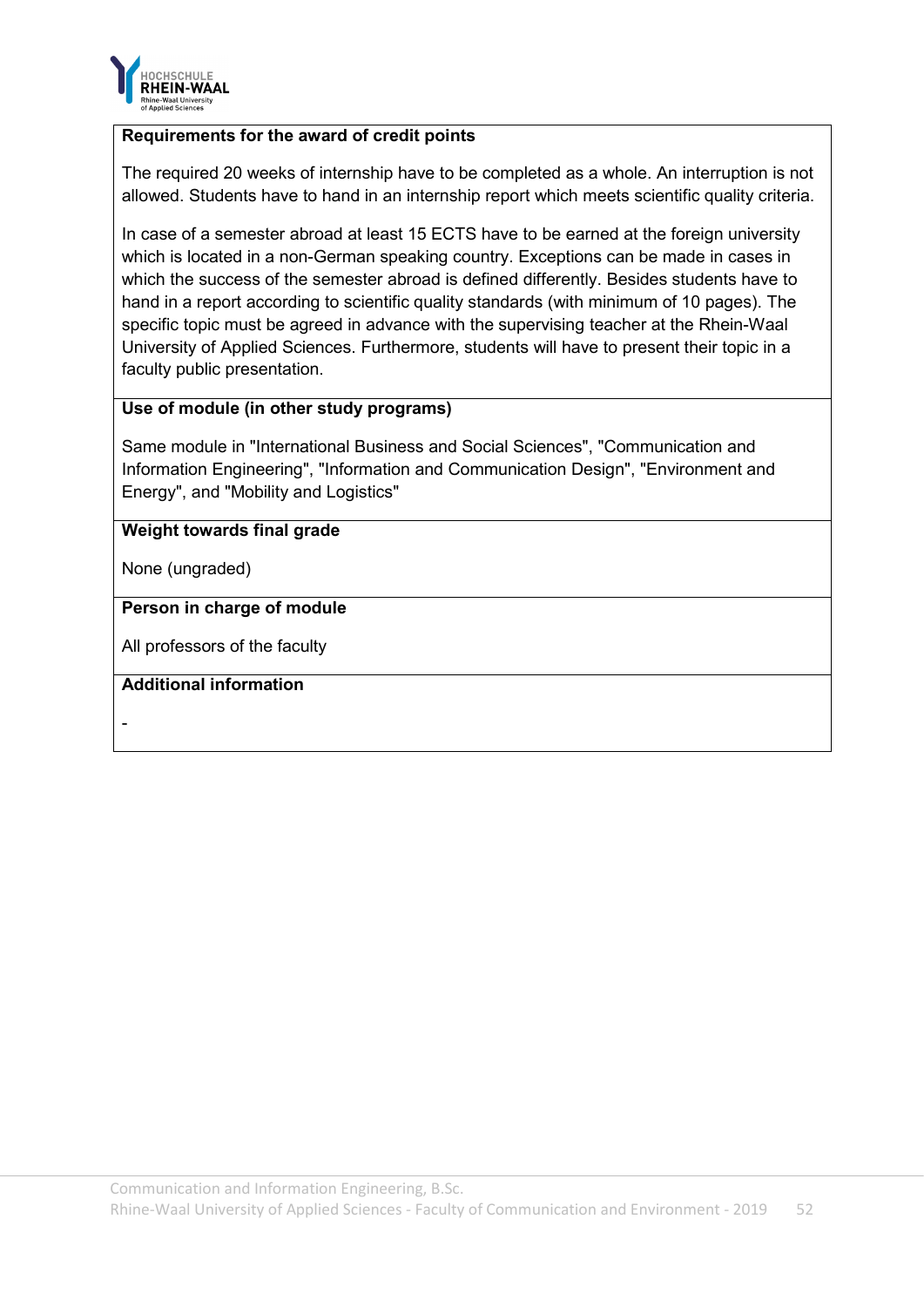

#### **Requirements for the award of credit points**

The required 20 weeks of internship have to be completed as a whole. An interruption is not allowed. Students have to hand in an internship report which meets scientific quality criteria.

In case of a semester abroad at least 15 ECTS have to be earned at the foreign university which is located in a non-German speaking country. Exceptions can be made in cases in which the success of the semester abroad is defined differently. Besides students have to hand in a report according to scientific quality standards (with minimum of 10 pages). The specific topic must be agreed in advance with the supervising teacher at the Rhein-Waal University of Applied Sciences. Furthermore, students will have to present their topic in a faculty public presentation.

## **Use of module (in other study programs)**

Same module in "International Business and Social Sciences", "Communication and Information Engineering", "Information and Communication Design", "Environment and Energy", and "Mobility and Logistics"

#### **Weight towards final grade**

None (ungraded)

-

**Person in charge of module**

All professors of the faculty

## **Additional information**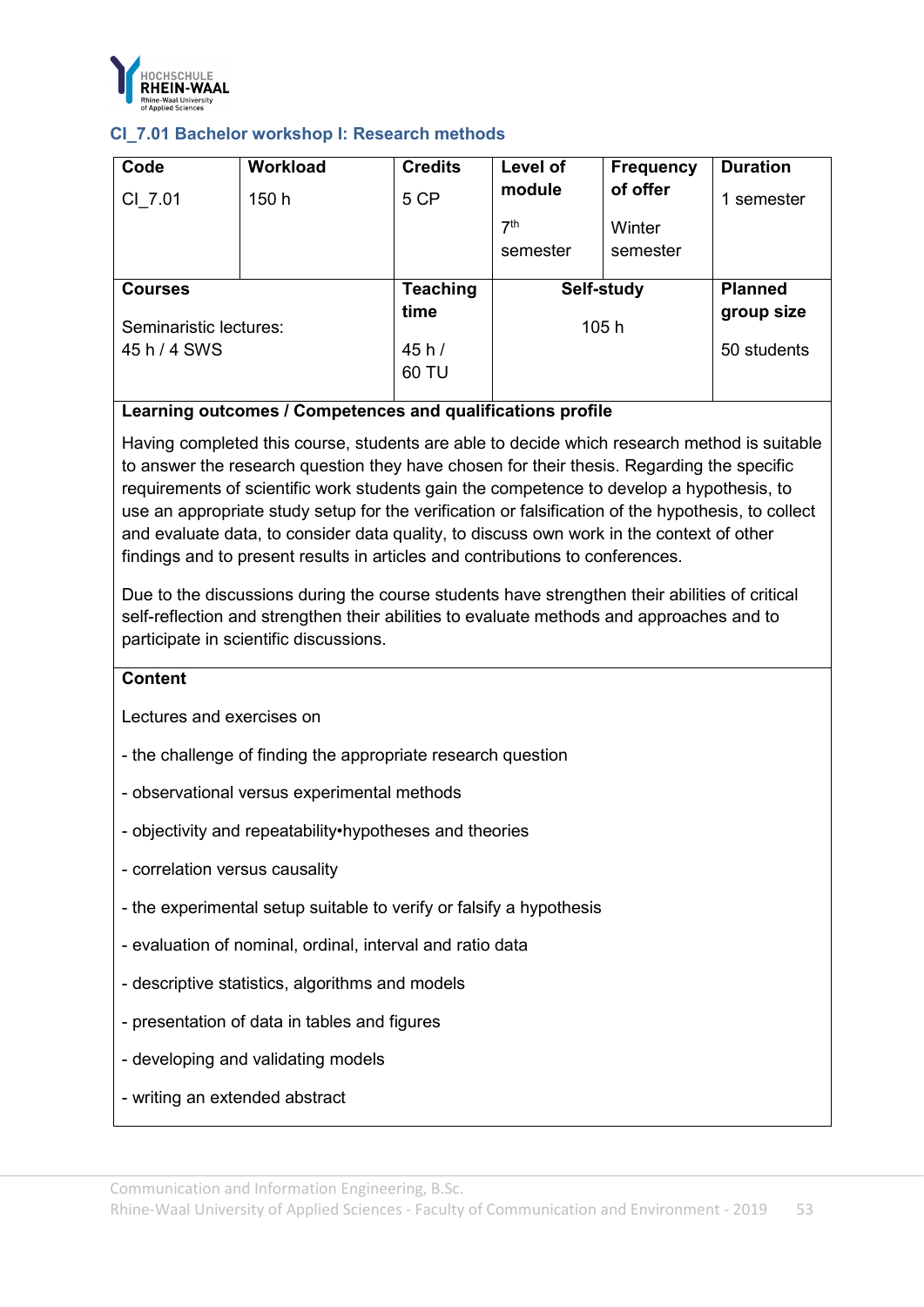

## **CI\_7.01 Bachelor workshop I: Research methods**

| Code                   | Workload | <b>Credits</b>  | Level of        | <b>Frequency</b> | <b>Duration</b> |
|------------------------|----------|-----------------|-----------------|------------------|-----------------|
| CI 7.01                | 150 h    | 5 CP            | module          | of offer         | semester        |
|                        |          |                 | 7 <sup>th</sup> | Winter           |                 |
|                        |          |                 | semester        | semester         |                 |
|                        |          |                 |                 |                  |                 |
| <b>Courses</b>         |          | <b>Teaching</b> | Self-study      |                  | <b>Planned</b>  |
|                        |          | time            |                 |                  | group size      |
| Seminaristic lectures: |          |                 | 105h            |                  |                 |
| 45 h / 4 SWS           |          | 45h/            |                 |                  | 50 students     |
|                        |          | 60 TU           |                 |                  |                 |
|                        |          |                 |                 |                  |                 |

## **Learning outcomes / Competences and qualifications profile**

Having completed this course, students are able to decide which research method is suitable to answer the research question they have chosen for their thesis. Regarding the specific requirements of scientific work students gain the competence to develop a hypothesis, to use an appropriate study setup for the verification or falsification of the hypothesis, to collect and evaluate data, to consider data quality, to discuss own work in the context of other findings and to present results in articles and contributions to conferences.

Due to the discussions during the course students have strengthen their abilities of critical self-reflection and strengthen their abilities to evaluate methods and approaches and to participate in scientific discussions.

#### **Content**

Lectures and exercises on

- the challenge of finding the appropriate research question
- observational versus experimental methods
- objectivity and repeatability•hypotheses and theories
- correlation versus causality
- the experimental setup suitable to verify or falsify a hypothesis
- evaluation of nominal, ordinal, interval and ratio data
- descriptive statistics, algorithms and models
- presentation of data in tables and figures
- developing and validating models
- writing an extended abstract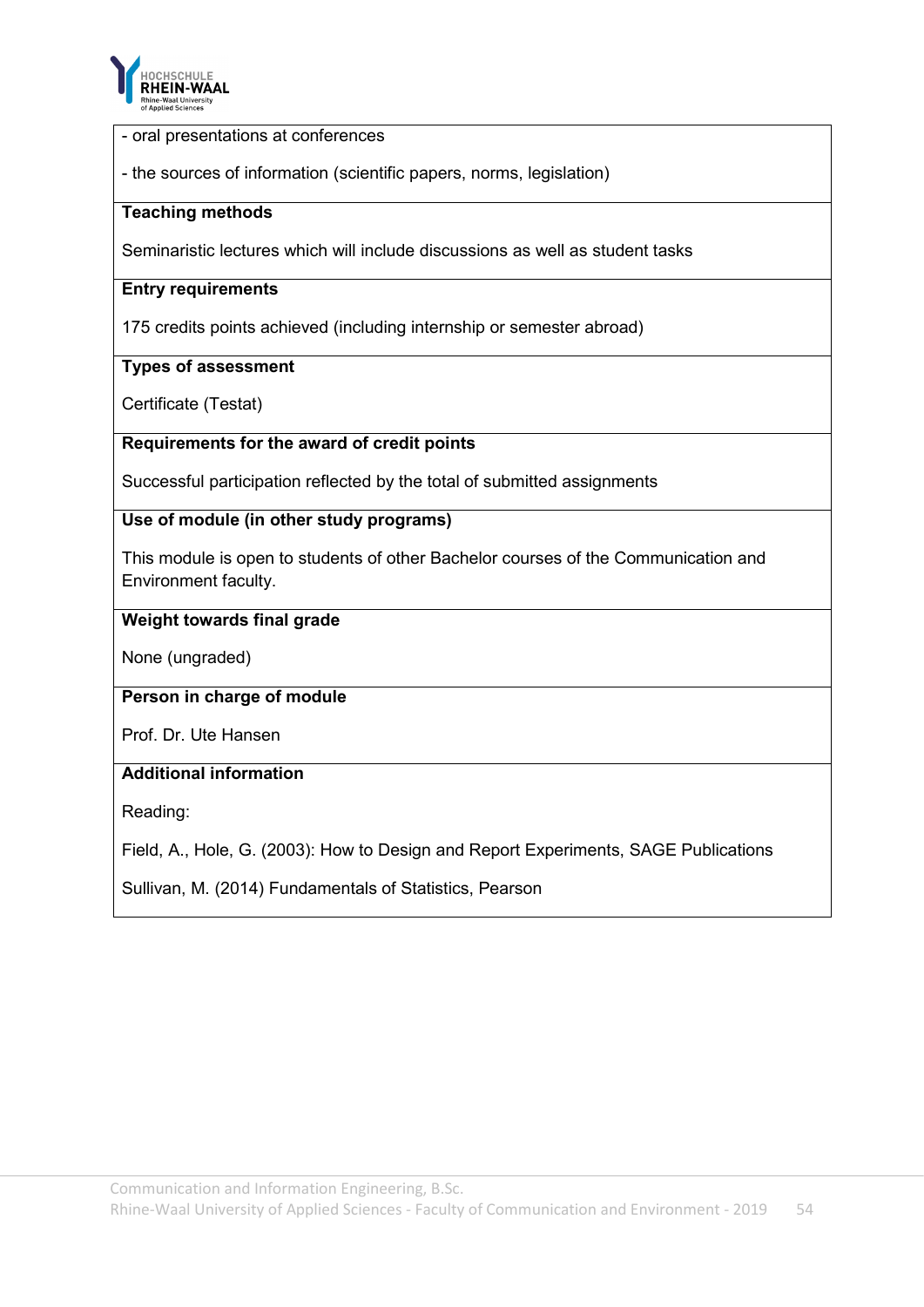

#### - oral presentations at conferences

- the sources of information (scientific papers, norms, legislation)

#### **Teaching methods**

Seminaristic lectures which will include discussions as well as student tasks

#### **Entry requirements**

175 credits points achieved (including internship or semester abroad)

#### **Types of assessment**

Certificate (Testat)

#### **Requirements for the award of credit points**

Successful participation reflected by the total of submitted assignments

## **Use of module (in other study programs)**

This module is open to students of other Bachelor courses of the Communication and Environment faculty.

#### **Weight towards final grade**

None (ungraded)

#### **Person in charge of module**

Prof. Dr. Ute Hansen

## **Additional information**

Reading:

Field, A., Hole, G. (2003): How to Design and Report Experiments, SAGE Publications

Sullivan, M. (2014) Fundamentals of Statistics, Pearson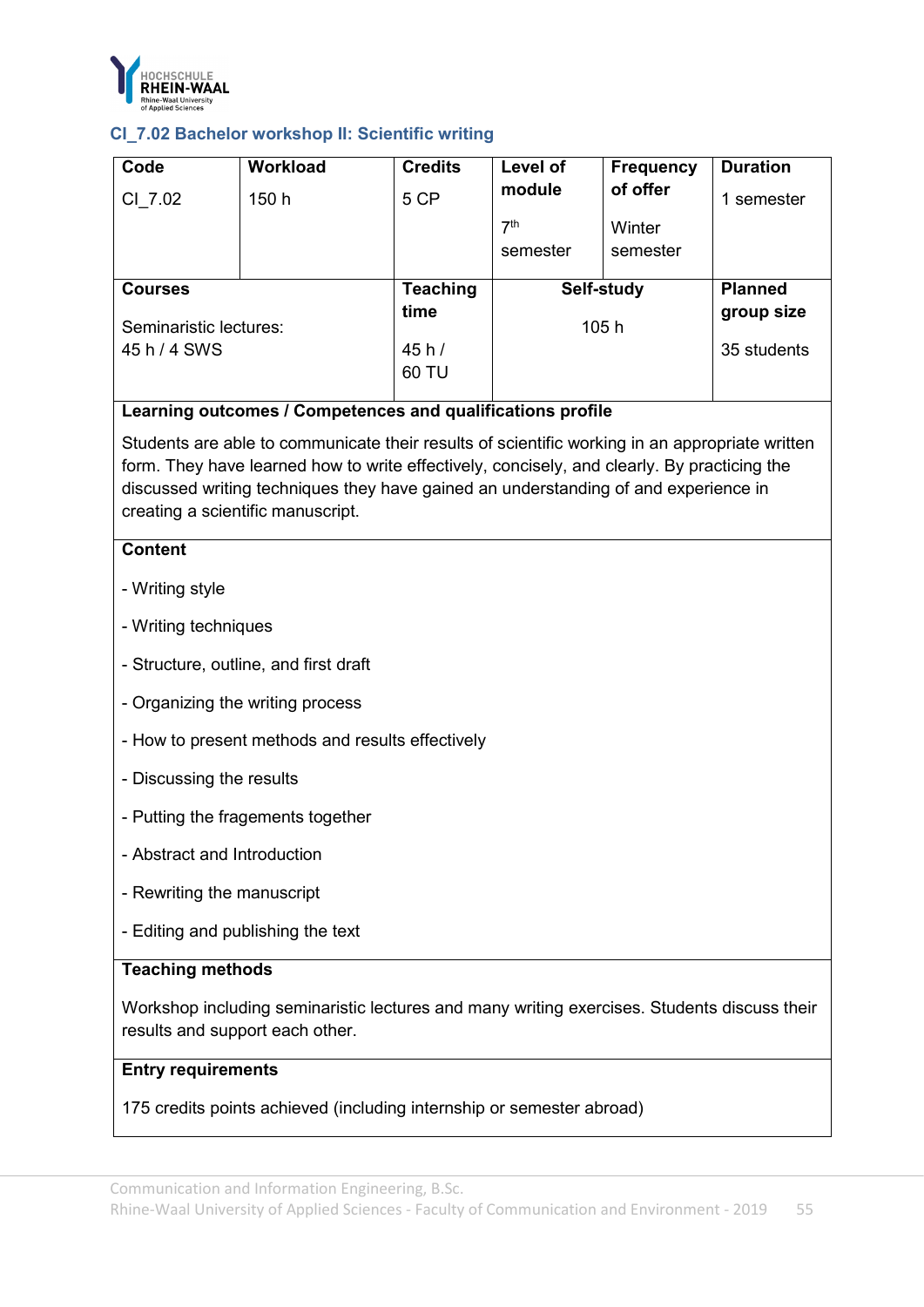

# **CI\_7.02 Bachelor workshop II: Scientific writing**

| Code                              | Workload                                                                                                                                                                                                                                                                                                                  | <b>Credits</b>  | Level of        | <b>Frequency</b> | <b>Duration</b> |  |  |  |
|-----------------------------------|---------------------------------------------------------------------------------------------------------------------------------------------------------------------------------------------------------------------------------------------------------------------------------------------------------------------------|-----------------|-----------------|------------------|-----------------|--|--|--|
| CI 7.02                           | 150 h                                                                                                                                                                                                                                                                                                                     | 5 CP            | module          | of offer         | 1 semester      |  |  |  |
|                                   |                                                                                                                                                                                                                                                                                                                           |                 | 7 <sup>th</sup> | Winter           |                 |  |  |  |
|                                   |                                                                                                                                                                                                                                                                                                                           |                 | semester        | semester         |                 |  |  |  |
| <b>Courses</b>                    |                                                                                                                                                                                                                                                                                                                           | <b>Teaching</b> |                 | Self-study       | <b>Planned</b>  |  |  |  |
| Seminaristic lectures:            |                                                                                                                                                                                                                                                                                                                           | time            |                 | 105 h            | group size      |  |  |  |
| 45 h / 4 SWS                      |                                                                                                                                                                                                                                                                                                                           | 45h/<br>60 TU   |                 |                  | 35 students     |  |  |  |
|                                   | Learning outcomes / Competences and qualifications profile                                                                                                                                                                                                                                                                |                 |                 |                  |                 |  |  |  |
|                                   | Students are able to communicate their results of scientific working in an appropriate written<br>form. They have learned how to write effectively, concisely, and clearly. By practicing the<br>discussed writing techniques they have gained an understanding of and experience in<br>creating a scientific manuscript. |                 |                 |                  |                 |  |  |  |
| <b>Content</b>                    |                                                                                                                                                                                                                                                                                                                           |                 |                 |                  |                 |  |  |  |
| - Writing style                   |                                                                                                                                                                                                                                                                                                                           |                 |                 |                  |                 |  |  |  |
| - Writing techniques              |                                                                                                                                                                                                                                                                                                                           |                 |                 |                  |                 |  |  |  |
|                                   | - Structure, outline, and first draft                                                                                                                                                                                                                                                                                     |                 |                 |                  |                 |  |  |  |
|                                   | - Organizing the writing process                                                                                                                                                                                                                                                                                          |                 |                 |                  |                 |  |  |  |
|                                   | - How to present methods and results effectively                                                                                                                                                                                                                                                                          |                 |                 |                  |                 |  |  |  |
| - Discussing the results          |                                                                                                                                                                                                                                                                                                                           |                 |                 |                  |                 |  |  |  |
|                                   | - Putting the fragements together                                                                                                                                                                                                                                                                                         |                 |                 |                  |                 |  |  |  |
| - Abstract and Introduction       |                                                                                                                                                                                                                                                                                                                           |                 |                 |                  |                 |  |  |  |
| - Rewriting the manuscript        |                                                                                                                                                                                                                                                                                                                           |                 |                 |                  |                 |  |  |  |
| - Editing and publishing the text |                                                                                                                                                                                                                                                                                                                           |                 |                 |                  |                 |  |  |  |
| <b>Teaching methods</b>           |                                                                                                                                                                                                                                                                                                                           |                 |                 |                  |                 |  |  |  |
|                                   | Workshop including seminaristic lectures and many writing exercises. Students discuss their<br>results and support each other.                                                                                                                                                                                            |                 |                 |                  |                 |  |  |  |
| <b>Entry requirements</b>         |                                                                                                                                                                                                                                                                                                                           |                 |                 |                  |                 |  |  |  |

175 credits points achieved (including internship or semester abroad)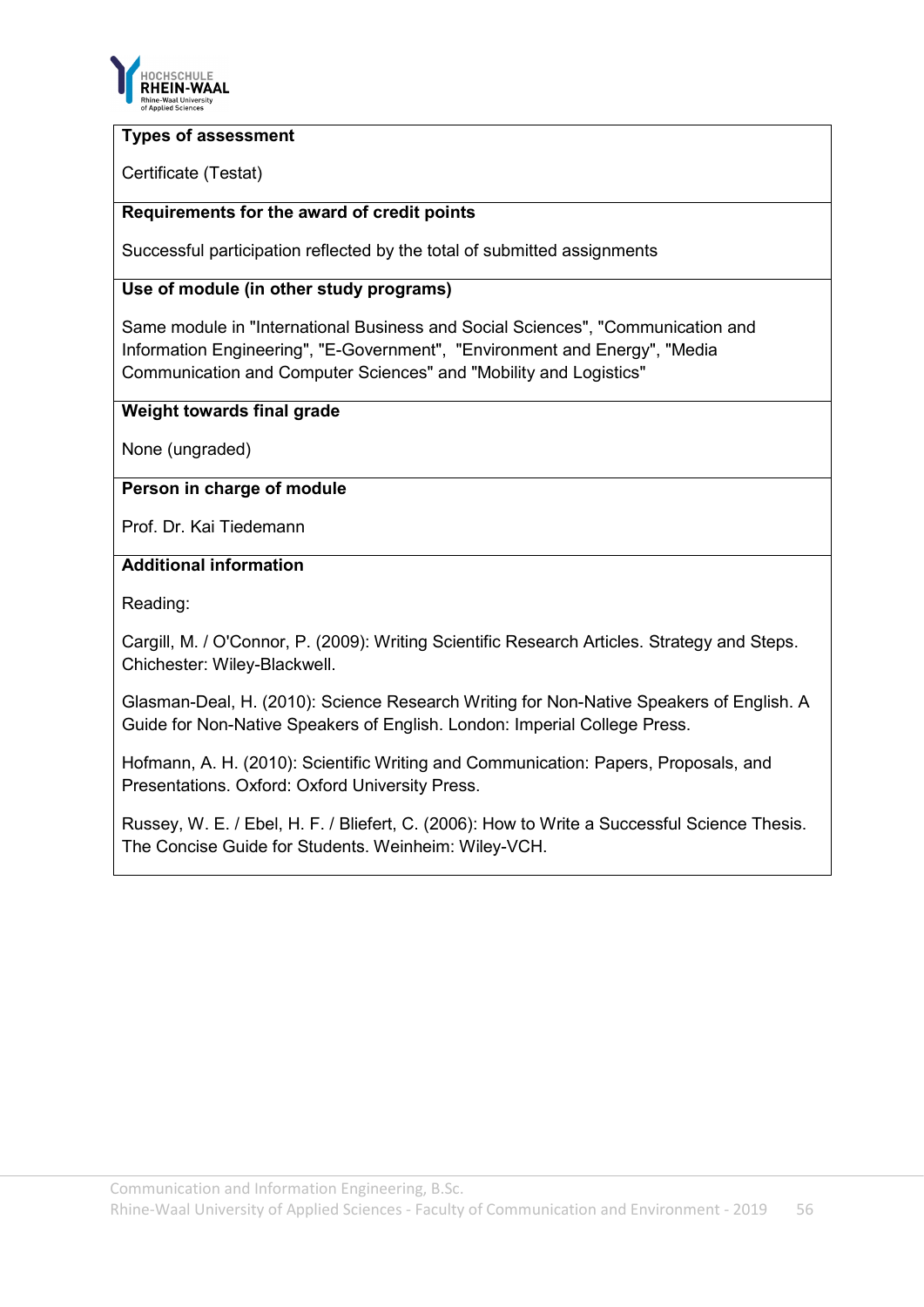

#### **Types of assessment**

Certificate (Testat)

## **Requirements for the award of credit points**

Successful participation reflected by the total of submitted assignments

## **Use of module (in other study programs)**

Same module in "International Business and Social Sciences", "Communication and Information Engineering", "E-Government", "Environment and Energy", "Media Communication and Computer Sciences" and "Mobility and Logistics"

#### **Weight towards final grade**

None (ungraded)

## **Person in charge of module**

Prof. Dr. Kai Tiedemann

#### **Additional information**

Reading:

Cargill, M. / O'Connor, P. (2009): Writing Scientific Research Articles. Strategy and Steps. Chichester: Wiley-Blackwell.

Glasman-Deal, H. (2010): Science Research Writing for Non-Native Speakers of English. A Guide for Non-Native Speakers of English. London: Imperial College Press.

Hofmann, A. H. (2010): Scientific Writing and Communication: Papers, Proposals, and Presentations. Oxford: Oxford University Press.

Russey, W. E. / Ebel, H. F. / Bliefert, C. (2006): How to Write a Successful Science Thesis. The Concise Guide for Students. Weinheim: Wiley-VCH.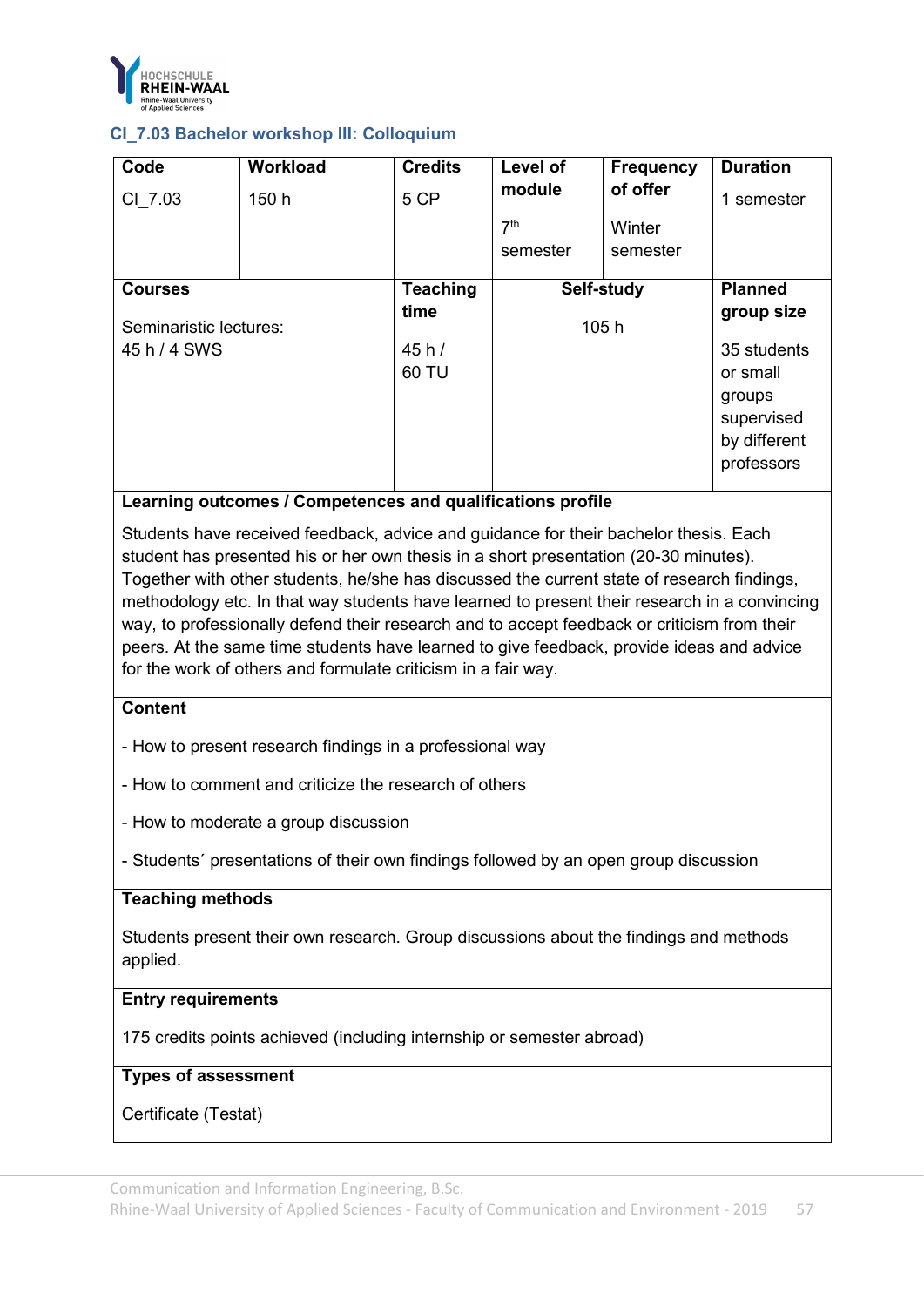

## **CI\_7.03 Bachelor workshop III: Colloquium**

| Code<br>CI 7.03                                          | <b>Workload</b><br>150 h | <b>Credits</b><br>5 CP                   | Level of<br>module<br>7 <sup>th</sup><br>semester | <b>Frequency</b><br>of offer<br>Winter<br>semester | <b>Duration</b><br>1 semester                                                                                 |
|----------------------------------------------------------|--------------------------|------------------------------------------|---------------------------------------------------|----------------------------------------------------|---------------------------------------------------------------------------------------------------------------|
| <b>Courses</b><br>Seminaristic lectures:<br>45 h / 4 SWS |                          | <b>Teaching</b><br>time<br>45h/<br>60 TU |                                                   | Self-study<br>105h                                 | <b>Planned</b><br>group size<br>35 students<br>or small<br>groups<br>supervised<br>by different<br>professors |

## **Learning outcomes / Competences and qualifications profile**

Students have received feedback, advice and guidance for their bachelor thesis. Each student has presented his or her own thesis in a short presentation (20-30 minutes). Together with other students, he/she has discussed the current state of research findings, methodology etc. In that way students have learned to present their research in a convincing way, to professionally defend their research and to accept feedback or criticism from their peers. At the same time students have learned to give feedback, provide ideas and advice for the work of others and formulate criticism in a fair way.

## **Content**

- How to present research findings in a professional way
- How to comment and criticize the research of others
- How to moderate a group discussion
- Students´ presentations of their own findings followed by an open group discussion

#### **Teaching methods**

Students present their own research. Group discussions about the findings and methods applied.

#### **Entry requirements**

175 credits points achieved (including internship or semester abroad)

#### **Types of assessment**

Certificate (Testat)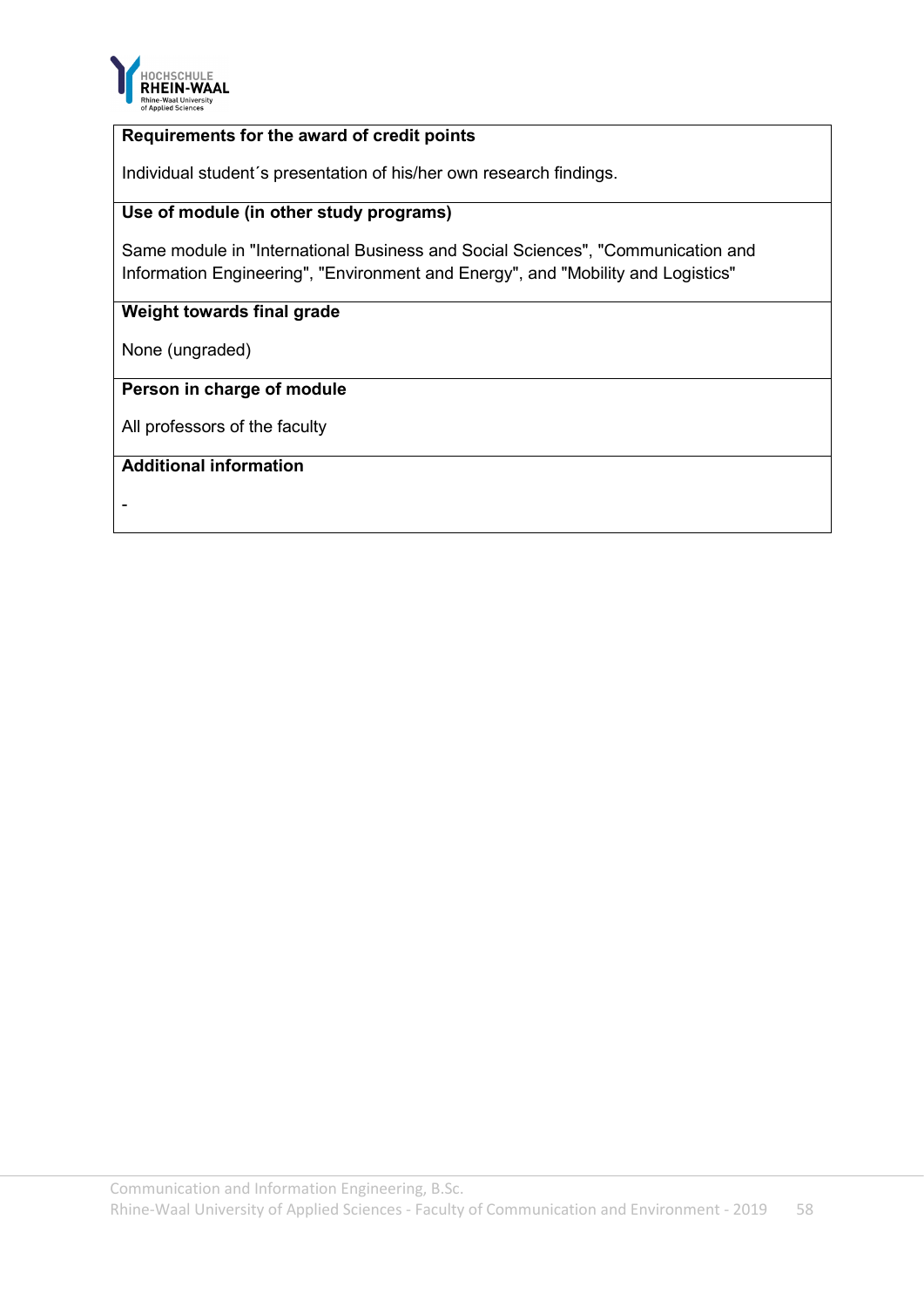

## **Requirements for the award of credit points**

Individual student´s presentation of his/her own research findings.

## **Use of module (in other study programs)**

Same module in "International Business and Social Sciences", "Communication and Information Engineering", "Environment and Energy", and "Mobility and Logistics"

## **Weight towards final grade**

None (ungraded)

# **Person in charge of module**

All professors of the faculty

#### **Additional information**

-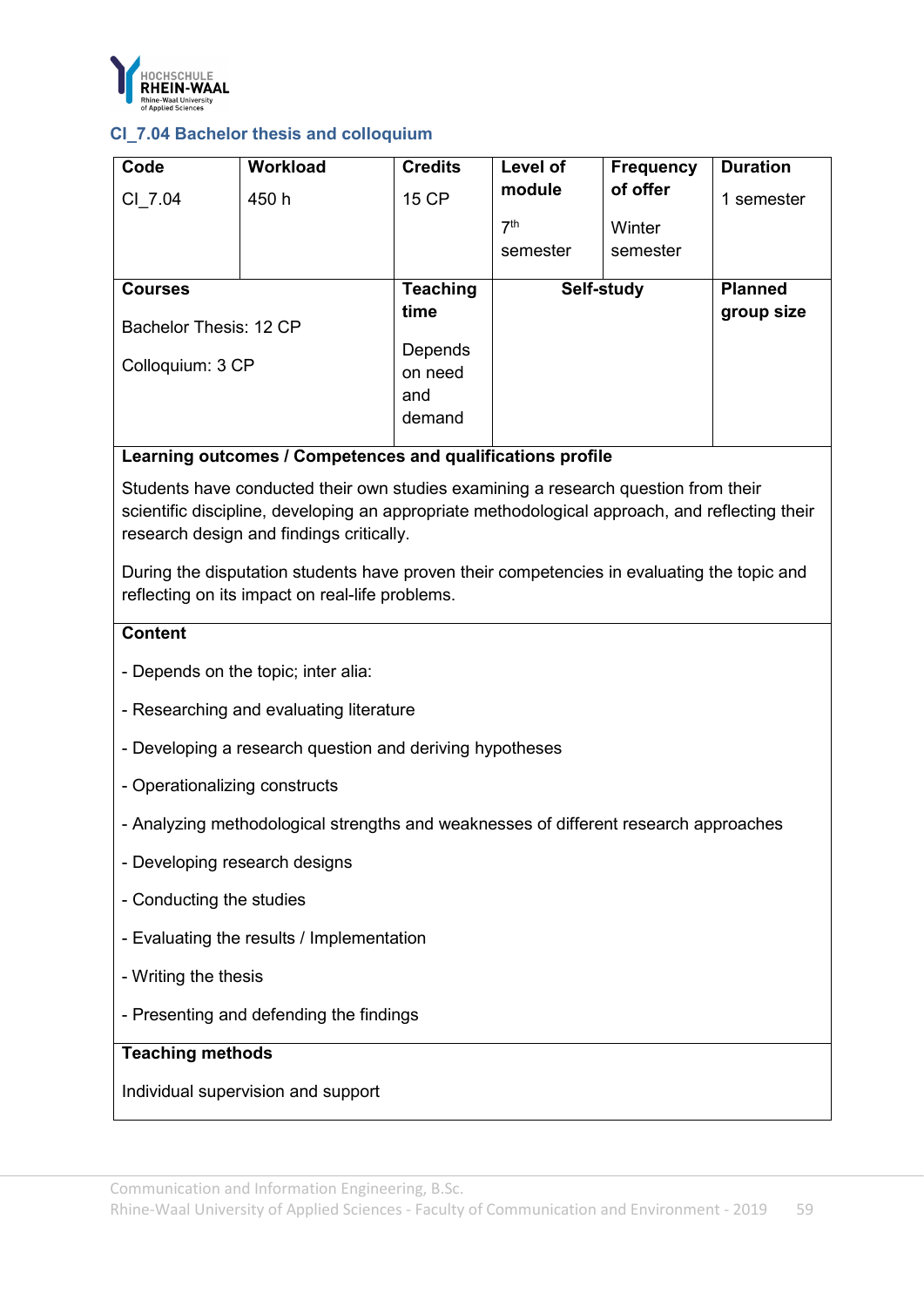

## **CI\_7.04 Bachelor thesis and colloquium**

| Code                   | Workload | <b>Credits</b>  | Level of        | <b>Frequency</b> | <b>Duration</b> |
|------------------------|----------|-----------------|-----------------|------------------|-----------------|
| CI 7.04                | 450 h    | <b>15 CP</b>    | module          | of offer         | semester        |
|                        |          |                 | 7 <sup>th</sup> | Winter           |                 |
|                        |          |                 | semester        | semester         |                 |
|                        |          |                 |                 |                  | <b>Planned</b>  |
| <b>Courses</b>         |          | <b>Teaching</b> |                 | Self-study       |                 |
| Bachelor Thesis: 12 CP |          | time            |                 |                  | group size      |
|                        |          |                 |                 |                  |                 |
| Colloquium: 3 CP       |          | Depends         |                 |                  |                 |
|                        |          | on need         |                 |                  |                 |
|                        |          | and             |                 |                  |                 |
|                        |          | demand          |                 |                  |                 |
|                        |          |                 |                 |                  |                 |

## **Learning outcomes / Competences and qualifications profile**

Students have conducted their own studies examining a research question from their scientific discipline, developing an appropriate methodological approach, and reflecting their research design and findings critically.

During the disputation students have proven their competencies in evaluating the topic and reflecting on its impact on real-life problems.

#### **Content**

- Depends on the topic; inter alia:
- Researching and evaluating literature
- Developing a research question and deriving hypotheses
- Operationalizing constructs
- Analyzing methodological strengths and weaknesses of different research approaches
- Developing research designs
- Conducting the studies
- Evaluating the results / Implementation
- Writing the thesis
- Presenting and defending the findings

#### **Teaching methods**

Individual supervision and support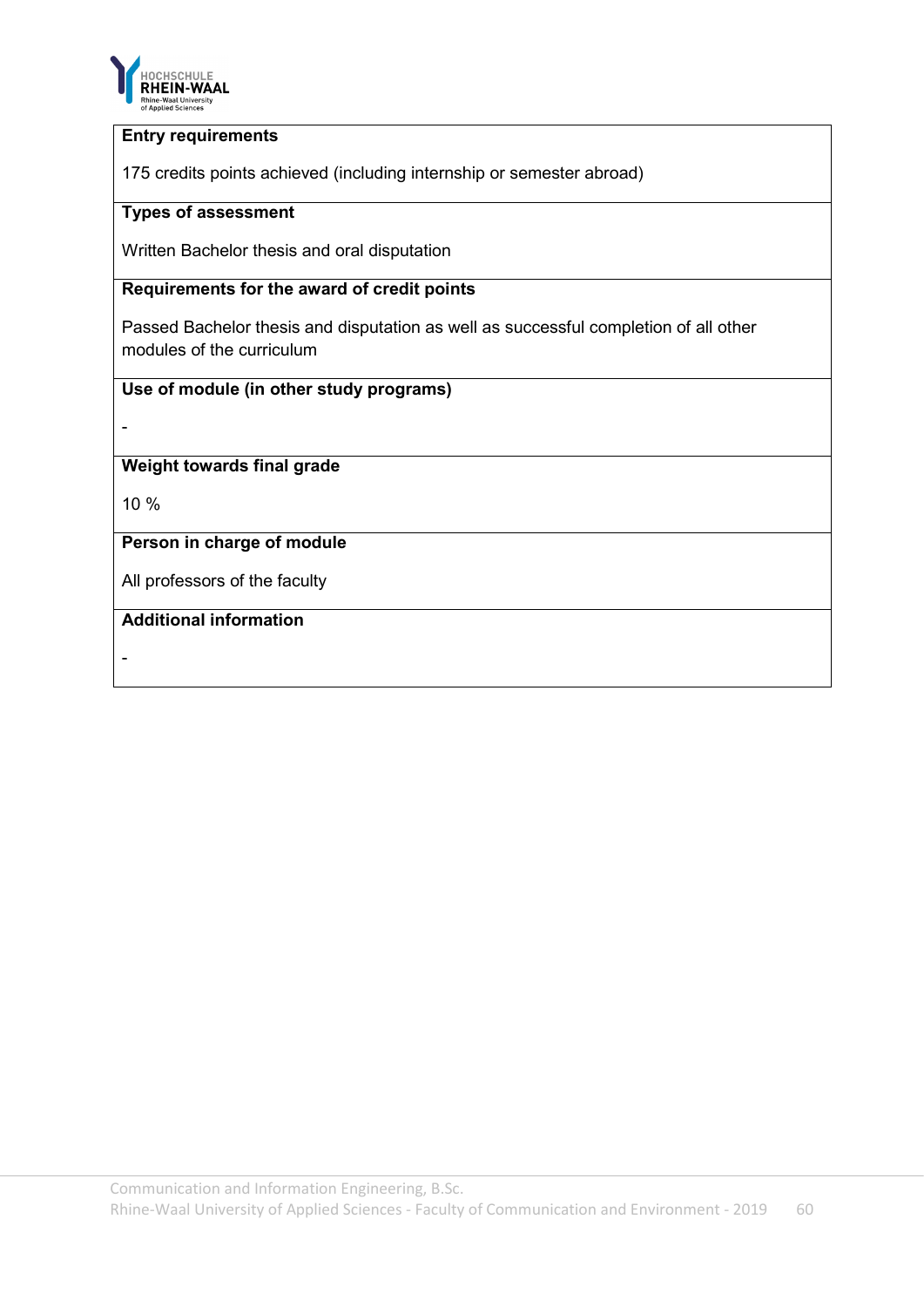

## **Entry requirements**

175 credits points achieved (including internship or semester abroad)

## **Types of assessment**

Written Bachelor thesis and oral disputation

## **Requirements for the award of credit points**

Passed Bachelor thesis and disputation as well as successful completion of all other modules of the curriculum

# **Use of module (in other study programs)**

-

## **Weight towards final grade**

10 %

## **Person in charge of module**

All professors of the faculty

## **Additional information**

-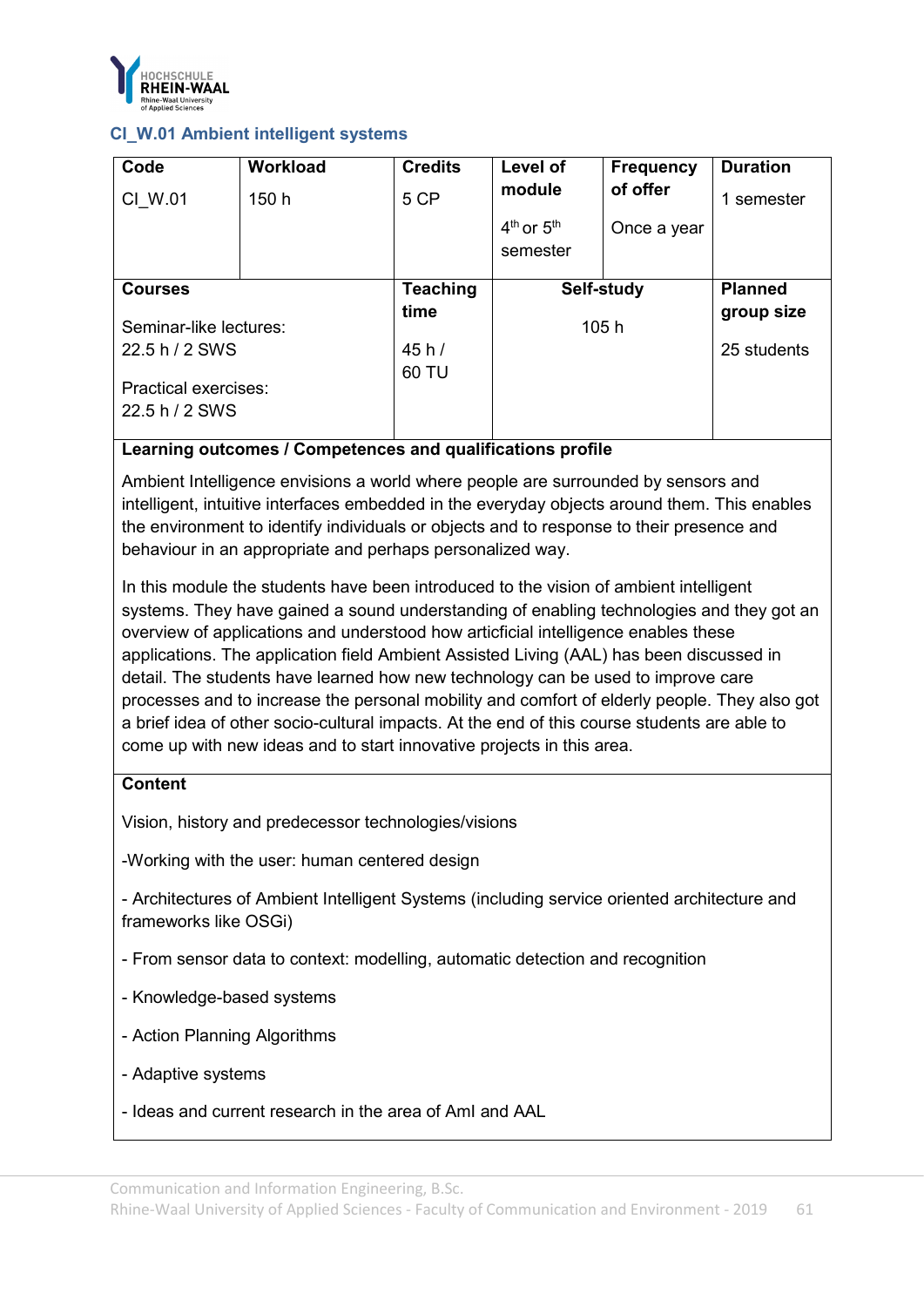

## **CI\_W.01 Ambient intelligent systems**

| Code                        | Workload | <b>Credits</b>  | Level of       | <b>Frequency</b> | <b>Duration</b> |
|-----------------------------|----------|-----------------|----------------|------------------|-----------------|
| CI W.01                     | 150 h    | 5 CP            | module         | of offer         | 1 semester      |
|                             |          |                 | $4th$ or $5th$ | Once a year      |                 |
|                             |          |                 | semester       |                  |                 |
|                             |          |                 |                |                  |                 |
| <b>Courses</b>              |          | <b>Teaching</b> | Self-study     |                  | <b>Planned</b>  |
|                             |          | time            | 105 h          |                  | group size      |
| Seminar-like lectures:      |          |                 |                |                  |                 |
| 22.5 h / 2 SWS              |          |                 |                |                  |                 |
|                             |          | 45h/            |                |                  | 25 students     |
|                             |          | 60 TU           |                |                  |                 |
| <b>Practical exercises:</b> |          |                 |                |                  |                 |
| 22.5 h / 2 SWS              |          |                 |                |                  |                 |

## **Learning outcomes / Competences and qualifications profile**

Ambient Intelligence envisions a world where people are surrounded by sensors and intelligent, intuitive interfaces embedded in the everyday objects around them. This enables the environment to identify individuals or objects and to response to their presence and behaviour in an appropriate and perhaps personalized way.

In this module the students have been introduced to the vision of ambient intelligent systems. They have gained a sound understanding of enabling technologies and they got an overview of applications and understood how articficial intelligence enables these applications. The application field Ambient Assisted Living (AAL) has been discussed in detail. The students have learned how new technology can be used to improve care processes and to increase the personal mobility and comfort of elderly people. They also got a brief idea of other socio-cultural impacts. At the end of this course students are able to come up with new ideas and to start innovative projects in this area.

#### **Content**

Vision, history and predecessor technologies/visions

-Working with the user: human centered design

- Architectures of Ambient Intelligent Systems (including service oriented architecture and frameworks like OSGi)

- From sensor data to context: modelling, automatic detection and recognition
- Knowledge-based systems
- Action Planning Algorithms
- Adaptive systems
- Ideas and current research in the area of AmI and AAL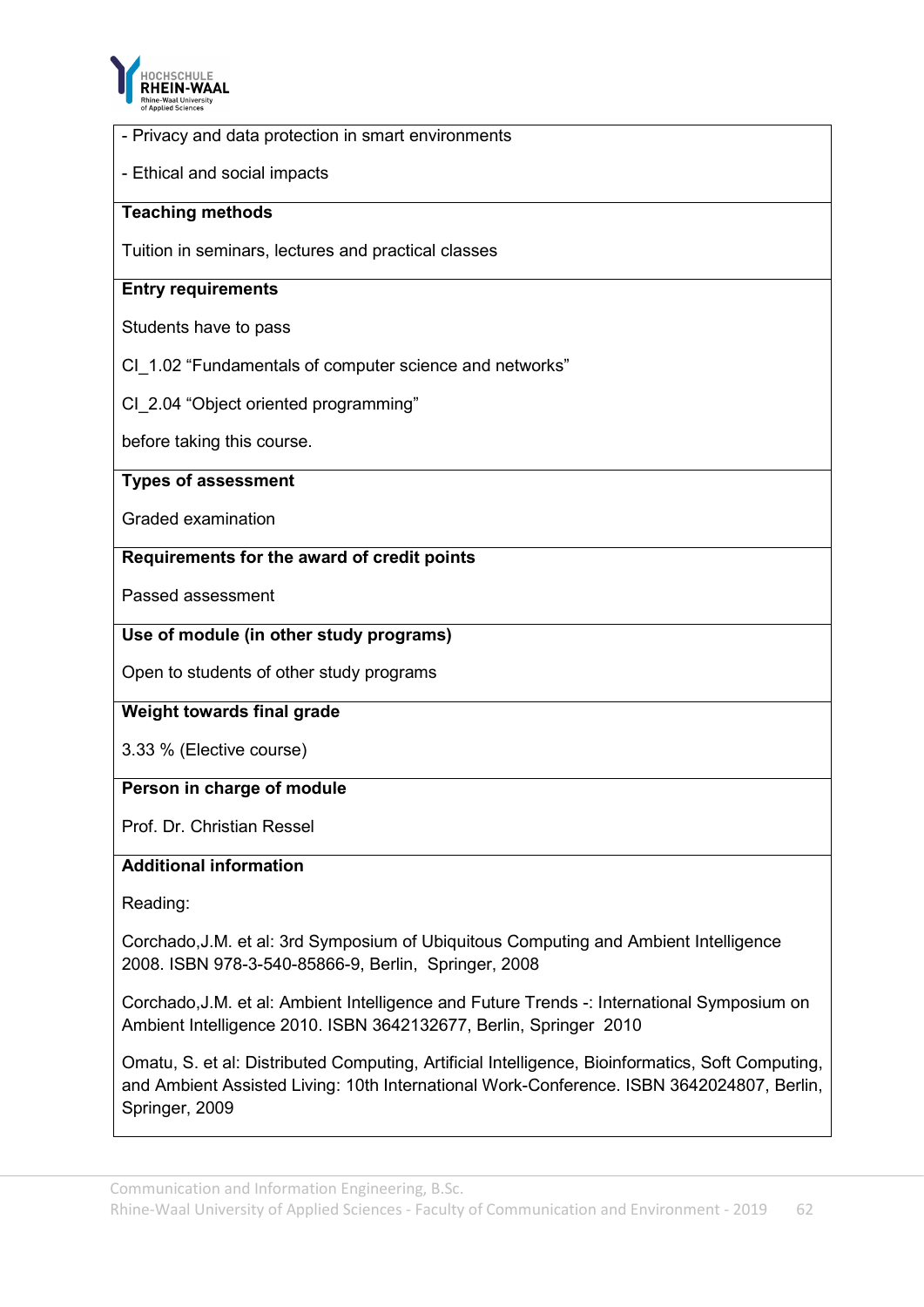

| Rhine-Waal University<br>of Applied Sciences                                                                                                 |
|----------------------------------------------------------------------------------------------------------------------------------------------|
| - Privacy and data protection in smart environments                                                                                          |
| - Ethical and social impacts                                                                                                                 |
| <b>Teaching methods</b>                                                                                                                      |
| Tuition in seminars, lectures and practical classes                                                                                          |
| <b>Entry requirements</b>                                                                                                                    |
| Students have to pass                                                                                                                        |
| CI 1.02 "Fundamentals of computer science and networks"                                                                                      |
| CI 2.04 "Object oriented programming"                                                                                                        |
| before taking this course.                                                                                                                   |
| <b>Types of assessment</b>                                                                                                                   |
| <b>Graded examination</b>                                                                                                                    |
| Requirements for the award of credit points                                                                                                  |
| Passed assessment                                                                                                                            |
| Use of module (in other study programs)                                                                                                      |
| Open to students of other study programs                                                                                                     |
| Weight towards final grade                                                                                                                   |
| 3.33 % (Elective course)                                                                                                                     |
| Person in charge of module                                                                                                                   |
| Prof. Dr. Christian Ressel                                                                                                                   |
| <b>Additional information</b>                                                                                                                |
| Reading:                                                                                                                                     |
| Corchado, J.M. et al: 3rd Symposium of Ubiquitous Computing and Ambient Intelligence<br>2008. ISBN 978-3-540-85866-9, Berlin, Springer, 2008 |
| Corchado, J.M. et al: Ambient Intelligence and Future Trends -: International Symposium on                                                   |

Ambient Intelligence 2010. ISBN 3642132677, Berlin, Springer 2010

Omatu, S. et al: Distributed Computing, Artificial Intelligence, Bioinformatics, Soft Computing, and Ambient Assisted Living: 10th International Work-Conference. ISBN 3642024807, Berlin, Springer, 2009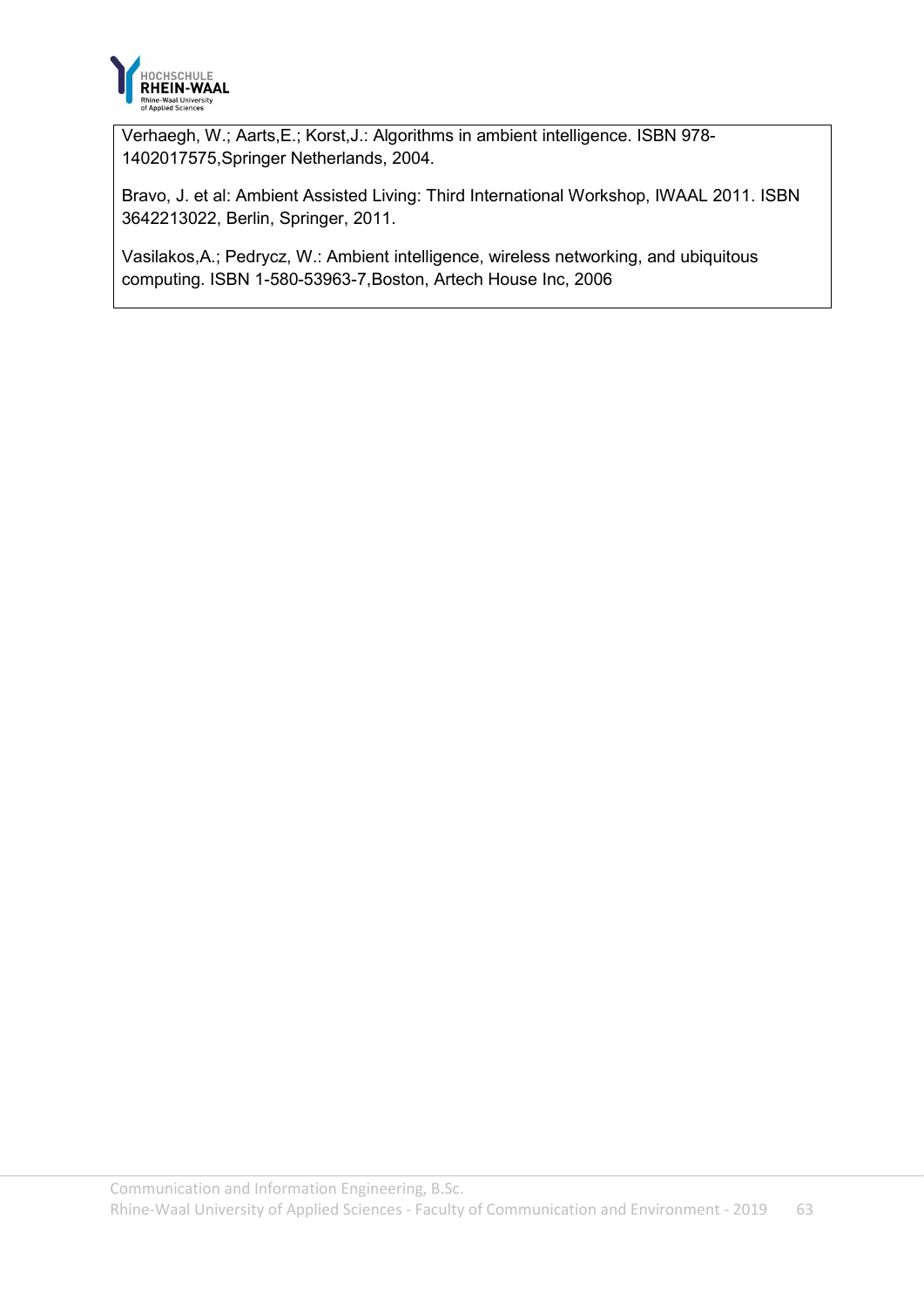

Verhaegh, W.; Aarts,E.; Korst,J.: Algorithms in ambient intelligence. ISBN 978- 1402017575,Springer Netherlands, 2004.

Bravo, J. et al: Ambient Assisted Living: Third International Workshop, IWAAL 2011. ISBN 3642213022, Berlin, Springer, 2011.

Vasilakos,A.; Pedrycz, W.: Ambient intelligence, wireless networking, and ubiquitous computing. ISBN 1-580-53963-7,Boston, Artech House Inc, 2006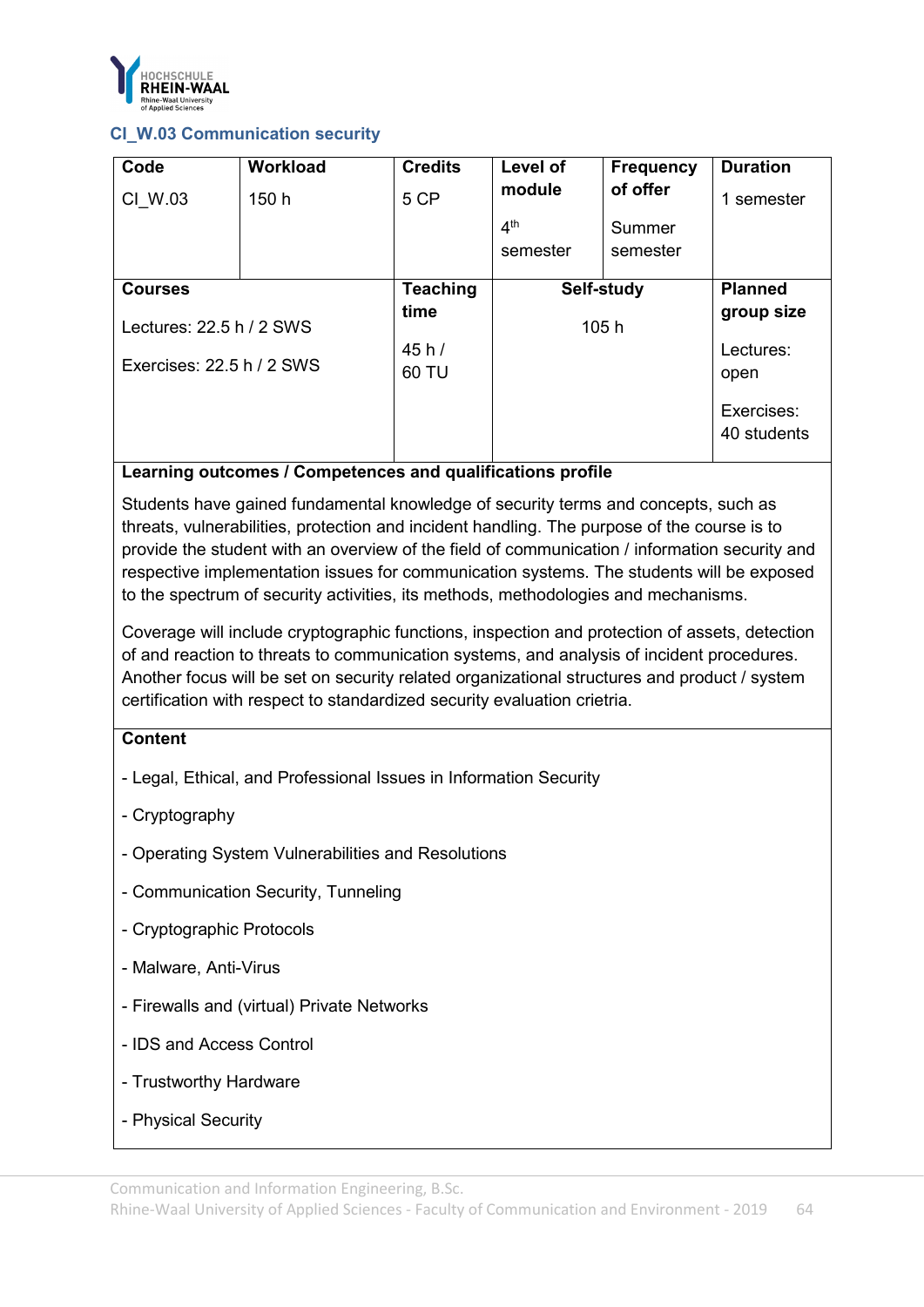

## **CI\_W.03 Communication security**

| Code                        | <b>Workload</b> | <b>Credits</b>  | Level of        | <b>Frequency</b> | <b>Duration</b>           |
|-----------------------------|-----------------|-----------------|-----------------|------------------|---------------------------|
| CI W.03                     | 150 h           | 5 CP            | module          | of offer         | 1 semester                |
|                             |                 |                 | 4 <sup>th</sup> | Summer           |                           |
|                             |                 |                 | semester        | semester         |                           |
| <b>Courses</b>              |                 | <b>Teaching</b> |                 | Self-study       | <b>Planned</b>            |
| Lectures: $22.5 h / 2$ SWS  |                 | time            | 105 h           |                  | group size                |
| Exercises: $22.5 h / 2$ SWS |                 | 45h/<br>60 TU   |                 |                  | Lectures:<br>open         |
|                             |                 |                 |                 |                  | Exercises:<br>40 students |

## **Learning outcomes / Competences and qualifications profile**

Students have gained fundamental knowledge of security terms and concepts, such as threats, vulnerabilities, protection and incident handling. The purpose of the course is to provide the student with an overview of the field of communication / information security and respective implementation issues for communication systems. The students will be exposed to the spectrum of security activities, its methods, methodologies and mechanisms.

Coverage will include cryptographic functions, inspection and protection of assets, detection of and reaction to threats to communication systems, and analysis of incident procedures. Another focus will be set on security related organizational structures and product / system certification with respect to standardized security evaluation crietria.

## **Content**

- Legal, Ethical, and Professional Issues in Information Security
- Cryptography
- Operating System Vulnerabilities and Resolutions
- Communication Security, Tunneling
- Cryptographic Protocols
- Malware, Anti-Virus
- Firewalls and (virtual) Private Networks
- IDS and Access Control
- Trustworthy Hardware
- Physical Security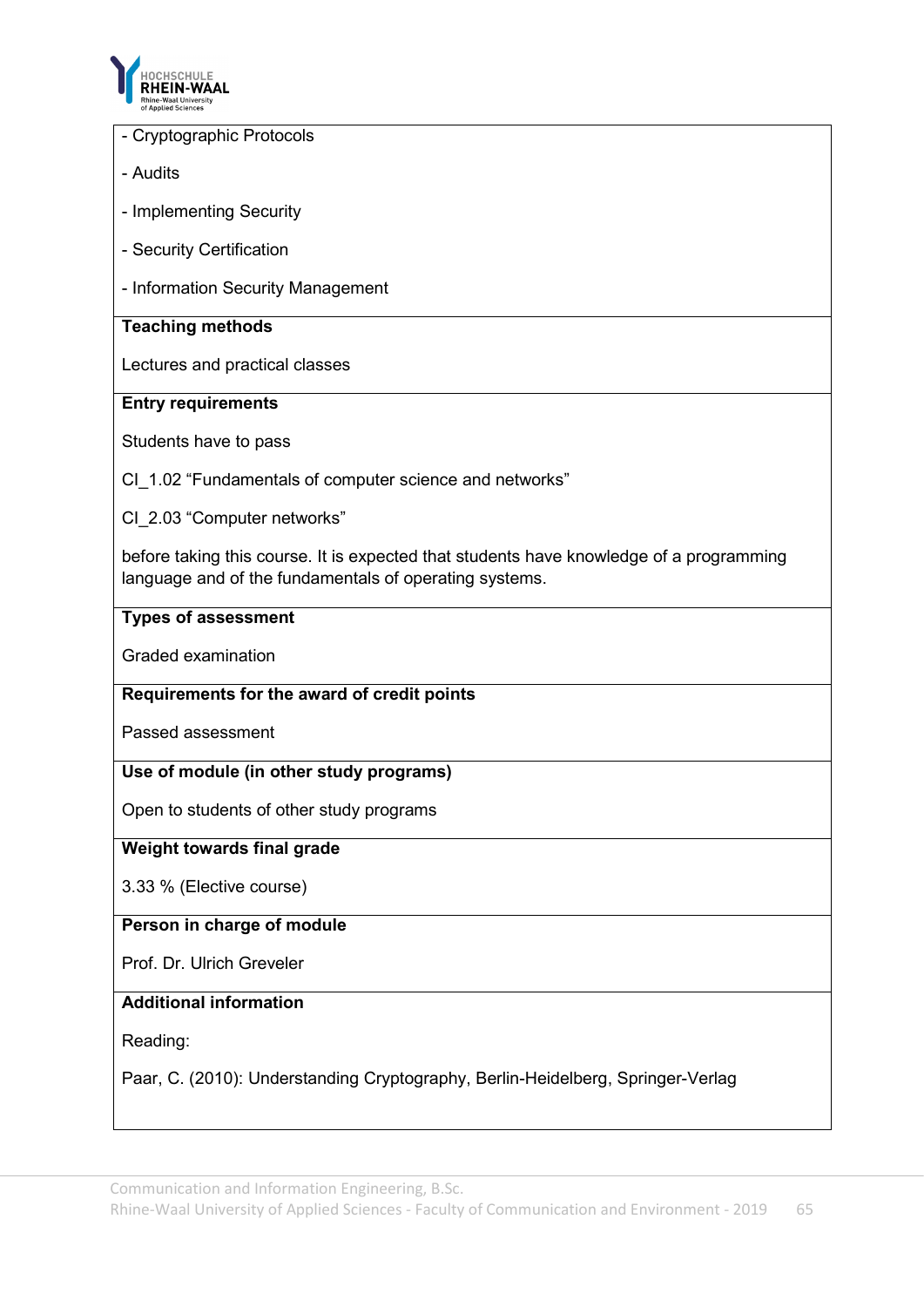

- Cryptographic Protocols
- Audits
- Implementing Security
- Security Certification
- Information Security Management

#### **Teaching methods**

Lectures and practical classes

#### **Entry requirements**

Students have to pass

CI\_1.02 "Fundamentals of computer science and networks"

CI\_2.03 "Computer networks"

before taking this course. It is expected that students have knowledge of a programming language and of the fundamentals of operating systems.

#### **Types of assessment**

Graded examination

#### **Requirements for the award of credit points**

Passed assessment

#### **Use of module (in other study programs)**

Open to students of other study programs

#### **Weight towards final grade**

3.33 % (Elective course)

#### **Person in charge of module**

Prof. Dr. Ulrich Greveler

## **Additional information**

Reading:

Paar, C. (2010): Understanding Cryptography, Berlin-Heidelberg, Springer-Verlag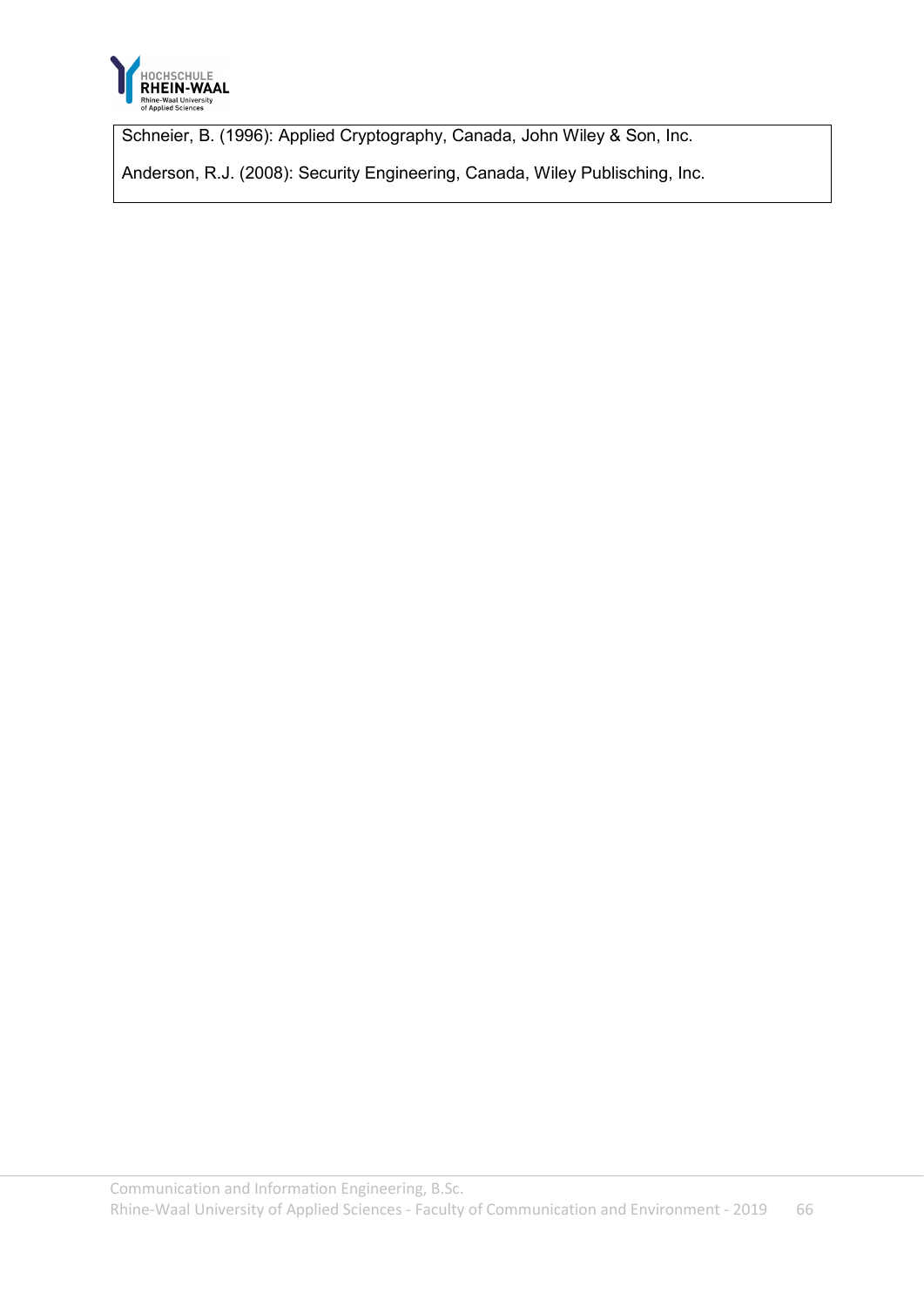

Schneier, B. (1996): Applied Cryptography, Canada, John Wiley & Son, Inc.

Anderson, R.J. (2008): Security Engineering, Canada, Wiley Publisching, Inc.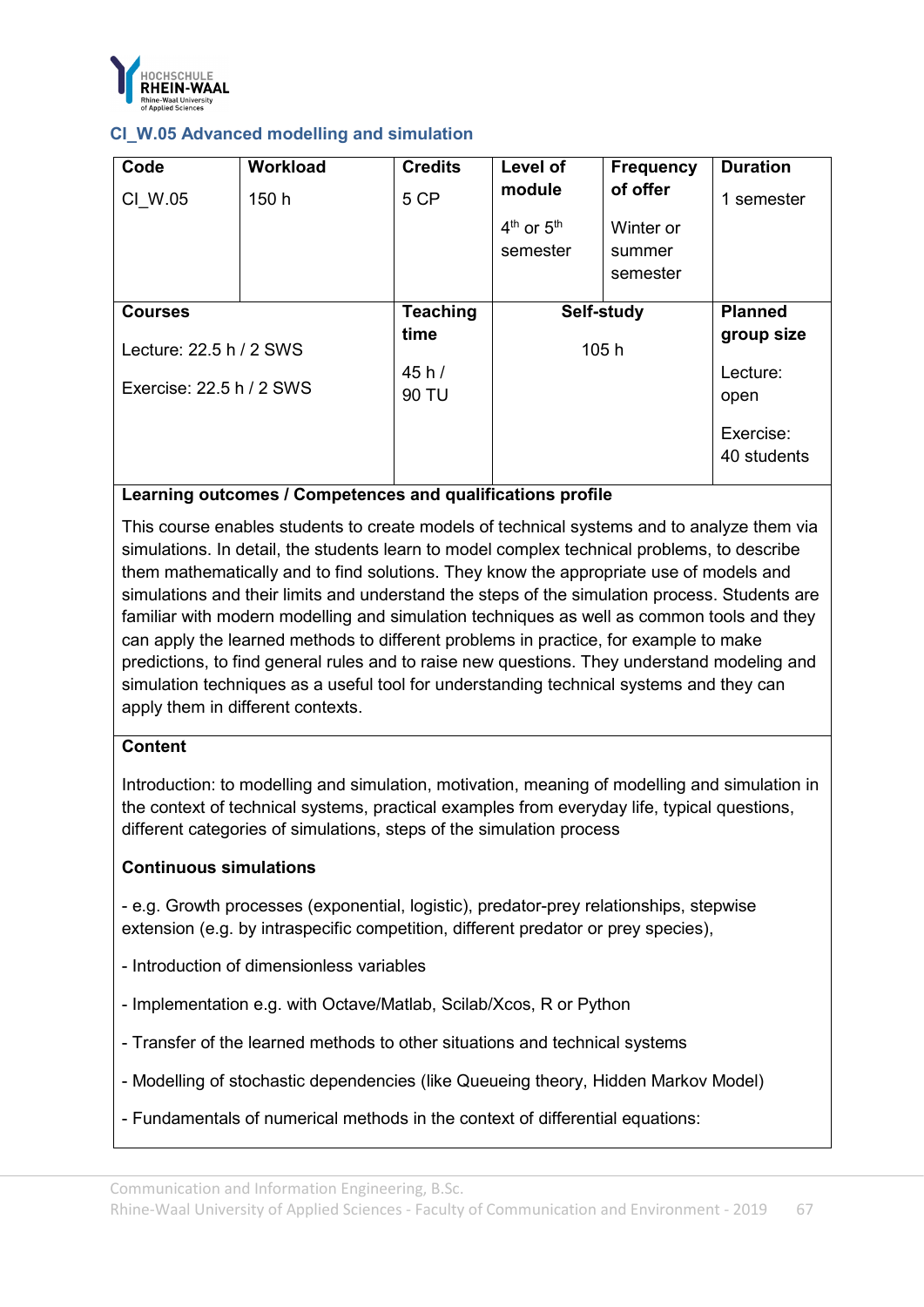

## **CI\_W.05 Advanced modelling and simulation**

| Code<br>CI W.05                                     | Workload<br>150 h | <b>Credits</b><br>5 CP | Level of<br>module<br>$4th$ or $5th$<br>semester | <b>Frequency</b><br>of offer<br>Winter or<br>summer<br>semester | <b>Duration</b><br>1 semester    |
|-----------------------------------------------------|-------------------|------------------------|--------------------------------------------------|-----------------------------------------------------------------|----------------------------------|
| <b>Courses</b>                                      |                   | <b>Teaching</b>        | Self-study                                       |                                                                 | <b>Planned</b>                   |
| Lecture: 22.5 h / 2 SWS<br>Exercise: 22.5 h / 2 SWS |                   | time<br>45h/<br>90 TU  |                                                  | 105h                                                            | group size<br>Lecture:           |
|                                                     |                   |                        |                                                  |                                                                 | open<br>Exercise:<br>40 students |

#### **Learning outcomes / Competences and qualifications profile**

This course enables students to create models of technical systems and to analyze them via simulations. In detail, the students learn to model complex technical problems, to describe them mathematically and to find solutions. They know the appropriate use of models and simulations and their limits and understand the steps of the simulation process. Students are familiar with modern modelling and simulation techniques as well as common tools and they can apply the learned methods to different problems in practice, for example to make predictions, to find general rules and to raise new questions. They understand modeling and simulation techniques as a useful tool for understanding technical systems and they can apply them in different contexts.

#### **Content**

Introduction: to modelling and simulation, motivation, meaning of modelling and simulation in the context of technical systems, practical examples from everyday life, typical questions, different categories of simulations, steps of the simulation process

## **Continuous simulations**

- e.g. Growth processes (exponential, logistic), predator-prey relationships, stepwise extension (e.g. by intraspecific competition, different predator or prey species),

- Introduction of dimensionless variables
- Implementation e.g. with Octave/Matlab, Scilab/Xcos, R or Python
- Transfer of the learned methods to other situations and technical systems
- Modelling of stochastic dependencies (like Queueing theory, Hidden Markov Model)
- Fundamentals of numerical methods in the context of differential equations: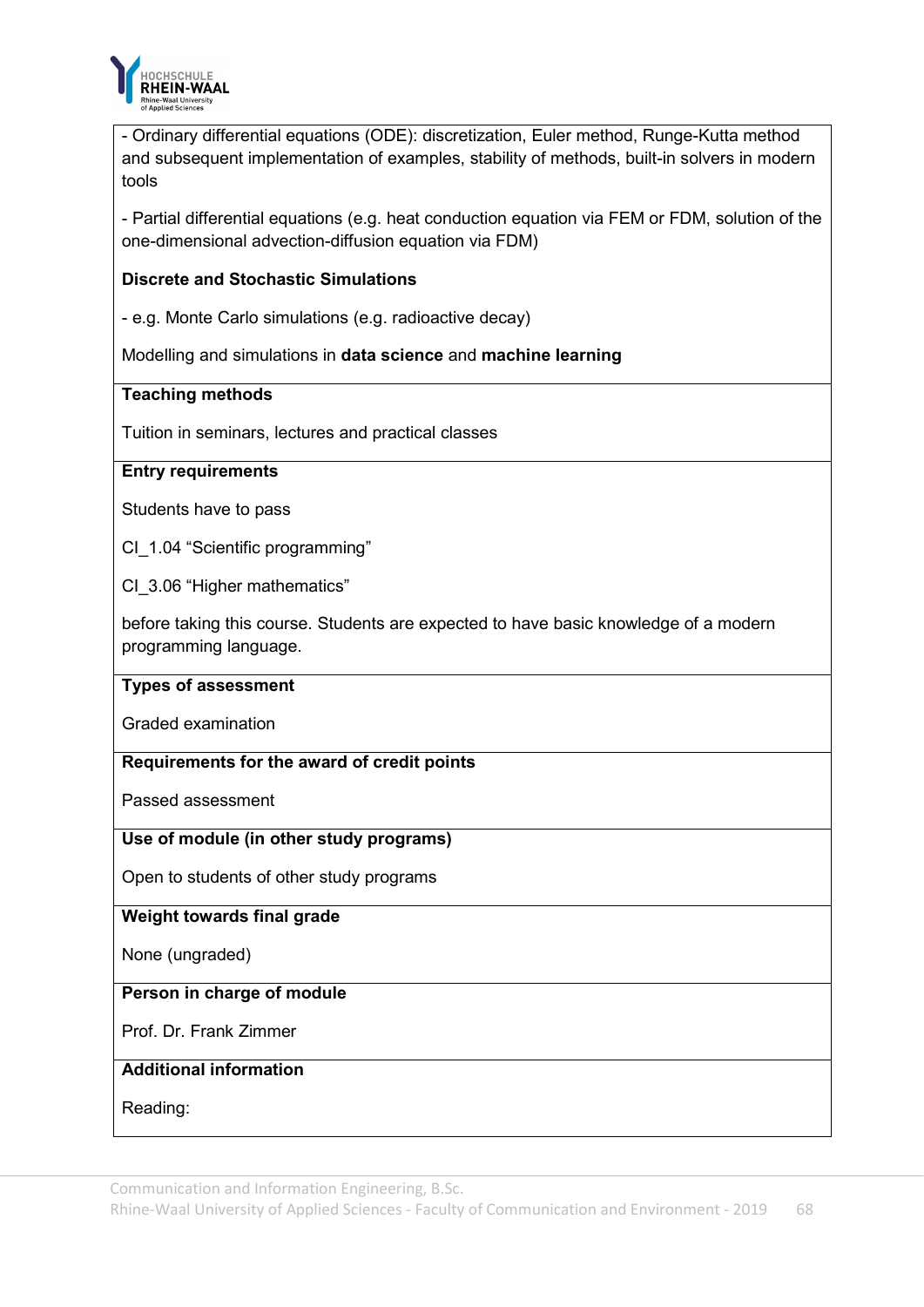

- Ordinary differential equations (ODE): discretization, Euler method, Runge-Kutta method and subsequent implementation of examples, stability of methods, built-in solvers in modern tools

- Partial differential equations (e.g. heat conduction equation via FEM or FDM, solution of the one-dimensional advection-diffusion equation via FDM)

### **Discrete and Stochastic Simulations**

- e.g. Monte Carlo simulations (e.g. radioactive decay)

Modelling and simulations in **data science** and **machine learning**

### **Teaching methods**

Tuition in seminars, lectures and practical classes

#### **Entry requirements**

Students have to pass

CI\_1.04 "Scientific programming"

CI\_3.06 "Higher mathematics"

before taking this course. Students are expected to have basic knowledge of a modern programming language.

#### **Types of assessment**

Graded examination

### **Requirements for the award of credit points**

Passed assessment

### **Use of module (in other study programs)**

Open to students of other study programs

### **Weight towards final grade**

None (ungraded)

### **Person in charge of module**

Prof. Dr. Frank Zimmer

## **Additional information**

Reading: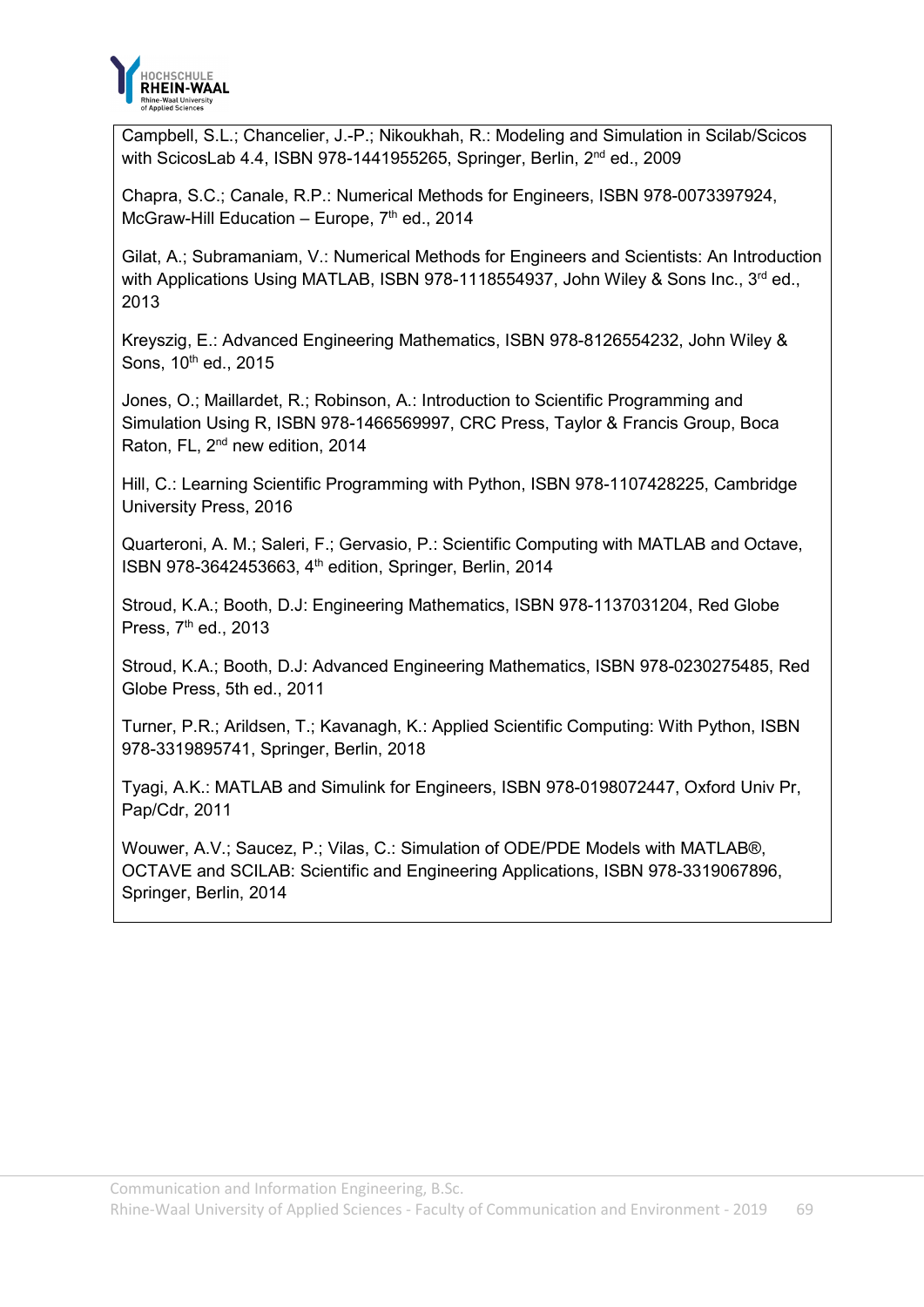

Campbell, S.L.; Chancelier, J.-P.; Nikoukhah, R.: Modeling and Simulation in Scilab/Scicos with ScicosLab 4.4, ISBN 978-1441955265, Springer, Berlin, 2nd ed., 2009

Chapra, S.C.; Canale, R.P.: Numerical Methods for Engineers, ISBN 978-0073397924, McGraw-Hill Education – Europe,  $7<sup>th</sup>$  ed., 2014

Gilat, A.; Subramaniam, V.: Numerical Methods for Engineers and Scientists: An Introduction with Applications Using MATLAB, ISBN 978-1118554937, John Wiley & Sons Inc., 3<sup>rd</sup> ed., 2013

Kreyszig, E.: Advanced Engineering Mathematics, ISBN 978-8126554232, John Wiley & Sons, 10<sup>th</sup> ed., 2015

Jones, O.; Maillardet, R.; Robinson, A.: Introduction to Scientific Programming and Simulation Using R, ISBN 978-1466569997, CRC Press, Taylor & Francis Group, Boca Raton, FL, 2<sup>nd</sup> new edition, 2014

Hill, C.: Learning Scientific Programming with Python, ISBN 978-1107428225, Cambridge University Press, 2016

Quarteroni, A. M.; Saleri, F.; Gervasio, P.: Scientific Computing with MATLAB and Octave, ISBN 978-3642453663, 4<sup>th</sup> edition, Springer, Berlin, 2014

Stroud, K.A.; Booth, D.J: Engineering Mathematics, ISBN 978-1137031204, Red Globe Press, 7<sup>th</sup> ed., 2013

Stroud, K.A.; Booth, D.J: Advanced Engineering Mathematics, ISBN 978-0230275485, Red Globe Press, 5th ed., 2011

Turner, P.R.; Arildsen, T.; Kavanagh, K.: Applied Scientific Computing: With Python, ISBN 978-3319895741, Springer, Berlin, 2018

Tyagi, A.K.: MATLAB and Simulink for Engineers, ISBN 978-0198072447, Oxford Univ Pr, Pap/Cdr, 2011

Wouwer, A.V.; Saucez, P.; Vilas, C.: Simulation of ODE/PDE Models with MATLAB®, OCTAVE and SCILAB: Scientific and Engineering Applications, ISBN 978-3319067896, Springer, Berlin, 2014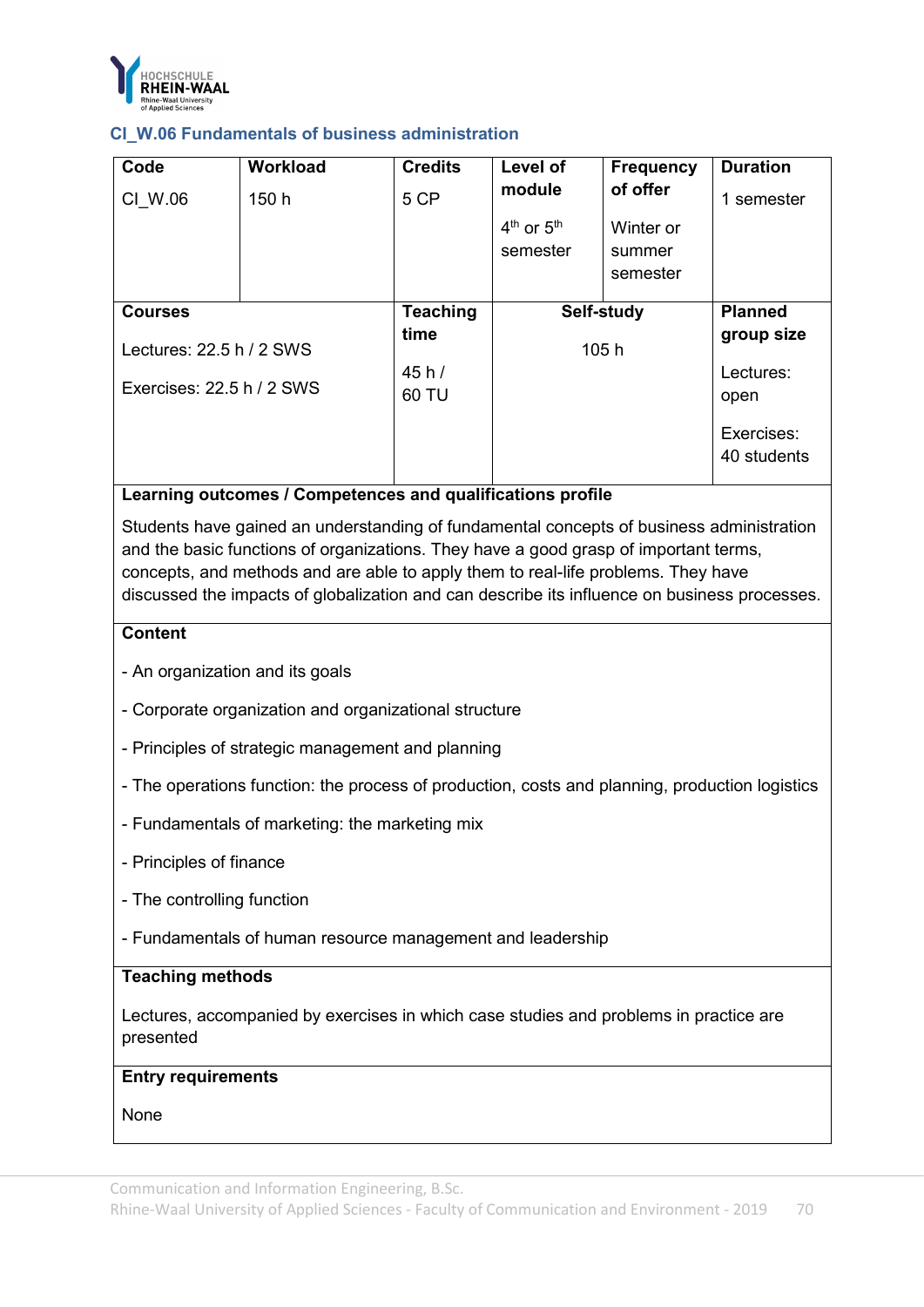

### **CI\_W.06 Fundamentals of business administration**

| Code<br>CI W.06             | Workload<br>150 h | <b>Credits</b><br>5 CP | Level of<br>module<br>$4th$ or $5th$<br>semester | <b>Frequency</b><br>of offer<br>Winter or<br>summer | <b>Duration</b><br>1 semester |
|-----------------------------|-------------------|------------------------|--------------------------------------------------|-----------------------------------------------------|-------------------------------|
|                             |                   |                        |                                                  | semester                                            |                               |
| <b>Courses</b>              |                   | <b>Teaching</b>        | Self-study                                       |                                                     | <b>Planned</b>                |
| Lectures: $22.5 h / 2$ SWS  |                   | time                   |                                                  | 105h                                                | group size                    |
| Exercises: $22.5 h / 2$ SWS |                   | 45h/<br>60 TU          |                                                  |                                                     | Lectures:<br>open             |
|                             |                   |                        |                                                  |                                                     | Exercises:<br>40 students     |

### **Learning outcomes / Competences and qualifications profile**

Students have gained an understanding of fundamental concepts of business administration and the basic functions of organizations. They have a good grasp of important terms, concepts, and methods and are able to apply them to real-life problems. They have discussed the impacts of globalization and can describe its influence on business processes.

#### **Content**

- An organization and its goals
- Corporate organization and organizational structure
- Principles of strategic management and planning
- The operations function: the process of production, costs and planning, production logistics
- Fundamentals of marketing: the marketing mix
- Principles of finance
- The controlling function
- Fundamentals of human resource management and leadership

### **Teaching methods**

Lectures, accompanied by exercises in which case studies and problems in practice are presented

#### **Entry requirements**

None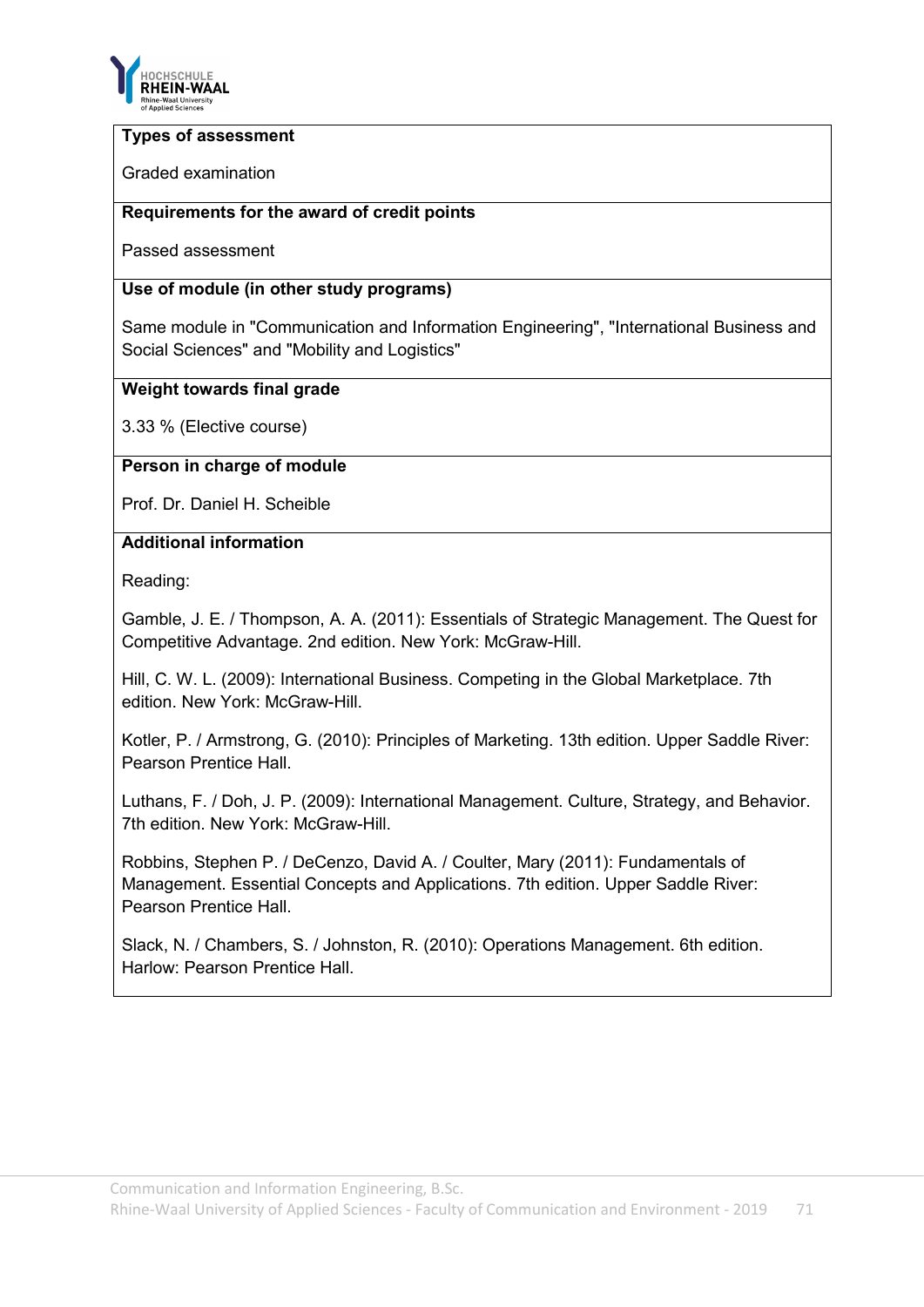

#### **Types of assessment**

Graded examination

### **Requirements for the award of credit points**

Passed assessment

### **Use of module (in other study programs)**

Same module in "Communication and Information Engineering", "International Business and Social Sciences" and "Mobility and Logistics"

### **Weight towards final grade**

3.33 % (Elective course)

### **Person in charge of module**

Prof. Dr. Daniel H. Scheible

# **Additional information**

Reading:

Gamble, J. E. / Thompson, A. A. (2011): Essentials of Strategic Management. The Quest for Competitive Advantage. 2nd edition. New York: McGraw-Hill.

Hill, C. W. L. (2009): International Business. Competing in the Global Marketplace. 7th edition. New York: McGraw-Hill.

Kotler, P. / Armstrong, G. (2010): Principles of Marketing. 13th edition. Upper Saddle River: Pearson Prentice Hall.

Luthans, F. / Doh, J. P. (2009): International Management. Culture, Strategy, and Behavior. 7th edition. New York: McGraw-Hill.

Robbins, Stephen P. / DeCenzo, David A. / Coulter, Mary (2011): Fundamentals of Management. Essential Concepts and Applications. 7th edition. Upper Saddle River: Pearson Prentice Hall.

Slack, N. / Chambers, S. / Johnston, R. (2010): Operations Management. 6th edition. Harlow: Pearson Prentice Hall.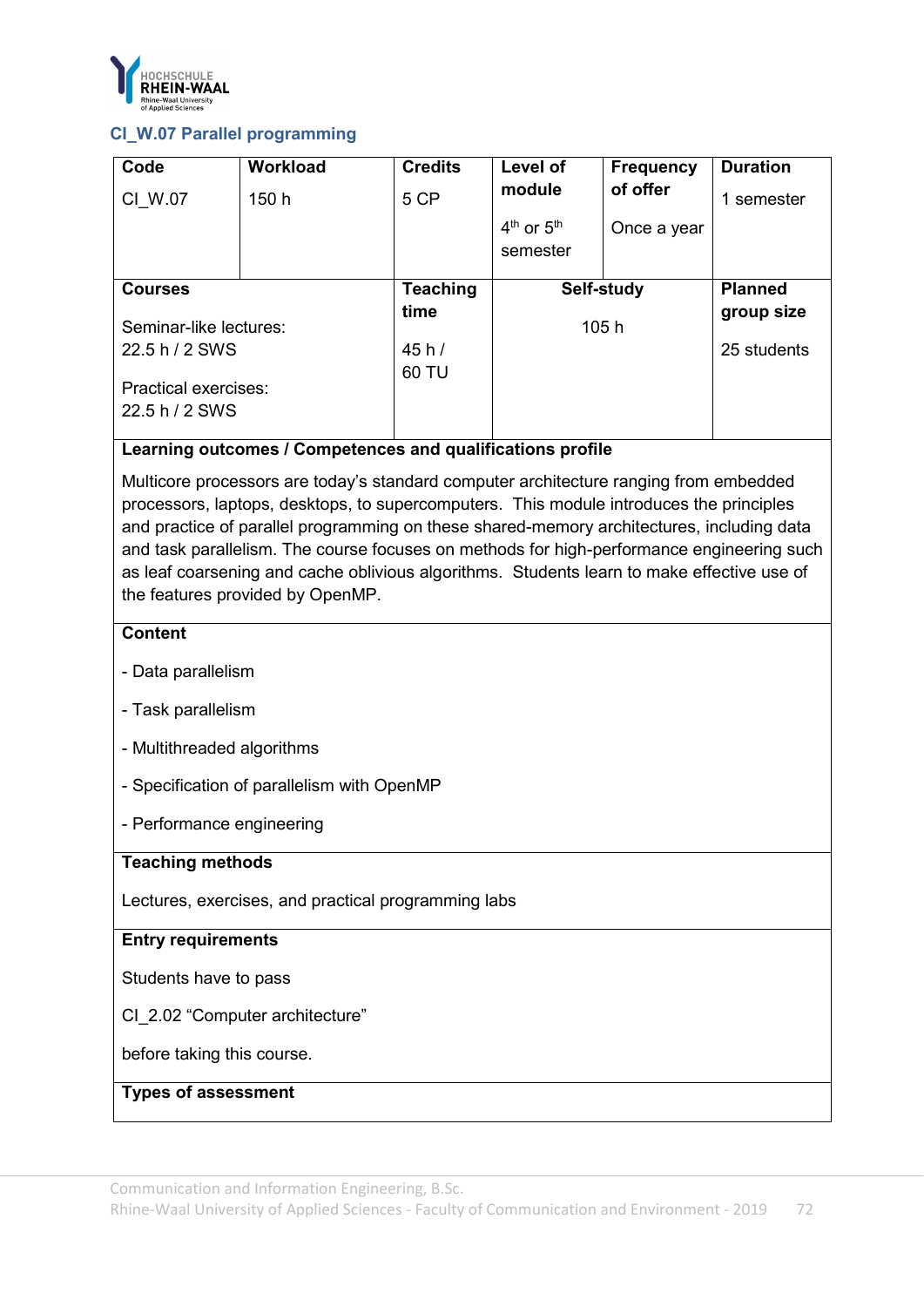

# **CI\_W.07 Parallel programming**

| Code                        | Workload | <b>Credits</b>  | Level of       | <b>Frequency</b> | <b>Duration</b> |
|-----------------------------|----------|-----------------|----------------|------------------|-----------------|
| CI W.07                     | 150 h    | 5 CP            | module         | of offer         | 1 semester      |
|                             |          |                 | $4th$ or $5th$ | Once a year      |                 |
|                             |          |                 | semester       |                  |                 |
|                             |          |                 |                |                  |                 |
| <b>Courses</b>              |          | <b>Teaching</b> | Self-study     |                  | <b>Planned</b>  |
|                             |          | time            |                |                  | group size      |
| Seminar-like lectures:      |          |                 | 105 h          |                  |                 |
| 22.5 h / 2 SWS              |          | 45h/            |                |                  | 25 students     |
|                             |          | 60 TU           |                |                  |                 |
| <b>Practical exercises:</b> |          |                 |                |                  |                 |
| 22.5 h / 2 SWS              |          |                 |                |                  |                 |
|                             |          |                 |                |                  |                 |

### **Learning outcomes / Competences and qualifications profile**

Multicore processors are today's standard computer architecture ranging from embedded processors, laptops, desktops, to supercomputers. This module introduces the principles and practice of parallel programming on these shared-memory architectures, including data and task parallelism. The course focuses on methods for high-performance engineering such as leaf coarsening and cache oblivious algorithms. Students learn to make effective use of the features provided by OpenMP.

### **Content**

- Data parallelism
- Task parallelism
- Multithreaded algorithms
- Specification of parallelism with OpenMP
- Performance engineering

### **Teaching methods**

Lectures, exercises, and practical programming labs

#### **Entry requirements**

Students have to pass

CI 2.02 "Computer architecture"

before taking this course.

### **Types of assessment**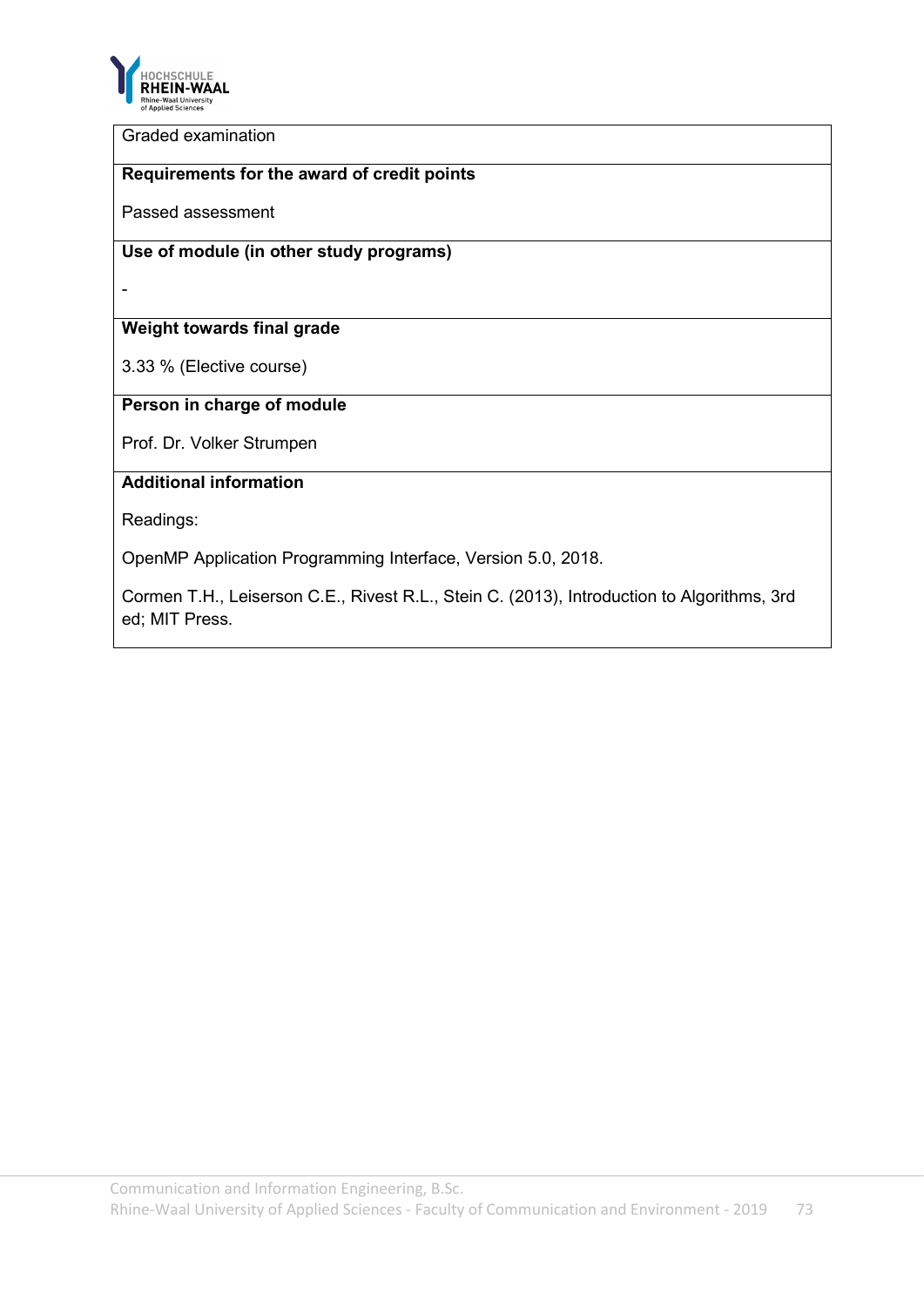

Graded examination

### **Requirements for the award of credit points**

Passed assessment

## **Use of module (in other study programs)**

-

### **Weight towards final grade**

3.33 % (Elective course)

# **Person in charge of module**

Prof. Dr. Volker Strumpen

### **Additional information**

Readings:

OpenMP Application Programming Interface, Version 5.0, 2018.

Cormen T.H., Leiserson C.E., Rivest R.L., Stein C. (2013), Introduction to Algorithms, 3rd ed; MIT Press.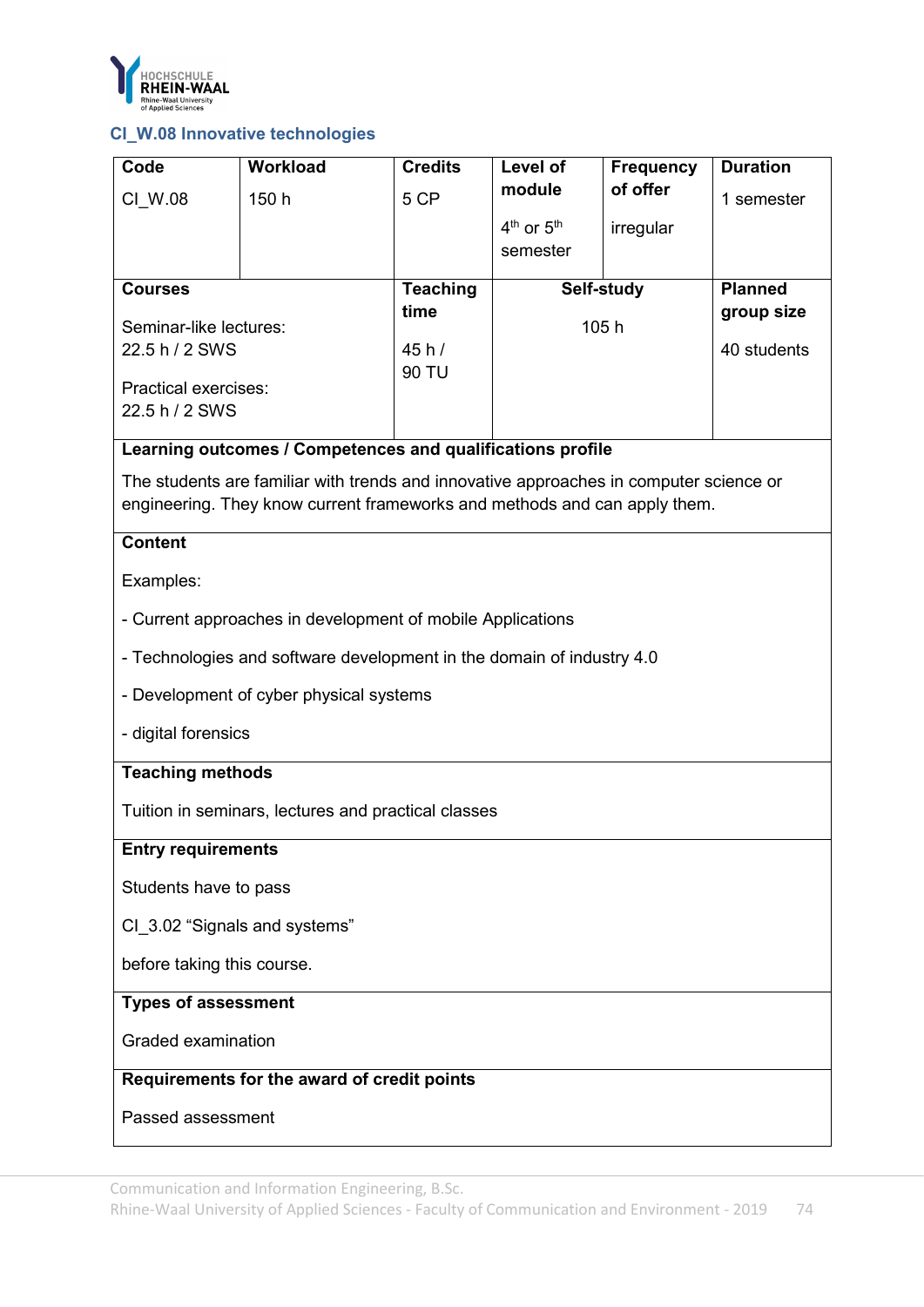

# **CI\_W.08 Innovative technologies**

| Code                          | <b>Workload</b>                                                                        | <b>Credits</b>          | Level of                           | <b>Frequency</b> | <b>Duration</b> |  |  |
|-------------------------------|----------------------------------------------------------------------------------------|-------------------------|------------------------------------|------------------|-----------------|--|--|
| CI W.08                       | 150 h                                                                                  | 5 CP                    | module                             | of offer         | 1 semester      |  |  |
|                               |                                                                                        |                         | 4 <sup>th</sup> or 5 <sup>th</sup> | irregular        |                 |  |  |
|                               |                                                                                        |                         | semester                           |                  |                 |  |  |
|                               |                                                                                        |                         |                                    |                  |                 |  |  |
| <b>Courses</b>                |                                                                                        | <b>Teaching</b><br>time |                                    | Self-study       | <b>Planned</b>  |  |  |
| Seminar-like lectures:        |                                                                                        |                         | 105 h                              |                  | group size      |  |  |
| 22.5 h / 2 SWS                |                                                                                        | 45 h/                   |                                    |                  | 40 students     |  |  |
| Practical exercises:          |                                                                                        | 90 TU                   |                                    |                  |                 |  |  |
| 22.5 h / 2 SWS                |                                                                                        |                         |                                    |                  |                 |  |  |
|                               |                                                                                        |                         |                                    |                  |                 |  |  |
|                               | Learning outcomes / Competences and qualifications profile                             |                         |                                    |                  |                 |  |  |
|                               | The students are familiar with trends and innovative approaches in computer science or |                         |                                    |                  |                 |  |  |
|                               | engineering. They know current frameworks and methods and can apply them.              |                         |                                    |                  |                 |  |  |
| <b>Content</b>                |                                                                                        |                         |                                    |                  |                 |  |  |
|                               |                                                                                        |                         |                                    |                  |                 |  |  |
| Examples:                     |                                                                                        |                         |                                    |                  |                 |  |  |
|                               | - Current approaches in development of mobile Applications                             |                         |                                    |                  |                 |  |  |
|                               |                                                                                        |                         |                                    |                  |                 |  |  |
|                               | - Technologies and software development in the domain of industry 4.0                  |                         |                                    |                  |                 |  |  |
|                               | - Development of cyber physical systems                                                |                         |                                    |                  |                 |  |  |
|                               |                                                                                        |                         |                                    |                  |                 |  |  |
| - digital forensics           |                                                                                        |                         |                                    |                  |                 |  |  |
| <b>Teaching methods</b>       |                                                                                        |                         |                                    |                  |                 |  |  |
|                               | Tuition in seminars, lectures and practical classes                                    |                         |                                    |                  |                 |  |  |
|                               |                                                                                        |                         |                                    |                  |                 |  |  |
| <b>Entry requirements</b>     |                                                                                        |                         |                                    |                  |                 |  |  |
| Students have to pass         |                                                                                        |                         |                                    |                  |                 |  |  |
| CI 3.02 "Signals and systems" |                                                                                        |                         |                                    |                  |                 |  |  |
| before taking this course.    |                                                                                        |                         |                                    |                  |                 |  |  |
| <b>Types of assessment</b>    |                                                                                        |                         |                                    |                  |                 |  |  |
| Graded examination            |                                                                                        |                         |                                    |                  |                 |  |  |
|                               | Requirements for the award of credit points                                            |                         |                                    |                  |                 |  |  |
| Passed assessment             |                                                                                        |                         |                                    |                  |                 |  |  |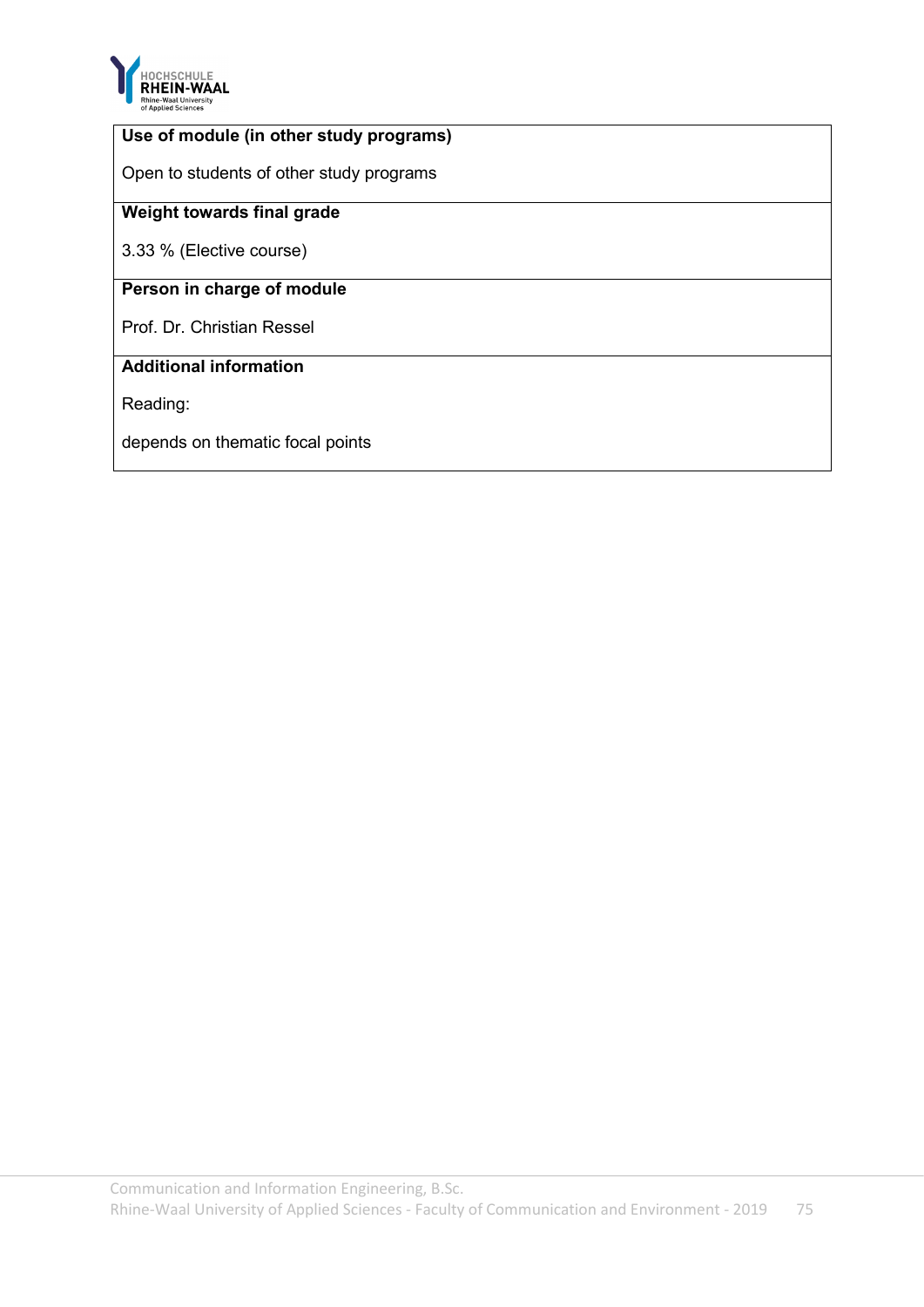

# **Use of module (in other study programs)**

Open to students of other study programs

### **Weight towards final grade**

3.33 % (Elective course)

# **Person in charge of module**

Prof. Dr. Christian Ressel

# **Additional information**

Reading:

depends on thematic focal points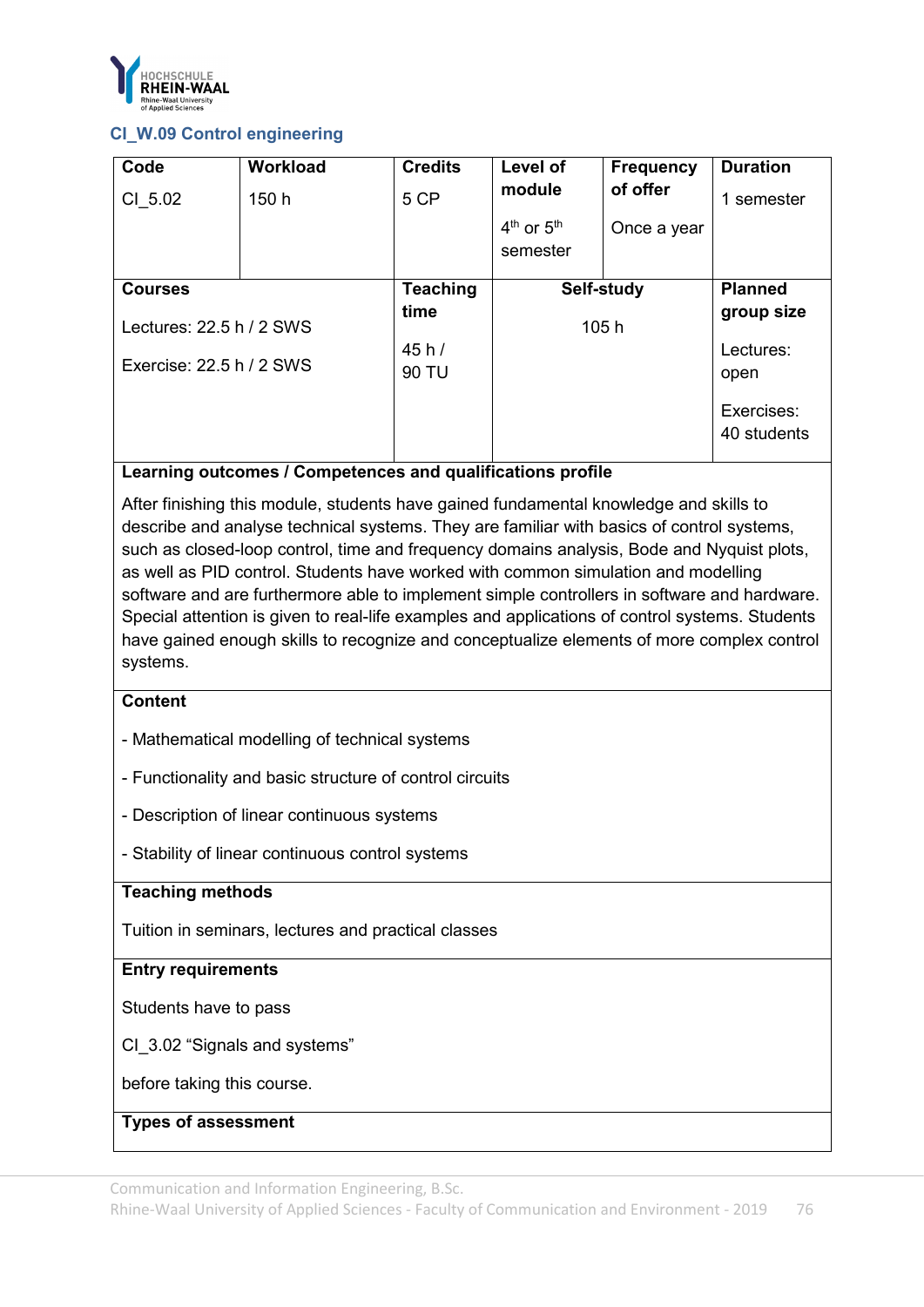

## **CI\_W.09 Control engineering**

| Code                       | Workload | <b>Credits</b> | Level of       | <b>Frequency</b> | <b>Duration</b>           |
|----------------------------|----------|----------------|----------------|------------------|---------------------------|
| CI 5.02                    | 150 h    | 5 CP           | module         | of offer         | 1 semester                |
|                            |          |                | $4th$ or $5th$ | Once a year      |                           |
|                            |          |                | semester       |                  |                           |
|                            |          |                |                |                  |                           |
| <b>Courses</b>             |          | Teaching       | Self-study     |                  | <b>Planned</b>            |
| Lectures: $22.5 h / 2$ SWS |          | time           | 105 h          |                  | group size                |
|                            |          |                |                |                  |                           |
|                            |          | 45 h/          |                |                  | Lectures:                 |
| Exercise: 22.5 h / 2 SWS   |          | 90 TU          |                |                  | open                      |
|                            |          |                |                |                  | Exercises:<br>40 students |

## **Learning outcomes / Competences and qualifications profile**

After finishing this module, students have gained fundamental knowledge and skills to describe and analyse technical systems. They are familiar with basics of control systems, such as closed-loop control, time and frequency domains analysis, Bode and Nyquist plots, as well as PID control. Students have worked with common simulation and modelling software and are furthermore able to implement simple controllers in software and hardware. Special attention is given to real-life examples and applications of control systems. Students have gained enough skills to recognize and conceptualize elements of more complex control systems.

### **Content**

- Mathematical modelling of technical systems
- Functionality and basic structure of control circuits
- Description of linear continuous systems
- Stability of linear continuous control systems

### **Teaching methods**

Tuition in seminars, lectures and practical classes

### **Entry requirements**

Students have to pass

CI\_3.02 "Signals and systems"

before taking this course.

### **Types of assessment**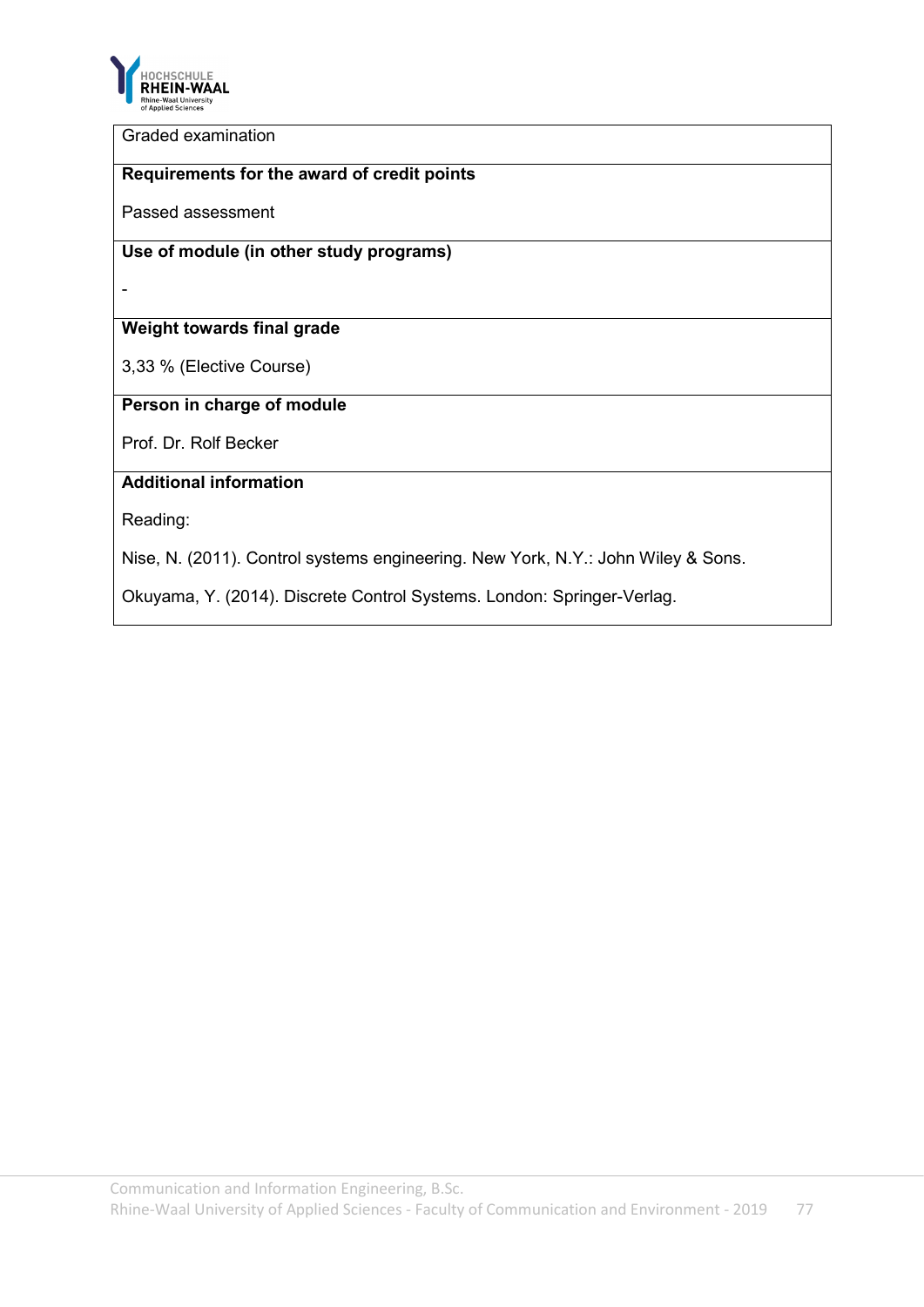

Graded examination

### **Requirements for the award of credit points**

Passed assessment

## **Use of module (in other study programs)**

-

## **Weight towards final grade**

3,33 % (Elective Course)

# **Person in charge of module**

Prof. Dr. Rolf Becker

## **Additional information**

Reading:

Nise, N. (2011). Control systems engineering. New York, N.Y.: John Wiley & Sons.

Okuyama, Y. (2014). Discrete Control Systems. London: Springer-Verlag.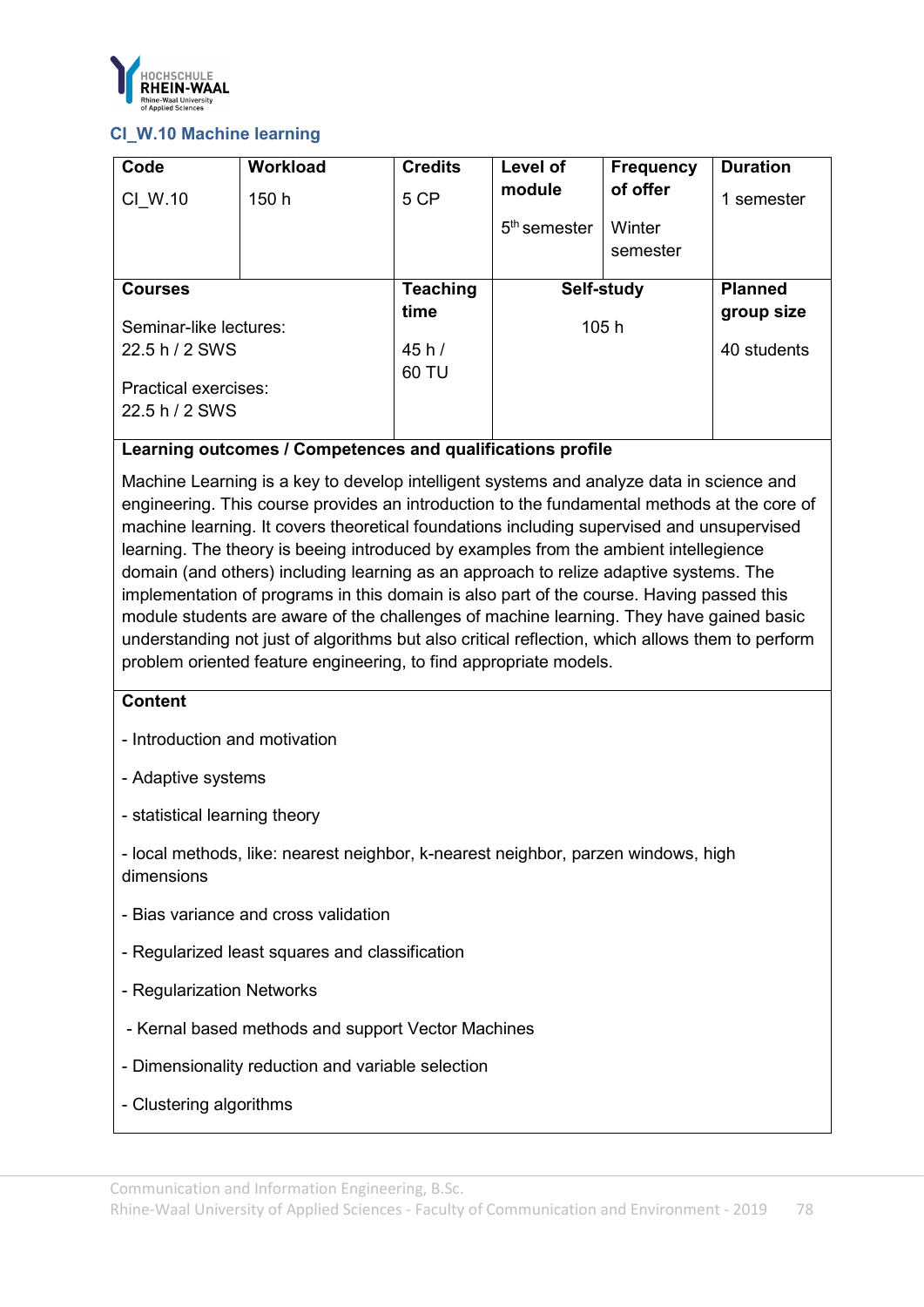

## **CI\_W.10 Machine learning**

| Code                                          | Workload | <b>Credits</b>  | Level of       | <b>Frequency</b>   | <b>Duration</b> |
|-----------------------------------------------|----------|-----------------|----------------|--------------------|-----------------|
| CI W.10                                       | 150 h    | 5 CP            | module         | of offer           | 1 semester      |
|                                               |          |                 | $5th$ semester | Winter<br>semester |                 |
| <b>Courses</b>                                |          | <b>Teaching</b> | Self-study     |                    | <b>Planned</b>  |
| Seminar-like lectures:                        |          | time            |                | 105 h              | group size      |
| 22.5 h / 2 SWS                                |          | 45h/            |                |                    | 40 students     |
| <b>Practical exercises:</b><br>22.5 h / 2 SWS |          | 60 TU           |                |                    |                 |

### **Learning outcomes / Competences and qualifications profile**

Machine Learning is a key to develop intelligent systems and analyze data in science and engineering. This course provides an introduction to the fundamental methods at the core of machine learning. It covers theoretical foundations including supervised and unsupervised learning. The theory is beeing introduced by examples from the ambient intellegience domain (and others) including learning as an approach to relize adaptive systems. The implementation of programs in this domain is also part of the course. Having passed this module students are aware of the challenges of machine learning. They have gained basic understanding not just of algorithms but also critical reflection, which allows them to perform problem oriented feature engineering, to find appropriate models.

#### **Content**

- Introduction and motivation
- Adaptive systems
- statistical learning theory
- local methods, like: nearest neighbor, k-nearest neighbor, parzen windows, high dimensions
- Bias variance and cross validation
- Regularized least squares and classification
- Regularization Networks
- Kernal based methods and support Vector Machines
- Dimensionality reduction and variable selection
- Clustering algorithms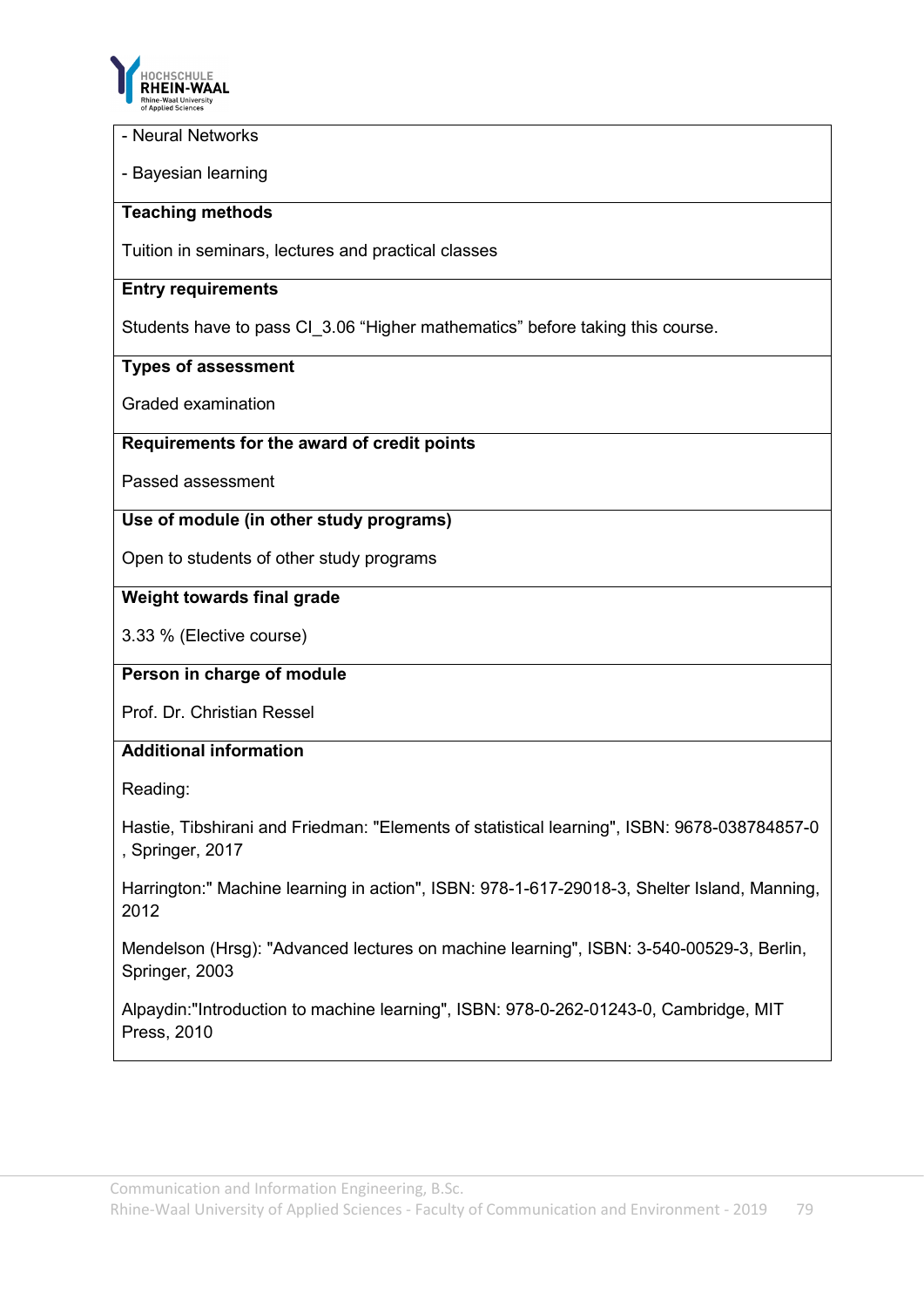

#### - Neural Networks

- Bayesian learning

### **Teaching methods**

Tuition in seminars, lectures and practical classes

#### **Entry requirements**

Students have to pass CI\_3.06 "Higher mathematics" before taking this course.

### **Types of assessment**

Graded examination

### **Requirements for the award of credit points**

Passed assessment

### **Use of module (in other study programs)**

Open to students of other study programs

#### **Weight towards final grade**

3.33 % (Elective course)

### **Person in charge of module**

Prof. Dr. Christian Ressel

### **Additional information**

Reading:

Hastie, Tibshirani and Friedman: "Elements of statistical learning", ISBN: 9678-038784857-0 , Springer, 2017

Harrington:" Machine learning in action", ISBN: 978-1-617-29018-3, Shelter Island, Manning, 2012

Mendelson (Hrsg): "Advanced lectures on machine learning", ISBN: 3-540-00529-3, Berlin, Springer, 2003

Alpaydin:"Introduction to machine learning", ISBN: 978-0-262-01243-0, Cambridge, MIT Press, 2010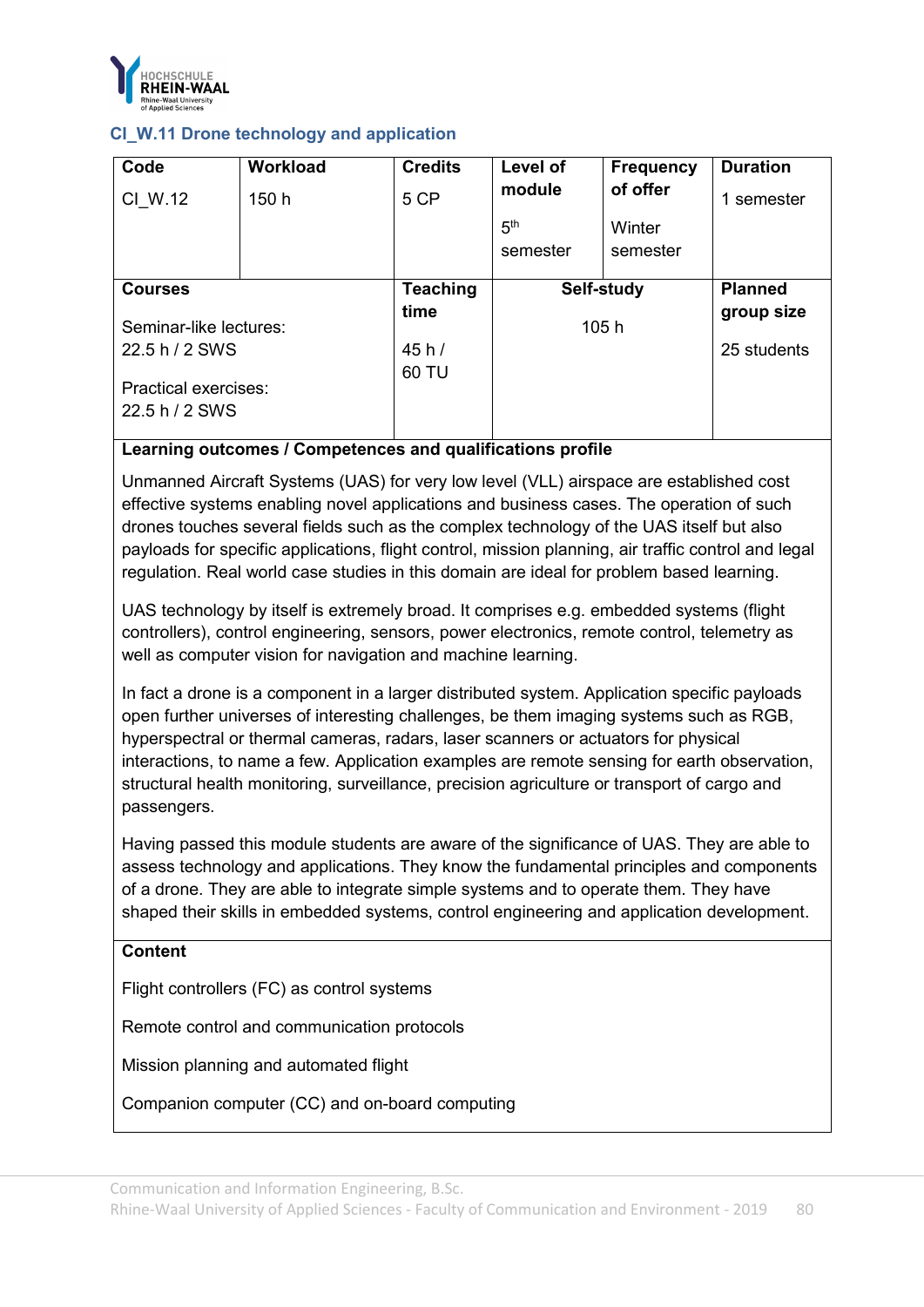

## **CI\_W.11 Drone technology and application**

| Code                        | <b>Workload</b> | <b>Credits</b>  | Level of        | <b>Frequency</b> | <b>Duration</b> |
|-----------------------------|-----------------|-----------------|-----------------|------------------|-----------------|
| CI W.12                     | 150 h           | 5 CP            | module          | of offer         | 1 semester      |
|                             |                 |                 | 5 <sup>th</sup> | Winter           |                 |
|                             |                 |                 | semester        | semester         |                 |
| <b>Courses</b>              |                 | <b>Teaching</b> | Self-study      |                  | <b>Planned</b>  |
|                             |                 | time            |                 |                  | group size      |
| Seminar-like lectures:      |                 |                 | 105h            |                  |                 |
| 22.5 h / 2 SWS              |                 |                 |                 |                  |                 |
|                             |                 | 45h/            |                 |                  | 25 students     |
|                             |                 | 60 TU           |                 |                  |                 |
| <b>Practical exercises:</b> |                 |                 |                 |                  |                 |
| 22.5 h / 2 SWS              |                 |                 |                 |                  |                 |

### **Learning outcomes / Competences and qualifications profile**

Unmanned Aircraft Systems (UAS) for very low level (VLL) airspace are established cost effective systems enabling novel applications and business cases. The operation of such drones touches several fields such as the complex technology of the UAS itself but also payloads for specific applications, flight control, mission planning, air traffic control and legal regulation. Real world case studies in this domain are ideal for problem based learning.

UAS technology by itself is extremely broad. It comprises e.g. embedded systems (flight controllers), control engineering, sensors, power electronics, remote control, telemetry as well as computer vision for navigation and machine learning.

In fact a drone is a component in a larger distributed system. Application specific payloads open further universes of interesting challenges, be them imaging systems such as RGB, hyperspectral or thermal cameras, radars, laser scanners or actuators for physical interactions, to name a few. Application examples are remote sensing for earth observation, structural health monitoring, surveillance, precision agriculture or transport of cargo and passengers.

Having passed this module students are aware of the significance of UAS. They are able to assess technology and applications. They know the fundamental principles and components of a drone. They are able to integrate simple systems and to operate them. They have shaped their skills in embedded systems, control engineering and application development.

### **Content**

Flight controllers (FC) as control systems

Remote control and communication protocols

Mission planning and automated flight

Companion computer (CC) and on-board computing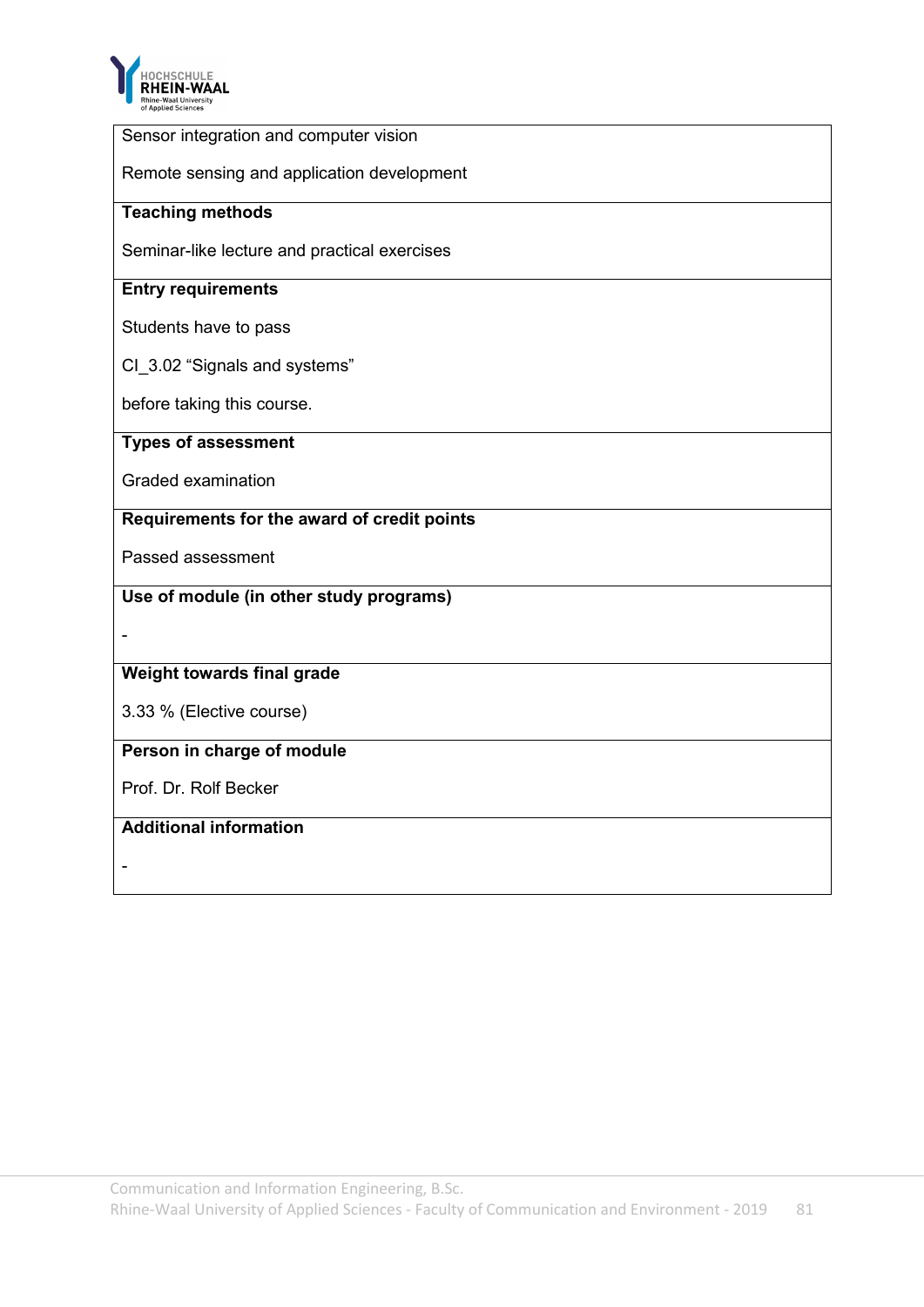

| Sensor integration and computer vision       |
|----------------------------------------------|
| Remote sensing and application development   |
|                                              |
| <b>Teaching methods</b>                      |
| Seminar-like lecture and practical exercises |
| <b>Entry requirements</b>                    |
| Students have to pass                        |
| Cl_3.02 "Signals and systems"                |
| before taking this course.                   |
| <b>Types of assessment</b>                   |
| <b>Graded examination</b>                    |
| Requirements for the award of credit points  |
| Passed assessment                            |
| Use of module (in other study programs)      |
|                                              |
| Weight towards final grade                   |
| 3.33 % (Elective course)                     |
| Person in charge of module                   |
| Prof. Dr. Rolf Becker                        |
| <b>Additional information</b>                |
|                                              |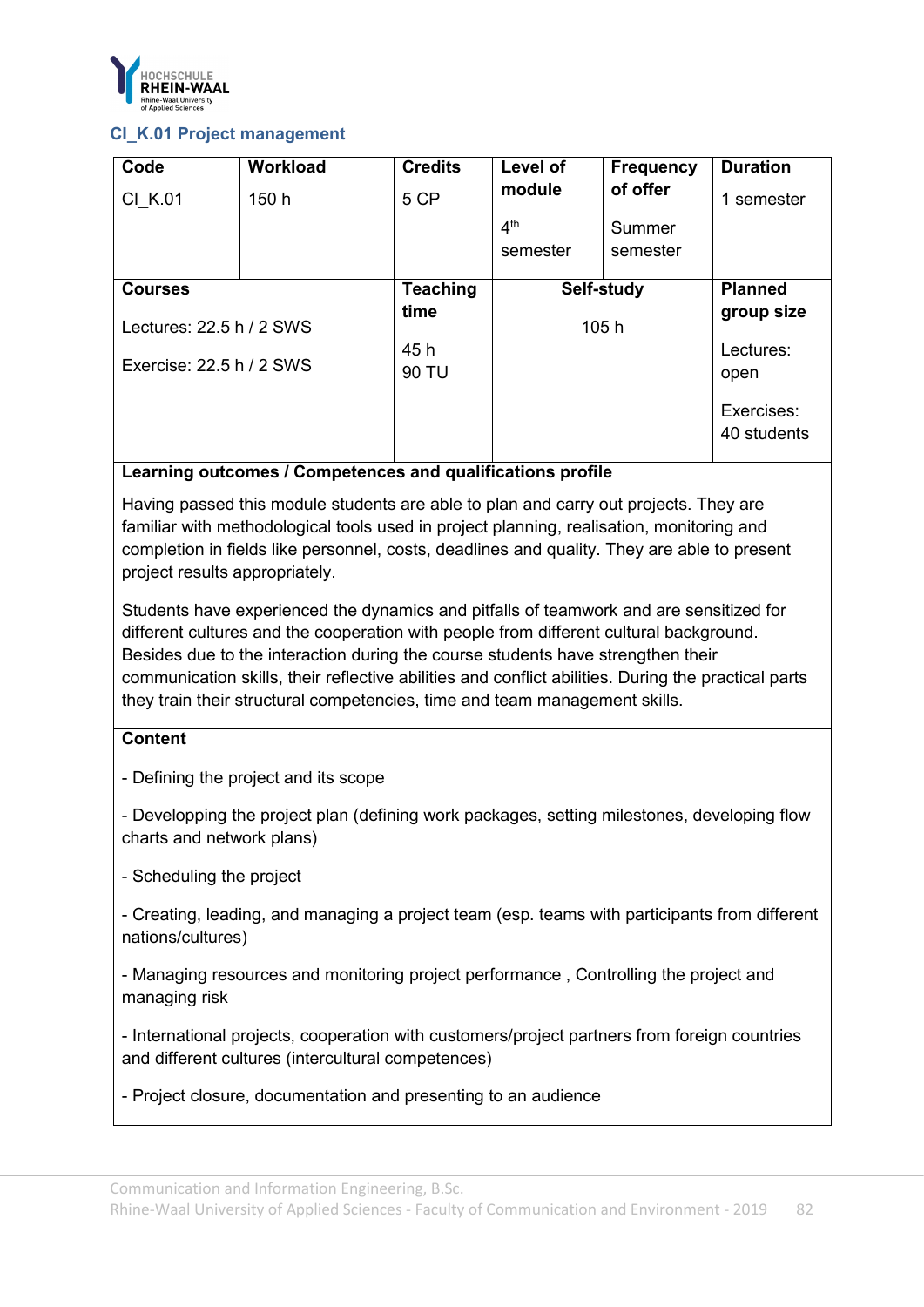

### **CI\_K.01 Project management**

| Code                       | <b>Workload</b> | <b>Credits</b>  | Level of        | <b>Frequency</b> | <b>Duration</b>           |
|----------------------------|-----------------|-----------------|-----------------|------------------|---------------------------|
| CI K.01                    | 150 h           | 5 CP            | module          | of offer         | 1 semester                |
|                            |                 |                 | 4 <sup>th</sup> | Summer           |                           |
|                            |                 |                 | semester        | semester         |                           |
| <b>Courses</b>             |                 | <b>Teaching</b> | Self-study      |                  | <b>Planned</b>            |
| Lectures: $22.5 h / 2$ SWS |                 | time            | 105h            |                  | group size                |
|                            |                 | 45 h            |                 |                  | Lectures:                 |
| Exercise: 22.5 h / 2 SWS   |                 | 90 TU           |                 |                  | open                      |
|                            |                 |                 |                 |                  | Exercises:<br>40 students |

### **Learning outcomes / Competences and qualifications profile**

Having passed this module students are able to plan and carry out projects. They are familiar with methodological tools used in project planning, realisation, monitoring and completion in fields like personnel, costs, deadlines and quality. They are able to present project results appropriately.

Students have experienced the dynamics and pitfalls of teamwork and are sensitized for different cultures and the cooperation with people from different cultural background. Besides due to the interaction during the course students have strengthen their communication skills, their reflective abilities and conflict abilities. During the practical parts they train their structural competencies, time and team management skills.

### **Content**

- Defining the project and its scope

- Developping the project plan (defining work packages, setting milestones, developing flow charts and network plans)

- Scheduling the project

- Creating, leading, and managing a project team (esp. teams with participants from different nations/cultures)

- Managing resources and monitoring project performance , Controlling the project and managing risk

- International projects, cooperation with customers/project partners from foreign countries and different cultures (intercultural competences)

- Project closure, documentation and presenting to an audience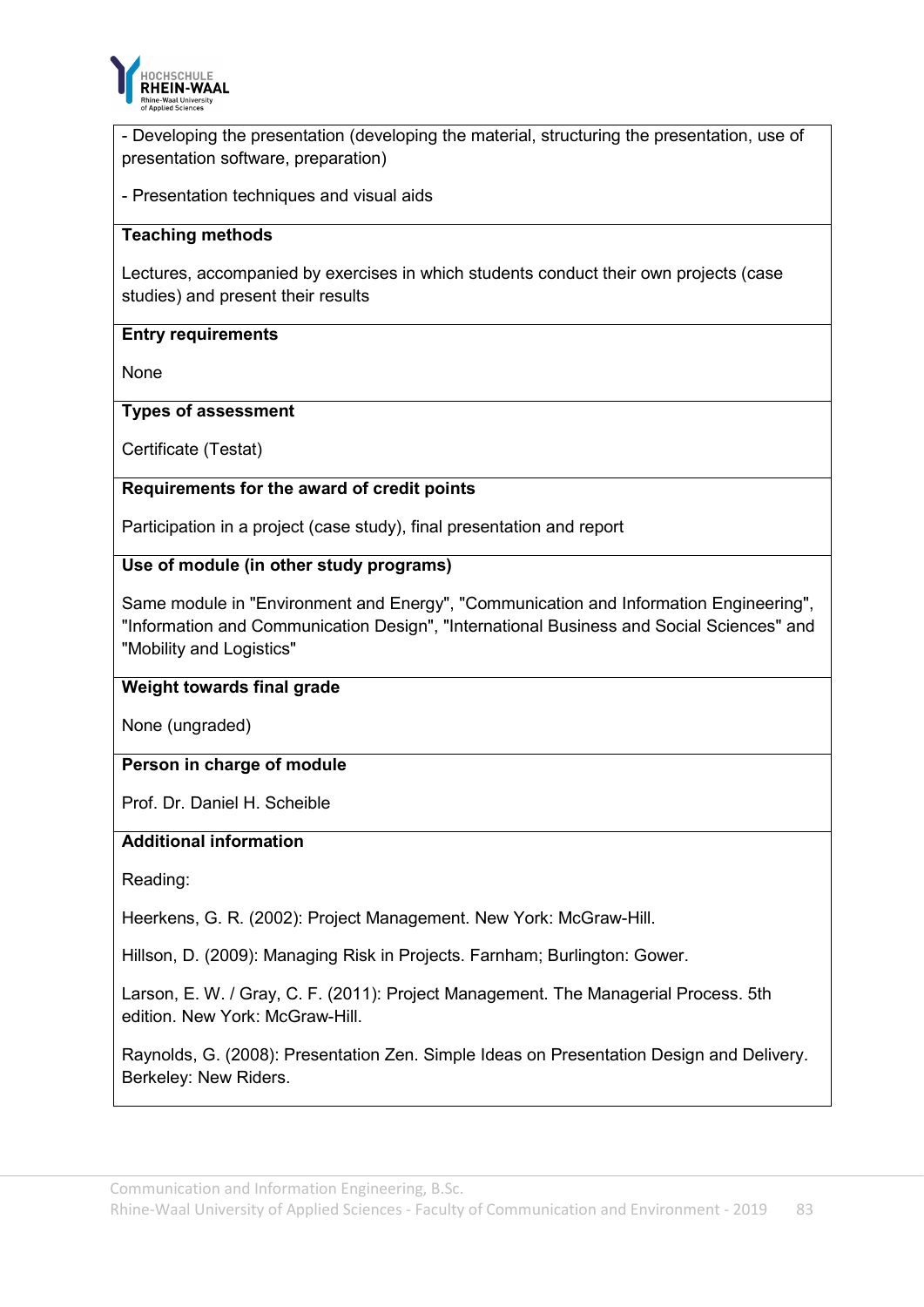

- Developing the presentation (developing the material, structuring the presentation, use of presentation software, preparation)

- Presentation techniques and visual aids

### **Teaching methods**

Lectures, accompanied by exercises in which students conduct their own projects (case studies) and present their results

### **Entry requirements**

None

### **Types of assessment**

Certificate (Testat)

### **Requirements for the award of credit points**

Participation in a project (case study), final presentation and report

## **Use of module (in other study programs)**

Same module in "Environment and Energy", "Communication and Information Engineering", "Information and Communication Design", "International Business and Social Sciences" and "Mobility and Logistics"

### **Weight towards final grade**

None (ungraded)

# **Person in charge of module**

Prof. Dr. Daniel H. Scheible

## **Additional information**

Reading:

Heerkens, G. R. (2002): Project Management. New York: McGraw-Hill.

Hillson, D. (2009): Managing Risk in Projects. Farnham; Burlington: Gower.

Larson, E. W. / Gray, C. F. (2011): Project Management. The Managerial Process. 5th edition. New York: McGraw-Hill.

Raynolds, G. (2008): Presentation Zen. Simple Ideas on Presentation Design and Delivery. Berkeley: New Riders.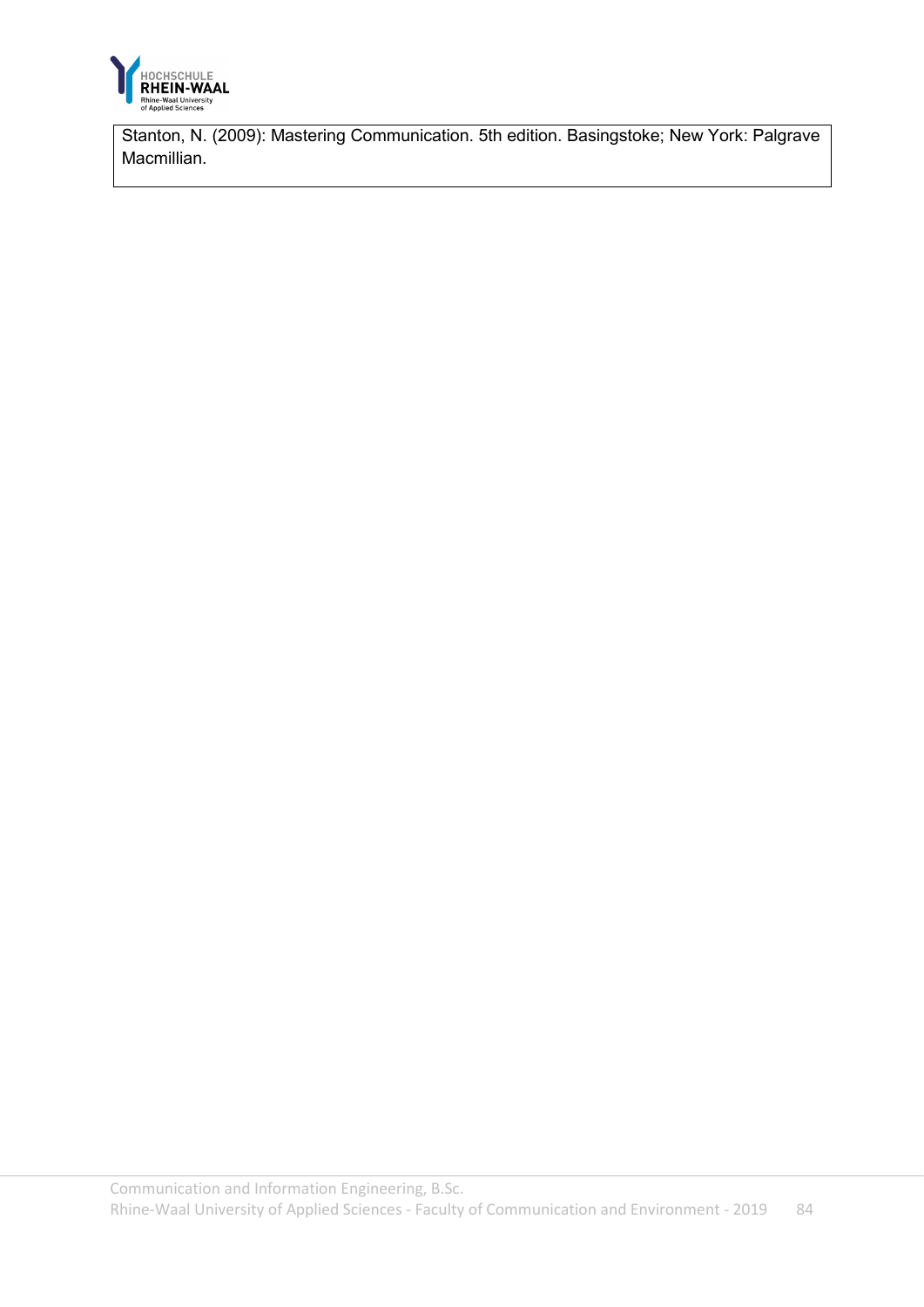

Stanton, N. (2009): Mastering Communication. 5th edition. Basingstoke; New York: Palgrave Macmillian.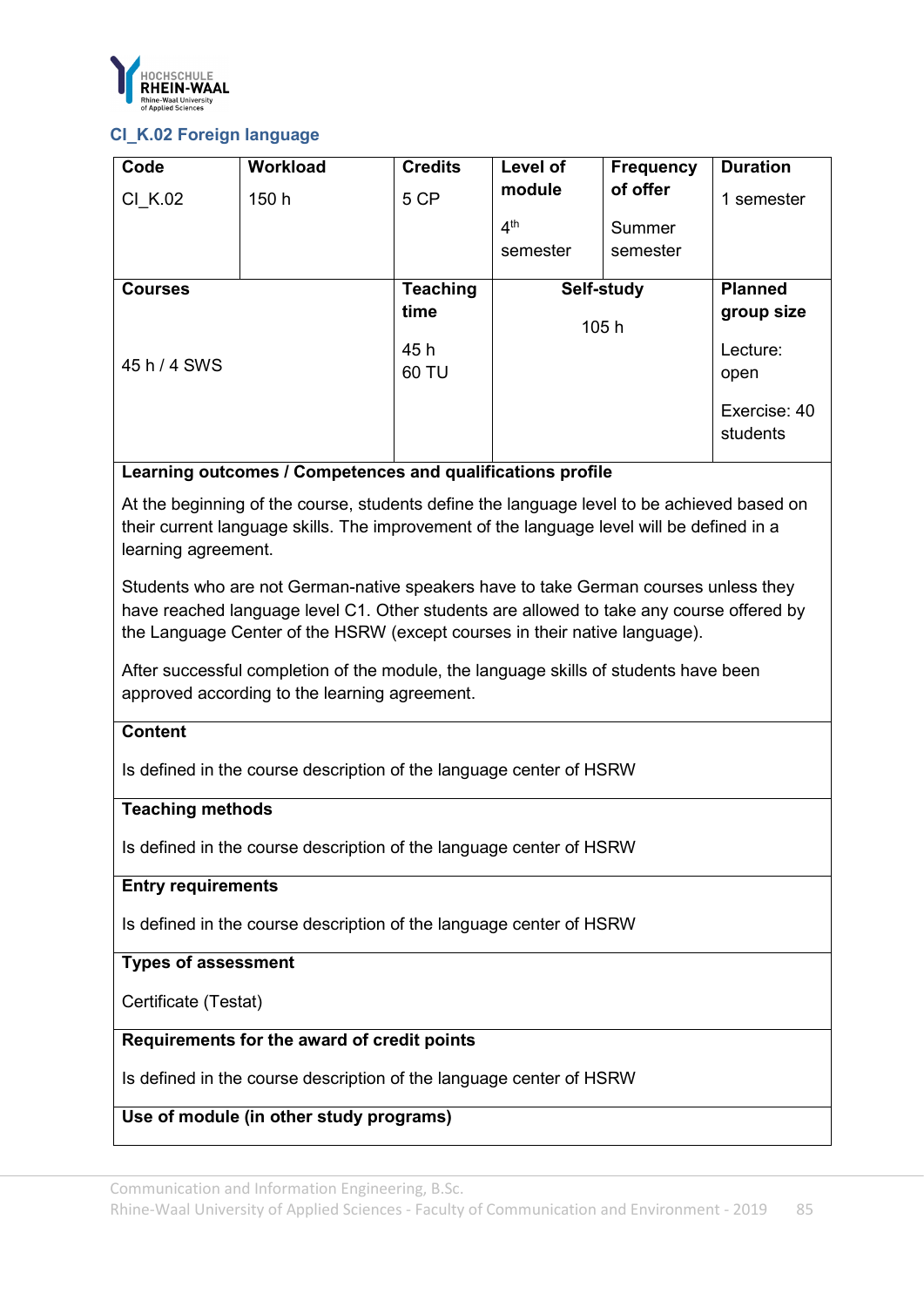

### **CI\_K.02 Foreign language**

| Code           | <b>Workload</b> | <b>Credits</b>  | Level of        | <b>Frequency</b> | <b>Duration</b>          |
|----------------|-----------------|-----------------|-----------------|------------------|--------------------------|
| CI K.02        | 150 h           | 5 CP            | module          | of offer         | 1 semester               |
|                |                 |                 | 4 <sup>th</sup> | Summer           |                          |
|                |                 |                 | semester        | semester         |                          |
| <b>Courses</b> |                 | <b>Teaching</b> |                 | Self-study       | <b>Planned</b>           |
|                |                 | time            |                 | 105h             | group size               |
|                |                 | 45 h            |                 |                  | Lecture:                 |
| 45 h / 4 SWS   |                 | 60 TU           |                 |                  | open                     |
|                |                 |                 |                 |                  | Exercise: 40<br>students |

### **Learning outcomes / Competences and qualifications profile**

At the beginning of the course, students define the language level to be achieved based on their current language skills. The improvement of the language level will be defined in a learning agreement.

Students who are not German-native speakers have to take German courses unless they have reached language level C1. Other students are allowed to take any course offered by the Language Center of the HSRW (except courses in their native language).

After successful completion of the module, the language skills of students have been approved according to the learning agreement.

### **Content**

Is defined in the course description of the language center of HSRW

### **Teaching methods**

Is defined in the course description of the language center of HSRW

#### **Entry requirements**

Is defined in the course description of the language center of HSRW

### **Types of assessment**

Certificate (Testat)

### **Requirements for the award of credit points**

Is defined in the course description of the language center of HSRW

## **Use of module (in other study programs)**